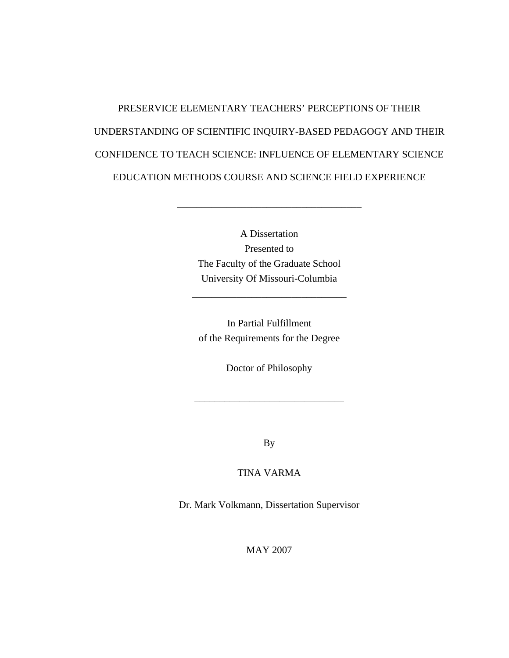# PRESERVICE ELEMENTARY TEACHERS' PERCEPTIONS OF THEIR UNDERSTANDING OF SCIENTIFIC INQUIRY-BASED PEDAGOGY AND THEIR CONFIDENCE TO TEACH SCIENCE: INFLUENCE OF ELEMENTARY SCIENCE EDUCATION METHODS COURSE AND SCIENCE FIELD EXPERIENCE

A Dissertation Presented to The Faculty of the Graduate School University Of Missouri-Columbia

\_\_\_\_\_\_\_\_\_\_\_\_\_\_\_\_\_\_\_\_\_\_\_\_\_\_\_\_\_\_\_\_\_\_\_\_\_

In Partial Fulfillment of the Requirements for the Degree

\_\_\_\_\_\_\_\_\_\_\_\_\_\_\_\_\_\_\_\_\_\_\_\_\_\_\_\_\_\_\_

Doctor of Philosophy

\_\_\_\_\_\_\_\_\_\_\_\_\_\_\_\_\_\_\_\_\_\_\_\_\_\_\_\_\_\_

By

## TINA VARMA

Dr. Mark Volkmann, Dissertation Supervisor

MAY 2007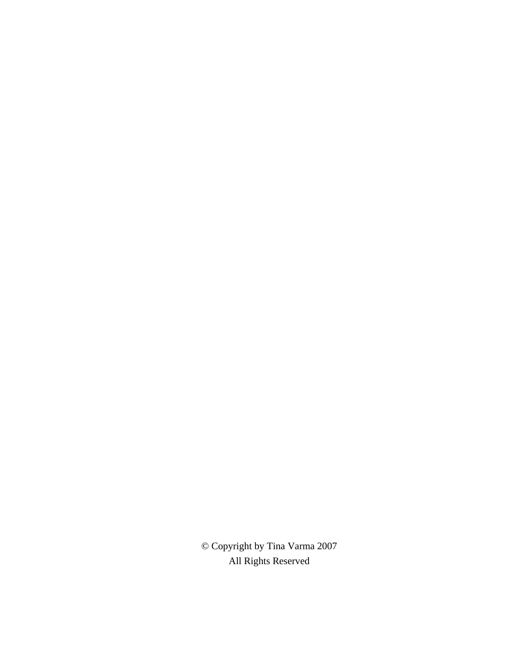© Copyright by Tina Varma 2007 All Rights Reserved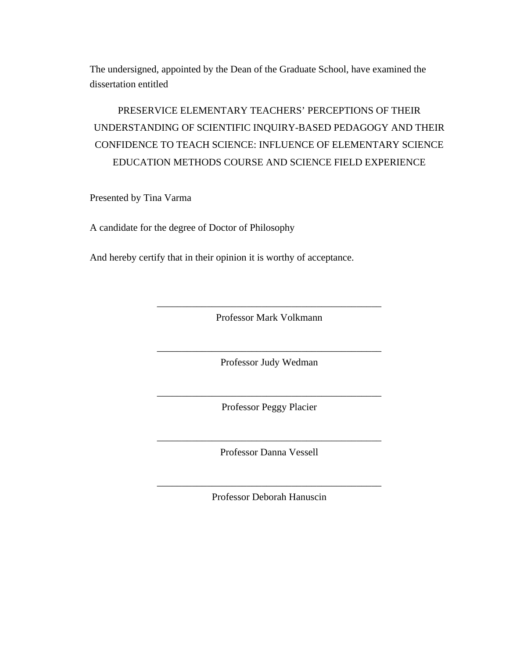The undersigned, appointed by the Dean of the Graduate School, have examined the dissertation entitled

## PRESERVICE ELEMENTARY TEACHERS' PERCEPTIONS OF THEIR UNDERSTANDING OF SCIENTIFIC INQUIRY-BASED PEDAGOGY AND THEIR CONFIDENCE TO TEACH SCIENCE: INFLUENCE OF ELEMENTARY SCIENCE EDUCATION METHODS COURSE AND SCIENCE FIELD EXPERIENCE

Presented by Tina Varma

A candidate for the degree of Doctor of Philosophy

And hereby certify that in their opinion it is worthy of acceptance.

\_\_\_\_\_\_\_\_\_\_\_\_\_\_\_\_\_\_\_\_\_\_\_\_\_\_\_\_\_\_\_\_\_\_\_\_\_\_\_\_\_\_\_\_\_ Professor Mark Volkmann

\_\_\_\_\_\_\_\_\_\_\_\_\_\_\_\_\_\_\_\_\_\_\_\_\_\_\_\_\_\_\_\_\_\_\_\_\_\_\_\_\_\_\_\_\_ Professor Judy Wedman

\_\_\_\_\_\_\_\_\_\_\_\_\_\_\_\_\_\_\_\_\_\_\_\_\_\_\_\_\_\_\_\_\_\_\_\_\_\_\_\_\_\_\_\_\_ Professor Peggy Placier

\_\_\_\_\_\_\_\_\_\_\_\_\_\_\_\_\_\_\_\_\_\_\_\_\_\_\_\_\_\_\_\_\_\_\_\_\_\_\_\_\_\_\_\_\_ Professor Danna Vessell

\_\_\_\_\_\_\_\_\_\_\_\_\_\_\_\_\_\_\_\_\_\_\_\_\_\_\_\_\_\_\_\_\_\_\_\_\_\_\_\_\_\_\_\_\_ Professor Deborah Hanuscin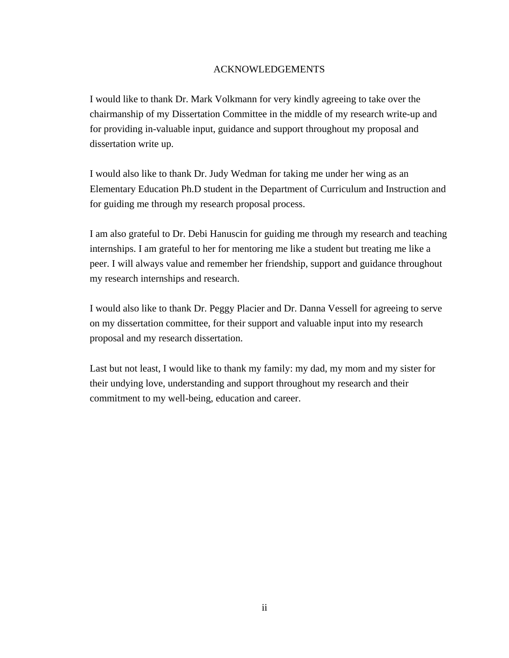## ACKNOWLEDGEMENTS

I would like to thank Dr. Mark Volkmann for very kindly agreeing to take over the chairmanship of my Dissertation Committee in the middle of my research write-up and for providing in-valuable input, guidance and support throughout my proposal and dissertation write up.

I would also like to thank Dr. Judy Wedman for taking me under her wing as an Elementary Education Ph.D student in the Department of Curriculum and Instruction and for guiding me through my research proposal process.

I am also grateful to Dr. Debi Hanuscin for guiding me through my research and teaching internships. I am grateful to her for mentoring me like a student but treating me like a peer. I will always value and remember her friendship, support and guidance throughout my research internships and research.

I would also like to thank Dr. Peggy Placier and Dr. Danna Vessell for agreeing to serve on my dissertation committee, for their support and valuable input into my research proposal and my research dissertation.

Last but not least, I would like to thank my family: my dad, my mom and my sister for their undying love, understanding and support throughout my research and their commitment to my well-being, education and career.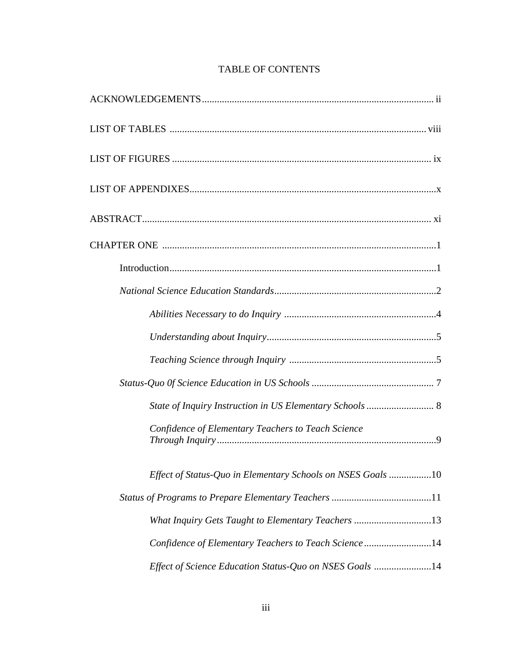| State of Inquiry Instruction in US Elementary Schools  8    |
|-------------------------------------------------------------|
| Confidence of Elementary Teachers to Teach Science          |
| Effect of Status-Quo in Elementary Schools on NSES Goals 10 |
|                                                             |
| What Inquiry Gets Taught to Elementary Teachers 13          |
| Confidence of Elementary Teachers to Teach Science14        |
| Effect of Science Education Status-Quo on NSES Goals 14     |

## TABLE OF CONTENTS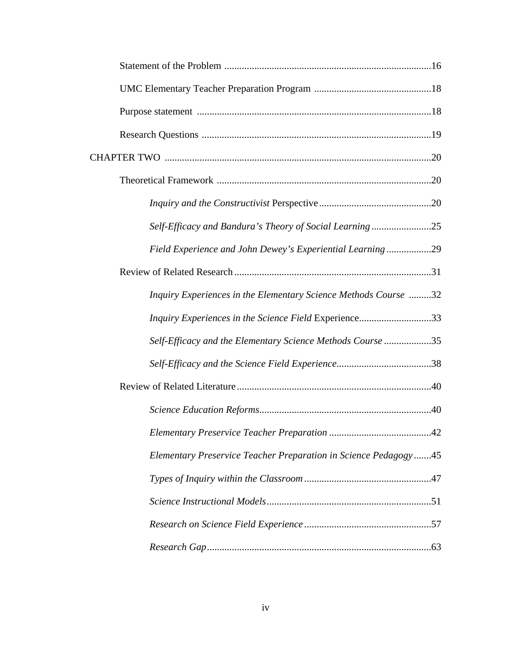| Self-Efficacy and Bandura's Theory of Social Learning25         |  |
|-----------------------------------------------------------------|--|
| Field Experience and John Dewey's Experiential Learning29       |  |
|                                                                 |  |
| Inquiry Experiences in the Elementary Science Methods Course 32 |  |
| Inquiry Experiences in the Science Field Experience33           |  |
| Self-Efficacy and the Elementary Science Methods Course 35      |  |
|                                                                 |  |
|                                                                 |  |
|                                                                 |  |
|                                                                 |  |
| Elementary Preservice Teacher Preparation in Science Pedagogy45 |  |
|                                                                 |  |
|                                                                 |  |
|                                                                 |  |
|                                                                 |  |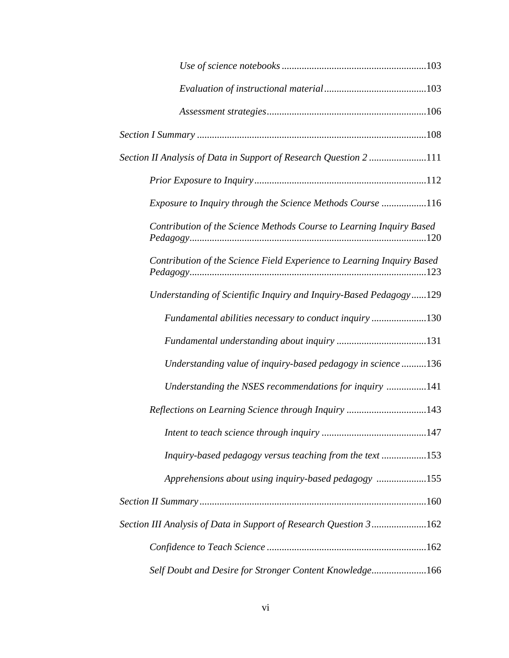| Section II Analysis of Data in Support of Research Question 2 111      |
|------------------------------------------------------------------------|
|                                                                        |
| Exposure to Inquiry through the Science Methods Course 116             |
| Contribution of the Science Methods Course to Learning Inquiry Based   |
| Contribution of the Science Field Experience to Learning Inquiry Based |
| Understanding of Scientific Inquiry and Inquiry-Based Pedagogy129      |
| Fundamental abilities necessary to conduct inquiry 130                 |
|                                                                        |
| Understanding value of inquiry-based pedagogy in science 136           |
| Understanding the NSES recommendations for inquiry 141                 |
| Reflections on Learning Science through Inquiry 143                    |
|                                                                        |
| Inquiry-based pedagogy versus teaching from the text 153               |
| Apprehensions about using inquiry-based pedagogy 155                   |
|                                                                        |
| Section III Analysis of Data in Support of Research Question 3162      |
|                                                                        |
| Self Doubt and Desire for Stronger Content Knowledge166                |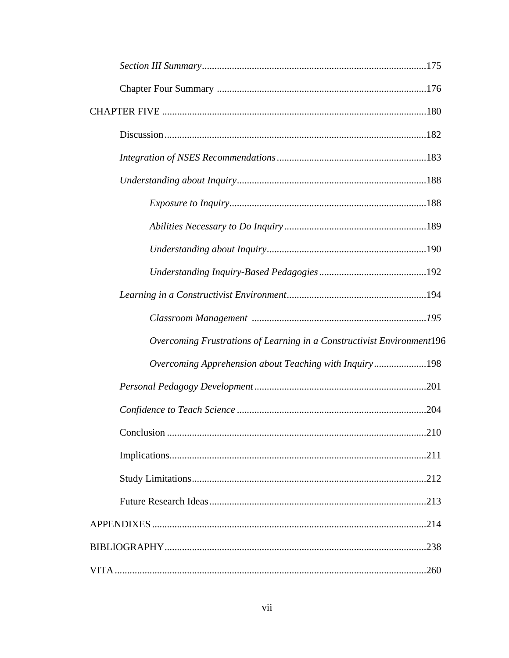| Overcoming Frustrations of Learning in a Constructivist Environment196 |
|------------------------------------------------------------------------|
| Overcoming Apprehension about Teaching with Inquiry198                 |
|                                                                        |
|                                                                        |
|                                                                        |
|                                                                        |
|                                                                        |
|                                                                        |
|                                                                        |
| .238                                                                   |
|                                                                        |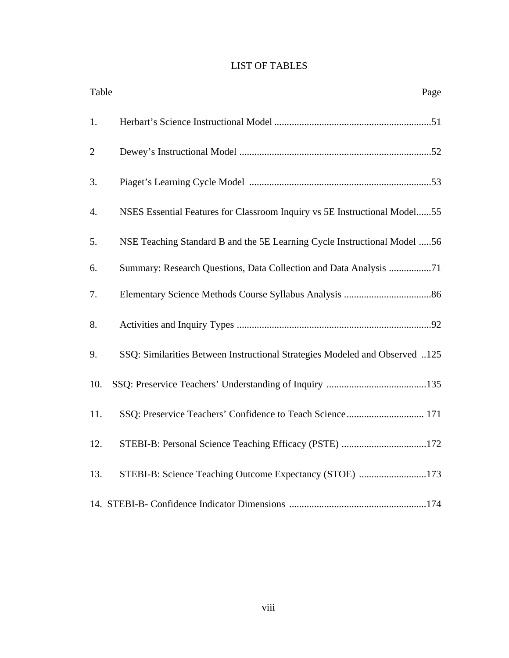## LIST OF TABLES

| Table          | Page                                                                        |
|----------------|-----------------------------------------------------------------------------|
| 1.             |                                                                             |
| $\overline{2}$ |                                                                             |
| 3.             |                                                                             |
| 4.             | NSES Essential Features for Classroom Inquiry vs 5E Instructional Model55   |
| 5.             | NSE Teaching Standard B and the 5E Learning Cycle Instructional Model 56    |
| 6.             | Summary: Research Questions, Data Collection and Data Analysis 71           |
| 7.             |                                                                             |
| 8.             |                                                                             |
| 9.             | SSQ: Similarities Between Instructional Strategies Modeled and Observed 125 |
| 10.            |                                                                             |
| 11.            | SSQ: Preservice Teachers' Confidence to Teach Science 171                   |
| 12.            | STEBI-B: Personal Science Teaching Efficacy (PSTE) 172                      |
| 13.            | STEBI-B: Science Teaching Outcome Expectancy (STOE) 173                     |
|                |                                                                             |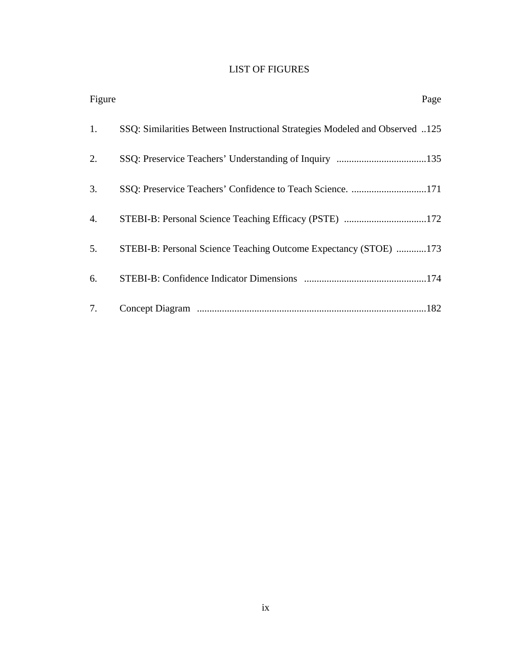## LIST OF FIGURES

| Figure | Page                                                                        |
|--------|-----------------------------------------------------------------------------|
| 1.     | SSQ: Similarities Between Instructional Strategies Modeled and Observed 125 |
| 2.     |                                                                             |
| 3.     | SSQ: Preservice Teachers' Confidence to Teach Science. 171                  |
| 4.     | STEBI-B: Personal Science Teaching Efficacy (PSTE) 172                      |
| 5.     | STEBI-B: Personal Science Teaching Outcome Expectancy (STOE) 173            |
| 6.     |                                                                             |
| 7.     |                                                                             |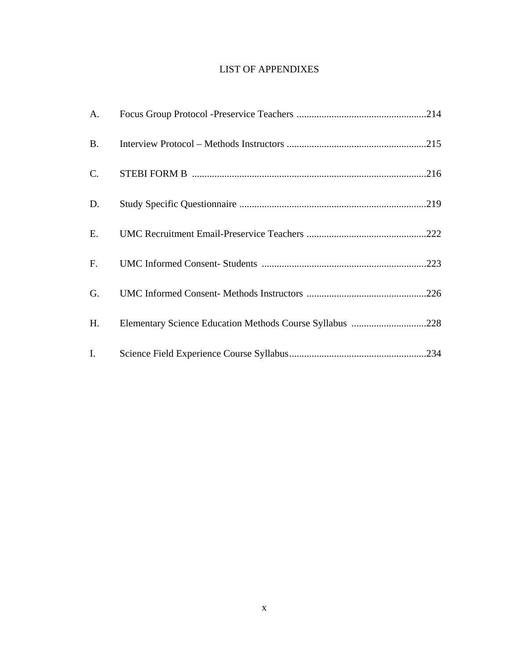## LIST OF APPENDIXES

| A.        |                                                          |
|-----------|----------------------------------------------------------|
| <b>B.</b> |                                                          |
| $C$ .     |                                                          |
| D.        |                                                          |
| E.        |                                                          |
| F.        |                                                          |
| G.        |                                                          |
| H.        | Elementary Science Education Methods Course Syllabus 228 |
| Ι.        |                                                          |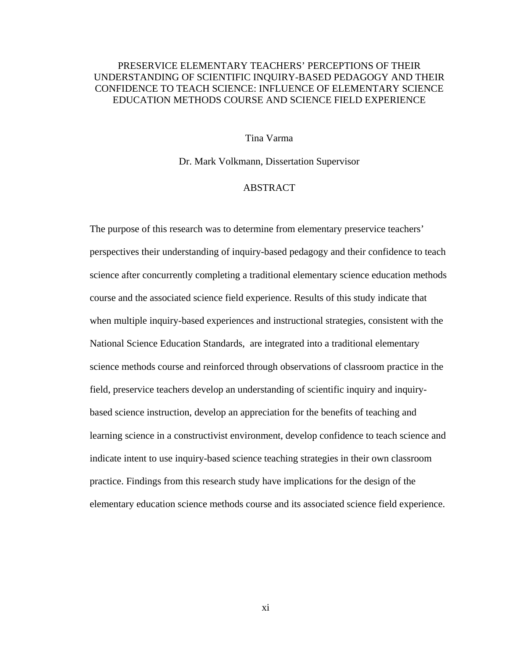## PRESERVICE ELEMENTARY TEACHERS' PERCEPTIONS OF THEIR UNDERSTANDING OF SCIENTIFIC INQUIRY-BASED PEDAGOGY AND THEIR CONFIDENCE TO TEACH SCIENCE: INFLUENCE OF ELEMENTARY SCIENCE EDUCATION METHODS COURSE AND SCIENCE FIELD EXPERIENCE

#### Tina Varma

Dr. Mark Volkmann, Dissertation Supervisor

#### **ABSTRACT**

The purpose of this research was to determine from elementary preservice teachers' perspectives their understanding of inquiry-based pedagogy and their confidence to teach science after concurrently completing a traditional elementary science education methods course and the associated science field experience. Results of this study indicate that when multiple inquiry-based experiences and instructional strategies, consistent with the National Science Education Standards, are integrated into a traditional elementary science methods course and reinforced through observations of classroom practice in the field, preservice teachers develop an understanding of scientific inquiry and inquirybased science instruction, develop an appreciation for the benefits of teaching and learning science in a constructivist environment, develop confidence to teach science and indicate intent to use inquiry-based science teaching strategies in their own classroom practice. Findings from this research study have implications for the design of the elementary education science methods course and its associated science field experience.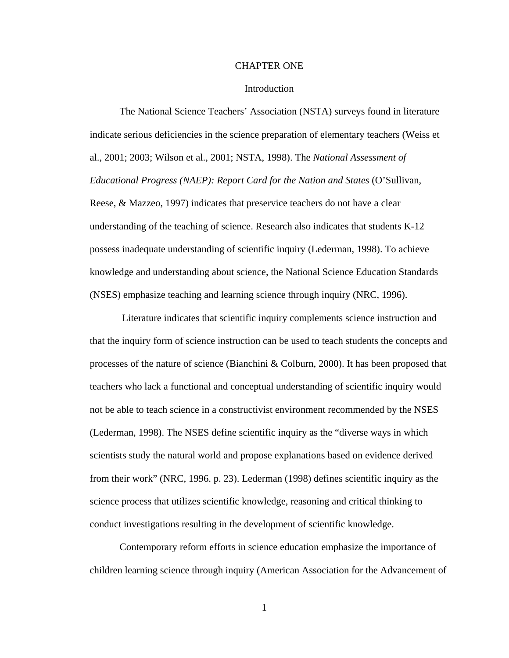#### CHAPTER ONE

#### Introduction

 The National Science Teachers' Association (NSTA) surveys found in literature indicate serious deficiencies in the science preparation of elementary teachers (Weiss et al., 2001; 2003; Wilson et al., 2001; NSTA, 1998). The *National Assessment of Educational Progress (NAEP): Report Card for the Nation and States* (O'Sullivan, Reese, & Mazzeo, 1997) indicates that preservice teachers do not have a clear understanding of the teaching of science. Research also indicates that students K-12 possess inadequate understanding of scientific inquiry (Lederman, 1998). To achieve knowledge and understanding about science, the National Science Education Standards (NSES) emphasize teaching and learning science through inquiry (NRC, 1996).

 Literature indicates that scientific inquiry complements science instruction and that the inquiry form of science instruction can be used to teach students the concepts and processes of the nature of science (Bianchini & Colburn, 2000). It has been proposed that teachers who lack a functional and conceptual understanding of scientific inquiry would not be able to teach science in a constructivist environment recommended by the NSES (Lederman, 1998). The NSES define scientific inquiry as the "diverse ways in which scientists study the natural world and propose explanations based on evidence derived from their work" (NRC, 1996. p. 23). Lederman (1998) defines scientific inquiry as the science process that utilizes scientific knowledge, reasoning and critical thinking to conduct investigations resulting in the development of scientific knowledge.

 Contemporary reform efforts in science education emphasize the importance of children learning science through inquiry (American Association for the Advancement of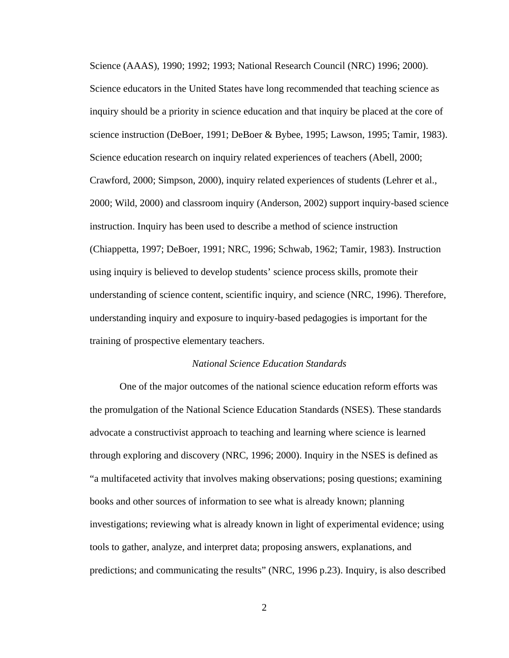Science (AAAS), 1990; 1992; 1993; National Research Council (NRC) 1996; 2000). Science educators in the United States have long recommended that teaching science as inquiry should be a priority in science education and that inquiry be placed at the core of science instruction (DeBoer, 1991; DeBoer & Bybee, 1995; Lawson, 1995; Tamir, 1983). Science education research on inquiry related experiences of teachers (Abell, 2000; Crawford, 2000; Simpson, 2000), inquiry related experiences of students (Lehrer et al., 2000; Wild, 2000) and classroom inquiry (Anderson, 2002) support inquiry-based science instruction. Inquiry has been used to describe a method of science instruction (Chiappetta, 1997; DeBoer, 1991; NRC, 1996; Schwab, 1962; Tamir, 1983). Instruction using inquiry is believed to develop students' science process skills, promote their understanding of science content, scientific inquiry, and science (NRC, 1996). Therefore, understanding inquiry and exposure to inquiry-based pedagogies is important for the training of prospective elementary teachers.

#### *National Science Education Standards*

 One of the major outcomes of the national science education reform efforts was the promulgation of the National Science Education Standards (NSES). These standards advocate a constructivist approach to teaching and learning where science is learned through exploring and discovery (NRC, 1996; 2000). Inquiry in the NSES is defined as "a multifaceted activity that involves making observations; posing questions; examining books and other sources of information to see what is already known; planning investigations; reviewing what is already known in light of experimental evidence; using tools to gather, analyze, and interpret data; proposing answers, explanations, and predictions; and communicating the results" (NRC, 1996 p.23). Inquiry, is also described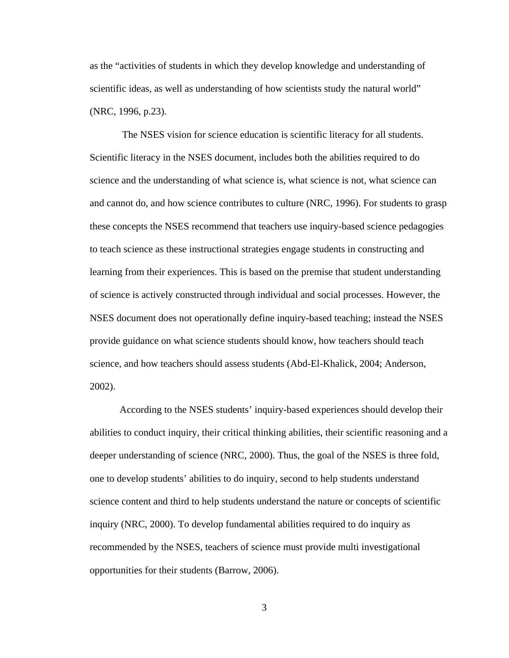as the "activities of students in which they develop knowledge and understanding of scientific ideas, as well as understanding of how scientists study the natural world" (NRC, 1996, p.23).

 The NSES vision for science education is scientific literacy for all students. Scientific literacy in the NSES document, includes both the abilities required to do science and the understanding of what science is, what science is not, what science can and cannot do, and how science contributes to culture (NRC, 1996). For students to grasp these concepts the NSES recommend that teachers use inquiry-based science pedagogies to teach science as these instructional strategies engage students in constructing and learning from their experiences. This is based on the premise that student understanding of science is actively constructed through individual and social processes. However, the NSES document does not operationally define inquiry-based teaching; instead the NSES provide guidance on what science students should know, how teachers should teach science, and how teachers should assess students (Abd-El-Khalick, 2004; Anderson, 2002).

 According to the NSES students' inquiry-based experiences should develop their abilities to conduct inquiry, their critical thinking abilities, their scientific reasoning and a deeper understanding of science (NRC, 2000). Thus, the goal of the NSES is three fold, one to develop students' abilities to do inquiry, second to help students understand science content and third to help students understand the nature or concepts of scientific inquiry (NRC, 2000). To develop fundamental abilities required to do inquiry as recommended by the NSES, teachers of science must provide multi investigational opportunities for their students (Barrow, 2006).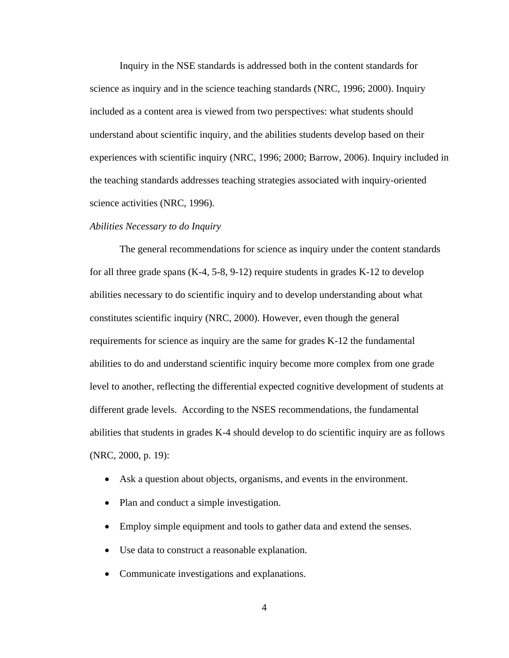Inquiry in the NSE standards is addressed both in the content standards for science as inquiry and in the science teaching standards (NRC, 1996; 2000). Inquiry included as a content area is viewed from two perspectives: what students should understand about scientific inquiry, and the abilities students develop based on their experiences with scientific inquiry (NRC, 1996; 2000; Barrow, 2006). Inquiry included in the teaching standards addresses teaching strategies associated with inquiry-oriented science activities (NRC, 1996).

#### *Abilities Necessary to do Inquiry*

 The general recommendations for science as inquiry under the content standards for all three grade spans (K-4, 5-8, 9-12) require students in grades K-12 to develop abilities necessary to do scientific inquiry and to develop understanding about what constitutes scientific inquiry (NRC, 2000). However, even though the general requirements for science as inquiry are the same for grades K-12 the fundamental abilities to do and understand scientific inquiry become more complex from one grade level to another, reflecting the differential expected cognitive development of students at different grade levels. According to the NSES recommendations, the fundamental abilities that students in grades K-4 should develop to do scientific inquiry are as follows (NRC, 2000, p. 19):

- Ask a question about objects, organisms, and events in the environment.
- Plan and conduct a simple investigation.
- Employ simple equipment and tools to gather data and extend the senses.
- Use data to construct a reasonable explanation.
- Communicate investigations and explanations.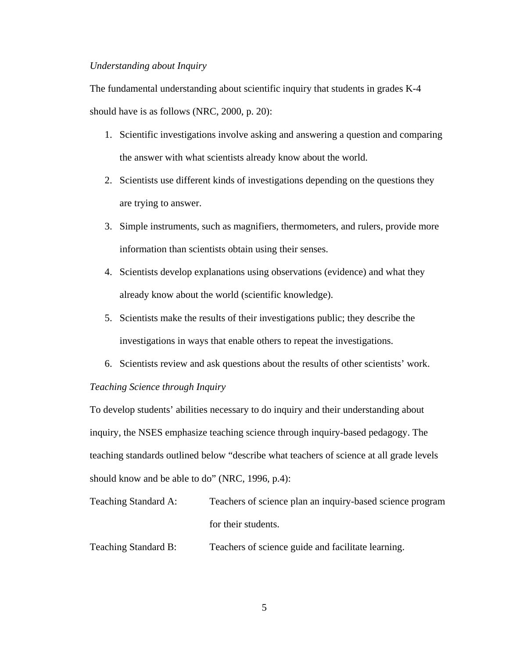#### *Understanding about Inquiry*

The fundamental understanding about scientific inquiry that students in grades K-4 should have is as follows (NRC, 2000, p. 20):

- 1. Scientific investigations involve asking and answering a question and comparing the answer with what scientists already know about the world.
- 2. Scientists use different kinds of investigations depending on the questions they are trying to answer.
- 3. Simple instruments, such as magnifiers, thermometers, and rulers, provide more information than scientists obtain using their senses.
- 4. Scientists develop explanations using observations (evidence) and what they already know about the world (scientific knowledge).
- 5. Scientists make the results of their investigations public; they describe the investigations in ways that enable others to repeat the investigations.
- 6. Scientists review and ask questions about the results of other scientists' work.

#### *Teaching Science through Inquiry*

To develop students' abilities necessary to do inquiry and their understanding about inquiry, the NSES emphasize teaching science through inquiry-based pedagogy. The teaching standards outlined below "describe what teachers of science at all grade levels should know and be able to do" (NRC, 1996, p.4):

- Teaching Standard A: Teachers of science plan an inquiry-based science program for their students.
- Teaching Standard B: Teachers of science guide and facilitate learning.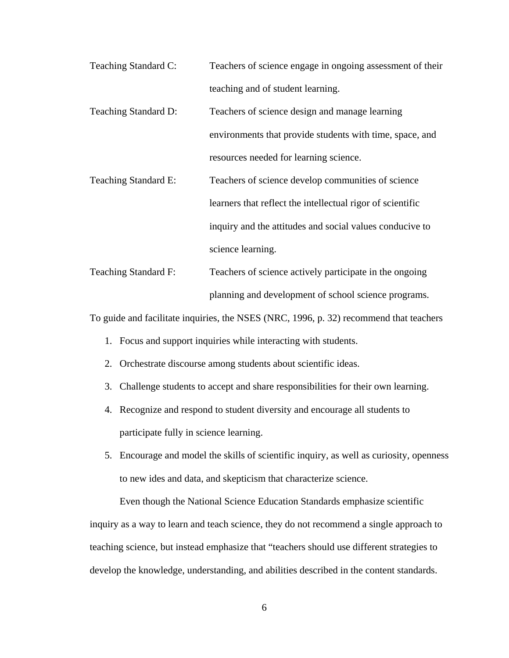- Teaching Standard C: Teachers of science engage in ongoing assessment of their teaching and of student learning.
- Teaching Standard D: Teachers of science design and manage learning environments that provide students with time, space, and resources needed for learning science.
- Teaching Standard E: Teachers of science develop communities of science learners that reflect the intellectual rigor of scientific inquiry and the attitudes and social values conducive to science learning.
- Teaching Standard F: Teachers of science actively participate in the ongoing planning and development of school science programs.

To guide and facilitate inquiries, the NSES (NRC, 1996, p. 32) recommend that teachers

- 1. Focus and support inquiries while interacting with students.
- 2. Orchestrate discourse among students about scientific ideas.
- 3. Challenge students to accept and share responsibilities for their own learning.
- 4. Recognize and respond to student diversity and encourage all students to participate fully in science learning.
- 5. Encourage and model the skills of scientific inquiry, as well as curiosity, openness to new ides and data, and skepticism that characterize science.

 Even though the National Science Education Standards emphasize scientific inquiry as a way to learn and teach science, they do not recommend a single approach to teaching science, but instead emphasize that "teachers should use different strategies to develop the knowledge, understanding, and abilities described in the content standards.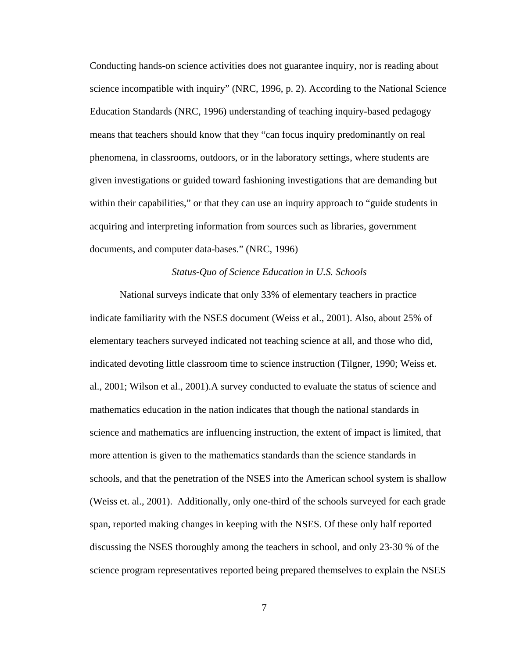Conducting hands-on science activities does not guarantee inquiry, nor is reading about science incompatible with inquiry" (NRC, 1996, p. 2). According to the National Science Education Standards (NRC, 1996) understanding of teaching inquiry-based pedagogy means that teachers should know that they "can focus inquiry predominantly on real phenomena, in classrooms, outdoors, or in the laboratory settings, where students are given investigations or guided toward fashioning investigations that are demanding but within their capabilities," or that they can use an inquiry approach to "guide students in acquiring and interpreting information from sources such as libraries, government documents, and computer data-bases." (NRC, 1996)

#### *Status-Quo of Science Education in U.S. Schools*

 National surveys indicate that only 33% of elementary teachers in practice indicate familiarity with the NSES document (Weiss et al., 2001). Also, about 25% of elementary teachers surveyed indicated not teaching science at all, and those who did, indicated devoting little classroom time to science instruction (Tilgner, 1990; Weiss et. al., 2001; Wilson et al., 2001).A survey conducted to evaluate the status of science and mathematics education in the nation indicates that though the national standards in science and mathematics are influencing instruction, the extent of impact is limited, that more attention is given to the mathematics standards than the science standards in schools, and that the penetration of the NSES into the American school system is shallow (Weiss et. al., 2001). Additionally, only one-third of the schools surveyed for each grade span, reported making changes in keeping with the NSES. Of these only half reported discussing the NSES thoroughly among the teachers in school, and only 23-30 % of the science program representatives reported being prepared themselves to explain the NSES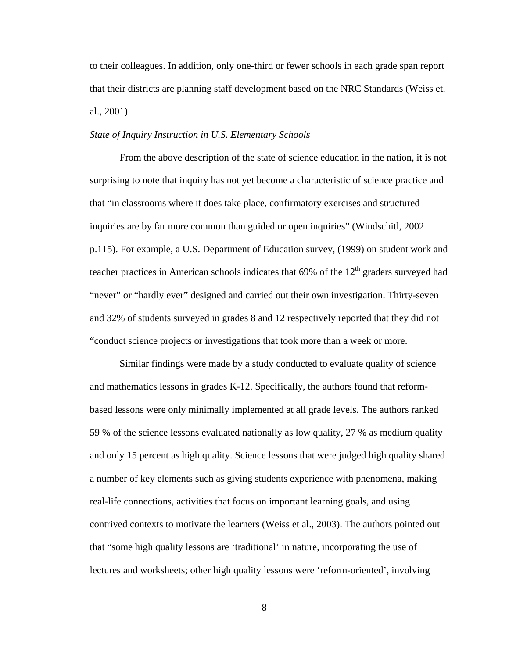to their colleagues. In addition, only one-third or fewer schools in each grade span report that their districts are planning staff development based on the NRC Standards (Weiss et. al., 2001).

#### *State of Inquiry Instruction in U.S. Elementary Schools*

 From the above description of the state of science education in the nation, it is not surprising to note that inquiry has not yet become a characteristic of science practice and that "in classrooms where it does take place, confirmatory exercises and structured inquiries are by far more common than guided or open inquiries" (Windschitl, 2002 p.115). For example, a U.S. Department of Education survey, (1999) on student work and teacher practices in American schools indicates that  $69\%$  of the  $12<sup>th</sup>$  graders surveyed had "never" or "hardly ever" designed and carried out their own investigation. Thirty-seven and 32% of students surveyed in grades 8 and 12 respectively reported that they did not "conduct science projects or investigations that took more than a week or more.

 Similar findings were made by a study conducted to evaluate quality of science and mathematics lessons in grades K-12. Specifically, the authors found that reformbased lessons were only minimally implemented at all grade levels. The authors ranked 59 % of the science lessons evaluated nationally as low quality, 27 % as medium quality and only 15 percent as high quality. Science lessons that were judged high quality shared a number of key elements such as giving students experience with phenomena, making real-life connections, activities that focus on important learning goals, and using contrived contexts to motivate the learners (Weiss et al., 2003). The authors pointed out that "some high quality lessons are 'traditional' in nature, incorporating the use of lectures and worksheets; other high quality lessons were 'reform-oriented', involving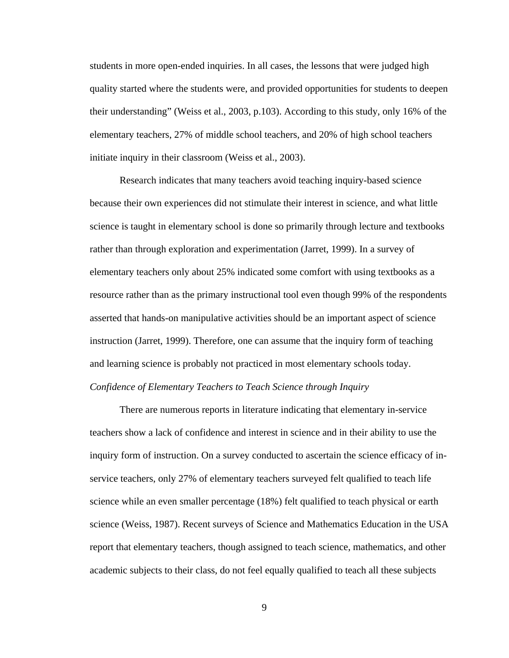students in more open-ended inquiries. In all cases, the lessons that were judged high quality started where the students were, and provided opportunities for students to deepen their understanding" (Weiss et al., 2003, p.103). According to this study, only 16% of the elementary teachers, 27% of middle school teachers, and 20% of high school teachers initiate inquiry in their classroom (Weiss et al., 2003).

 Research indicates that many teachers avoid teaching inquiry-based science because their own experiences did not stimulate their interest in science, and what little science is taught in elementary school is done so primarily through lecture and textbooks rather than through exploration and experimentation (Jarret, 1999). In a survey of elementary teachers only about 25% indicated some comfort with using textbooks as a resource rather than as the primary instructional tool even though 99% of the respondents asserted that hands-on manipulative activities should be an important aspect of science instruction (Jarret, 1999). Therefore, one can assume that the inquiry form of teaching and learning science is probably not practiced in most elementary schools today. *Confidence of Elementary Teachers to Teach Science through Inquiry* 

 There are numerous reports in literature indicating that elementary in-service teachers show a lack of confidence and interest in science and in their ability to use the inquiry form of instruction. On a survey conducted to ascertain the science efficacy of inservice teachers, only 27% of elementary teachers surveyed felt qualified to teach life science while an even smaller percentage (18%) felt qualified to teach physical or earth science (Weiss, 1987). Recent surveys of Science and Mathematics Education in the USA report that elementary teachers, though assigned to teach science, mathematics, and other academic subjects to their class, do not feel equally qualified to teach all these subjects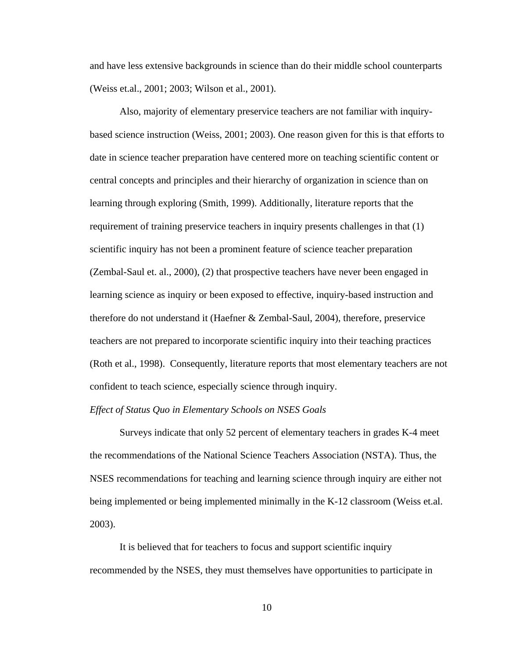and have less extensive backgrounds in science than do their middle school counterparts (Weiss et.al., 2001; 2003; Wilson et al., 2001).

 Also, majority of elementary preservice teachers are not familiar with inquirybased science instruction (Weiss, 2001; 2003). One reason given for this is that efforts to date in science teacher preparation have centered more on teaching scientific content or central concepts and principles and their hierarchy of organization in science than on learning through exploring (Smith, 1999). Additionally, literature reports that the requirement of training preservice teachers in inquiry presents challenges in that (1) scientific inquiry has not been a prominent feature of science teacher preparation (Zembal-Saul et. al., 2000), (2) that prospective teachers have never been engaged in learning science as inquiry or been exposed to effective, inquiry-based instruction and therefore do not understand it (Haefner & Zembal-Saul, 2004), therefore, preservice teachers are not prepared to incorporate scientific inquiry into their teaching practices (Roth et al., 1998). Consequently, literature reports that most elementary teachers are not confident to teach science, especially science through inquiry.

#### *Effect of Status Quo in Elementary Schools on NSES Goals*

 Surveys indicate that only 52 percent of elementary teachers in grades K-4 meet the recommendations of the National Science Teachers Association (NSTA). Thus, the NSES recommendations for teaching and learning science through inquiry are either not being implemented or being implemented minimally in the K-12 classroom (Weiss et.al. 2003).

 It is believed that for teachers to focus and support scientific inquiry recommended by the NSES, they must themselves have opportunities to participate in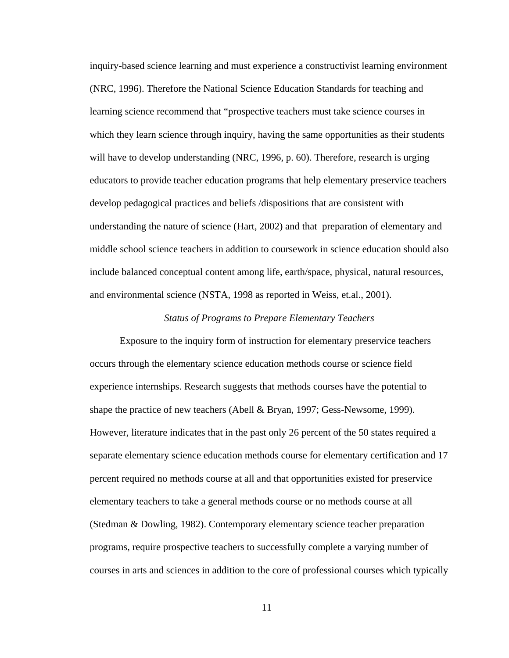inquiry-based science learning and must experience a constructivist learning environment (NRC, 1996). Therefore the National Science Education Standards for teaching and learning science recommend that "prospective teachers must take science courses in which they learn science through inquiry, having the same opportunities as their students will have to develop understanding (NRC, 1996, p. 60). Therefore, research is urging educators to provide teacher education programs that help elementary preservice teachers develop pedagogical practices and beliefs /dispositions that are consistent with understanding the nature of science (Hart, 2002) and that preparation of elementary and middle school science teachers in addition to coursework in science education should also include balanced conceptual content among life, earth/space, physical, natural resources, and environmental science (NSTA, 1998 as reported in Weiss, et.al., 2001).

#### *Status of Programs to Prepare Elementary Teachers*

 Exposure to the inquiry form of instruction for elementary preservice teachers occurs through the elementary science education methods course or science field experience internships. Research suggests that methods courses have the potential to shape the practice of new teachers (Abell & Bryan, 1997; Gess-Newsome, 1999). However, literature indicates that in the past only 26 percent of the 50 states required a separate elementary science education methods course for elementary certification and 17 percent required no methods course at all and that opportunities existed for preservice elementary teachers to take a general methods course or no methods course at all (Stedman & Dowling, 1982). Contemporary elementary science teacher preparation programs, require prospective teachers to successfully complete a varying number of courses in arts and sciences in addition to the core of professional courses which typically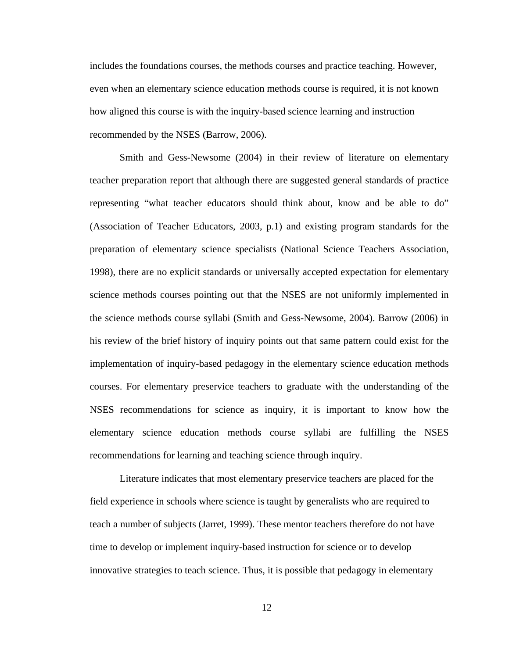includes the foundations courses, the methods courses and practice teaching. However, even when an elementary science education methods course is required, it is not known how aligned this course is with the inquiry-based science learning and instruction recommended by the NSES (Barrow, 2006).

 Smith and Gess-Newsome (2004) in their review of literature on elementary teacher preparation report that although there are suggested general standards of practice representing "what teacher educators should think about, know and be able to do" (Association of Teacher Educators, 2003, p.1) and existing program standards for the preparation of elementary science specialists (National Science Teachers Association, 1998), there are no explicit standards or universally accepted expectation for elementary science methods courses pointing out that the NSES are not uniformly implemented in the science methods course syllabi (Smith and Gess-Newsome, 2004). Barrow (2006) in his review of the brief history of inquiry points out that same pattern could exist for the implementation of inquiry-based pedagogy in the elementary science education methods courses. For elementary preservice teachers to graduate with the understanding of the NSES recommendations for science as inquiry, it is important to know how the elementary science education methods course syllabi are fulfilling the NSES recommendations for learning and teaching science through inquiry.

 Literature indicates that most elementary preservice teachers are placed for the field experience in schools where science is taught by generalists who are required to teach a number of subjects (Jarret, 1999). These mentor teachers therefore do not have time to develop or implement inquiry-based instruction for science or to develop innovative strategies to teach science. Thus, it is possible that pedagogy in elementary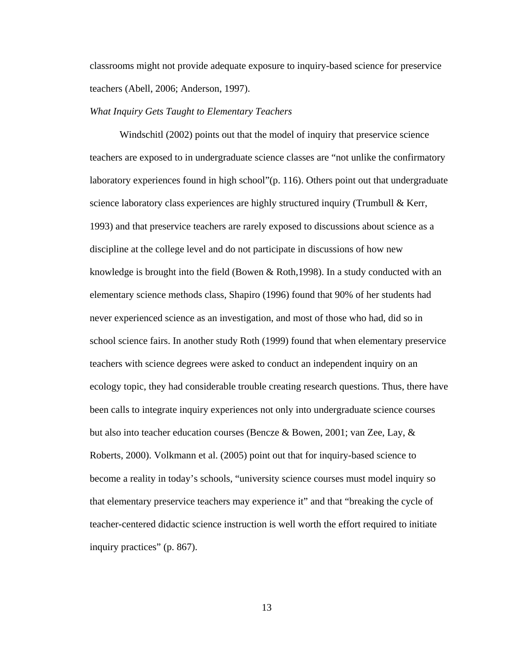classrooms might not provide adequate exposure to inquiry-based science for preservice teachers (Abell, 2006; Anderson, 1997).

#### *What Inquiry Gets Taught to Elementary Teachers*

 Windschitl (2002) points out that the model of inquiry that preservice science teachers are exposed to in undergraduate science classes are "not unlike the confirmatory laboratory experiences found in high school"(p. 116). Others point out that undergraduate science laboratory class experiences are highly structured inquiry (Trumbull  $\&$  Kerr, 1993) and that preservice teachers are rarely exposed to discussions about science as a discipline at the college level and do not participate in discussions of how new knowledge is brought into the field (Bowen & Roth,1998). In a study conducted with an elementary science methods class, Shapiro (1996) found that 90% of her students had never experienced science as an investigation, and most of those who had, did so in school science fairs. In another study Roth (1999) found that when elementary preservice teachers with science degrees were asked to conduct an independent inquiry on an ecology topic, they had considerable trouble creating research questions. Thus, there have been calls to integrate inquiry experiences not only into undergraduate science courses but also into teacher education courses (Bencze & Bowen, 2001; van Zee, Lay, & Roberts, 2000). Volkmann et al. (2005) point out that for inquiry-based science to become a reality in today's schools, "university science courses must model inquiry so that elementary preservice teachers may experience it" and that "breaking the cycle of teacher-centered didactic science instruction is well worth the effort required to initiate inquiry practices" (p. 867).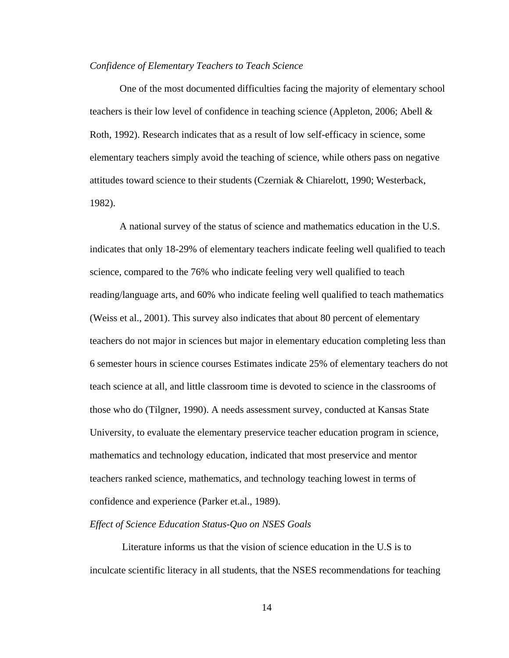#### *Confidence of Elementary Teachers to Teach Science*

 One of the most documented difficulties facing the majority of elementary school teachers is their low level of confidence in teaching science (Appleton, 2006; Abell  $\&$ Roth, 1992). Research indicates that as a result of low self-efficacy in science, some elementary teachers simply avoid the teaching of science, while others pass on negative attitudes toward science to their students (Czerniak & Chiarelott, 1990; Westerback, 1982).

 A national survey of the status of science and mathematics education in the U.S. indicates that only 18-29% of elementary teachers indicate feeling well qualified to teach science, compared to the 76% who indicate feeling very well qualified to teach reading/language arts, and 60% who indicate feeling well qualified to teach mathematics (Weiss et al., 2001). This survey also indicates that about 80 percent of elementary teachers do not major in sciences but major in elementary education completing less than 6 semester hours in science courses Estimates indicate 25% of elementary teachers do not teach science at all, and little classroom time is devoted to science in the classrooms of those who do (Tilgner, 1990). A needs assessment survey, conducted at Kansas State University, to evaluate the elementary preservice teacher education program in science, mathematics and technology education, indicated that most preservice and mentor teachers ranked science, mathematics, and technology teaching lowest in terms of confidence and experience (Parker et.al., 1989).

#### *Effect of Science Education Status-Quo on NSES Goals*

 Literature informs us that the vision of science education in the U.S is to inculcate scientific literacy in all students, that the NSES recommendations for teaching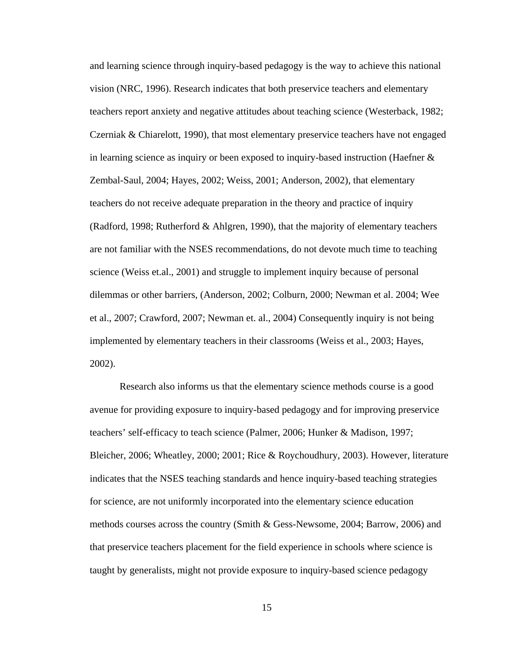and learning science through inquiry-based pedagogy is the way to achieve this national vision (NRC, 1996). Research indicates that both preservice teachers and elementary teachers report anxiety and negative attitudes about teaching science (Westerback, 1982; Czerniak & Chiarelott, 1990), that most elementary preservice teachers have not engaged in learning science as inquiry or been exposed to inquiry-based instruction (Haefner & Zembal-Saul, 2004; Hayes, 2002; Weiss, 2001; Anderson, 2002), that elementary teachers do not receive adequate preparation in the theory and practice of inquiry (Radford, 1998; Rutherford & Ahlgren, 1990), that the majority of elementary teachers are not familiar with the NSES recommendations, do not devote much time to teaching science (Weiss et.al., 2001) and struggle to implement inquiry because of personal dilemmas or other barriers, (Anderson, 2002; Colburn, 2000; Newman et al. 2004; Wee et al., 2007; Crawford, 2007; Newman et. al., 2004) Consequently inquiry is not being implemented by elementary teachers in their classrooms (Weiss et al., 2003; Hayes, 2002).

 Research also informs us that the elementary science methods course is a good avenue for providing exposure to inquiry-based pedagogy and for improving preservice teachers' self-efficacy to teach science (Palmer, 2006; Hunker & Madison, 1997; Bleicher, 2006; Wheatley, 2000; 2001; Rice & Roychoudhury, 2003). However, literature indicates that the NSES teaching standards and hence inquiry-based teaching strategies for science, are not uniformly incorporated into the elementary science education methods courses across the country (Smith & Gess-Newsome, 2004; Barrow, 2006) and that preservice teachers placement for the field experience in schools where science is taught by generalists, might not provide exposure to inquiry-based science pedagogy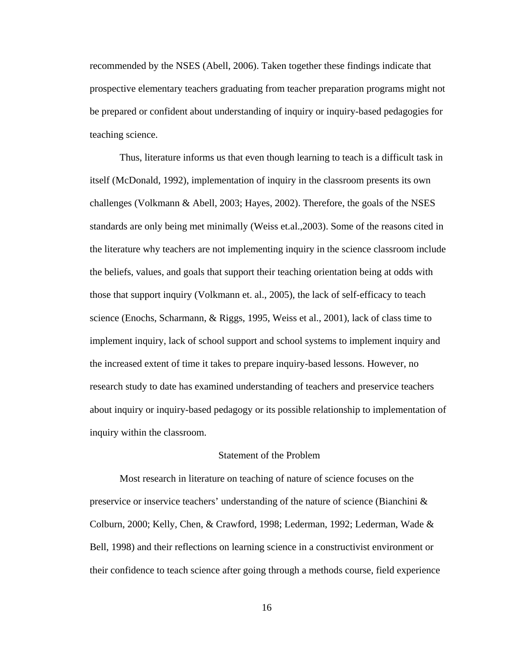recommended by the NSES (Abell, 2006). Taken together these findings indicate that prospective elementary teachers graduating from teacher preparation programs might not be prepared or confident about understanding of inquiry or inquiry-based pedagogies for teaching science.

 Thus, literature informs us that even though learning to teach is a difficult task in itself (McDonald, 1992), implementation of inquiry in the classroom presents its own challenges (Volkmann & Abell, 2003; Hayes, 2002). Therefore, the goals of the NSES standards are only being met minimally (Weiss et.al.,2003). Some of the reasons cited in the literature why teachers are not implementing inquiry in the science classroom include the beliefs, values, and goals that support their teaching orientation being at odds with those that support inquiry (Volkmann et. al., 2005), the lack of self-efficacy to teach science (Enochs, Scharmann, & Riggs, 1995, Weiss et al., 2001), lack of class time to implement inquiry, lack of school support and school systems to implement inquiry and the increased extent of time it takes to prepare inquiry-based lessons. However, no research study to date has examined understanding of teachers and preservice teachers about inquiry or inquiry-based pedagogy or its possible relationship to implementation of inquiry within the classroom.

#### Statement of the Problem

 Most research in literature on teaching of nature of science focuses on the preservice or inservice teachers' understanding of the nature of science (Bianchini  $\&$ Colburn, 2000; Kelly, Chen, & Crawford, 1998; Lederman, 1992; Lederman, Wade & Bell, 1998) and their reflections on learning science in a constructivist environment or their confidence to teach science after going through a methods course, field experience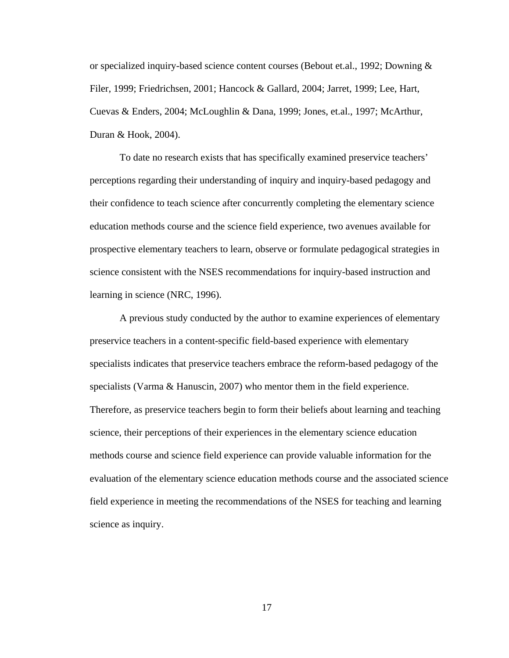or specialized inquiry-based science content courses (Bebout et.al., 1992; Downing & Filer, 1999; Friedrichsen, 2001; Hancock & Gallard, 2004; Jarret, 1999; Lee, Hart, Cuevas & Enders, 2004; McLoughlin & Dana, 1999; Jones, et.al., 1997; McArthur, Duran & Hook, 2004).

 To date no research exists that has specifically examined preservice teachers' perceptions regarding their understanding of inquiry and inquiry-based pedagogy and their confidence to teach science after concurrently completing the elementary science education methods course and the science field experience, two avenues available for prospective elementary teachers to learn, observe or formulate pedagogical strategies in science consistent with the NSES recommendations for inquiry-based instruction and learning in science (NRC, 1996).

 A previous study conducted by the author to examine experiences of elementary preservice teachers in a content-specific field-based experience with elementary specialists indicates that preservice teachers embrace the reform-based pedagogy of the specialists (Varma & Hanuscin, 2007) who mentor them in the field experience. Therefore, as preservice teachers begin to form their beliefs about learning and teaching science, their perceptions of their experiences in the elementary science education methods course and science field experience can provide valuable information for the evaluation of the elementary science education methods course and the associated science field experience in meeting the recommendations of the NSES for teaching and learning science as inquiry.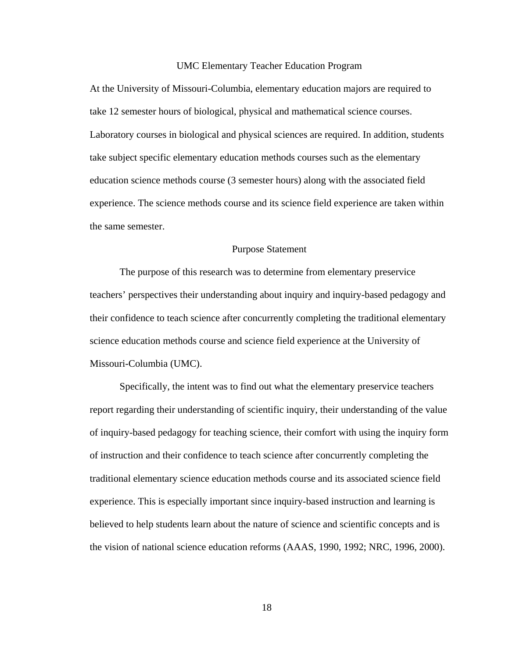#### UMC Elementary Teacher Education Program

At the University of Missouri-Columbia, elementary education majors are required to take 12 semester hours of biological, physical and mathematical science courses. Laboratory courses in biological and physical sciences are required. In addition, students take subject specific elementary education methods courses such as the elementary education science methods course (3 semester hours) along with the associated field experience. The science methods course and its science field experience are taken within the same semester.

#### Purpose Statement

 The purpose of this research was to determine from elementary preservice teachers' perspectives their understanding about inquiry and inquiry-based pedagogy and their confidence to teach science after concurrently completing the traditional elementary science education methods course and science field experience at the University of Missouri-Columbia (UMC).

 Specifically, the intent was to find out what the elementary preservice teachers report regarding their understanding of scientific inquiry, their understanding of the value of inquiry-based pedagogy for teaching science, their comfort with using the inquiry form of instruction and their confidence to teach science after concurrently completing the traditional elementary science education methods course and its associated science field experience. This is especially important since inquiry-based instruction and learning is believed to help students learn about the nature of science and scientific concepts and is the vision of national science education reforms (AAAS, 1990, 1992; NRC, 1996, 2000).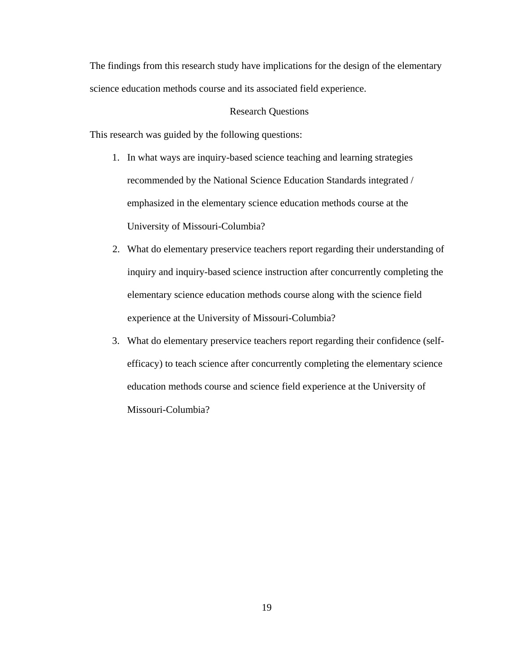The findings from this research study have implications for the design of the elementary science education methods course and its associated field experience.

#### Research Questions

This research was guided by the following questions:

- 1. In what ways are inquiry-based science teaching and learning strategies recommended by the National Science Education Standards integrated / emphasized in the elementary science education methods course at the University of Missouri-Columbia?
- 2. What do elementary preservice teachers report regarding their understanding of inquiry and inquiry-based science instruction after concurrently completing the elementary science education methods course along with the science field experience at the University of Missouri-Columbia?
- 3. What do elementary preservice teachers report regarding their confidence (selfefficacy) to teach science after concurrently completing the elementary science education methods course and science field experience at the University of Missouri-Columbia?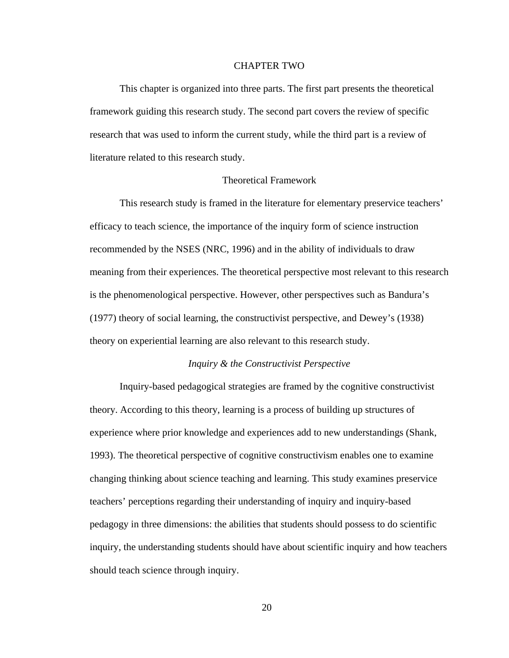#### CHAPTER TWO

 This chapter is organized into three parts. The first part presents the theoretical framework guiding this research study. The second part covers the review of specific research that was used to inform the current study, while the third part is a review of literature related to this research study.

#### Theoretical Framework

 This research study is framed in the literature for elementary preservice teachers' efficacy to teach science, the importance of the inquiry form of science instruction recommended by the NSES (NRC, 1996) and in the ability of individuals to draw meaning from their experiences. The theoretical perspective most relevant to this research is the phenomenological perspective. However, other perspectives such as Bandura's (1977) theory of social learning, the constructivist perspective, and Dewey's (1938) theory on experiential learning are also relevant to this research study.

#### *Inquiry & the Constructivist Perspective*

 Inquiry-based pedagogical strategies are framed by the cognitive constructivist theory. According to this theory, learning is a process of building up structures of experience where prior knowledge and experiences add to new understandings (Shank, 1993). The theoretical perspective of cognitive constructivism enables one to examine changing thinking about science teaching and learning. This study examines preservice teachers' perceptions regarding their understanding of inquiry and inquiry-based pedagogy in three dimensions: the abilities that students should possess to do scientific inquiry, the understanding students should have about scientific inquiry and how teachers should teach science through inquiry.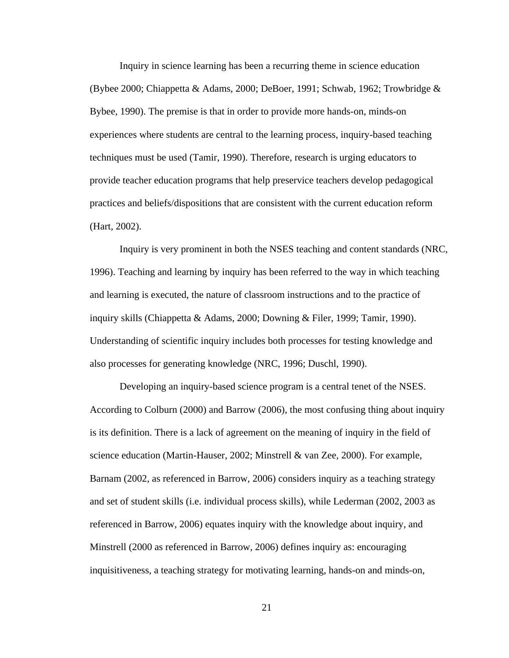Inquiry in science learning has been a recurring theme in science education (Bybee 2000; Chiappetta & Adams, 2000; DeBoer, 1991; Schwab, 1962; Trowbridge & Bybee, 1990). The premise is that in order to provide more hands-on, minds-on experiences where students are central to the learning process, inquiry-based teaching techniques must be used (Tamir, 1990). Therefore, research is urging educators to provide teacher education programs that help preservice teachers develop pedagogical practices and beliefs/dispositions that are consistent with the current education reform (Hart, 2002).

 Inquiry is very prominent in both the NSES teaching and content standards (NRC, 1996). Teaching and learning by inquiry has been referred to the way in which teaching and learning is executed, the nature of classroom instructions and to the practice of inquiry skills (Chiappetta & Adams, 2000; Downing & Filer, 1999; Tamir, 1990). Understanding of scientific inquiry includes both processes for testing knowledge and also processes for generating knowledge (NRC, 1996; Duschl, 1990).

 Developing an inquiry-based science program is a central tenet of the NSES. According to Colburn (2000) and Barrow (2006), the most confusing thing about inquiry is its definition. There is a lack of agreement on the meaning of inquiry in the field of science education (Martin-Hauser, 2002; Minstrell & van Zee, 2000). For example, Barnam (2002, as referenced in Barrow, 2006) considers inquiry as a teaching strategy and set of student skills (i.e. individual process skills), while Lederman (2002, 2003 as referenced in Barrow, 2006) equates inquiry with the knowledge about inquiry, and Minstrell (2000 as referenced in Barrow, 2006) defines inquiry as: encouraging inquisitiveness, a teaching strategy for motivating learning, hands-on and minds-on,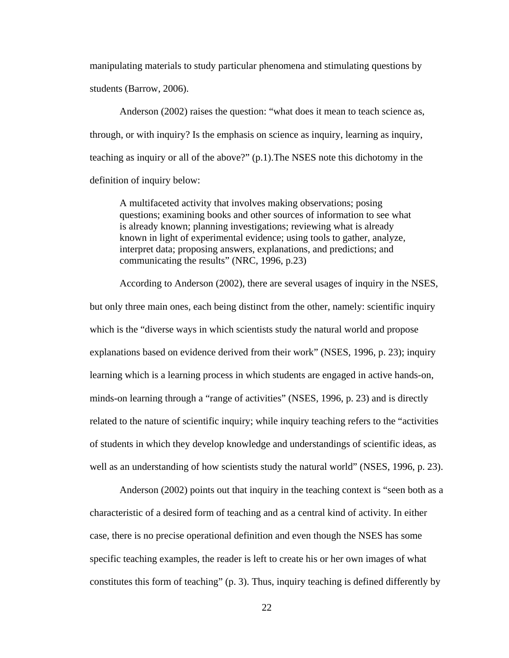manipulating materials to study particular phenomena and stimulating questions by students (Barrow, 2006).

 Anderson (2002) raises the question: "what does it mean to teach science as, through, or with inquiry? Is the emphasis on science as inquiry, learning as inquiry, teaching as inquiry or all of the above?" (p.1).The NSES note this dichotomy in the definition of inquiry below:

A multifaceted activity that involves making observations; posing questions; examining books and other sources of information to see what is already known; planning investigations; reviewing what is already known in light of experimental evidence; using tools to gather, analyze, interpret data; proposing answers, explanations, and predictions; and communicating the results" (NRC, 1996, p.23)

 According to Anderson (2002), there are several usages of inquiry in the NSES, but only three main ones, each being distinct from the other, namely: scientific inquiry which is the "diverse ways in which scientists study the natural world and propose explanations based on evidence derived from their work" (NSES, 1996, p. 23); inquiry learning which is a learning process in which students are engaged in active hands-on, minds-on learning through a "range of activities" (NSES, 1996, p. 23) and is directly related to the nature of scientific inquiry; while inquiry teaching refers to the "activities of students in which they develop knowledge and understandings of scientific ideas, as well as an understanding of how scientists study the natural world" (NSES, 1996, p. 23).

 Anderson (2002) points out that inquiry in the teaching context is "seen both as a characteristic of a desired form of teaching and as a central kind of activity. In either case, there is no precise operational definition and even though the NSES has some specific teaching examples, the reader is left to create his or her own images of what constitutes this form of teaching" (p. 3). Thus, inquiry teaching is defined differently by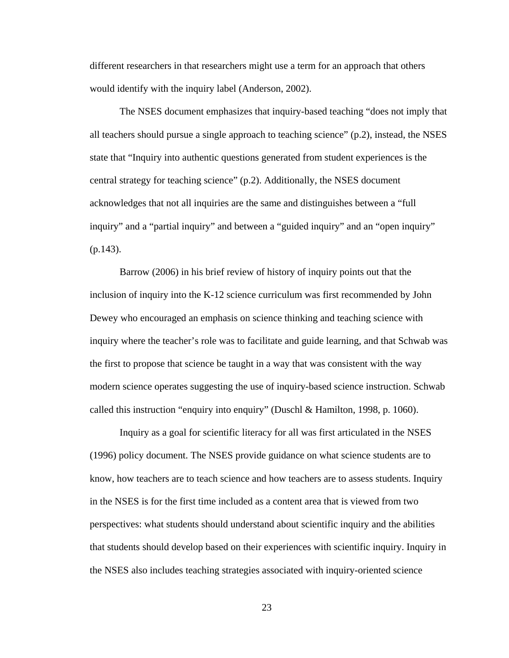different researchers in that researchers might use a term for an approach that others would identify with the inquiry label (Anderson, 2002).

 The NSES document emphasizes that inquiry-based teaching "does not imply that all teachers should pursue a single approach to teaching science" (p.2), instead, the NSES state that "Inquiry into authentic questions generated from student experiences is the central strategy for teaching science" (p.2). Additionally, the NSES document acknowledges that not all inquiries are the same and distinguishes between a "full inquiry" and a "partial inquiry" and between a "guided inquiry" and an "open inquiry" (p.143).

 Barrow (2006) in his brief review of history of inquiry points out that the inclusion of inquiry into the K-12 science curriculum was first recommended by John Dewey who encouraged an emphasis on science thinking and teaching science with inquiry where the teacher's role was to facilitate and guide learning, and that Schwab was the first to propose that science be taught in a way that was consistent with the way modern science operates suggesting the use of inquiry-based science instruction. Schwab called this instruction "enquiry into enquiry" (Duschl & Hamilton, 1998, p. 1060).

 Inquiry as a goal for scientific literacy for all was first articulated in the NSES (1996) policy document. The NSES provide guidance on what science students are to know, how teachers are to teach science and how teachers are to assess students. Inquiry in the NSES is for the first time included as a content area that is viewed from two perspectives: what students should understand about scientific inquiry and the abilities that students should develop based on their experiences with scientific inquiry. Inquiry in the NSES also includes teaching strategies associated with inquiry-oriented science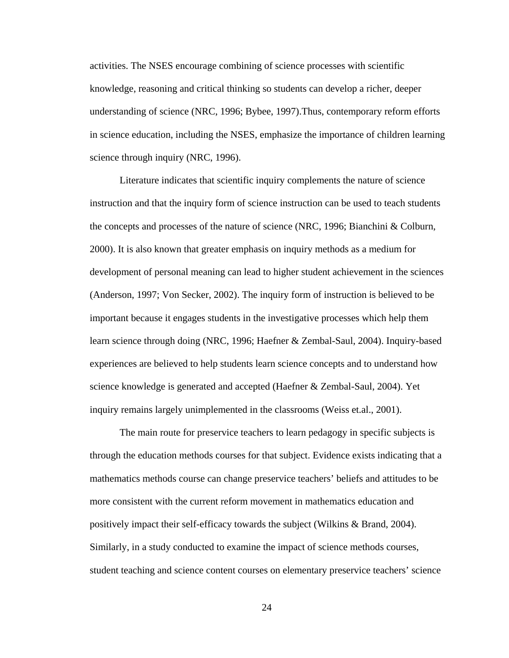activities. The NSES encourage combining of science processes with scientific knowledge, reasoning and critical thinking so students can develop a richer, deeper understanding of science (NRC, 1996; Bybee, 1997).Thus, contemporary reform efforts in science education, including the NSES, emphasize the importance of children learning science through inquiry (NRC, 1996).

 Literature indicates that scientific inquiry complements the nature of science instruction and that the inquiry form of science instruction can be used to teach students the concepts and processes of the nature of science (NRC, 1996; Bianchini & Colburn, 2000). It is also known that greater emphasis on inquiry methods as a medium for development of personal meaning can lead to higher student achievement in the sciences (Anderson, 1997; Von Secker, 2002). The inquiry form of instruction is believed to be important because it engages students in the investigative processes which help them learn science through doing (NRC, 1996; Haefner & Zembal-Saul, 2004). Inquiry-based experiences are believed to help students learn science concepts and to understand how science knowledge is generated and accepted (Haefner & Zembal-Saul, 2004). Yet inquiry remains largely unimplemented in the classrooms (Weiss et.al., 2001).

 The main route for preservice teachers to learn pedagogy in specific subjects is through the education methods courses for that subject. Evidence exists indicating that a mathematics methods course can change preservice teachers' beliefs and attitudes to be more consistent with the current reform movement in mathematics education and positively impact their self-efficacy towards the subject (Wilkins & Brand, 2004). Similarly, in a study conducted to examine the impact of science methods courses, student teaching and science content courses on elementary preservice teachers' science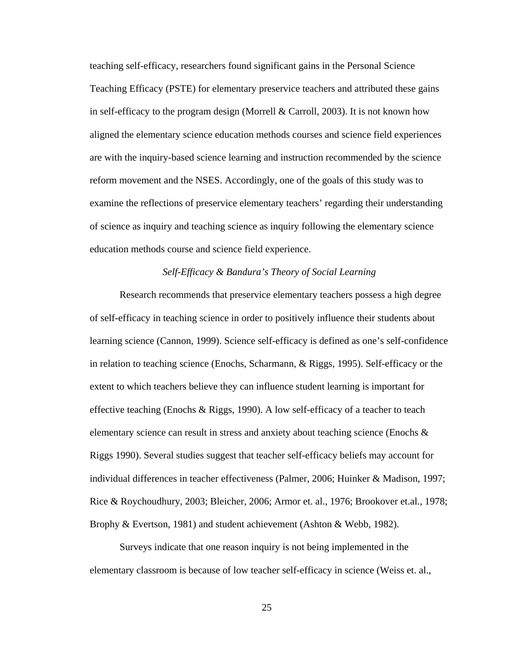teaching self-efficacy, researchers found significant gains in the Personal Science Teaching Efficacy (PSTE) for elementary preservice teachers and attributed these gains in self-efficacy to the program design (Morrell & Carroll, 2003). It is not known how aligned the elementary science education methods courses and science field experiences are with the inquiry-based science learning and instruction recommended by the science reform movement and the NSES. Accordingly, one of the goals of this study was to examine the reflections of preservice elementary teachers' regarding their understanding of science as inquiry and teaching science as inquiry following the elementary science education methods course and science field experience.

# *Self-Efficacy & Bandura's Theory of Social Learning*

 Research recommends that preservice elementary teachers possess a high degree of self-efficacy in teaching science in order to positively influence their students about learning science (Cannon, 1999). Science self-efficacy is defined as one's self-confidence in relation to teaching science (Enochs, Scharmann, & Riggs, 1995). Self-efficacy or the extent to which teachers believe they can influence student learning is important for effective teaching (Enochs & Riggs, 1990). A low self-efficacy of a teacher to teach elementary science can result in stress and anxiety about teaching science (Enochs & Riggs 1990). Several studies suggest that teacher self-efficacy beliefs may account for individual differences in teacher effectiveness (Palmer, 2006; Huinker & Madison, 1997; Rice & Roychoudhury, 2003; Bleicher, 2006; Armor et. al., 1976; Brookover et.al., 1978; Brophy & Evertson, 1981) and student achievement (Ashton & Webb, 1982).

 Surveys indicate that one reason inquiry is not being implemented in the elementary classroom is because of low teacher self-efficacy in science (Weiss et. al.,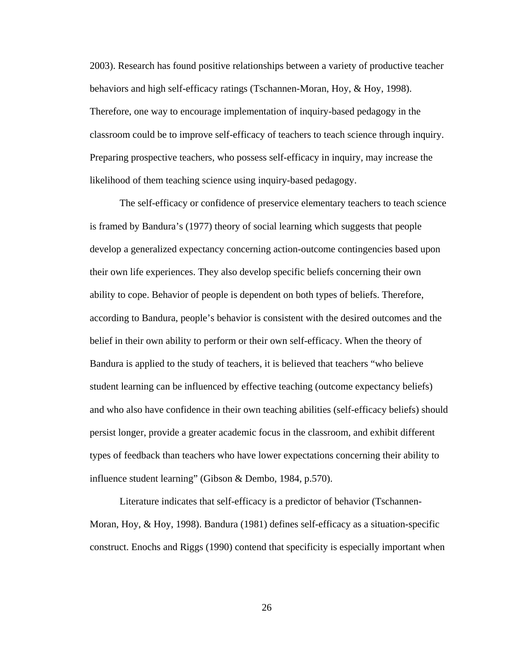2003). Research has found positive relationships between a variety of productive teacher behaviors and high self-efficacy ratings (Tschannen-Moran, Hoy, & Hoy, 1998). Therefore, one way to encourage implementation of inquiry-based pedagogy in the classroom could be to improve self-efficacy of teachers to teach science through inquiry. Preparing prospective teachers, who possess self-efficacy in inquiry, may increase the likelihood of them teaching science using inquiry-based pedagogy.

 The self-efficacy or confidence of preservice elementary teachers to teach science is framed by Bandura's (1977) theory of social learning which suggests that people develop a generalized expectancy concerning action-outcome contingencies based upon their own life experiences. They also develop specific beliefs concerning their own ability to cope. Behavior of people is dependent on both types of beliefs. Therefore, according to Bandura, people's behavior is consistent with the desired outcomes and the belief in their own ability to perform or their own self-efficacy. When the theory of Bandura is applied to the study of teachers, it is believed that teachers "who believe student learning can be influenced by effective teaching (outcome expectancy beliefs) and who also have confidence in their own teaching abilities (self-efficacy beliefs) should persist longer, provide a greater academic focus in the classroom, and exhibit different types of feedback than teachers who have lower expectations concerning their ability to influence student learning" (Gibson & Dembo, 1984, p.570).

 Literature indicates that self-efficacy is a predictor of behavior (Tschannen-Moran, Hoy, & Hoy, 1998). Bandura (1981) defines self-efficacy as a situation-specific construct. Enochs and Riggs (1990) contend that specificity is especially important when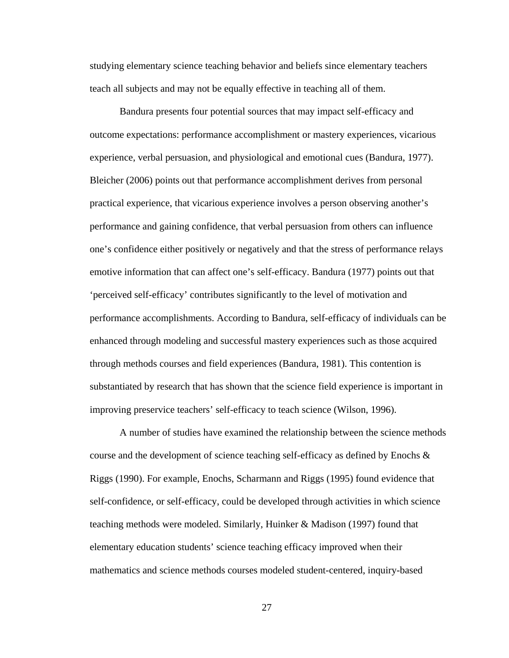studying elementary science teaching behavior and beliefs since elementary teachers teach all subjects and may not be equally effective in teaching all of them.

 Bandura presents four potential sources that may impact self-efficacy and outcome expectations: performance accomplishment or mastery experiences, vicarious experience, verbal persuasion, and physiological and emotional cues (Bandura, 1977). Bleicher (2006) points out that performance accomplishment derives from personal practical experience, that vicarious experience involves a person observing another's performance and gaining confidence, that verbal persuasion from others can influence one's confidence either positively or negatively and that the stress of performance relays emotive information that can affect one's self-efficacy. Bandura (1977) points out that 'perceived self-efficacy' contributes significantly to the level of motivation and performance accomplishments. According to Bandura, self-efficacy of individuals can be enhanced through modeling and successful mastery experiences such as those acquired through methods courses and field experiences (Bandura, 1981). This contention is substantiated by research that has shown that the science field experience is important in improving preservice teachers' self-efficacy to teach science (Wilson, 1996).

 A number of studies have examined the relationship between the science methods course and the development of science teaching self-efficacy as defined by Enochs  $\&$ Riggs (1990). For example, Enochs, Scharmann and Riggs (1995) found evidence that self-confidence, or self-efficacy, could be developed through activities in which science teaching methods were modeled. Similarly, Huinker & Madison (1997) found that elementary education students' science teaching efficacy improved when their mathematics and science methods courses modeled student-centered, inquiry-based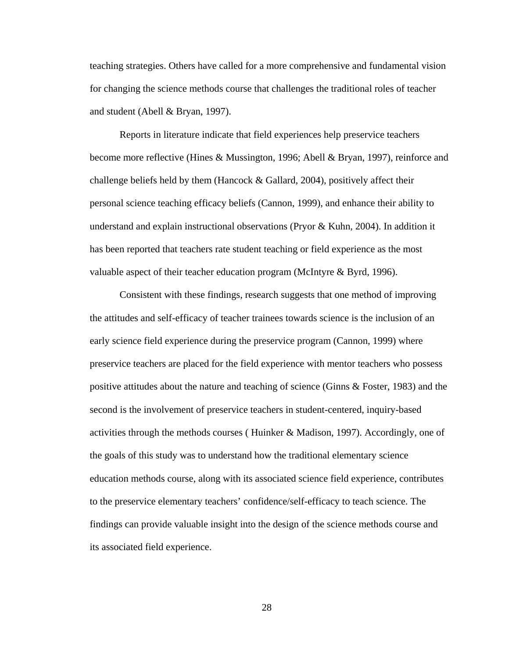teaching strategies. Others have called for a more comprehensive and fundamental vision for changing the science methods course that challenges the traditional roles of teacher and student (Abell & Bryan, 1997).

 Reports in literature indicate that field experiences help preservice teachers become more reflective (Hines & Mussington, 1996; Abell & Bryan, 1997), reinforce and challenge beliefs held by them (Hancock  $\&$  Gallard, 2004), positively affect their personal science teaching efficacy beliefs (Cannon, 1999), and enhance their ability to understand and explain instructional observations (Pryor & Kuhn, 2004). In addition it has been reported that teachers rate student teaching or field experience as the most valuable aspect of their teacher education program (McIntyre & Byrd, 1996).

 Consistent with these findings, research suggests that one method of improving the attitudes and self-efficacy of teacher trainees towards science is the inclusion of an early science field experience during the preservice program (Cannon, 1999) where preservice teachers are placed for the field experience with mentor teachers who possess positive attitudes about the nature and teaching of science (Ginns & Foster, 1983) and the second is the involvement of preservice teachers in student-centered, inquiry-based activities through the methods courses ( Huinker & Madison, 1997). Accordingly, one of the goals of this study was to understand how the traditional elementary science education methods course, along with its associated science field experience, contributes to the preservice elementary teachers' confidence/self-efficacy to teach science. The findings can provide valuable insight into the design of the science methods course and its associated field experience.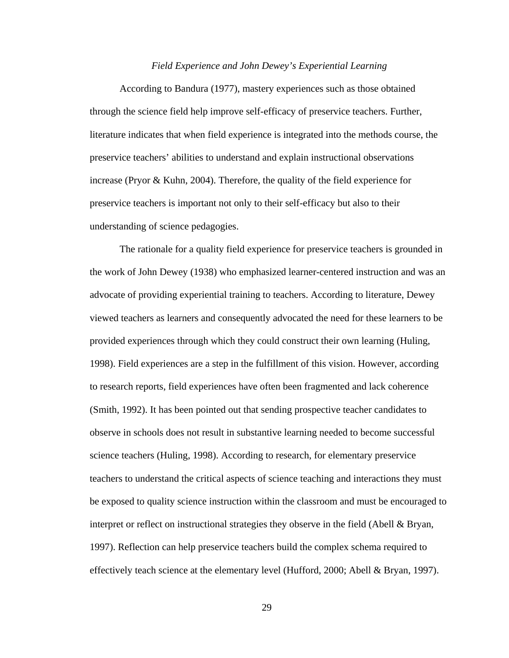#### *Field Experience and John Dewey's Experiential Learning*

 According to Bandura (1977), mastery experiences such as those obtained through the science field help improve self-efficacy of preservice teachers. Further, literature indicates that when field experience is integrated into the methods course, the preservice teachers' abilities to understand and explain instructional observations increase (Pryor & Kuhn, 2004). Therefore, the quality of the field experience for preservice teachers is important not only to their self-efficacy but also to their understanding of science pedagogies.

 The rationale for a quality field experience for preservice teachers is grounded in the work of John Dewey (1938) who emphasized learner-centered instruction and was an advocate of providing experiential training to teachers. According to literature, Dewey viewed teachers as learners and consequently advocated the need for these learners to be provided experiences through which they could construct their own learning (Huling, 1998). Field experiences are a step in the fulfillment of this vision. However, according to research reports, field experiences have often been fragmented and lack coherence (Smith, 1992). It has been pointed out that sending prospective teacher candidates to observe in schools does not result in substantive learning needed to become successful science teachers (Huling, 1998). According to research, for elementary preservice teachers to understand the critical aspects of science teaching and interactions they must be exposed to quality science instruction within the classroom and must be encouraged to interpret or reflect on instructional strategies they observe in the field (Abell & Bryan, 1997). Reflection can help preservice teachers build the complex schema required to effectively teach science at the elementary level (Hufford, 2000; Abell & Bryan, 1997).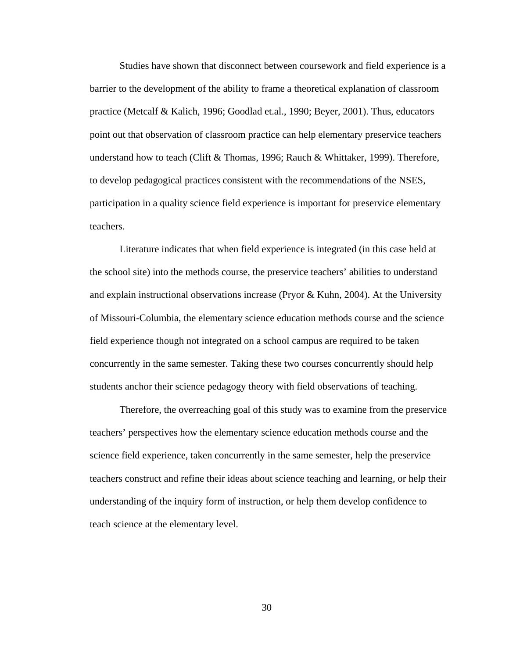Studies have shown that disconnect between coursework and field experience is a barrier to the development of the ability to frame a theoretical explanation of classroom practice (Metcalf & Kalich, 1996; Goodlad et.al., 1990; Beyer, 2001). Thus, educators point out that observation of classroom practice can help elementary preservice teachers understand how to teach (Clift & Thomas, 1996; Rauch & Whittaker, 1999). Therefore, to develop pedagogical practices consistent with the recommendations of the NSES, participation in a quality science field experience is important for preservice elementary teachers.

 Literature indicates that when field experience is integrated (in this case held at the school site) into the methods course, the preservice teachers' abilities to understand and explain instructional observations increase (Pryor & Kuhn, 2004). At the University of Missouri-Columbia, the elementary science education methods course and the science field experience though not integrated on a school campus are required to be taken concurrently in the same semester. Taking these two courses concurrently should help students anchor their science pedagogy theory with field observations of teaching.

 Therefore, the overreaching goal of this study was to examine from the preservice teachers' perspectives how the elementary science education methods course and the science field experience, taken concurrently in the same semester, help the preservice teachers construct and refine their ideas about science teaching and learning, or help their understanding of the inquiry form of instruction, or help them develop confidence to teach science at the elementary level.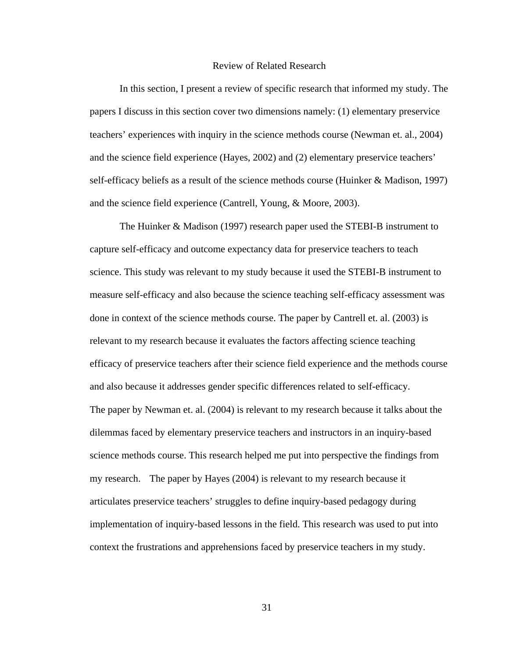## Review of Related Research

 In this section, I present a review of specific research that informed my study. The papers I discuss in this section cover two dimensions namely: (1) elementary preservice teachers' experiences with inquiry in the science methods course (Newman et. al., 2004) and the science field experience (Hayes, 2002) and (2) elementary preservice teachers' self-efficacy beliefs as a result of the science methods course (Huinker & Madison, 1997) and the science field experience (Cantrell, Young, & Moore, 2003).

 The Huinker & Madison (1997) research paper used the STEBI-B instrument to capture self-efficacy and outcome expectancy data for preservice teachers to teach science. This study was relevant to my study because it used the STEBI-B instrument to measure self-efficacy and also because the science teaching self-efficacy assessment was done in context of the science methods course. The paper by Cantrell et. al. (2003) is relevant to my research because it evaluates the factors affecting science teaching efficacy of preservice teachers after their science field experience and the methods course and also because it addresses gender specific differences related to self-efficacy. The paper by Newman et. al. (2004) is relevant to my research because it talks about the dilemmas faced by elementary preservice teachers and instructors in an inquiry-based science methods course. This research helped me put into perspective the findings from my research. The paper by Hayes (2004) is relevant to my research because it articulates preservice teachers' struggles to define inquiry-based pedagogy during implementation of inquiry-based lessons in the field. This research was used to put into context the frustrations and apprehensions faced by preservice teachers in my study.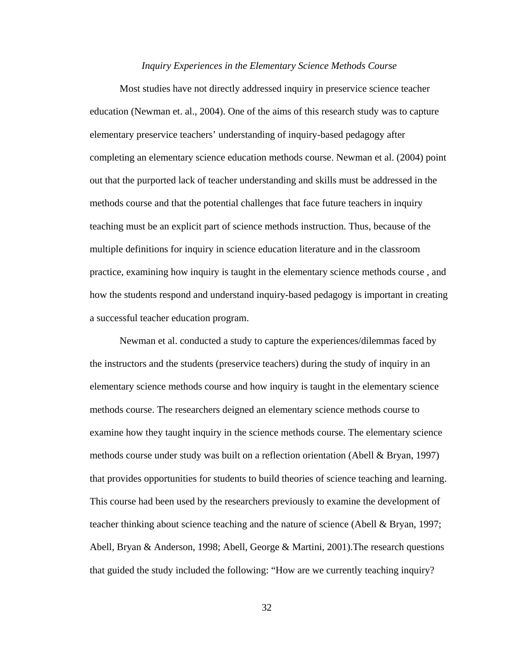#### *Inquiry Experiences in the Elementary Science Methods Course*

 Most studies have not directly addressed inquiry in preservice science teacher education (Newman et. al., 2004). One of the aims of this research study was to capture elementary preservice teachers' understanding of inquiry-based pedagogy after completing an elementary science education methods course. Newman et al. (2004) point out that the purported lack of teacher understanding and skills must be addressed in the methods course and that the potential challenges that face future teachers in inquiry teaching must be an explicit part of science methods instruction. Thus, because of the multiple definitions for inquiry in science education literature and in the classroom practice, examining how inquiry is taught in the elementary science methods course , and how the students respond and understand inquiry-based pedagogy is important in creating a successful teacher education program.

 Newman et al. conducted a study to capture the experiences/dilemmas faced by the instructors and the students (preservice teachers) during the study of inquiry in an elementary science methods course and how inquiry is taught in the elementary science methods course. The researchers deigned an elementary science methods course to examine how they taught inquiry in the science methods course. The elementary science methods course under study was built on a reflection orientation (Abell & Bryan, 1997) that provides opportunities for students to build theories of science teaching and learning. This course had been used by the researchers previously to examine the development of teacher thinking about science teaching and the nature of science (Abell & Bryan, 1997; Abell, Bryan & Anderson, 1998; Abell, George & Martini, 2001).The research questions that guided the study included the following: "How are we currently teaching inquiry?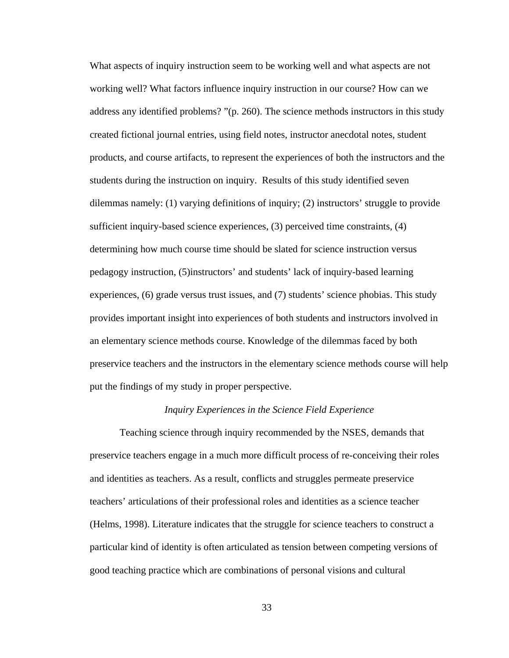What aspects of inquiry instruction seem to be working well and what aspects are not working well? What factors influence inquiry instruction in our course? How can we address any identified problems? "(p. 260). The science methods instructors in this study created fictional journal entries, using field notes, instructor anecdotal notes, student products, and course artifacts, to represent the experiences of both the instructors and the students during the instruction on inquiry. Results of this study identified seven dilemmas namely: (1) varying definitions of inquiry; (2) instructors' struggle to provide sufficient inquiry-based science experiences, (3) perceived time constraints, (4) determining how much course time should be slated for science instruction versus pedagogy instruction, (5)instructors' and students' lack of inquiry-based learning experiences, (6) grade versus trust issues, and (7) students' science phobias. This study provides important insight into experiences of both students and instructors involved in an elementary science methods course. Knowledge of the dilemmas faced by both preservice teachers and the instructors in the elementary science methods course will help put the findings of my study in proper perspective.

## *Inquiry Experiences in the Science Field Experience*

 Teaching science through inquiry recommended by the NSES, demands that preservice teachers engage in a much more difficult process of re-conceiving their roles and identities as teachers. As a result, conflicts and struggles permeate preservice teachers' articulations of their professional roles and identities as a science teacher (Helms, 1998). Literature indicates that the struggle for science teachers to construct a particular kind of identity is often articulated as tension between competing versions of good teaching practice which are combinations of personal visions and cultural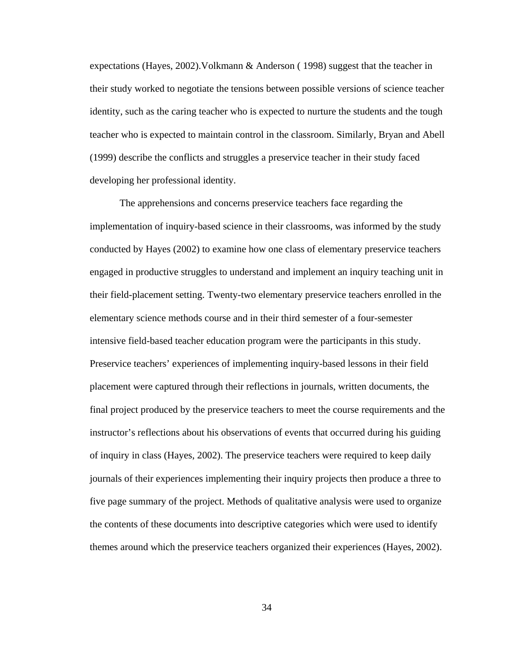expectations (Hayes, 2002).Volkmann & Anderson ( 1998) suggest that the teacher in their study worked to negotiate the tensions between possible versions of science teacher identity, such as the caring teacher who is expected to nurture the students and the tough teacher who is expected to maintain control in the classroom. Similarly, Bryan and Abell (1999) describe the conflicts and struggles a preservice teacher in their study faced developing her professional identity.

 The apprehensions and concerns preservice teachers face regarding the implementation of inquiry-based science in their classrooms, was informed by the study conducted by Hayes (2002) to examine how one class of elementary preservice teachers engaged in productive struggles to understand and implement an inquiry teaching unit in their field-placement setting. Twenty-two elementary preservice teachers enrolled in the elementary science methods course and in their third semester of a four-semester intensive field-based teacher education program were the participants in this study. Preservice teachers' experiences of implementing inquiry-based lessons in their field placement were captured through their reflections in journals, written documents, the final project produced by the preservice teachers to meet the course requirements and the instructor's reflections about his observations of events that occurred during his guiding of inquiry in class (Hayes, 2002). The preservice teachers were required to keep daily journals of their experiences implementing their inquiry projects then produce a three to five page summary of the project. Methods of qualitative analysis were used to organize the contents of these documents into descriptive categories which were used to identify themes around which the preservice teachers organized their experiences (Hayes, 2002).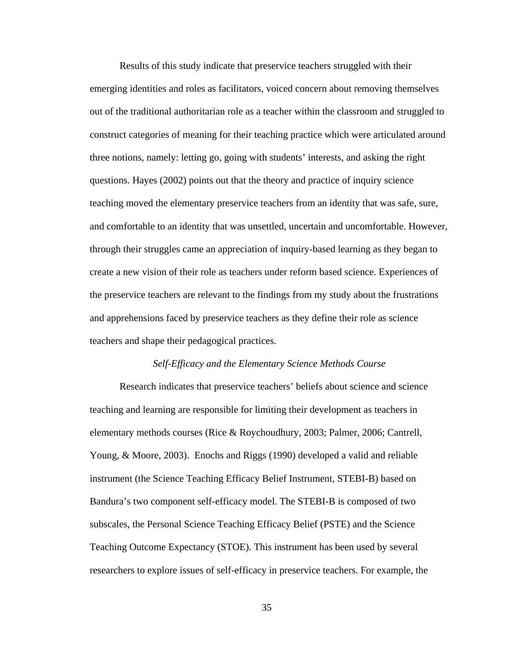Results of this study indicate that preservice teachers struggled with their emerging identities and roles as facilitators, voiced concern about removing themselves out of the traditional authoritarian role as a teacher within the classroom and struggled to construct categories of meaning for their teaching practice which were articulated around three notions, namely: letting go, going with students' interests, and asking the right questions. Hayes (2002) points out that the theory and practice of inquiry science teaching moved the elementary preservice teachers from an identity that was safe, sure, and comfortable to an identity that was unsettled, uncertain and uncomfortable. However, through their struggles came an appreciation of inquiry-based learning as they began to create a new vision of their role as teachers under reform based science. Experiences of the preservice teachers are relevant to the findings from my study about the frustrations and apprehensions faced by preservice teachers as they define their role as science teachers and shape their pedagogical practices.

## *Self-Efficacy and the Elementary Science Methods Course*

 Research indicates that preservice teachers' beliefs about science and science teaching and learning are responsible for limiting their development as teachers in elementary methods courses (Rice & Roychoudhury, 2003; Palmer, 2006; Cantrell, Young, & Moore, 2003). Enochs and Riggs (1990) developed a valid and reliable instrument (the Science Teaching Efficacy Belief Instrument, STEBI-B) based on Bandura's two component self-efficacy model. The STEBI-B is composed of two subscales, the Personal Science Teaching Efficacy Belief (PSTE) and the Science Teaching Outcome Expectancy (STOE). This instrument has been used by several researchers to explore issues of self-efficacy in preservice teachers. For example, the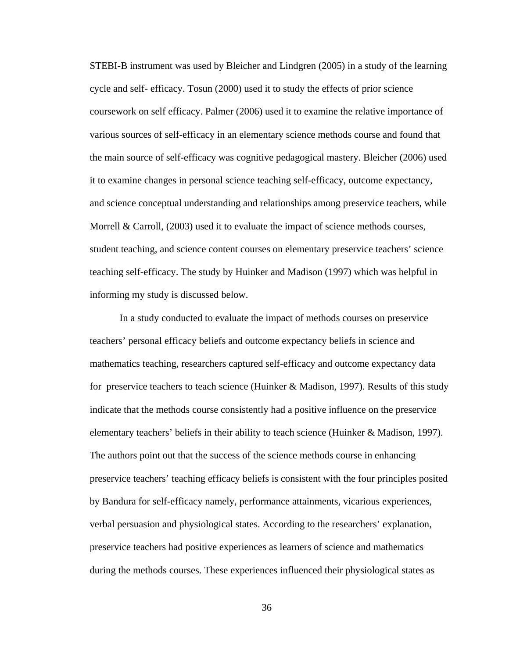STEBI-B instrument was used by Bleicher and Lindgren (2005) in a study of the learning cycle and self- efficacy. Tosun (2000) used it to study the effects of prior science coursework on self efficacy. Palmer (2006) used it to examine the relative importance of various sources of self-efficacy in an elementary science methods course and found that the main source of self-efficacy was cognitive pedagogical mastery. Bleicher (2006) used it to examine changes in personal science teaching self-efficacy, outcome expectancy, and science conceptual understanding and relationships among preservice teachers, while Morrell & Carroll, (2003) used it to evaluate the impact of science methods courses, student teaching, and science content courses on elementary preservice teachers' science teaching self-efficacy. The study by Huinker and Madison (1997) which was helpful in informing my study is discussed below.

 In a study conducted to evaluate the impact of methods courses on preservice teachers' personal efficacy beliefs and outcome expectancy beliefs in science and mathematics teaching, researchers captured self-efficacy and outcome expectancy data for preservice teachers to teach science (Huinker & Madison, 1997). Results of this study indicate that the methods course consistently had a positive influence on the preservice elementary teachers' beliefs in their ability to teach science (Huinker & Madison, 1997). The authors point out that the success of the science methods course in enhancing preservice teachers' teaching efficacy beliefs is consistent with the four principles posited by Bandura for self-efficacy namely, performance attainments, vicarious experiences, verbal persuasion and physiological states. According to the researchers' explanation, preservice teachers had positive experiences as learners of science and mathematics during the methods courses. These experiences influenced their physiological states as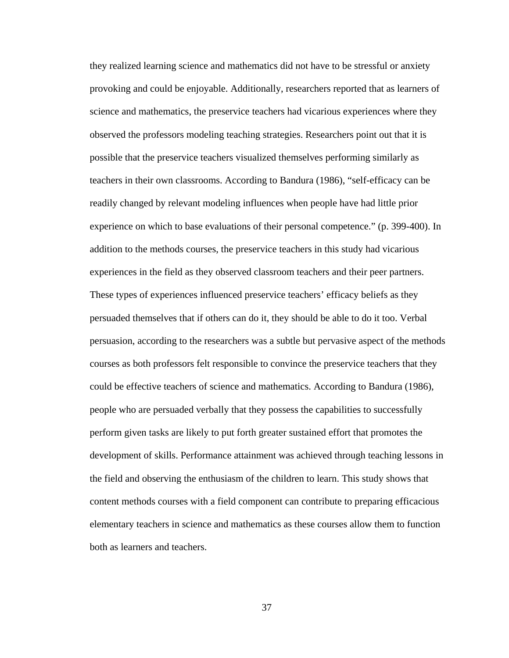they realized learning science and mathematics did not have to be stressful or anxiety provoking and could be enjoyable. Additionally, researchers reported that as learners of science and mathematics, the preservice teachers had vicarious experiences where they observed the professors modeling teaching strategies. Researchers point out that it is possible that the preservice teachers visualized themselves performing similarly as teachers in their own classrooms. According to Bandura (1986), "self-efficacy can be readily changed by relevant modeling influences when people have had little prior experience on which to base evaluations of their personal competence." (p. 399-400). In addition to the methods courses, the preservice teachers in this study had vicarious experiences in the field as they observed classroom teachers and their peer partners. These types of experiences influenced preservice teachers' efficacy beliefs as they persuaded themselves that if others can do it, they should be able to do it too. Verbal persuasion, according to the researchers was a subtle but pervasive aspect of the methods courses as both professors felt responsible to convince the preservice teachers that they could be effective teachers of science and mathematics. According to Bandura (1986), people who are persuaded verbally that they possess the capabilities to successfully perform given tasks are likely to put forth greater sustained effort that promotes the development of skills. Performance attainment was achieved through teaching lessons in the field and observing the enthusiasm of the children to learn. This study shows that content methods courses with a field component can contribute to preparing efficacious elementary teachers in science and mathematics as these courses allow them to function both as learners and teachers.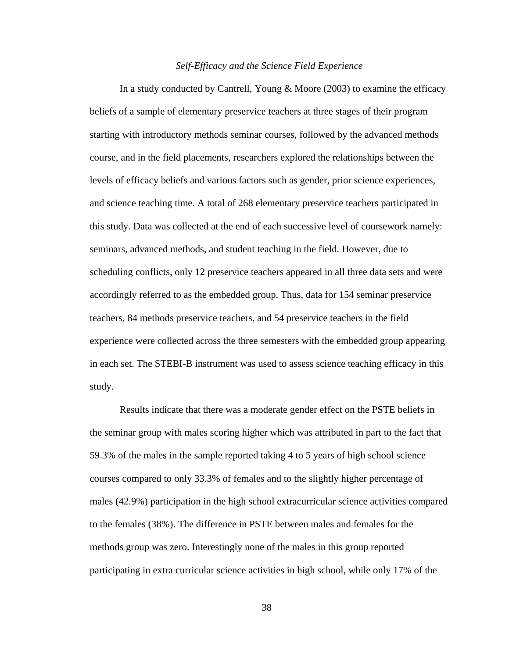#### *Self-Efficacy and the Science Field Experience*

 In a study conducted by Cantrell, Young & Moore (2003) to examine the efficacy beliefs of a sample of elementary preservice teachers at three stages of their program starting with introductory methods seminar courses, followed by the advanced methods course, and in the field placements, researchers explored the relationships between the levels of efficacy beliefs and various factors such as gender, prior science experiences, and science teaching time. A total of 268 elementary preservice teachers participated in this study. Data was collected at the end of each successive level of coursework namely: seminars, advanced methods, and student teaching in the field. However, due to scheduling conflicts, only 12 preservice teachers appeared in all three data sets and were accordingly referred to as the embedded group. Thus, data for 154 seminar preservice teachers, 84 methods preservice teachers, and 54 preservice teachers in the field experience were collected across the three semesters with the embedded group appearing in each set. The STEBI-B instrument was used to assess science teaching efficacy in this study.

 Results indicate that there was a moderate gender effect on the PSTE beliefs in the seminar group with males scoring higher which was attributed in part to the fact that 59.3% of the males in the sample reported taking 4 to 5 years of high school science courses compared to only 33.3% of females and to the slightly higher percentage of males (42.9%) participation in the high school extracurricular science activities compared to the females (38%). The difference in PSTE between males and females for the methods group was zero. Interestingly none of the males in this group reported participating in extra curricular science activities in high school, while only 17% of the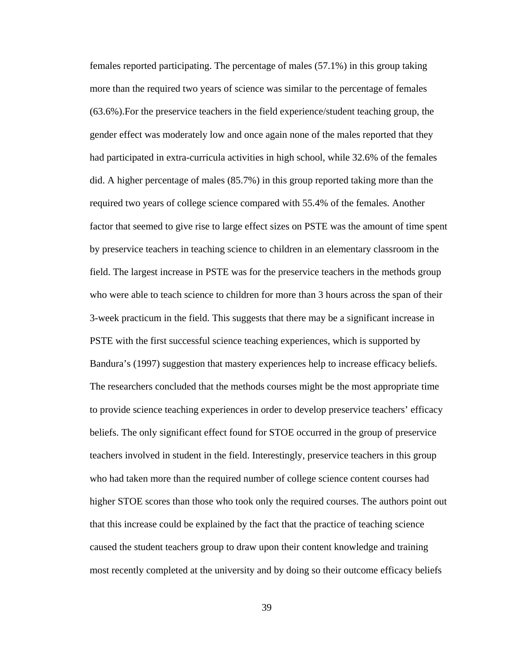females reported participating. The percentage of males (57.1%) in this group taking more than the required two years of science was similar to the percentage of females (63.6%).For the preservice teachers in the field experience/student teaching group, the gender effect was moderately low and once again none of the males reported that they had participated in extra-curricula activities in high school, while 32.6% of the females did. A higher percentage of males (85.7%) in this group reported taking more than the required two years of college science compared with 55.4% of the females. Another factor that seemed to give rise to large effect sizes on PSTE was the amount of time spent by preservice teachers in teaching science to children in an elementary classroom in the field. The largest increase in PSTE was for the preservice teachers in the methods group who were able to teach science to children for more than 3 hours across the span of their 3-week practicum in the field. This suggests that there may be a significant increase in PSTE with the first successful science teaching experiences, which is supported by Bandura's (1997) suggestion that mastery experiences help to increase efficacy beliefs. The researchers concluded that the methods courses might be the most appropriate time to provide science teaching experiences in order to develop preservice teachers' efficacy beliefs. The only significant effect found for STOE occurred in the group of preservice teachers involved in student in the field. Interestingly, preservice teachers in this group who had taken more than the required number of college science content courses had higher STOE scores than those who took only the required courses. The authors point out that this increase could be explained by the fact that the practice of teaching science caused the student teachers group to draw upon their content knowledge and training most recently completed at the university and by doing so their outcome efficacy beliefs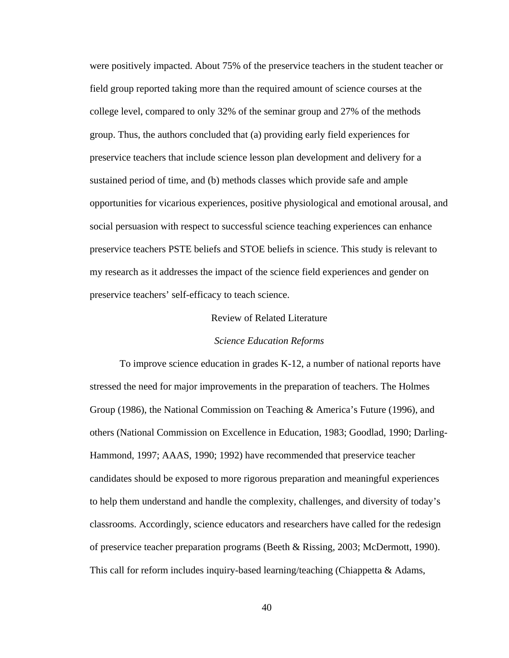were positively impacted. About 75% of the preservice teachers in the student teacher or field group reported taking more than the required amount of science courses at the college level, compared to only 32% of the seminar group and 27% of the methods group. Thus, the authors concluded that (a) providing early field experiences for preservice teachers that include science lesson plan development and delivery for a sustained period of time, and (b) methods classes which provide safe and ample opportunities for vicarious experiences, positive physiological and emotional arousal, and social persuasion with respect to successful science teaching experiences can enhance preservice teachers PSTE beliefs and STOE beliefs in science. This study is relevant to my research as it addresses the impact of the science field experiences and gender on preservice teachers' self-efficacy to teach science.

#### Review of Related Literature

#### *Science Education Reforms*

 To improve science education in grades K-12, a number of national reports have stressed the need for major improvements in the preparation of teachers. The Holmes Group (1986), the National Commission on Teaching & America's Future (1996), and others (National Commission on Excellence in Education, 1983; Goodlad, 1990; Darling-Hammond, 1997; AAAS, 1990; 1992) have recommended that preservice teacher candidates should be exposed to more rigorous preparation and meaningful experiences to help them understand and handle the complexity, challenges, and diversity of today's classrooms. Accordingly, science educators and researchers have called for the redesign of preservice teacher preparation programs (Beeth & Rissing, 2003; McDermott, 1990). This call for reform includes inquiry-based learning/teaching (Chiappetta & Adams,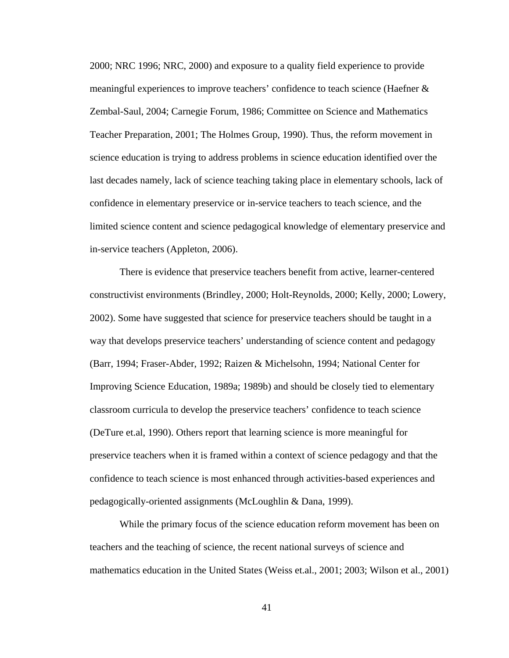2000; NRC 1996; NRC, 2000) and exposure to a quality field experience to provide meaningful experiences to improve teachers' confidence to teach science (Haefner & Zembal-Saul, 2004; Carnegie Forum, 1986; Committee on Science and Mathematics Teacher Preparation, 2001; The Holmes Group, 1990). Thus, the reform movement in science education is trying to address problems in science education identified over the last decades namely, lack of science teaching taking place in elementary schools, lack of confidence in elementary preservice or in-service teachers to teach science, and the limited science content and science pedagogical knowledge of elementary preservice and in-service teachers (Appleton, 2006).

 There is evidence that preservice teachers benefit from active, learner-centered constructivist environments (Brindley, 2000; Holt-Reynolds, 2000; Kelly, 2000; Lowery, 2002). Some have suggested that science for preservice teachers should be taught in a way that develops preservice teachers' understanding of science content and pedagogy (Barr, 1994; Fraser-Abder, 1992; Raizen & Michelsohn, 1994; National Center for Improving Science Education, 1989a; 1989b) and should be closely tied to elementary classroom curricula to develop the preservice teachers' confidence to teach science (DeTure et.al, 1990). Others report that learning science is more meaningful for preservice teachers when it is framed within a context of science pedagogy and that the confidence to teach science is most enhanced through activities-based experiences and pedagogically-oriented assignments (McLoughlin & Dana, 1999).

 While the primary focus of the science education reform movement has been on teachers and the teaching of science, the recent national surveys of science and mathematics education in the United States (Weiss et.al., 2001; 2003; Wilson et al., 2001)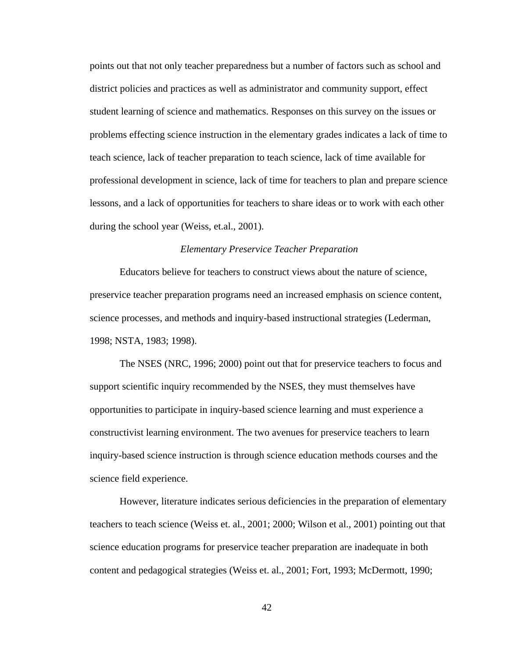points out that not only teacher preparedness but a number of factors such as school and district policies and practices as well as administrator and community support, effect student learning of science and mathematics. Responses on this survey on the issues or problems effecting science instruction in the elementary grades indicates a lack of time to teach science, lack of teacher preparation to teach science, lack of time available for professional development in science, lack of time for teachers to plan and prepare science lessons, and a lack of opportunities for teachers to share ideas or to work with each other during the school year (Weiss, et.al., 2001).

## *Elementary Preservice Teacher Preparation*

 Educators believe for teachers to construct views about the nature of science, preservice teacher preparation programs need an increased emphasis on science content, science processes, and methods and inquiry-based instructional strategies (Lederman, 1998; NSTA, 1983; 1998).

The NSES (NRC, 1996; 2000) point out that for preservice teachers to focus and support scientific inquiry recommended by the NSES, they must themselves have opportunities to participate in inquiry-based science learning and must experience a constructivist learning environment. The two avenues for preservice teachers to learn inquiry-based science instruction is through science education methods courses and the science field experience.

 However, literature indicates serious deficiencies in the preparation of elementary teachers to teach science (Weiss et. al., 2001; 2000; Wilson et al., 2001) pointing out that science education programs for preservice teacher preparation are inadequate in both content and pedagogical strategies (Weiss et. al., 2001; Fort, 1993; McDermott, 1990;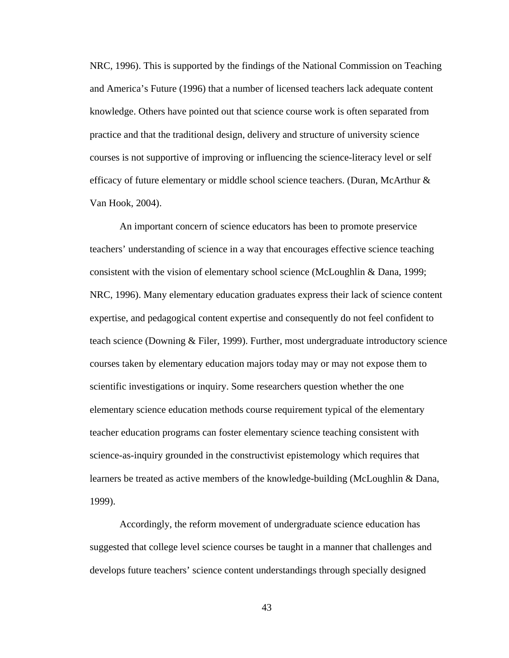NRC, 1996). This is supported by the findings of the National Commission on Teaching and America's Future (1996) that a number of licensed teachers lack adequate content knowledge. Others have pointed out that science course work is often separated from practice and that the traditional design, delivery and structure of university science courses is not supportive of improving or influencing the science-literacy level or self efficacy of future elementary or middle school science teachers. (Duran, McArthur & Van Hook, 2004).

 An important concern of science educators has been to promote preservice teachers' understanding of science in a way that encourages effective science teaching consistent with the vision of elementary school science (McLoughlin & Dana, 1999; NRC, 1996). Many elementary education graduates express their lack of science content expertise, and pedagogical content expertise and consequently do not feel confident to teach science (Downing & Filer, 1999). Further, most undergraduate introductory science courses taken by elementary education majors today may or may not expose them to scientific investigations or inquiry. Some researchers question whether the one elementary science education methods course requirement typical of the elementary teacher education programs can foster elementary science teaching consistent with science-as-inquiry grounded in the constructivist epistemology which requires that learners be treated as active members of the knowledge-building (McLoughlin & Dana, 1999).

 Accordingly, the reform movement of undergraduate science education has suggested that college level science courses be taught in a manner that challenges and develops future teachers' science content understandings through specially designed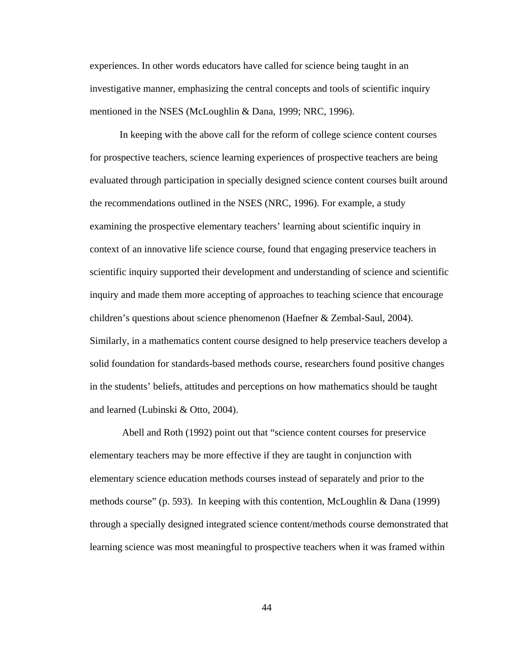experiences. In other words educators have called for science being taught in an investigative manner, emphasizing the central concepts and tools of scientific inquiry mentioned in the NSES (McLoughlin & Dana, 1999; NRC, 1996).

 In keeping with the above call for the reform of college science content courses for prospective teachers, science learning experiences of prospective teachers are being evaluated through participation in specially designed science content courses built around the recommendations outlined in the NSES (NRC, 1996). For example, a study examining the prospective elementary teachers' learning about scientific inquiry in context of an innovative life science course, found that engaging preservice teachers in scientific inquiry supported their development and understanding of science and scientific inquiry and made them more accepting of approaches to teaching science that encourage children's questions about science phenomenon (Haefner & Zembal-Saul, 2004). Similarly, in a mathematics content course designed to help preservice teachers develop a solid foundation for standards-based methods course, researchers found positive changes in the students' beliefs, attitudes and perceptions on how mathematics should be taught and learned (Lubinski & Otto, 2004).

 Abell and Roth (1992) point out that "science content courses for preservice elementary teachers may be more effective if they are taught in conjunction with elementary science education methods courses instead of separately and prior to the methods course" (p. 593). In keeping with this contention, McLoughlin & Dana (1999) through a specially designed integrated science content/methods course demonstrated that learning science was most meaningful to prospective teachers when it was framed within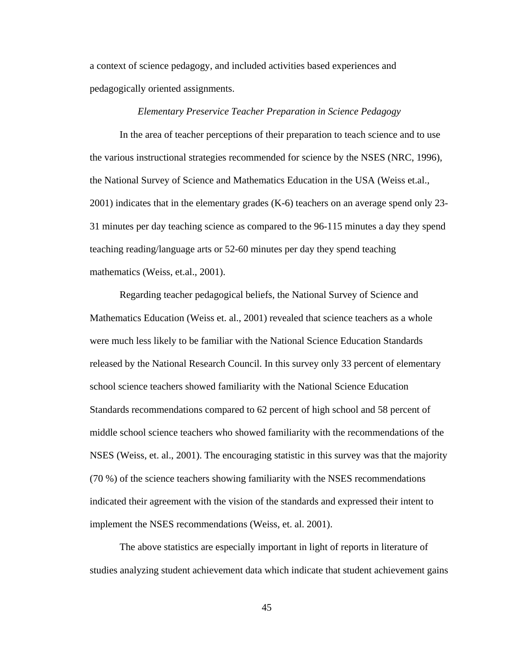a context of science pedagogy, and included activities based experiences and pedagogically oriented assignments.

#### *Elementary Preservice Teacher Preparation in Science Pedagogy*

 In the area of teacher perceptions of their preparation to teach science and to use the various instructional strategies recommended for science by the NSES (NRC, 1996), the National Survey of Science and Mathematics Education in the USA (Weiss et.al., 2001) indicates that in the elementary grades (K-6) teachers on an average spend only 23- 31 minutes per day teaching science as compared to the 96-115 minutes a day they spend teaching reading/language arts or 52-60 minutes per day they spend teaching mathematics (Weiss, et.al., 2001).

 Regarding teacher pedagogical beliefs, the National Survey of Science and Mathematics Education (Weiss et. al., 2001) revealed that science teachers as a whole were much less likely to be familiar with the National Science Education Standards released by the National Research Council. In this survey only 33 percent of elementary school science teachers showed familiarity with the National Science Education Standards recommendations compared to 62 percent of high school and 58 percent of middle school science teachers who showed familiarity with the recommendations of the NSES (Weiss, et. al., 2001). The encouraging statistic in this survey was that the majority (70 %) of the science teachers showing familiarity with the NSES recommendations indicated their agreement with the vision of the standards and expressed their intent to implement the NSES recommendations (Weiss, et. al. 2001).

 The above statistics are especially important in light of reports in literature of studies analyzing student achievement data which indicate that student achievement gains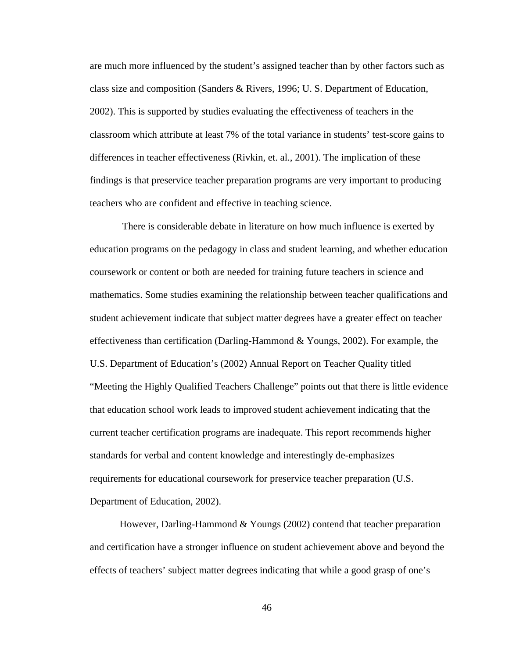are much more influenced by the student's assigned teacher than by other factors such as class size and composition (Sanders & Rivers, 1996; U. S. Department of Education, 2002). This is supported by studies evaluating the effectiveness of teachers in the classroom which attribute at least 7% of the total variance in students' test-score gains to differences in teacher effectiveness (Rivkin, et. al., 2001). The implication of these findings is that preservice teacher preparation programs are very important to producing teachers who are confident and effective in teaching science.

 There is considerable debate in literature on how much influence is exerted by education programs on the pedagogy in class and student learning, and whether education coursework or content or both are needed for training future teachers in science and mathematics. Some studies examining the relationship between teacher qualifications and student achievement indicate that subject matter degrees have a greater effect on teacher effectiveness than certification (Darling-Hammond & Youngs, 2002). For example, the U.S. Department of Education's (2002) Annual Report on Teacher Quality titled "Meeting the Highly Qualified Teachers Challenge" points out that there is little evidence that education school work leads to improved student achievement indicating that the current teacher certification programs are inadequate. This report recommends higher standards for verbal and content knowledge and interestingly de-emphasizes requirements for educational coursework for preservice teacher preparation (U.S. Department of Education, 2002).

 However, Darling-Hammond & Youngs (2002) contend that teacher preparation and certification have a stronger influence on student achievement above and beyond the effects of teachers' subject matter degrees indicating that while a good grasp of one's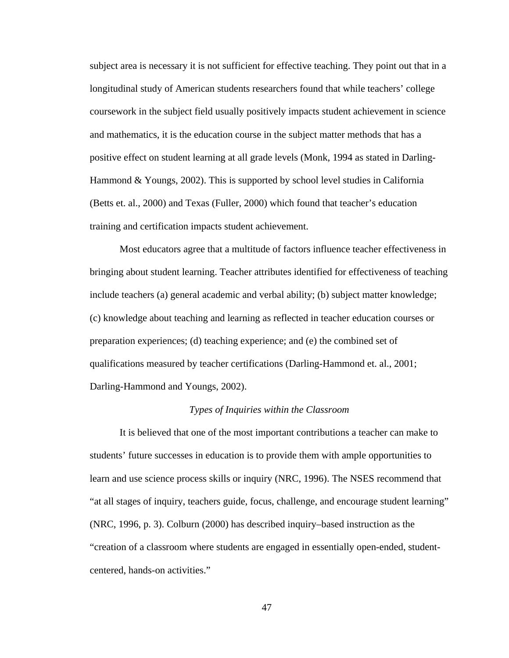subject area is necessary it is not sufficient for effective teaching. They point out that in a longitudinal study of American students researchers found that while teachers' college coursework in the subject field usually positively impacts student achievement in science and mathematics, it is the education course in the subject matter methods that has a positive effect on student learning at all grade levels (Monk, 1994 as stated in Darling-Hammond & Youngs, 2002). This is supported by school level studies in California (Betts et. al., 2000) and Texas (Fuller, 2000) which found that teacher's education training and certification impacts student achievement.

 Most educators agree that a multitude of factors influence teacher effectiveness in bringing about student learning. Teacher attributes identified for effectiveness of teaching include teachers (a) general academic and verbal ability; (b) subject matter knowledge; (c) knowledge about teaching and learning as reflected in teacher education courses or preparation experiences; (d) teaching experience; and (e) the combined set of qualifications measured by teacher certifications (Darling-Hammond et. al., 2001; Darling-Hammond and Youngs, 2002).

#### *Types of Inquiries within the Classroom*

 It is believed that one of the most important contributions a teacher can make to students' future successes in education is to provide them with ample opportunities to learn and use science process skills or inquiry (NRC, 1996). The NSES recommend that "at all stages of inquiry, teachers guide, focus, challenge, and encourage student learning" (NRC, 1996, p. 3). Colburn (2000) has described inquiry–based instruction as the "creation of a classroom where students are engaged in essentially open-ended, studentcentered, hands-on activities."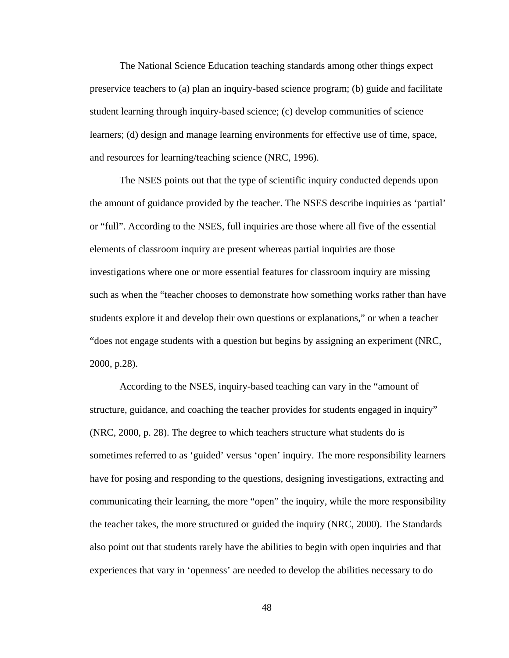The National Science Education teaching standards among other things expect preservice teachers to (a) plan an inquiry-based science program; (b) guide and facilitate student learning through inquiry-based science; (c) develop communities of science learners; (d) design and manage learning environments for effective use of time, space, and resources for learning/teaching science (NRC, 1996).

 The NSES points out that the type of scientific inquiry conducted depends upon the amount of guidance provided by the teacher. The NSES describe inquiries as 'partial' or "full". According to the NSES, full inquiries are those where all five of the essential elements of classroom inquiry are present whereas partial inquiries are those investigations where one or more essential features for classroom inquiry are missing such as when the "teacher chooses to demonstrate how something works rather than have students explore it and develop their own questions or explanations," or when a teacher "does not engage students with a question but begins by assigning an experiment (NRC, 2000, p.28).

 According to the NSES, inquiry-based teaching can vary in the "amount of structure, guidance, and coaching the teacher provides for students engaged in inquiry" (NRC, 2000, p. 28). The degree to which teachers structure what students do is sometimes referred to as 'guided' versus 'open' inquiry. The more responsibility learners have for posing and responding to the questions, designing investigations, extracting and communicating their learning, the more "open" the inquiry, while the more responsibility the teacher takes, the more structured or guided the inquiry (NRC, 2000). The Standards also point out that students rarely have the abilities to begin with open inquiries and that experiences that vary in 'openness' are needed to develop the abilities necessary to do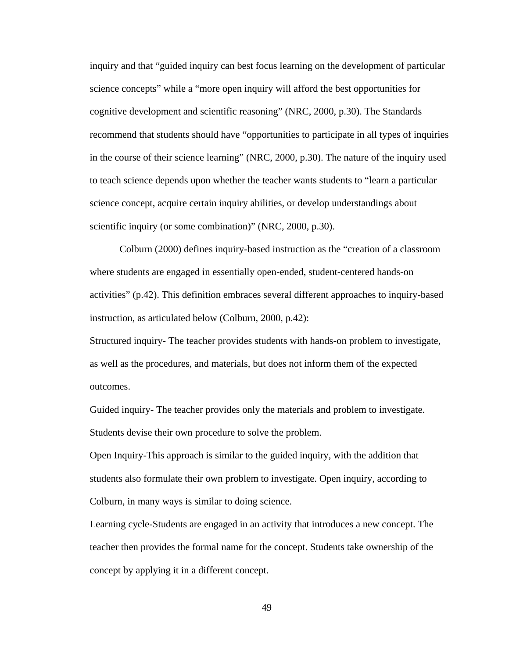inquiry and that "guided inquiry can best focus learning on the development of particular science concepts" while a "more open inquiry will afford the best opportunities for cognitive development and scientific reasoning" (NRC, 2000, p.30). The Standards recommend that students should have "opportunities to participate in all types of inquiries in the course of their science learning" (NRC, 2000, p.30). The nature of the inquiry used to teach science depends upon whether the teacher wants students to "learn a particular science concept, acquire certain inquiry abilities, or develop understandings about scientific inquiry (or some combination)" (NRC, 2000, p.30).

 Colburn (2000) defines inquiry-based instruction as the "creation of a classroom where students are engaged in essentially open-ended, student-centered hands-on activities" (p.42). This definition embraces several different approaches to inquiry-based instruction, as articulated below (Colburn, 2000, p.42):

Structured inquiry- The teacher provides students with hands-on problem to investigate, as well as the procedures, and materials, but does not inform them of the expected outcomes.

Guided inquiry- The teacher provides only the materials and problem to investigate. Students devise their own procedure to solve the problem.

Open Inquiry-This approach is similar to the guided inquiry, with the addition that students also formulate their own problem to investigate. Open inquiry, according to Colburn, in many ways is similar to doing science.

Learning cycle*-*Students are engaged in an activity that introduces a new concept. The teacher then provides the formal name for the concept. Students take ownership of the concept by applying it in a different concept.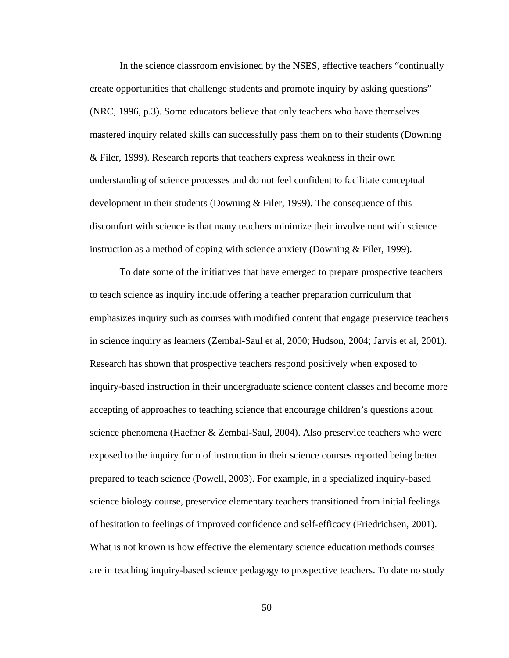In the science classroom envisioned by the NSES, effective teachers "continually create opportunities that challenge students and promote inquiry by asking questions" (NRC, 1996, p.3). Some educators believe that only teachers who have themselves mastered inquiry related skills can successfully pass them on to their students (Downing & Filer, 1999). Research reports that teachers express weakness in their own understanding of science processes and do not feel confident to facilitate conceptual development in their students (Downing & Filer, 1999). The consequence of this discomfort with science is that many teachers minimize their involvement with science instruction as a method of coping with science anxiety (Downing & Filer, 1999).

 To date some of the initiatives that have emerged to prepare prospective teachers to teach science as inquiry include offering a teacher preparation curriculum that emphasizes inquiry such as courses with modified content that engage preservice teachers in science inquiry as learners (Zembal-Saul et al, 2000; Hudson, 2004; Jarvis et al, 2001). Research has shown that prospective teachers respond positively when exposed to inquiry-based instruction in their undergraduate science content classes and become more accepting of approaches to teaching science that encourage children's questions about science phenomena (Haefner & Zembal-Saul, 2004). Also preservice teachers who were exposed to the inquiry form of instruction in their science courses reported being better prepared to teach science (Powell, 2003). For example, in a specialized inquiry-based science biology course, preservice elementary teachers transitioned from initial feelings of hesitation to feelings of improved confidence and self-efficacy (Friedrichsen, 2001). What is not known is how effective the elementary science education methods courses are in teaching inquiry-based science pedagogy to prospective teachers. To date no study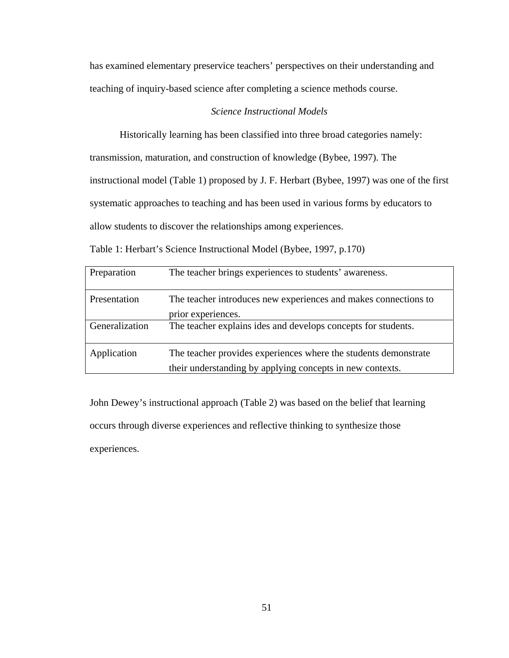has examined elementary preservice teachers' perspectives on their understanding and teaching of inquiry-based science after completing a science methods course.

# *Science Instructional Models*

Historically learning has been classified into three broad categories namely:

transmission, maturation, and construction of knowledge (Bybee, 1997). The

instructional model (Table 1) proposed by J. F. Herbart (Bybee, 1997) was one of the first

systematic approaches to teaching and has been used in various forms by educators to

allow students to discover the relationships among experiences.

| Table 1: Herbart's Science Instructional Model (Bybee, 1997, p.170) |  |
|---------------------------------------------------------------------|--|
|                                                                     |  |

| Preparation    | The teacher brings experiences to students' awareness.                                                                       |
|----------------|------------------------------------------------------------------------------------------------------------------------------|
| Presentation   | The teacher introduces new experiences and makes connections to<br>prior experiences.                                        |
| Generalization | The teacher explains ides and develops concepts for students.                                                                |
| Application    | The teacher provides experiences where the students demonstrate<br>their understanding by applying concepts in new contexts. |

John Dewey's instructional approach (Table 2) was based on the belief that learning occurs through diverse experiences and reflective thinking to synthesize those experiences.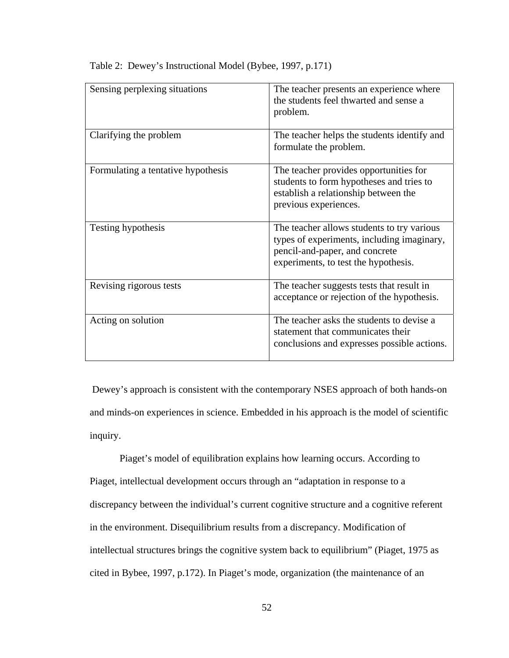| Sensing perplexing situations      | The teacher presents an experience where<br>the students feel thwarted and sense a<br>problem.                                                                     |
|------------------------------------|--------------------------------------------------------------------------------------------------------------------------------------------------------------------|
| Clarifying the problem             | The teacher helps the students identify and<br>formulate the problem.                                                                                              |
| Formulating a tentative hypothesis | The teacher provides opportunities for<br>students to form hypotheses and tries to<br>establish a relationship between the<br>previous experiences.                |
| Testing hypothesis                 | The teacher allows students to try various<br>types of experiments, including imaginary,<br>pencil-and-paper, and concrete<br>experiments, to test the hypothesis. |
| Revising rigorous tests            | The teacher suggests tests that result in<br>acceptance or rejection of the hypothesis.                                                                            |
| Acting on solution                 | The teacher asks the students to devise a<br>statement that communicates their<br>conclusions and expresses possible actions.                                      |

Table 2: Dewey's Instructional Model (Bybee, 1997, p.171)

 Dewey's approach is consistent with the contemporary NSES approach of both hands-on and minds-on experiences in science. Embedded in his approach is the model of scientific inquiry.

 Piaget's model of equilibration explains how learning occurs. According to Piaget, intellectual development occurs through an "adaptation in response to a discrepancy between the individual's current cognitive structure and a cognitive referent in the environment. Disequilibrium results from a discrepancy. Modification of intellectual structures brings the cognitive system back to equilibrium" (Piaget, 1975 as cited in Bybee, 1997, p.172). In Piaget's mode, organization (the maintenance of an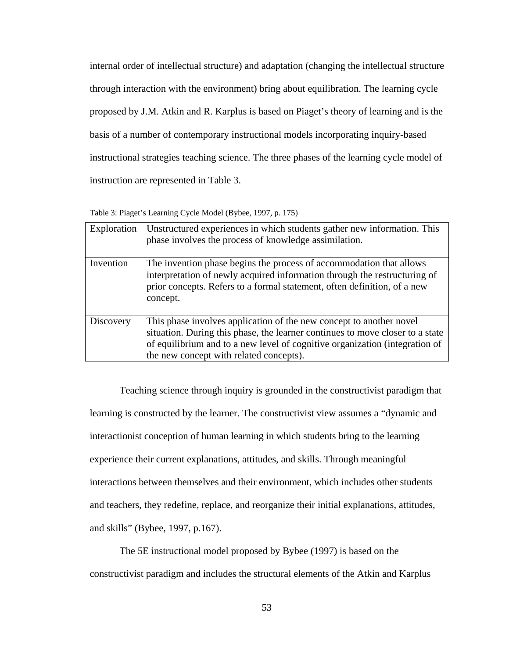internal order of intellectual structure) and adaptation (changing the intellectual structure through interaction with the environment) bring about equilibration. The learning cycle proposed by J.M. Atkin and R. Karplus is based on Piaget's theory of learning and is the basis of a number of contemporary instructional models incorporating inquiry-based instructional strategies teaching science. The three phases of the learning cycle model of instruction are represented in Table 3.

| Table 3: Piaget's Learning Cycle Model (Bybee, 1997, p. 175) |  |  |
|--------------------------------------------------------------|--|--|
|--------------------------------------------------------------|--|--|

| Exploration | Unstructured experiences in which students gather new information. This<br>phase involves the process of knowledge assimilation.                                                                                                                                               |
|-------------|--------------------------------------------------------------------------------------------------------------------------------------------------------------------------------------------------------------------------------------------------------------------------------|
| Invention   | The invention phase begins the process of accommodation that allows<br>interpretation of newly acquired information through the restructuring of<br>prior concepts. Refers to a formal statement, often definition, of a new<br>concept.                                       |
| Discovery   | This phase involves application of the new concept to another novel<br>situation. During this phase, the learner continues to move closer to a state<br>of equilibrium and to a new level of cognitive organization (integration of<br>the new concept with related concepts). |

 Teaching science through inquiry is grounded in the constructivist paradigm that learning is constructed by the learner. The constructivist view assumes a "dynamic and interactionist conception of human learning in which students bring to the learning experience their current explanations, attitudes, and skills. Through meaningful interactions between themselves and their environment, which includes other students and teachers, they redefine, replace, and reorganize their initial explanations, attitudes, and skills" (Bybee, 1997, p.167).

 The 5E instructional model proposed by Bybee (1997) is based on the constructivist paradigm and includes the structural elements of the Atkin and Karplus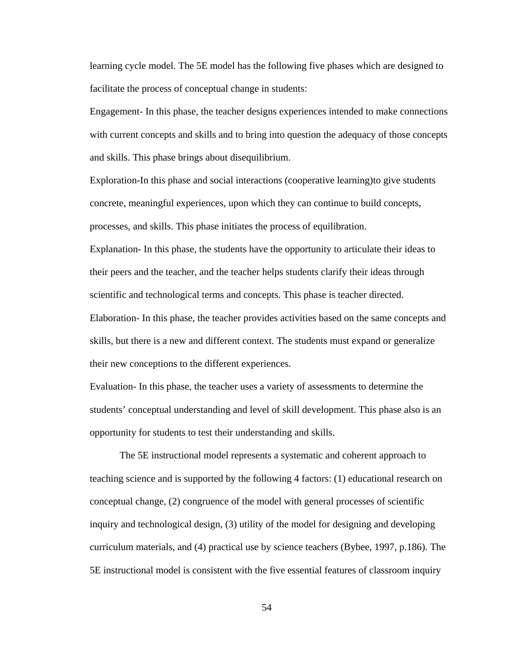learning cycle model. The 5E model has the following five phases which are designed to facilitate the process of conceptual change in students:

Engagement- In this phase, the teacher designs experiences intended to make connections with current concepts and skills and to bring into question the adequacy of those concepts and skills. This phase brings about disequilibrium.

Exploration-In this phase and social interactions (cooperative learning)to give students concrete, meaningful experiences, upon which they can continue to build concepts, processes, and skills. This phase initiates the process of equilibration.

Explanation- In this phase, the students have the opportunity to articulate their ideas to their peers and the teacher, and the teacher helps students clarify their ideas through scientific and technological terms and concepts. This phase is teacher directed. Elaboration- In this phase, the teacher provides activities based on the same concepts and skills, but there is a new and different context. The students must expand or generalize

their new conceptions to the different experiences.

Evaluation- In this phase, the teacher uses a variety of assessments to determine the students' conceptual understanding and level of skill development. This phase also is an opportunity for students to test their understanding and skills.

 The 5E instructional model represents a systematic and coherent approach to teaching science and is supported by the following 4 factors: (1) educational research on conceptual change, (2) congruence of the model with general processes of scientific inquiry and technological design, (3) utility of the model for designing and developing curriculum materials, and (4) practical use by science teachers (Bybee, 1997, p.186). The 5E instructional model is consistent with the five essential features of classroom inquiry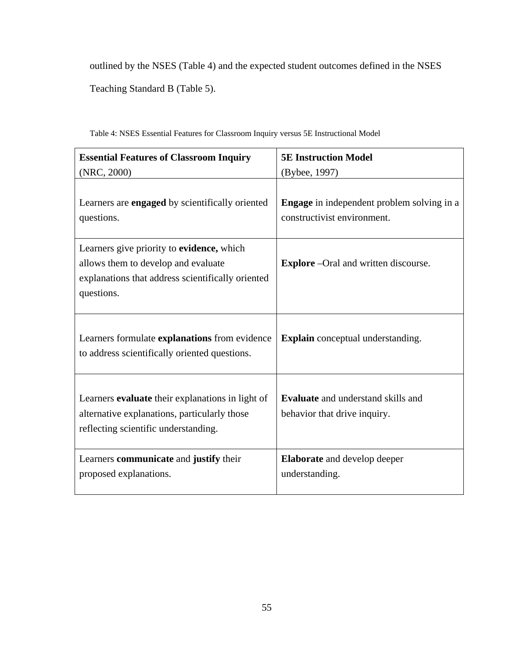outlined by the NSES (Table 4) and the expected student outcomes defined in the NSES Teaching Standard B (Table 5).

| <b>Essential Features of Classroom Inquiry</b>                                                                                                      | <b>5E Instruction Model</b>                                                      |
|-----------------------------------------------------------------------------------------------------------------------------------------------------|----------------------------------------------------------------------------------|
| (NRC, 2000)                                                                                                                                         | (Bybee, 1997)                                                                    |
| Learners are <b>engaged</b> by scientifically oriented<br>questions.                                                                                | <b>Engage</b> in independent problem solving in a<br>constructivist environment. |
| Learners give priority to evidence, which<br>allows them to develop and evaluate<br>explanations that address scientifically oriented<br>questions. | <b>Explore</b> –Oral and written discourse.                                      |
| Learners formulate explanations from evidence<br>to address scientifically oriented questions.                                                      | <b>Explain</b> conceptual understanding.                                         |
| Learners evaluate their explanations in light of<br>alternative explanations, particularly those<br>reflecting scientific understanding.            | <b>Evaluate</b> and understand skills and<br>behavior that drive inquiry.        |
| Learners communicate and justify their<br>proposed explanations.                                                                                    | <b>Elaborate</b> and develop deeper<br>understanding.                            |

Table 4: NSES Essential Features for Classroom Inquiry versus 5E Instructional Model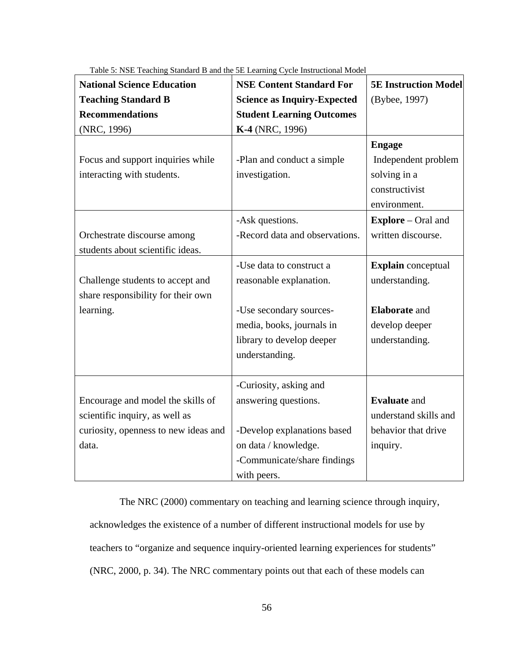| <b>National Science Education</b>    | <b>NSE Content Standard For</b>    | <b>5E Instruction Model</b> |
|--------------------------------------|------------------------------------|-----------------------------|
| <b>Teaching Standard B</b>           | <b>Science as Inquiry-Expected</b> | (Bybee, 1997)               |
| <b>Recommendations</b>               | <b>Student Learning Outcomes</b>   |                             |
| (NRC, 1996)                          | K-4 (NRC, 1996)                    |                             |
|                                      |                                    | <b>Engage</b>               |
| Focus and support inquiries while    | -Plan and conduct a simple         | Independent problem         |
| interacting with students.           | investigation.                     | solving in a                |
|                                      |                                    | constructivist              |
|                                      |                                    | environment.                |
|                                      | -Ask questions.                    | <b>Explore</b> – Oral and   |
| Orchestrate discourse among          | -Record data and observations.     | written discourse.          |
| students about scientific ideas.     |                                    |                             |
|                                      | -Use data to construct a           | <b>Explain</b> conceptual   |
| Challenge students to accept and     | reasonable explanation.            | understanding.              |
| share responsibility for their own   |                                    |                             |
| learning.                            | -Use secondary sources-            | <b>Elaborate</b> and        |
|                                      | media, books, journals in          | develop deeper              |
|                                      | library to develop deeper          | understanding.              |
|                                      | understanding.                     |                             |
|                                      |                                    |                             |
|                                      | -Curiosity, asking and             |                             |
| Encourage and model the skills of    | answering questions.               | <b>Evaluate</b> and         |
| scientific inquiry, as well as       |                                    | understand skills and       |
| curiosity, openness to new ideas and | -Develop explanations based        | behavior that drive         |
| data.                                | on data / knowledge.               | inquiry.                    |
|                                      | -Communicate/share findings        |                             |
|                                      | with peers.                        |                             |

Table 5: NSE Teaching Standard B and the 5E Learning Cycle Instructional Model

 The NRC (2000) commentary on teaching and learning science through inquiry, acknowledges the existence of a number of different instructional models for use by teachers to "organize and sequence inquiry-oriented learning experiences for students" (NRC, 2000, p. 34). The NRC commentary points out that each of these models can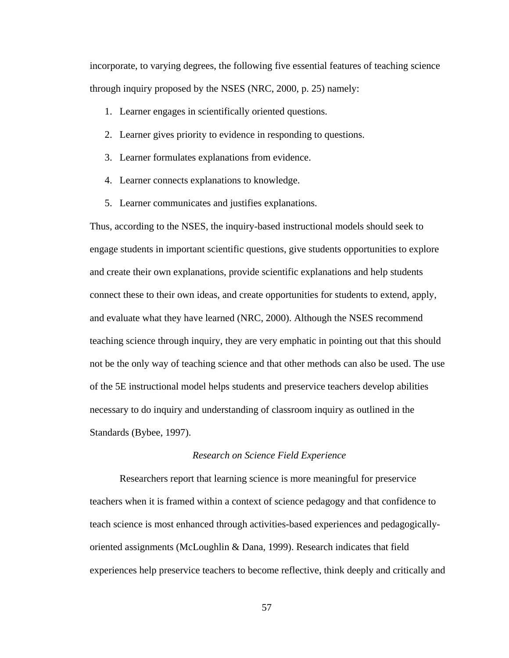incorporate, to varying degrees, the following five essential features of teaching science through inquiry proposed by the NSES (NRC, 2000, p. 25) namely:

- 1. Learner engages in scientifically oriented questions.
- 2. Learner gives priority to evidence in responding to questions.
- 3. Learner formulates explanations from evidence.
- 4. Learner connects explanations to knowledge.
- 5. Learner communicates and justifies explanations.

Thus, according to the NSES, the inquiry-based instructional models should seek to engage students in important scientific questions, give students opportunities to explore and create their own explanations, provide scientific explanations and help students connect these to their own ideas, and create opportunities for students to extend, apply, and evaluate what they have learned (NRC, 2000). Although the NSES recommend teaching science through inquiry, they are very emphatic in pointing out that this should not be the only way of teaching science and that other methods can also be used. The use of the 5E instructional model helps students and preservice teachers develop abilities necessary to do inquiry and understanding of classroom inquiry as outlined in the Standards (Bybee, 1997).

## *Research on Science Field Experience*

 Researchers report that learning science is more meaningful for preservice teachers when it is framed within a context of science pedagogy and that confidence to teach science is most enhanced through activities-based experiences and pedagogicallyoriented assignments (McLoughlin & Dana, 1999). Research indicates that field experiences help preservice teachers to become reflective, think deeply and critically and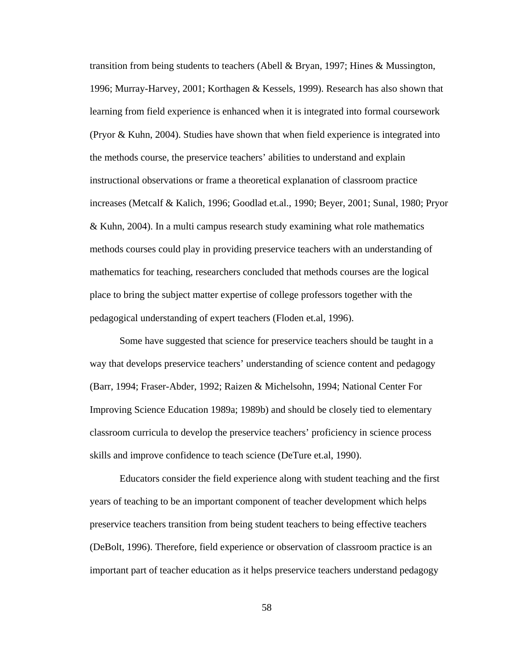transition from being students to teachers (Abell & Bryan, 1997; Hines & Mussington, 1996; Murray-Harvey, 2001; Korthagen & Kessels, 1999). Research has also shown that learning from field experience is enhanced when it is integrated into formal coursework (Pryor & Kuhn, 2004). Studies have shown that when field experience is integrated into the methods course, the preservice teachers' abilities to understand and explain instructional observations or frame a theoretical explanation of classroom practice increases (Metcalf & Kalich, 1996; Goodlad et.al., 1990; Beyer, 2001; Sunal, 1980; Pryor & Kuhn, 2004). In a multi campus research study examining what role mathematics methods courses could play in providing preservice teachers with an understanding of mathematics for teaching, researchers concluded that methods courses are the logical place to bring the subject matter expertise of college professors together with the pedagogical understanding of expert teachers (Floden et.al, 1996).

 Some have suggested that science for preservice teachers should be taught in a way that develops preservice teachers' understanding of science content and pedagogy (Barr, 1994; Fraser-Abder, 1992; Raizen & Michelsohn, 1994; National Center For Improving Science Education 1989a; 1989b) and should be closely tied to elementary classroom curricula to develop the preservice teachers' proficiency in science process skills and improve confidence to teach science (DeTure et.al, 1990).

 Educators consider the field experience along with student teaching and the first years of teaching to be an important component of teacher development which helps preservice teachers transition from being student teachers to being effective teachers (DeBolt, 1996). Therefore, field experience or observation of classroom practice is an important part of teacher education as it helps preservice teachers understand pedagogy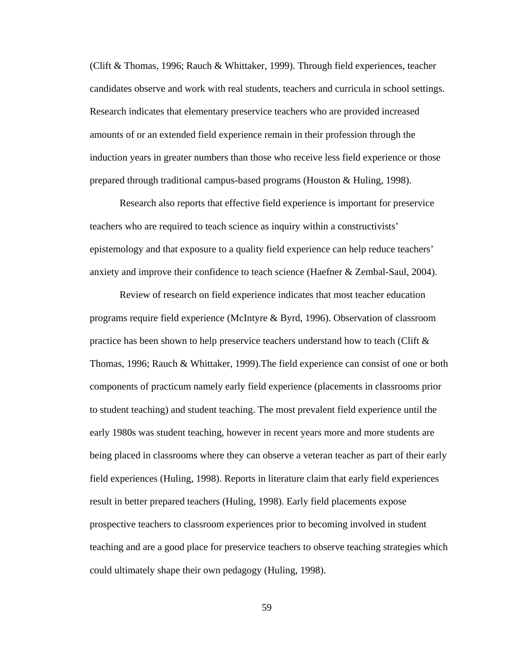(Clift & Thomas, 1996; Rauch & Whittaker, 1999). Through field experiences, teacher candidates observe and work with real students, teachers and curricula in school settings. Research indicates that elementary preservice teachers who are provided increased amounts of or an extended field experience remain in their profession through the induction years in greater numbers than those who receive less field experience or those prepared through traditional campus-based programs (Houston & Huling, 1998).

 Research also reports that effective field experience is important for preservice teachers who are required to teach science as inquiry within a constructivists' epistemology and that exposure to a quality field experience can help reduce teachers' anxiety and improve their confidence to teach science (Haefner & Zembal-Saul, 2004).

 Review of research on field experience indicates that most teacher education programs require field experience (McIntyre & Byrd, 1996). Observation of classroom practice has been shown to help preservice teachers understand how to teach (Clift  $\&$ Thomas, 1996; Rauch & Whittaker, 1999).The field experience can consist of one or both components of practicum namely early field experience (placements in classrooms prior to student teaching) and student teaching. The most prevalent field experience until the early 1980s was student teaching, however in recent years more and more students are being placed in classrooms where they can observe a veteran teacher as part of their early field experiences (Huling, 1998). Reports in literature claim that early field experiences result in better prepared teachers (Huling, 1998). Early field placements expose prospective teachers to classroom experiences prior to becoming involved in student teaching and are a good place for preservice teachers to observe teaching strategies which could ultimately shape their own pedagogy (Huling, 1998).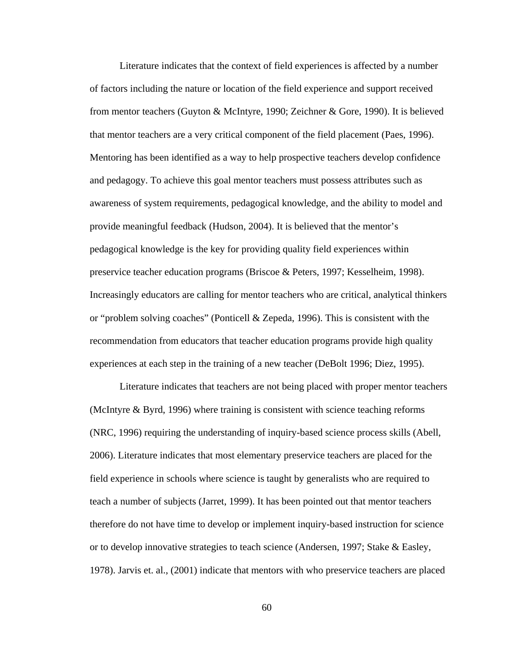Literature indicates that the context of field experiences is affected by a number of factors including the nature or location of the field experience and support received from mentor teachers (Guyton & McIntyre, 1990; Zeichner & Gore, 1990). It is believed that mentor teachers are a very critical component of the field placement (Paes, 1996). Mentoring has been identified as a way to help prospective teachers develop confidence and pedagogy. To achieve this goal mentor teachers must possess attributes such as awareness of system requirements, pedagogical knowledge, and the ability to model and provide meaningful feedback (Hudson, 2004). It is believed that the mentor's pedagogical knowledge is the key for providing quality field experiences within preservice teacher education programs (Briscoe & Peters, 1997; Kesselheim, 1998). Increasingly educators are calling for mentor teachers who are critical, analytical thinkers or "problem solving coaches" (Ponticell & Zepeda, 1996). This is consistent with the recommendation from educators that teacher education programs provide high quality experiences at each step in the training of a new teacher (DeBolt 1996; Diez, 1995).

 Literature indicates that teachers are not being placed with proper mentor teachers (McIntyre & Byrd, 1996) where training is consistent with science teaching reforms (NRC, 1996) requiring the understanding of inquiry-based science process skills (Abell, 2006). Literature indicates that most elementary preservice teachers are placed for the field experience in schools where science is taught by generalists who are required to teach a number of subjects (Jarret, 1999). It has been pointed out that mentor teachers therefore do not have time to develop or implement inquiry-based instruction for science or to develop innovative strategies to teach science (Andersen, 1997; Stake & Easley, 1978). Jarvis et. al., (2001) indicate that mentors with who preservice teachers are placed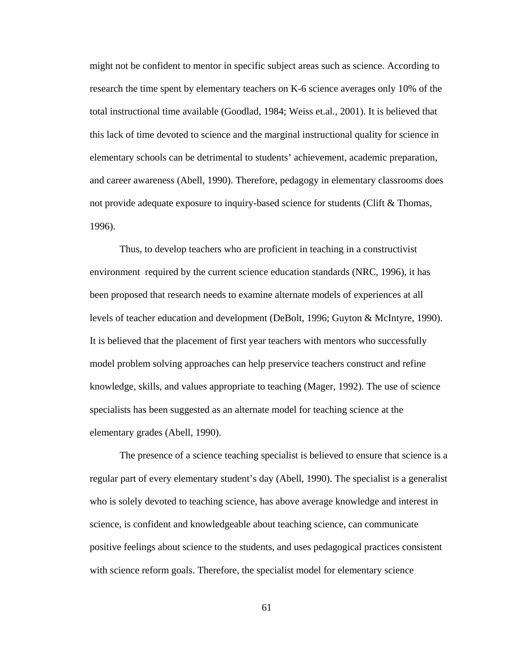might not be confident to mentor in specific subject areas such as science. According to research the time spent by elementary teachers on K-6 science averages only 10% of the total instructional time available (Goodlad, 1984; Weiss et.al., 2001). It is believed that this lack of time devoted to science and the marginal instructional quality for science in elementary schools can be detrimental to students' achievement, academic preparation, and career awareness (Abell, 1990). Therefore, pedagogy in elementary classrooms does not provide adequate exposure to inquiry-based science for students (Clift & Thomas, 1996).

 Thus, to develop teachers who are proficient in teaching in a constructivist environment required by the current science education standards (NRC, 1996), it has been proposed that research needs to examine alternate models of experiences at all levels of teacher education and development (DeBolt, 1996; Guyton & McIntyre, 1990). It is believed that the placement of first year teachers with mentors who successfully model problem solving approaches can help preservice teachers construct and refine knowledge, skills, and values appropriate to teaching (Mager, 1992). The use of science specialists has been suggested as an alternate model for teaching science at the elementary grades (Abell, 1990).

 The presence of a science teaching specialist is believed to ensure that science is a regular part of every elementary student's day (Abell, 1990). The specialist is a generalist who is solely devoted to teaching science, has above average knowledge and interest in science, is confident and knowledgeable about teaching science, can communicate positive feelings about science to the students, and uses pedagogical practices consistent with science reform goals. Therefore, the specialist model for elementary science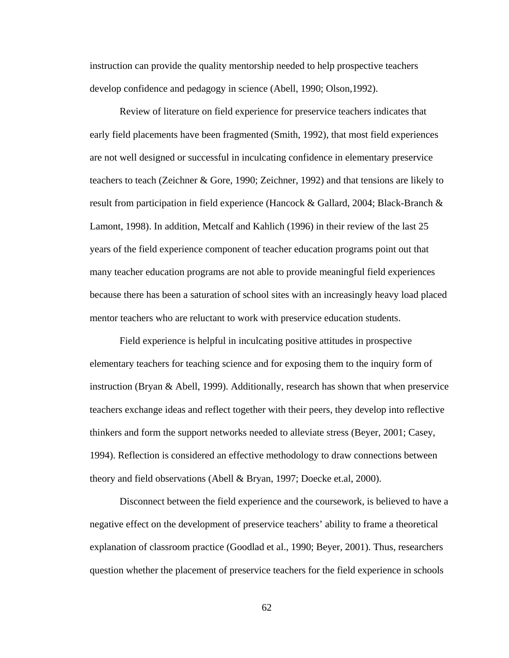instruction can provide the quality mentorship needed to help prospective teachers develop confidence and pedagogy in science (Abell, 1990; Olson,1992).

 Review of literature on field experience for preservice teachers indicates that early field placements have been fragmented (Smith, 1992), that most field experiences are not well designed or successful in inculcating confidence in elementary preservice teachers to teach (Zeichner & Gore, 1990; Zeichner, 1992) and that tensions are likely to result from participation in field experience (Hancock & Gallard, 2004; Black-Branch & Lamont, 1998). In addition, Metcalf and Kahlich (1996) in their review of the last 25 years of the field experience component of teacher education programs point out that many teacher education programs are not able to provide meaningful field experiences because there has been a saturation of school sites with an increasingly heavy load placed mentor teachers who are reluctant to work with preservice education students.

 Field experience is helpful in inculcating positive attitudes in prospective elementary teachers for teaching science and for exposing them to the inquiry form of instruction (Bryan & Abell, 1999). Additionally, research has shown that when preservice teachers exchange ideas and reflect together with their peers, they develop into reflective thinkers and form the support networks needed to alleviate stress (Beyer, 2001; Casey, 1994). Reflection is considered an effective methodology to draw connections between theory and field observations (Abell & Bryan, 1997; Doecke et.al, 2000).

 Disconnect between the field experience and the coursework, is believed to have a negative effect on the development of preservice teachers' ability to frame a theoretical explanation of classroom practice (Goodlad et al., 1990; Beyer, 2001). Thus, researchers question whether the placement of preservice teachers for the field experience in schools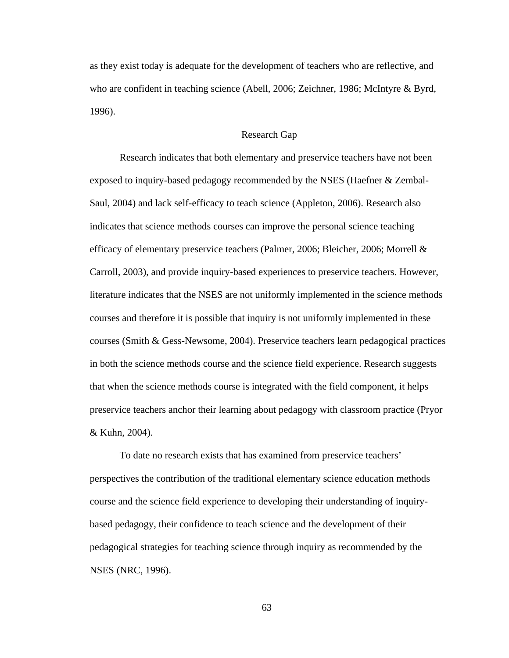as they exist today is adequate for the development of teachers who are reflective, and who are confident in teaching science (Abell, 2006; Zeichner, 1986; McIntyre & Byrd, 1996).

## Research Gap

 Research indicates that both elementary and preservice teachers have not been exposed to inquiry-based pedagogy recommended by the NSES (Haefner & Zembal-Saul, 2004) and lack self-efficacy to teach science (Appleton, 2006). Research also indicates that science methods courses can improve the personal science teaching efficacy of elementary preservice teachers (Palmer, 2006; Bleicher, 2006; Morrell & Carroll, 2003), and provide inquiry-based experiences to preservice teachers. However, literature indicates that the NSES are not uniformly implemented in the science methods courses and therefore it is possible that inquiry is not uniformly implemented in these courses (Smith & Gess-Newsome, 2004). Preservice teachers learn pedagogical practices in both the science methods course and the science field experience. Research suggests that when the science methods course is integrated with the field component, it helps preservice teachers anchor their learning about pedagogy with classroom practice (Pryor & Kuhn, 2004).

 To date no research exists that has examined from preservice teachers' perspectives the contribution of the traditional elementary science education methods course and the science field experience to developing their understanding of inquirybased pedagogy, their confidence to teach science and the development of their pedagogical strategies for teaching science through inquiry as recommended by the NSES (NRC, 1996).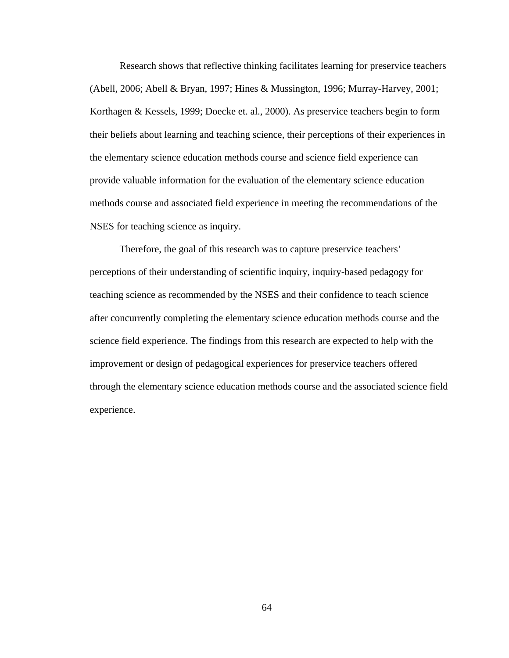Research shows that reflective thinking facilitates learning for preservice teachers (Abell, 2006; Abell & Bryan, 1997; Hines & Mussington, 1996; Murray-Harvey, 2001; Korthagen & Kessels, 1999; Doecke et. al., 2000). As preservice teachers begin to form their beliefs about learning and teaching science, their perceptions of their experiences in the elementary science education methods course and science field experience can provide valuable information for the evaluation of the elementary science education methods course and associated field experience in meeting the recommendations of the NSES for teaching science as inquiry.

 Therefore, the goal of this research was to capture preservice teachers' perceptions of their understanding of scientific inquiry, inquiry-based pedagogy for teaching science as recommended by the NSES and their confidence to teach science after concurrently completing the elementary science education methods course and the science field experience. The findings from this research are expected to help with the improvement or design of pedagogical experiences for preservice teachers offered through the elementary science education methods course and the associated science field experience.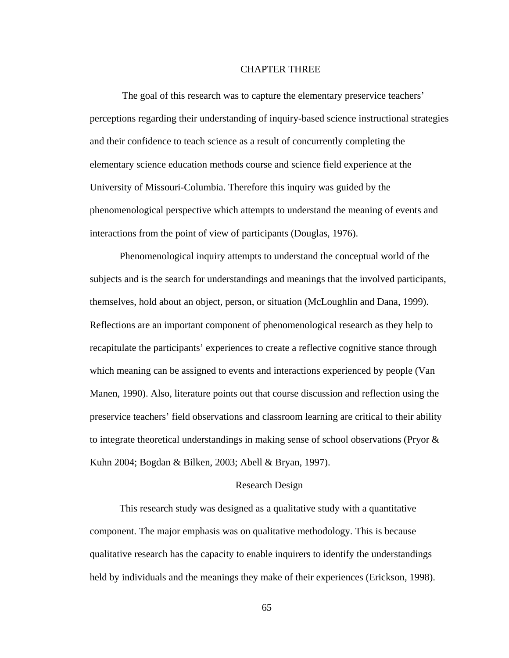# CHAPTER THREE

 The goal of this research was to capture the elementary preservice teachers' perceptions regarding their understanding of inquiry-based science instructional strategies and their confidence to teach science as a result of concurrently completing the elementary science education methods course and science field experience at the University of Missouri-Columbia. Therefore this inquiry was guided by the phenomenological perspective which attempts to understand the meaning of events and interactions from the point of view of participants (Douglas, 1976).

 Phenomenological inquiry attempts to understand the conceptual world of the subjects and is the search for understandings and meanings that the involved participants, themselves, hold about an object, person, or situation (McLoughlin and Dana, 1999). Reflections are an important component of phenomenological research as they help to recapitulate the participants' experiences to create a reflective cognitive stance through which meaning can be assigned to events and interactions experienced by people (Van Manen, 1990). Also, literature points out that course discussion and reflection using the preservice teachers' field observations and classroom learning are critical to their ability to integrate theoretical understandings in making sense of school observations (Pryor  $\&$ Kuhn 2004; Bogdan & Bilken, 2003; Abell & Bryan, 1997).

# Research Design

 This research study was designed as a qualitative study with a quantitative component. The major emphasis was on qualitative methodology. This is because qualitative research has the capacity to enable inquirers to identify the understandings held by individuals and the meanings they make of their experiences (Erickson, 1998).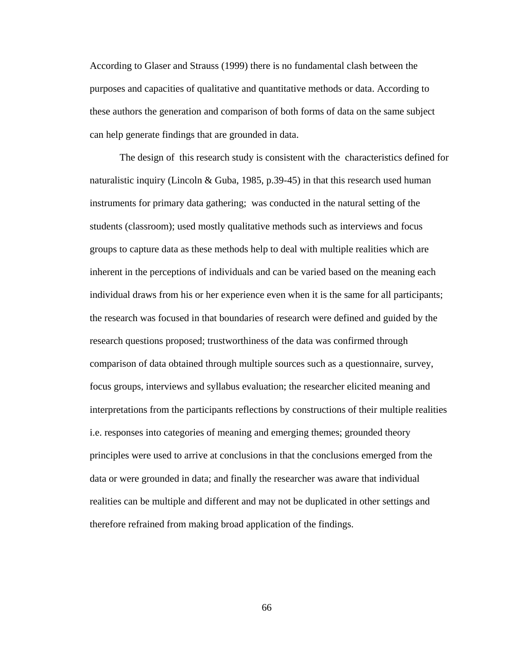According to Glaser and Strauss (1999) there is no fundamental clash between the purposes and capacities of qualitative and quantitative methods or data. According to these authors the generation and comparison of both forms of data on the same subject can help generate findings that are grounded in data.

 The design of this research study is consistent with the characteristics defined for naturalistic inquiry (Lincoln & Guba, 1985, p.39-45) in that this research used human instruments for primary data gathering; was conducted in the natural setting of the students (classroom); used mostly qualitative methods such as interviews and focus groups to capture data as these methods help to deal with multiple realities which are inherent in the perceptions of individuals and can be varied based on the meaning each individual draws from his or her experience even when it is the same for all participants; the research was focused in that boundaries of research were defined and guided by the research questions proposed; trustworthiness of the data was confirmed through comparison of data obtained through multiple sources such as a questionnaire, survey, focus groups, interviews and syllabus evaluation; the researcher elicited meaning and interpretations from the participants reflections by constructions of their multiple realities i.e. responses into categories of meaning and emerging themes; grounded theory principles were used to arrive at conclusions in that the conclusions emerged from the data or were grounded in data; and finally the researcher was aware that individual realities can be multiple and different and may not be duplicated in other settings and therefore refrained from making broad application of the findings.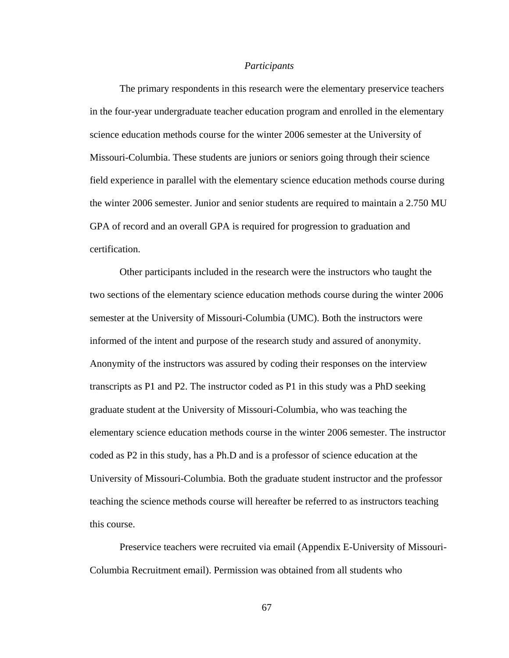#### *Participants*

 The primary respondents in this research were the elementary preservice teachers in the four-year undergraduate teacher education program and enrolled in the elementary science education methods course for the winter 2006 semester at the University of Missouri-Columbia. These students are juniors or seniors going through their science field experience in parallel with the elementary science education methods course during the winter 2006 semester. Junior and senior students are required to maintain a 2.750 MU GPA of record and an overall GPA is required for progression to graduation and certification.

 Other participants included in the research were the instructors who taught the two sections of the elementary science education methods course during the winter 2006 semester at the University of Missouri-Columbia (UMC). Both the instructors were informed of the intent and purpose of the research study and assured of anonymity. Anonymity of the instructors was assured by coding their responses on the interview transcripts as P1 and P2. The instructor coded as P1 in this study was a PhD seeking graduate student at the University of Missouri-Columbia, who was teaching the elementary science education methods course in the winter 2006 semester. The instructor coded as P2 in this study, has a Ph.D and is a professor of science education at the University of Missouri-Columbia. Both the graduate student instructor and the professor teaching the science methods course will hereafter be referred to as instructors teaching this course.

 Preservice teachers were recruited via email (Appendix E-University of Missouri-Columbia Recruitment email). Permission was obtained from all students who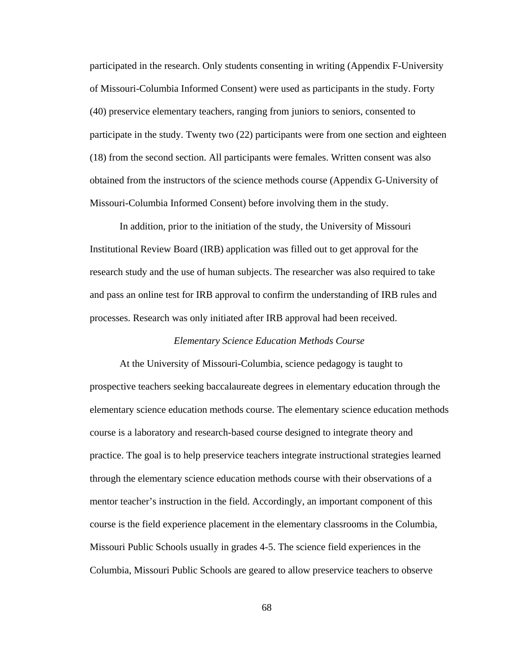participated in the research. Only students consenting in writing (Appendix F-University of Missouri-Columbia Informed Consent) were used as participants in the study. Forty (40) preservice elementary teachers, ranging from juniors to seniors, consented to participate in the study. Twenty two (22) participants were from one section and eighteen (18) from the second section. All participants were females. Written consent was also obtained from the instructors of the science methods course (Appendix G-University of Missouri-Columbia Informed Consent) before involving them in the study.

 In addition, prior to the initiation of the study, the University of Missouri Institutional Review Board (IRB) application was filled out to get approval for the research study and the use of human subjects. The researcher was also required to take and pass an online test for IRB approval to confirm the understanding of IRB rules and processes. Research was only initiated after IRB approval had been received.

#### *Elementary Science Education Methods Course*

 At the University of Missouri-Columbia, science pedagogy is taught to prospective teachers seeking baccalaureate degrees in elementary education through the elementary science education methods course. The elementary science education methods course is a laboratory and research-based course designed to integrate theory and practice. The goal is to help preservice teachers integrate instructional strategies learned through the elementary science education methods course with their observations of a mentor teacher's instruction in the field. Accordingly, an important component of this course is the field experience placement in the elementary classrooms in the Columbia, Missouri Public Schools usually in grades 4-5. The science field experiences in the Columbia, Missouri Public Schools are geared to allow preservice teachers to observe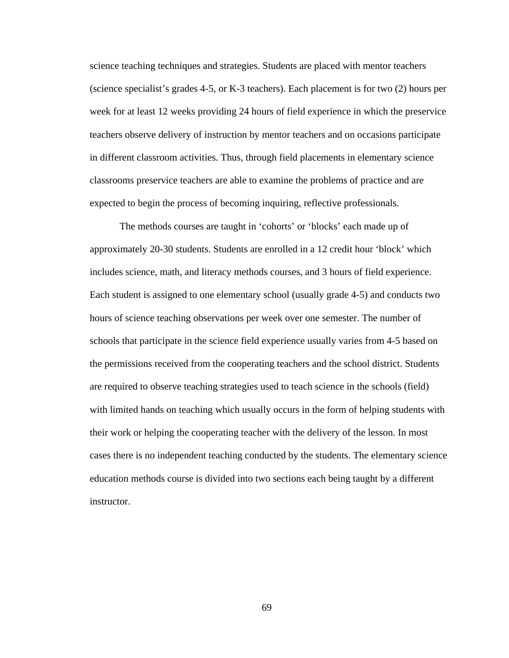science teaching techniques and strategies. Students are placed with mentor teachers (science specialist's grades 4-5, or K-3 teachers). Each placement is for two (2) hours per week for at least 12 weeks providing 24 hours of field experience in which the preservice teachers observe delivery of instruction by mentor teachers and on occasions participate in different classroom activities. Thus, through field placements in elementary science classrooms preservice teachers are able to examine the problems of practice and are expected to begin the process of becoming inquiring, reflective professionals.

 The methods courses are taught in 'cohorts' or 'blocks' each made up of approximately 20-30 students. Students are enrolled in a 12 credit hour 'block' which includes science, math, and literacy methods courses, and 3 hours of field experience. Each student is assigned to one elementary school (usually grade 4-5) and conducts two hours of science teaching observations per week over one semester. The number of schools that participate in the science field experience usually varies from 4-5 based on the permissions received from the cooperating teachers and the school district. Students are required to observe teaching strategies used to teach science in the schools (field) with limited hands on teaching which usually occurs in the form of helping students with their work or helping the cooperating teacher with the delivery of the lesson. In most cases there is no independent teaching conducted by the students. The elementary science education methods course is divided into two sections each being taught by a different instructor.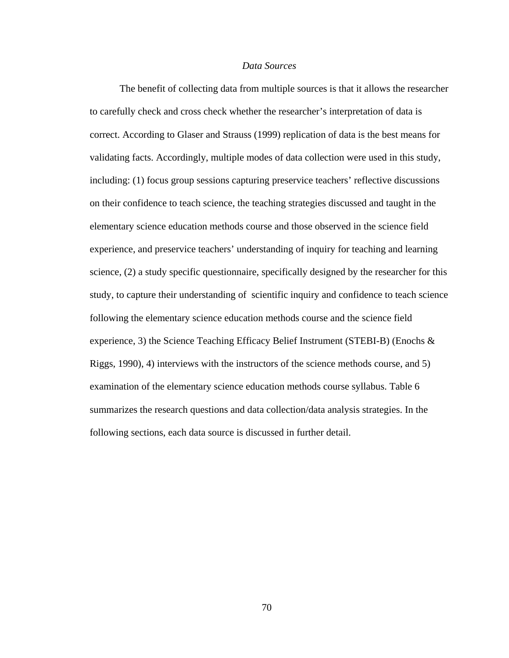### *Data Sources*

 The benefit of collecting data from multiple sources is that it allows the researcher to carefully check and cross check whether the researcher's interpretation of data is correct. According to Glaser and Strauss (1999) replication of data is the best means for validating facts. Accordingly, multiple modes of data collection were used in this study, including: (1) focus group sessions capturing preservice teachers' reflective discussions on their confidence to teach science, the teaching strategies discussed and taught in the elementary science education methods course and those observed in the science field experience, and preservice teachers' understanding of inquiry for teaching and learning science, (2) a study specific questionnaire, specifically designed by the researcher for this study, to capture their understanding of scientific inquiry and confidence to teach science following the elementary science education methods course and the science field experience, 3) the Science Teaching Efficacy Belief Instrument (STEBI-B) (Enochs & Riggs, 1990), 4) interviews with the instructors of the science methods course, and 5) examination of the elementary science education methods course syllabus. Table 6 summarizes the research questions and data collection/data analysis strategies. In the following sections, each data source is discussed in further detail.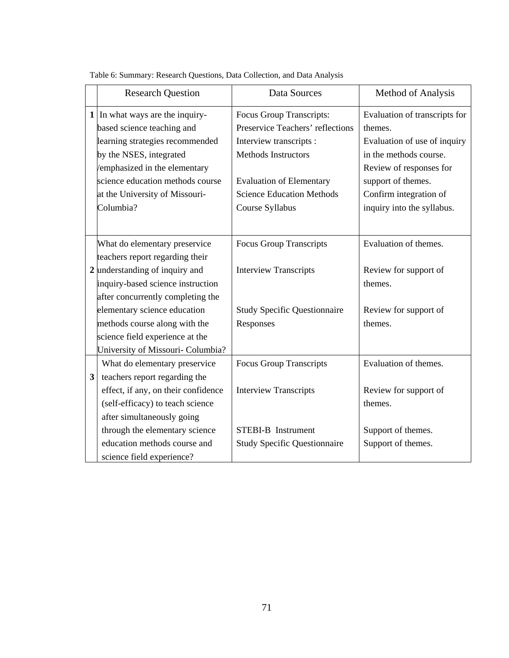|   | <b>Research Question</b>            | Data Sources                        | Method of Analysis            |  |
|---|-------------------------------------|-------------------------------------|-------------------------------|--|
|   | 1 In what ways are the inquiry-     | Focus Group Transcripts:            | Evaluation of transcripts for |  |
|   | based science teaching and          | Preservice Teachers' reflections    | themes.                       |  |
|   | learning strategies recommended     | Interview transcripts :             | Evaluation of use of inquiry  |  |
|   | by the NSES, integrated             | <b>Methods Instructors</b>          | in the methods course.        |  |
|   | emphasized in the elementary        |                                     | Review of responses for       |  |
|   | science education methods course    | <b>Evaluation of Elementary</b>     | support of themes.            |  |
|   | at the University of Missouri-      | <b>Science Education Methods</b>    | Confirm integration of        |  |
|   | Columbia?                           | Course Syllabus                     | inquiry into the syllabus.    |  |
|   |                                     |                                     |                               |  |
|   | What do elementary preservice       | <b>Focus Group Transcripts</b>      | Evaluation of themes.         |  |
|   | teachers report regarding their     |                                     |                               |  |
|   | 2 understanding of inquiry and      | <b>Interview Transcripts</b>        | Review for support of         |  |
|   | inquiry-based science instruction   |                                     | themes.                       |  |
|   | after concurrently completing the   |                                     |                               |  |
|   | elementary science education        | <b>Study Specific Questionnaire</b> | Review for support of         |  |
|   | methods course along with the       | Responses                           | themes.                       |  |
|   | science field experience at the     |                                     |                               |  |
|   | University of Missouri- Columbia?   |                                     |                               |  |
|   | What do elementary preservice       | <b>Focus Group Transcripts</b>      | Evaluation of themes.         |  |
| 3 | teachers report regarding the       |                                     |                               |  |
|   | effect, if any, on their confidence | <b>Interview Transcripts</b>        | Review for support of         |  |
|   | (self-efficacy) to teach science    |                                     | themes.                       |  |
|   | after simultaneously going          |                                     |                               |  |
|   | through the elementary science      | <b>STEBI-B</b> Instrument           | Support of themes.            |  |
|   | education methods course and        | <b>Study Specific Questionnaire</b> | Support of themes.            |  |
|   | science field experience?           |                                     |                               |  |

Table 6: Summary: Research Questions, Data Collection, and Data Analysis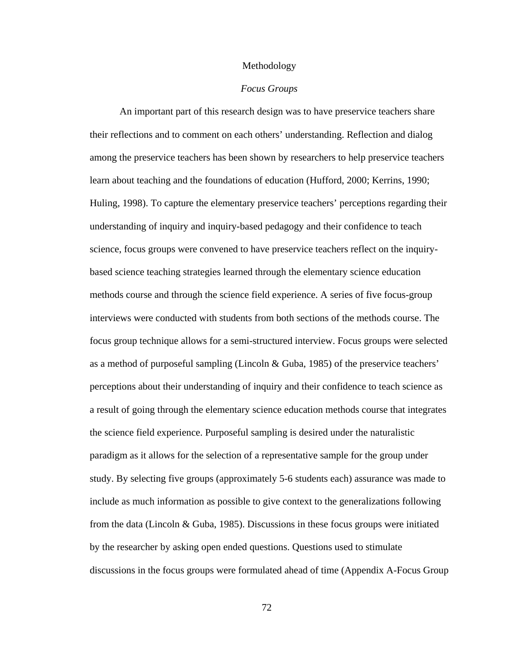#### Methodology

#### *Focus Groups*

 An important part of this research design was to have preservice teachers share their reflections and to comment on each others' understanding. Reflection and dialog among the preservice teachers has been shown by researchers to help preservice teachers learn about teaching and the foundations of education (Hufford, 2000; Kerrins, 1990; Huling, 1998). To capture the elementary preservice teachers' perceptions regarding their understanding of inquiry and inquiry-based pedagogy and their confidence to teach science, focus groups were convened to have preservice teachers reflect on the inquirybased science teaching strategies learned through the elementary science education methods course and through the science field experience. A series of five focus-group interviews were conducted with students from both sections of the methods course. The focus group technique allows for a semi-structured interview. Focus groups were selected as a method of purposeful sampling (Lincoln & Guba, 1985) of the preservice teachers' perceptions about their understanding of inquiry and their confidence to teach science as a result of going through the elementary science education methods course that integrates the science field experience. Purposeful sampling is desired under the naturalistic paradigm as it allows for the selection of a representative sample for the group under study. By selecting five groups (approximately 5-6 students each) assurance was made to include as much information as possible to give context to the generalizations following from the data (Lincoln & Guba, 1985). Discussions in these focus groups were initiated by the researcher by asking open ended questions. Questions used to stimulate discussions in the focus groups were formulated ahead of time (Appendix A-Focus Group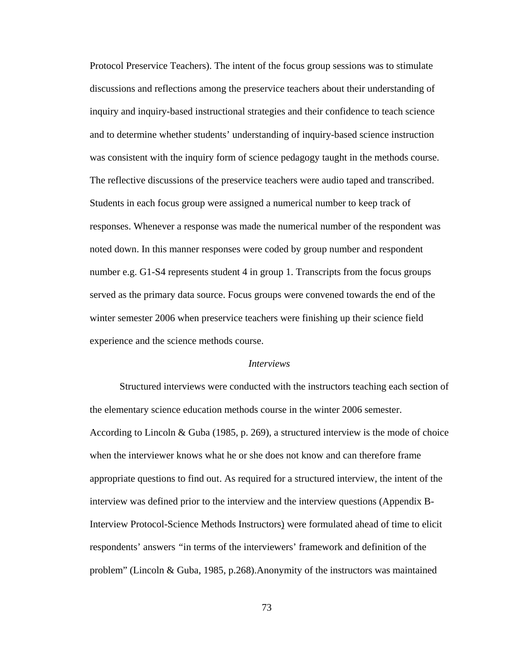Protocol Preservice Teachers). The intent of the focus group sessions was to stimulate discussions and reflections among the preservice teachers about their understanding of inquiry and inquiry-based instructional strategies and their confidence to teach science and to determine whether students' understanding of inquiry-based science instruction was consistent with the inquiry form of science pedagogy taught in the methods course. The reflective discussions of the preservice teachers were audio taped and transcribed. Students in each focus group were assigned a numerical number to keep track of responses. Whenever a response was made the numerical number of the respondent was noted down. In this manner responses were coded by group number and respondent number e.g. G1-S4 represents student 4 in group 1. Transcripts from the focus groups served as the primary data source. Focus groups were convened towards the end of the winter semester 2006 when preservice teachers were finishing up their science field experience and the science methods course.

#### *Interviews*

 Structured interviews were conducted with the instructors teaching each section of the elementary science education methods course in the winter 2006 semester. According to Lincoln & Guba (1985, p. 269), a structured interview is the mode of choice when the interviewer knows what he or she does not know and can therefore frame appropriate questions to find out. As required for a structured interview, the intent of the interview was defined prior to the interview and the interview questions (Appendix B-Interview Protocol-Science Methods Instructors) were formulated ahead of time to elicit respondents' answers *"*in terms of the interviewers' framework and definition of the problem" (Lincoln & Guba, 1985, p.268).Anonymity of the instructors was maintained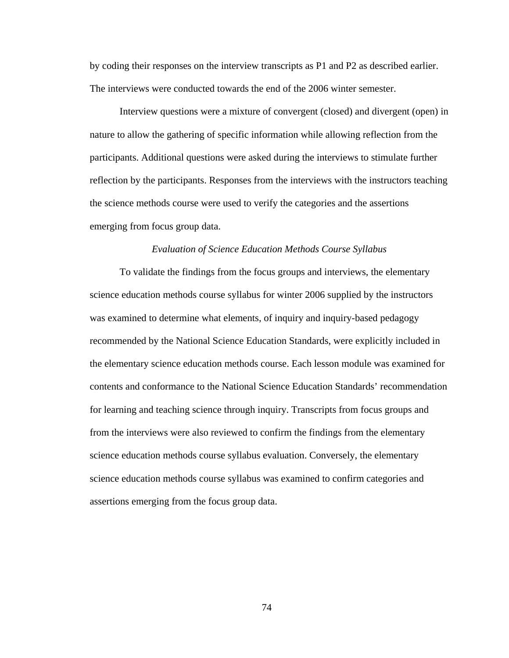by coding their responses on the interview transcripts as P1 and P2 as described earlier. The interviews were conducted towards the end of the 2006 winter semester.

 Interview questions were a mixture of convergent (closed) and divergent (open) in nature to allow the gathering of specific information while allowing reflection from the participants. Additional questions were asked during the interviews to stimulate further reflection by the participants. Responses from the interviews with the instructors teaching the science methods course were used to verify the categories and the assertions emerging from focus group data.

#### *Evaluation of Science Education Methods Course Syllabus*

 To validate the findings from the focus groups and interviews, the elementary science education methods course syllabus for winter 2006 supplied by the instructors was examined to determine what elements, of inquiry and inquiry-based pedagogy recommended by the National Science Education Standards, were explicitly included in the elementary science education methods course. Each lesson module was examined for contents and conformance to the National Science Education Standards' recommendation for learning and teaching science through inquiry. Transcripts from focus groups and from the interviews were also reviewed to confirm the findings from the elementary science education methods course syllabus evaluation. Conversely, the elementary science education methods course syllabus was examined to confirm categories and assertions emerging from the focus group data.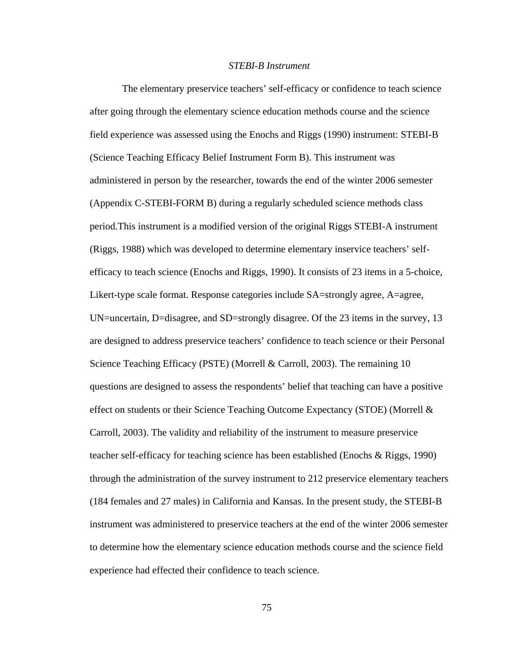### *STEBI-B Instrument*

 The elementary preservice teachers' self-efficacy or confidence to teach science after going through the elementary science education methods course and the science field experience was assessed using the Enochs and Riggs (1990) instrument: STEBI-B (Science Teaching Efficacy Belief Instrument Form B). This instrument was administered in person by the researcher, towards the end of the winter 2006 semester (Appendix C-STEBI-FORM B) during a regularly scheduled science methods class period.This instrument is a modified version of the original Riggs STEBI-A instrument (Riggs, 1988) which was developed to determine elementary inservice teachers' selfefficacy to teach science (Enochs and Riggs, 1990). It consists of 23 items in a 5-choice, Likert-type scale format. Response categories include SA=strongly agree, A=agree, UN=uncertain, D=disagree, and SD=strongly disagree. Of the 23 items in the survey, 13 are designed to address preservice teachers' confidence to teach science or their Personal Science Teaching Efficacy (PSTE) (Morrell & Carroll, 2003). The remaining 10 questions are designed to assess the respondents' belief that teaching can have a positive effect on students or their Science Teaching Outcome Expectancy (STOE) (Morrell  $\&$ Carroll, 2003). The validity and reliability of the instrument to measure preservice teacher self-efficacy for teaching science has been established (Enochs & Riggs, 1990) through the administration of the survey instrument to 212 preservice elementary teachers (184 females and 27 males) in California and Kansas. In the present study, the STEBI-B instrument was administered to preservice teachers at the end of the winter 2006 semester to determine how the elementary science education methods course and the science field experience had effected their confidence to teach science.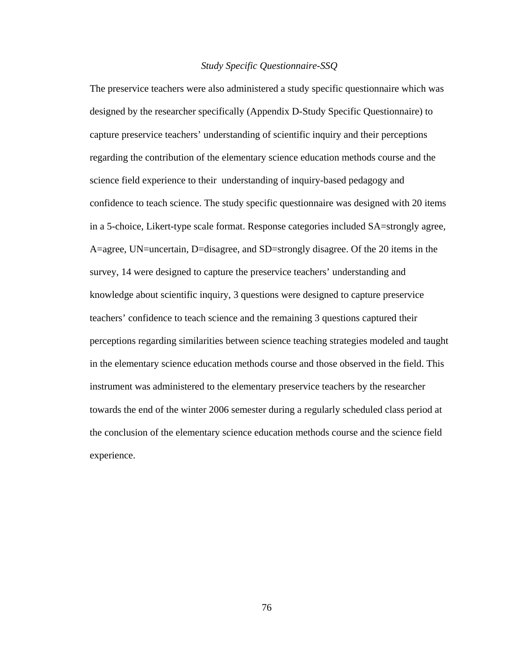# *Study Specific Questionnaire-SSQ*

The preservice teachers were also administered a study specific questionnaire which was designed by the researcher specifically (Appendix D-Study Specific Questionnaire) to capture preservice teachers' understanding of scientific inquiry and their perceptions regarding the contribution of the elementary science education methods course and the science field experience to their understanding of inquiry-based pedagogy and confidence to teach science. The study specific questionnaire was designed with 20 items in a 5-choice, Likert-type scale format. Response categories included SA=strongly agree, A=agree, UN=uncertain, D=disagree, and SD=strongly disagree. Of the 20 items in the survey, 14 were designed to capture the preservice teachers' understanding and knowledge about scientific inquiry, 3 questions were designed to capture preservice teachers' confidence to teach science and the remaining 3 questions captured their perceptions regarding similarities between science teaching strategies modeled and taught in the elementary science education methods course and those observed in the field. This instrument was administered to the elementary preservice teachers by the researcher towards the end of the winter 2006 semester during a regularly scheduled class period at the conclusion of the elementary science education methods course and the science field experience.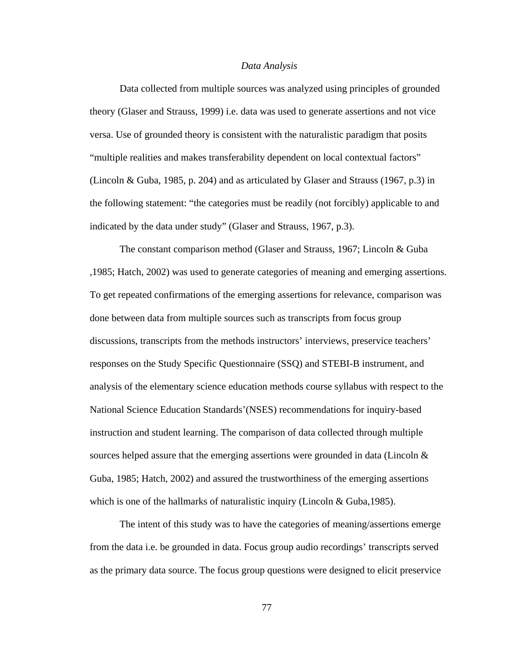#### *Data Analysis*

 Data collected from multiple sources was analyzed using principles of grounded theory (Glaser and Strauss, 1999) i.e. data was used to generate assertions and not vice versa. Use of grounded theory is consistent with the naturalistic paradigm that posits "multiple realities and makes transferability dependent on local contextual factors" (Lincoln & Guba, 1985, p. 204) and as articulated by Glaser and Strauss (1967, p.3) in the following statement: "the categories must be readily (not forcibly) applicable to and indicated by the data under study" (Glaser and Strauss, 1967, p.3).

 The constant comparison method (Glaser and Strauss, 1967; Lincoln & Guba ,1985; Hatch, 2002) was used to generate categories of meaning and emerging assertions. To get repeated confirmations of the emerging assertions for relevance, comparison was done between data from multiple sources such as transcripts from focus group discussions, transcripts from the methods instructors' interviews, preservice teachers' responses on the Study Specific Questionnaire (SSQ) and STEBI-B instrument, and analysis of the elementary science education methods course syllabus with respect to the National Science Education Standards'(NSES) recommendations for inquiry-based instruction and student learning. The comparison of data collected through multiple sources helped assure that the emerging assertions were grounded in data (Lincoln  $\&$ Guba, 1985; Hatch, 2002) and assured the trustworthiness of the emerging assertions which is one of the hallmarks of naturalistic inquiry (Lincoln & Guba, 1985).

 The intent of this study was to have the categories of meaning/assertions emerge from the data i.e. be grounded in data. Focus group audio recordings' transcripts served as the primary data source. The focus group questions were designed to elicit preservice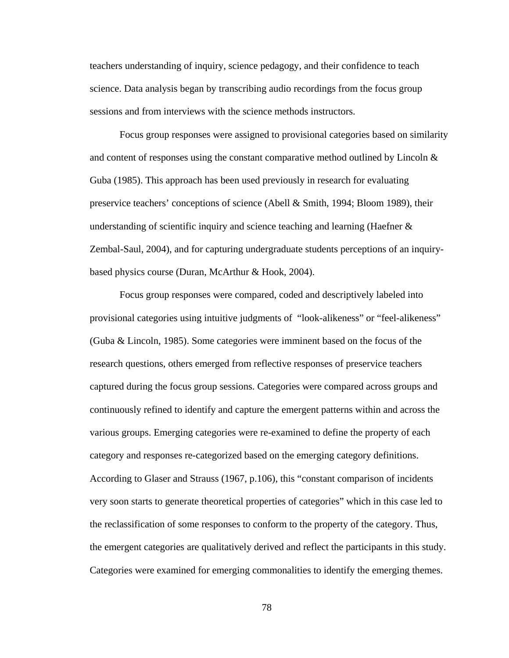teachers understanding of inquiry, science pedagogy, and their confidence to teach science. Data analysis began by transcribing audio recordings from the focus group sessions and from interviews with the science methods instructors.

 Focus group responses were assigned to provisional categories based on similarity and content of responses using the constant comparative method outlined by Lincoln  $\&$ Guba (1985). This approach has been used previously in research for evaluating preservice teachers' conceptions of science (Abell & Smith, 1994; Bloom 1989), their understanding of scientific inquiry and science teaching and learning (Haefner  $\&$ Zembal-Saul, 2004), and for capturing undergraduate students perceptions of an inquirybased physics course (Duran, McArthur & Hook, 2004).

 Focus group responses were compared, coded and descriptively labeled into provisional categories using intuitive judgments of "look-alikeness" or "feel-alikeness" (Guba & Lincoln, 1985). Some categories were imminent based on the focus of the research questions, others emerged from reflective responses of preservice teachers captured during the focus group sessions. Categories were compared across groups and continuously refined to identify and capture the emergent patterns within and across the various groups. Emerging categories were re-examined to define the property of each category and responses re-categorized based on the emerging category definitions. According to Glaser and Strauss (1967, p.106), this "constant comparison of incidents very soon starts to generate theoretical properties of categories" which in this case led to the reclassification of some responses to conform to the property of the category. Thus, the emergent categories are qualitatively derived and reflect the participants in this study. Categories were examined for emerging commonalities to identify the emerging themes.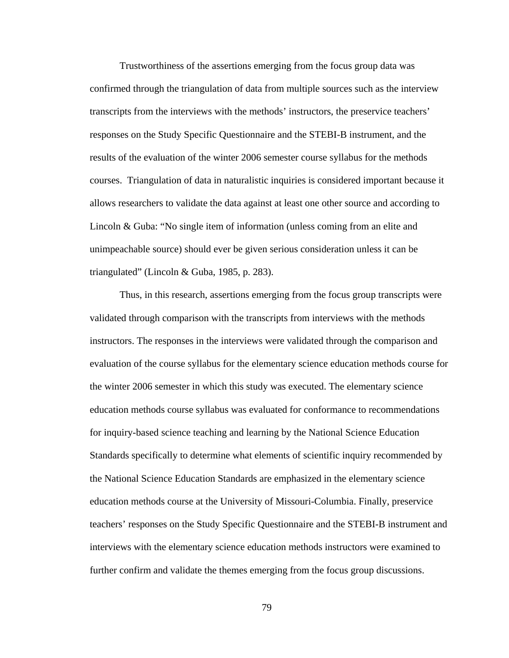Trustworthiness of the assertions emerging from the focus group data was confirmed through the triangulation of data from multiple sources such as the interview transcripts from the interviews with the methods' instructors, the preservice teachers' responses on the Study Specific Questionnaire and the STEBI-B instrument, and the results of the evaluation of the winter 2006 semester course syllabus for the methods courses. Triangulation of data in naturalistic inquiries is considered important because it allows researchers to validate the data against at least one other source and according to Lincoln & Guba: "No single item of information (unless coming from an elite and unimpeachable source) should ever be given serious consideration unless it can be triangulated" (Lincoln & Guba, 1985, p. 283).

 Thus, in this research, assertions emerging from the focus group transcripts were validated through comparison with the transcripts from interviews with the methods instructors. The responses in the interviews were validated through the comparison and evaluation of the course syllabus for the elementary science education methods course for the winter 2006 semester in which this study was executed. The elementary science education methods course syllabus was evaluated for conformance to recommendations for inquiry-based science teaching and learning by the National Science Education Standards specifically to determine what elements of scientific inquiry recommended by the National Science Education Standards are emphasized in the elementary science education methods course at the University of Missouri-Columbia. Finally, preservice teachers' responses on the Study Specific Questionnaire and the STEBI-B instrument and interviews with the elementary science education methods instructors were examined to further confirm and validate the themes emerging from the focus group discussions.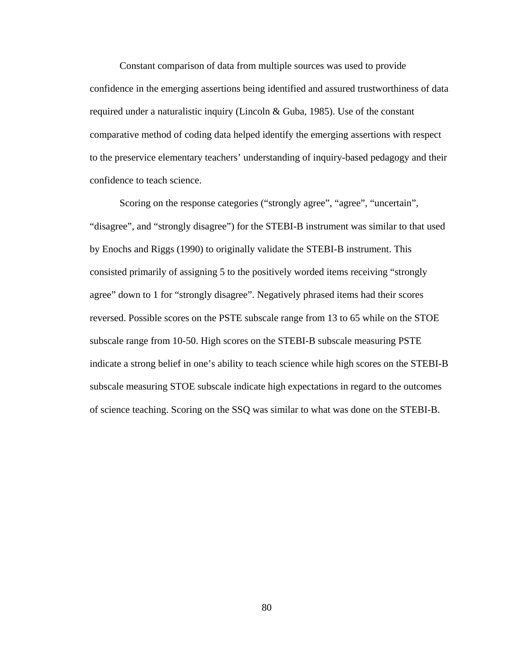Constant comparison of data from multiple sources was used to provide confidence in the emerging assertions being identified and assured trustworthiness of data required under a naturalistic inquiry (Lincoln & Guba, 1985). Use of the constant comparative method of coding data helped identify the emerging assertions with respect to the preservice elementary teachers' understanding of inquiry-based pedagogy and their confidence to teach science.

Scoring on the response categories ("strongly agree", "agree", "uncertain", "disagree", and "strongly disagree") for the STEBI-B instrument was similar to that used by Enochs and Riggs (1990) to originally validate the STEBI-B instrument. This consisted primarily of assigning 5 to the positively worded items receiving "strongly agree" down to 1 for "strongly disagree". Negatively phrased items had their scores reversed. Possible scores on the PSTE subscale range from 13 to 65 while on the STOE subscale range from 10-50. High scores on the STEBI-B subscale measuring PSTE indicate a strong belief in one's ability to teach science while high scores on the STEBI-B subscale measuring STOE subscale indicate high expectations in regard to the outcomes of science teaching. Scoring on the SSQ was similar to what was done on the STEBI-B.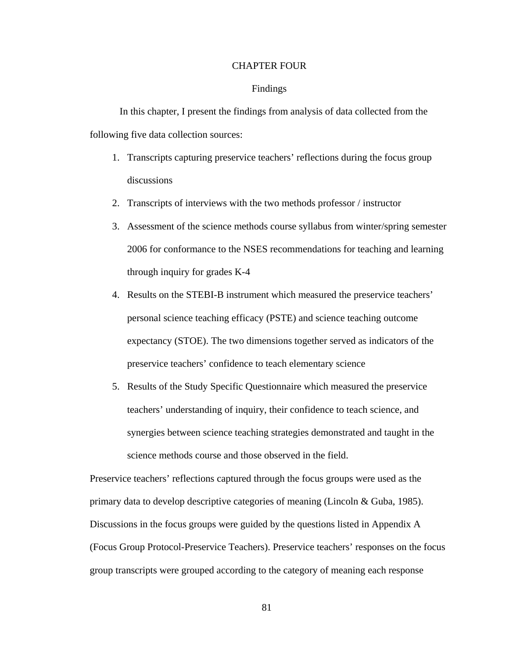### CHAPTER FOUR

# Findings

 In this chapter, I present the findings from analysis of data collected from the following five data collection sources:

- 1. Transcripts capturing preservice teachers' reflections during the focus group discussions
- 2. Transcripts of interviews with the two methods professor / instructor
- 3. Assessment of the science methods course syllabus from winter/spring semester 2006 for conformance to the NSES recommendations for teaching and learning through inquiry for grades K-4
- 4. Results on the STEBI-B instrument which measured the preservice teachers' personal science teaching efficacy (PSTE) and science teaching outcome expectancy (STOE). The two dimensions together served as indicators of the preservice teachers' confidence to teach elementary science
- 5. Results of the Study Specific Questionnaire which measured the preservice teachers' understanding of inquiry, their confidence to teach science, and synergies between science teaching strategies demonstrated and taught in the science methods course and those observed in the field.

Preservice teachers' reflections captured through the focus groups were used as the primary data to develop descriptive categories of meaning (Lincoln & Guba, 1985). Discussions in the focus groups were guided by the questions listed in Appendix A (Focus Group Protocol-Preservice Teachers). Preservice teachers' responses on the focus group transcripts were grouped according to the category of meaning each response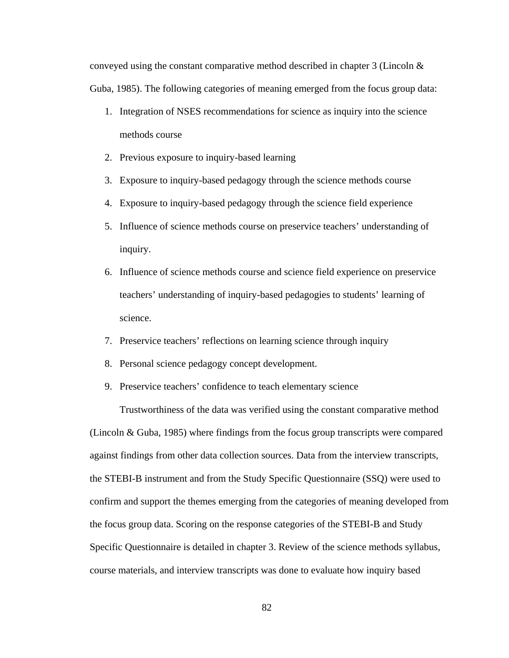conveyed using the constant comparative method described in chapter 3 (Lincoln & Guba, 1985). The following categories of meaning emerged from the focus group data:

- 1. Integration of NSES recommendations for science as inquiry into the science methods course
- 2. Previous exposure to inquiry-based learning
- 3. Exposure to inquiry-based pedagogy through the science methods course
- 4. Exposure to inquiry-based pedagogy through the science field experience
- 5. Influence of science methods course on preservice teachers' understanding of inquiry.
- 6. Influence of science methods course and science field experience on preservice teachers' understanding of inquiry-based pedagogies to students' learning of science.
- 7. Preservice teachers' reflections on learning science through inquiry
- 8. Personal science pedagogy concept development.
- 9. Preservice teachers' confidence to teach elementary science

 Trustworthiness of the data was verified using the constant comparative method (Lincoln & Guba, 1985) where findings from the focus group transcripts were compared against findings from other data collection sources. Data from the interview transcripts, the STEBI-B instrument and from the Study Specific Questionnaire (SSQ) were used to confirm and support the themes emerging from the categories of meaning developed from the focus group data. Scoring on the response categories of the STEBI-B and Study Specific Questionnaire is detailed in chapter 3. Review of the science methods syllabus, course materials, and interview transcripts was done to evaluate how inquiry based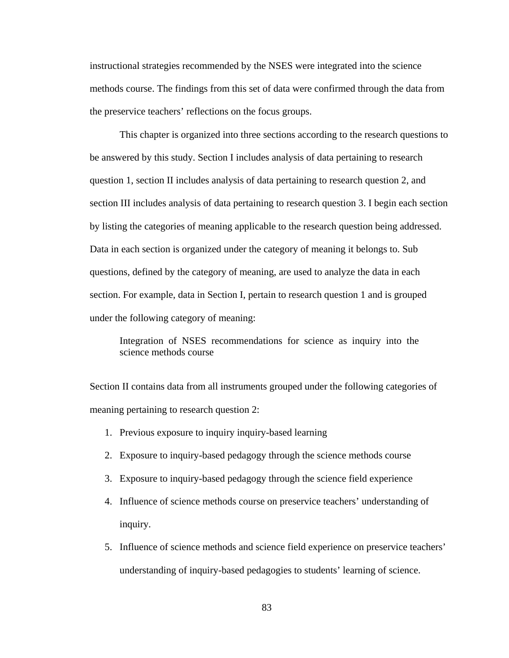instructional strategies recommended by the NSES were integrated into the science methods course. The findings from this set of data were confirmed through the data from the preservice teachers' reflections on the focus groups.

 This chapter is organized into three sections according to the research questions to be answered by this study. Section I includes analysis of data pertaining to research question 1, section II includes analysis of data pertaining to research question 2, and section III includes analysis of data pertaining to research question 3. I begin each section by listing the categories of meaning applicable to the research question being addressed. Data in each section is organized under the category of meaning it belongs to. Sub questions, defined by the category of meaning, are used to analyze the data in each section. For example, data in Section I, pertain to research question 1 and is grouped under the following category of meaning:

Integration of NSES recommendations for science as inquiry into the science methods course

Section II contains data from all instruments grouped under the following categories of meaning pertaining to research question 2:

- 1. Previous exposure to inquiry inquiry-based learning
- 2. Exposure to inquiry-based pedagogy through the science methods course
- 3. Exposure to inquiry-based pedagogy through the science field experience
- 4. Influence of science methods course on preservice teachers' understanding of inquiry.
- 5. Influence of science methods and science field experience on preservice teachers' understanding of inquiry-based pedagogies to students' learning of science.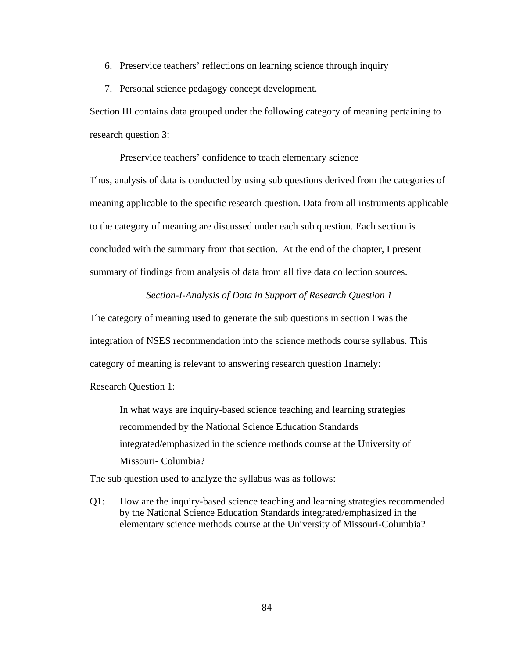- 6. Preservice teachers' reflections on learning science through inquiry
- 7. Personal science pedagogy concept development.

Section III contains data grouped under the following category of meaning pertaining to research question 3:

Preservice teachers' confidence to teach elementary science

Thus, analysis of data is conducted by using sub questions derived from the categories of meaning applicable to the specific research question. Data from all instruments applicable to the category of meaning are discussed under each sub question. Each section is concluded with the summary from that section. At the end of the chapter, I present summary of findings from analysis of data from all five data collection sources.

# *Section-I-Analysis of Data in Support of Research Question 1*

The category of meaning used to generate the sub questions in section I was the integration of NSES recommendation into the science methods course syllabus. This category of meaning is relevant to answering research question 1namely:

Research Question 1:

In what ways are inquiry-based science teaching and learning strategies recommended by the National Science Education Standards integrated/emphasized in the science methods course at the University of Missouri- Columbia?

The sub question used to analyze the syllabus was as follows:

Q1: How are the inquiry-based science teaching and learning strategies recommended by the National Science Education Standards integrated/emphasized in the elementary science methods course at the University of Missouri-Columbia?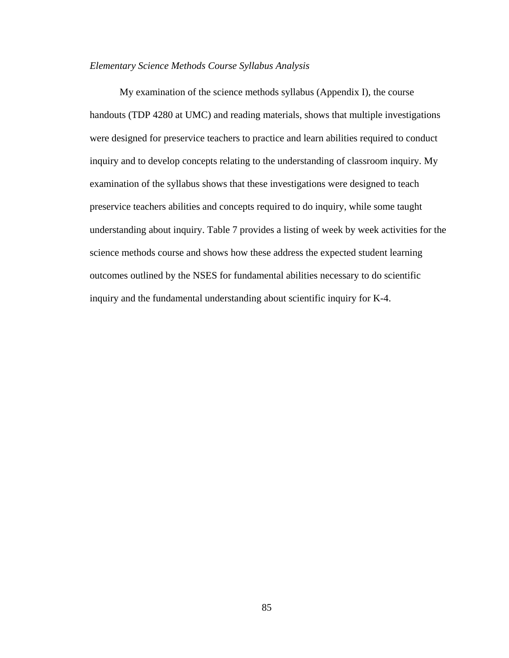### *Elementary Science Methods Course Syllabus Analysis*

 My examination of the science methods syllabus (Appendix I), the course handouts (TDP 4280 at UMC) and reading materials, shows that multiple investigations were designed for preservice teachers to practice and learn abilities required to conduct inquiry and to develop concepts relating to the understanding of classroom inquiry. My examination of the syllabus shows that these investigations were designed to teach preservice teachers abilities and concepts required to do inquiry, while some taught understanding about inquiry. Table 7 provides a listing of week by week activities for the science methods course and shows how these address the expected student learning outcomes outlined by the NSES for fundamental abilities necessary to do scientific inquiry and the fundamental understanding about scientific inquiry for K-4.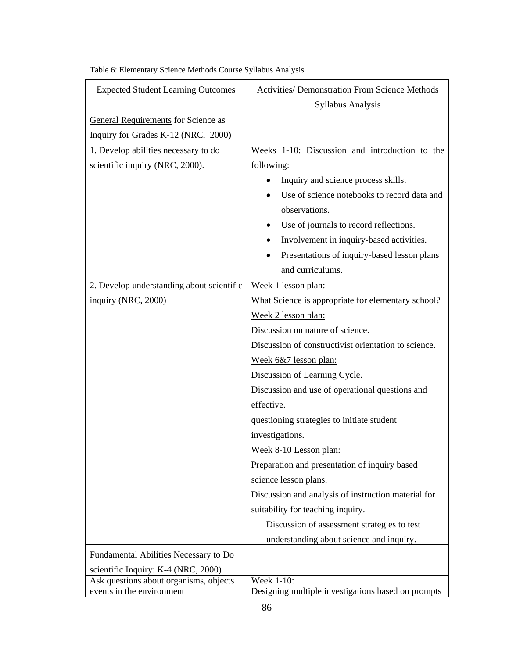| <b>Expected Student Learning Outcomes</b>                           | <b>Activities/ Demonstration From Science Methods</b>            |  |  |
|---------------------------------------------------------------------|------------------------------------------------------------------|--|--|
|                                                                     | Syllabus Analysis                                                |  |  |
| <b>General Requirements</b> for Science as                          |                                                                  |  |  |
| Inquiry for Grades K-12 (NRC, 2000)                                 |                                                                  |  |  |
| 1. Develop abilities necessary to do                                | Weeks 1-10: Discussion and introduction to the                   |  |  |
| scientific inquiry (NRC, 2000).                                     | following:                                                       |  |  |
|                                                                     | Inquiry and science process skills.                              |  |  |
|                                                                     | Use of science notebooks to record data and                      |  |  |
|                                                                     | observations.                                                    |  |  |
|                                                                     | Use of journals to record reflections.                           |  |  |
|                                                                     | Involvement in inquiry-based activities.<br>٠                    |  |  |
|                                                                     | Presentations of inquiry-based lesson plans                      |  |  |
|                                                                     | and curriculums.                                                 |  |  |
| 2. Develop understanding about scientific                           | Week 1 lesson plan:                                              |  |  |
| inquiry (NRC, 2000)                                                 | What Science is appropriate for elementary school?               |  |  |
|                                                                     | Week 2 lesson plan:                                              |  |  |
|                                                                     | Discussion on nature of science.                                 |  |  |
|                                                                     | Discussion of constructivist orientation to science.             |  |  |
|                                                                     | Week 6&7 lesson plan:                                            |  |  |
|                                                                     | Discussion of Learning Cycle.                                    |  |  |
|                                                                     | Discussion and use of operational questions and                  |  |  |
|                                                                     | effective.                                                       |  |  |
|                                                                     | questioning strategies to initiate student                       |  |  |
|                                                                     | investigations.                                                  |  |  |
|                                                                     | Week 8-10 Lesson plan:                                           |  |  |
|                                                                     | Preparation and presentation of inquiry based                    |  |  |
|                                                                     | science lesson plans.                                            |  |  |
|                                                                     | Discussion and analysis of instruction material for              |  |  |
|                                                                     | suitability for teaching inquiry.                                |  |  |
|                                                                     | Discussion of assessment strategies to test                      |  |  |
|                                                                     | understanding about science and inquiry.                         |  |  |
| Fundamental Abilities Necessary to Do                               |                                                                  |  |  |
| scientific Inquiry: K-4 (NRC, 2000)                                 |                                                                  |  |  |
| Ask questions about organisms, objects<br>events in the environment | Week 1-10:<br>Designing multiple investigations based on prompts |  |  |

Table 6: Elementary Science Methods Course Syllabus Analysis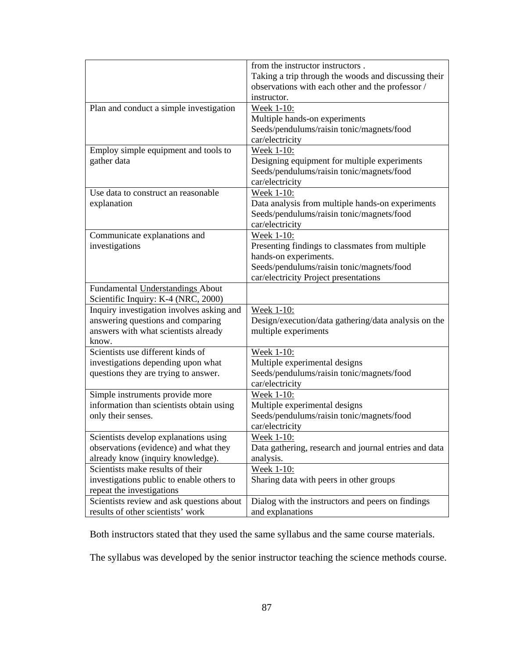|                                           | from the instructor instructors.                      |  |  |
|-------------------------------------------|-------------------------------------------------------|--|--|
|                                           | Taking a trip through the woods and discussing their  |  |  |
|                                           | observations with each other and the professor /      |  |  |
|                                           | instructor.                                           |  |  |
| Plan and conduct a simple investigation   | Week 1-10:                                            |  |  |
|                                           | Multiple hands-on experiments                         |  |  |
|                                           | Seeds/pendulums/raisin tonic/magnets/food             |  |  |
|                                           | car/electricity                                       |  |  |
| Employ simple equipment and tools to      | Week 1-10:                                            |  |  |
| gather data                               | Designing equipment for multiple experiments          |  |  |
|                                           | Seeds/pendulums/raisin tonic/magnets/food             |  |  |
|                                           | car/electricity                                       |  |  |
| Use data to construct an reasonable       | Week 1-10:                                            |  |  |
| explanation                               | Data analysis from multiple hands-on experiments      |  |  |
|                                           | Seeds/pendulums/raisin tonic/magnets/food             |  |  |
|                                           | car/electricity                                       |  |  |
| Communicate explanations and              | Week 1-10:                                            |  |  |
| investigations                            | Presenting findings to classmates from multiple       |  |  |
|                                           | hands-on experiments.                                 |  |  |
|                                           | Seeds/pendulums/raisin tonic/magnets/food             |  |  |
|                                           | car/electricity Project presentations                 |  |  |
| Fundamental Understandings About          |                                                       |  |  |
| Scientific Inquiry: K-4 (NRC, 2000)       |                                                       |  |  |
| Inquiry investigation involves asking and | Week 1-10:                                            |  |  |
| answering questions and comparing         | Design/execution/data gathering/data analysis on the  |  |  |
| answers with what scientists already      | multiple experiments                                  |  |  |
| know.                                     |                                                       |  |  |
| Scientists use different kinds of         | Week 1-10:                                            |  |  |
| investigations depending upon what        | Multiple experimental designs                         |  |  |
| questions they are trying to answer.      | Seeds/pendulums/raisin tonic/magnets/food             |  |  |
|                                           | car/electricity                                       |  |  |
| Simple instruments provide more           | Week 1-10:                                            |  |  |
| information than scientists obtain using  | Multiple experimental designs                         |  |  |
| only their senses.                        | Seeds/pendulums/raisin tonic/magnets/food             |  |  |
|                                           | car/electricity                                       |  |  |
| Scientists develop explanations using     | Week 1-10:                                            |  |  |
| observations (evidence) and what they     | Data gathering, research and journal entries and data |  |  |
| already know (inquiry knowledge).         | analysis.                                             |  |  |
| Scientists make results of their          | Week 1-10:                                            |  |  |
| investigations public to enable others to | Sharing data with peers in other groups               |  |  |
| repeat the investigations                 |                                                       |  |  |
| Scientists review and ask questions about | Dialog with the instructors and peers on findings     |  |  |
| results of other scientists' work         | and explanations                                      |  |  |

Both instructors stated that they used the same syllabus and the same course materials.

The syllabus was developed by the senior instructor teaching the science methods course.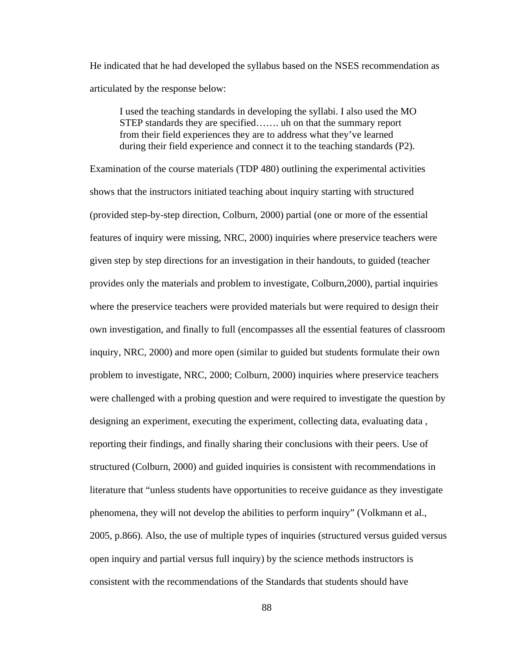He indicated that he had developed the syllabus based on the NSES recommendation as articulated by the response below:

I used the teaching standards in developing the syllabi. I also used the MO STEP standards they are specified……. uh on that the summary report from their field experiences they are to address what they've learned during their field experience and connect it to the teaching standards (P2).

Examination of the course materials (TDP 480) outlining the experimental activities shows that the instructors initiated teaching about inquiry starting with structured (provided step-by-step direction, Colburn, 2000) partial (one or more of the essential features of inquiry were missing, NRC, 2000) inquiries where preservice teachers were given step by step directions for an investigation in their handouts, to guided (teacher provides only the materials and problem to investigate, Colburn,2000), partial inquiries where the preservice teachers were provided materials but were required to design their own investigation, and finally to full (encompasses all the essential features of classroom inquiry, NRC, 2000) and more open (similar to guided but students formulate their own problem to investigate, NRC, 2000; Colburn, 2000) inquiries where preservice teachers were challenged with a probing question and were required to investigate the question by designing an experiment, executing the experiment, collecting data, evaluating data , reporting their findings, and finally sharing their conclusions with their peers. Use of structured (Colburn, 2000) and guided inquiries is consistent with recommendations in literature that "unless students have opportunities to receive guidance as they investigate phenomena, they will not develop the abilities to perform inquiry" (Volkmann et al., 2005, p.866). Also, the use of multiple types of inquiries (structured versus guided versus open inquiry and partial versus full inquiry) by the science methods instructors is consistent with the recommendations of the Standards that students should have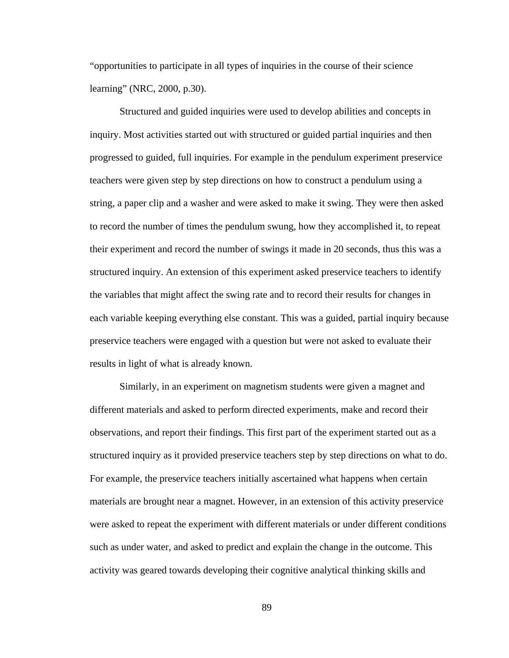"opportunities to participate in all types of inquiries in the course of their science learning" (NRC, 2000, p.30).

 Structured and guided inquiries were used to develop abilities and concepts in inquiry. Most activities started out with structured or guided partial inquiries and then progressed to guided, full inquiries. For example in the pendulum experiment preservice teachers were given step by step directions on how to construct a pendulum using a string, a paper clip and a washer and were asked to make it swing. They were then asked to record the number of times the pendulum swung, how they accomplished it, to repeat their experiment and record the number of swings it made in 20 seconds, thus this was a structured inquiry. An extension of this experiment asked preservice teachers to identify the variables that might affect the swing rate and to record their results for changes in each variable keeping everything else constant. This was a guided, partial inquiry because preservice teachers were engaged with a question but were not asked to evaluate their results in light of what is already known.

 Similarly, in an experiment on magnetism students were given a magnet and different materials and asked to perform directed experiments, make and record their observations, and report their findings. This first part of the experiment started out as a structured inquiry as it provided preservice teachers step by step directions on what to do. For example, the preservice teachers initially ascertained what happens when certain materials are brought near a magnet. However, in an extension of this activity preservice were asked to repeat the experiment with different materials or under different conditions such as under water, and asked to predict and explain the change in the outcome. This activity was geared towards developing their cognitive analytical thinking skills and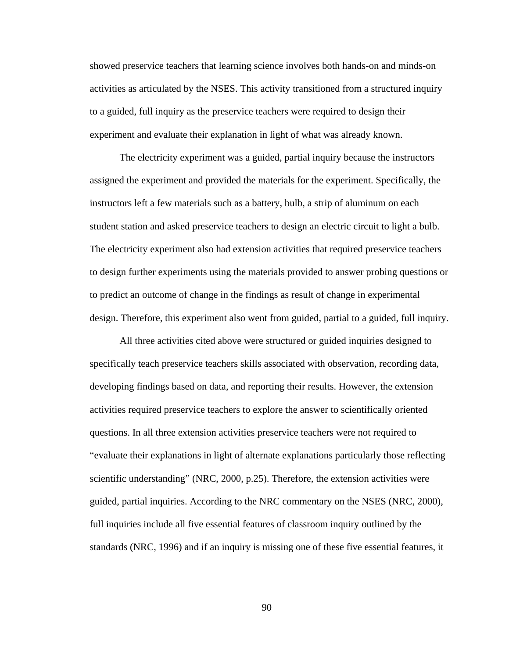showed preservice teachers that learning science involves both hands-on and minds-on activities as articulated by the NSES. This activity transitioned from a structured inquiry to a guided, full inquiry as the preservice teachers were required to design their experiment and evaluate their explanation in light of what was already known.

 The electricity experiment was a guided, partial inquiry because the instructors assigned the experiment and provided the materials for the experiment. Specifically, the instructors left a few materials such as a battery, bulb, a strip of aluminum on each student station and asked preservice teachers to design an electric circuit to light a bulb. The electricity experiment also had extension activities that required preservice teachers to design further experiments using the materials provided to answer probing questions or to predict an outcome of change in the findings as result of change in experimental design. Therefore, this experiment also went from guided, partial to a guided, full inquiry.

 All three activities cited above were structured or guided inquiries designed to specifically teach preservice teachers skills associated with observation, recording data, developing findings based on data, and reporting their results. However, the extension activities required preservice teachers to explore the answer to scientifically oriented questions. In all three extension activities preservice teachers were not required to "evaluate their explanations in light of alternate explanations particularly those reflecting scientific understanding" (NRC, 2000, p.25). Therefore, the extension activities were guided, partial inquiries. According to the NRC commentary on the NSES (NRC, 2000), full inquiries include all five essential features of classroom inquiry outlined by the standards (NRC, 1996) and if an inquiry is missing one of these five essential features, it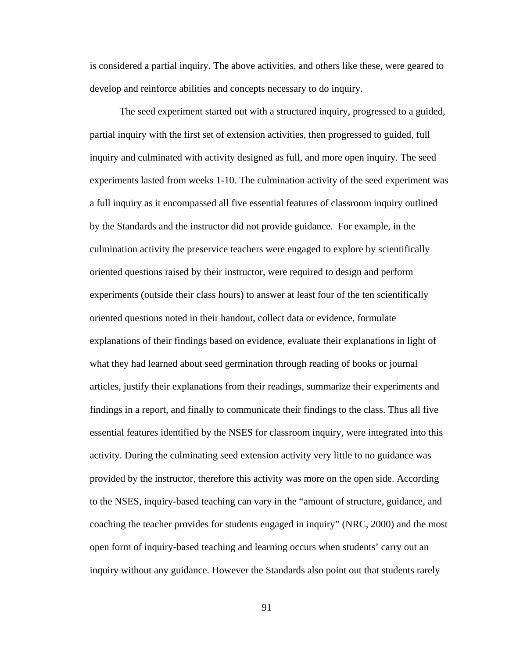is considered a partial inquiry. The above activities, and others like these, were geared to develop and reinforce abilities and concepts necessary to do inquiry.

 The seed experiment started out with a structured inquiry, progressed to a guided, partial inquiry with the first set of extension activities, then progressed to guided, full inquiry and culminated with activity designed as full, and more open inquiry. The seed experiments lasted from weeks 1-10. The culmination activity of the seed experiment was a full inquiry as it encompassed all five essential features of classroom inquiry outlined by the Standards and the instructor did not provide guidance. For example, in the culmination activity the preservice teachers were engaged to explore by scientifically oriented questions raised by their instructor, were required to design and perform experiments (outside their class hours) to answer at least four of the ten scientifically oriented questions noted in their handout, collect data or evidence, formulate explanations of their findings based on evidence, evaluate their explanations in light of what they had learned about seed germination through reading of books or journal articles, justify their explanations from their readings, summarize their experiments and findings in a report, and finally to communicate their findings to the class. Thus all five essential features identified by the NSES for classroom inquiry, were integrated into this activity. During the culminating seed extension activity very little to no guidance was provided by the instructor, therefore this activity was more on the open side. According to the NSES, inquiry-based teaching can vary in the "amount of structure, guidance, and coaching the teacher provides for students engaged in inquiry" (NRC, 2000) and the most open form of inquiry-based teaching and learning occurs when students' carry out an inquiry without any guidance. However the Standards also point out that students rarely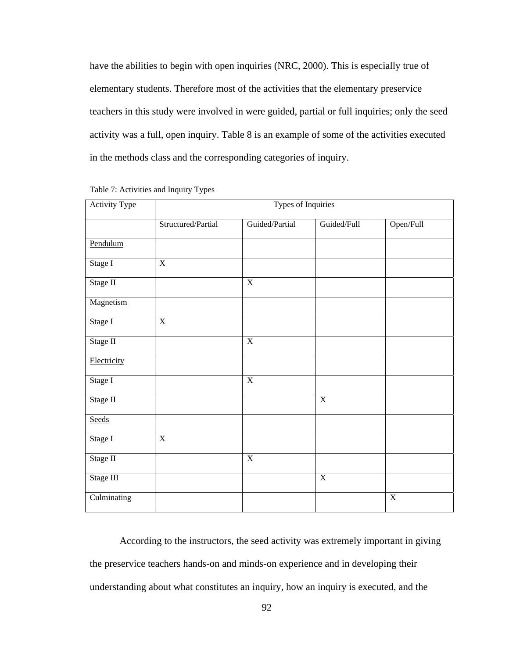have the abilities to begin with open inquiries (NRC, 2000). This is especially true of elementary students. Therefore most of the activities that the elementary preservice teachers in this study were involved in were guided, partial or full inquiries; only the seed activity was a full, open inquiry. Table 8 is an example of some of the activities executed in the methods class and the corresponding categories of inquiry.

| Activity Type | Types of Inquiries |                         |                |                         |  |
|---------------|--------------------|-------------------------|----------------|-------------------------|--|
|               | Structured/Partial | Guided/Partial          | Guided/Full    | Open/Full               |  |
| Pendulum      |                    |                         |                |                         |  |
| Stage I       | $\overline{X}$     |                         |                |                         |  |
| Stage II      |                    | $\overline{\textbf{X}}$ |                |                         |  |
| Magnetism     |                    |                         |                |                         |  |
| Stage I       | $\overline{X}$     |                         |                |                         |  |
| Stage II      |                    | $\overline{\textbf{X}}$ |                |                         |  |
| Electricity   |                    |                         |                |                         |  |
| Stage I       |                    | $\overline{\textbf{X}}$ |                |                         |  |
| Stage II      |                    |                         | $\overline{X}$ |                         |  |
| Seeds         |                    |                         |                |                         |  |
| Stage I       | $\overline{X}$     |                         |                |                         |  |
| Stage II      |                    | $\overline{X}$          |                |                         |  |
| Stage III     |                    |                         | $\overline{X}$ |                         |  |
| Culminating   |                    |                         |                | $\overline{\textbf{X}}$ |  |

Table 7: Activities and Inquiry Types

 According to the instructors, the seed activity was extremely important in giving the preservice teachers hands-on and minds-on experience and in developing their understanding about what constitutes an inquiry, how an inquiry is executed, and the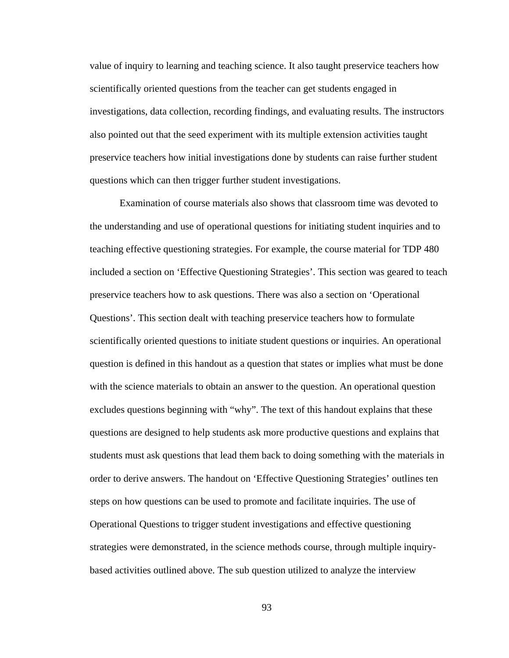value of inquiry to learning and teaching science. It also taught preservice teachers how scientifically oriented questions from the teacher can get students engaged in investigations, data collection, recording findings, and evaluating results. The instructors also pointed out that the seed experiment with its multiple extension activities taught preservice teachers how initial investigations done by students can raise further student questions which can then trigger further student investigations.

 Examination of course materials also shows that classroom time was devoted to the understanding and use of operational questions for initiating student inquiries and to teaching effective questioning strategies. For example, the course material for TDP 480 included a section on 'Effective Questioning Strategies'. This section was geared to teach preservice teachers how to ask questions. There was also a section on 'Operational Questions'. This section dealt with teaching preservice teachers how to formulate scientifically oriented questions to initiate student questions or inquiries. An operational question is defined in this handout as a question that states or implies what must be done with the science materials to obtain an answer to the question. An operational question excludes questions beginning with "why". The text of this handout explains that these questions are designed to help students ask more productive questions and explains that students must ask questions that lead them back to doing something with the materials in order to derive answers. The handout on 'Effective Questioning Strategies' outlines ten steps on how questions can be used to promote and facilitate inquiries. The use of Operational Questions to trigger student investigations and effective questioning strategies were demonstrated, in the science methods course, through multiple inquirybased activities outlined above. The sub question utilized to analyze the interview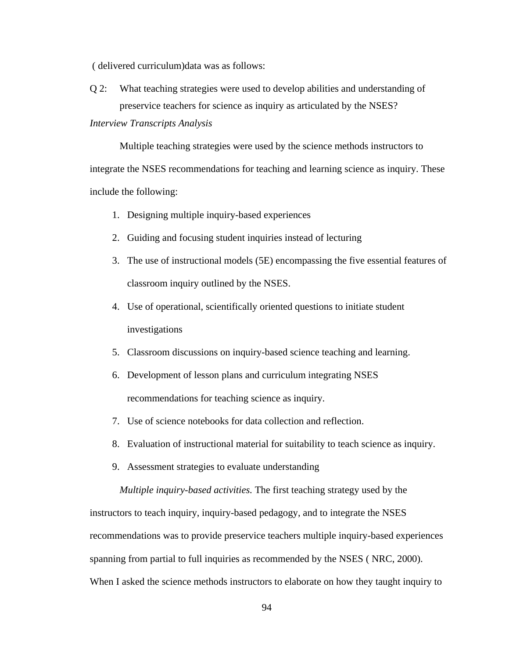( delivered curriculum)data was as follows:

Q 2: What teaching strategies were used to develop abilities and understanding of preservice teachers for science as inquiry as articulated by the NSES?

*Interview Transcripts Analysis* 

 Multiple teaching strategies were used by the science methods instructors to integrate the NSES recommendations for teaching and learning science as inquiry. These include the following:

- 1. Designing multiple inquiry-based experiences
- 2. Guiding and focusing student inquiries instead of lecturing
- 3. The use of instructional models (5E) encompassing the five essential features of classroom inquiry outlined by the NSES.
- 4. Use of operational, scientifically oriented questions to initiate student investigations
- 5. Classroom discussions on inquiry-based science teaching and learning.
- 6. Development of lesson plans and curriculum integrating NSES recommendations for teaching science as inquiry.
- 7. Use of science notebooks for data collection and reflection.
- 8. Evaluation of instructional material for suitability to teach science as inquiry.
- 9. Assessment strategies to evaluate understanding

 *Multiple inquiry-based activities.* The first teaching strategy used by the

instructors to teach inquiry, inquiry-based pedagogy, and to integrate the NSES recommendations was to provide preservice teachers multiple inquiry-based experiences spanning from partial to full inquiries as recommended by the NSES ( NRC, 2000). When I asked the science methods instructors to elaborate on how they taught inquiry to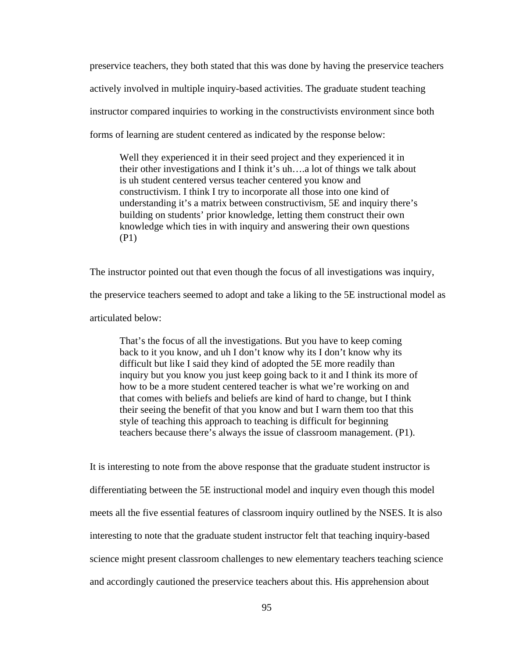preservice teachers, they both stated that this was done by having the preservice teachers actively involved in multiple inquiry-based activities. The graduate student teaching instructor compared inquiries to working in the constructivists environment since both forms of learning are student centered as indicated by the response below:

Well they experienced it in their seed project and they experienced it in their other investigations and I think it's uh….a lot of things we talk about is uh student centered versus teacher centered you know and constructivism. I think I try to incorporate all those into one kind of understanding it's a matrix between constructivism, 5E and inquiry there's building on students' prior knowledge, letting them construct their own knowledge which ties in with inquiry and answering their own questions (P1)

The instructor pointed out that even though the focus of all investigations was inquiry, the preservice teachers seemed to adopt and take a liking to the 5E instructional model as articulated below:

That's the focus of all the investigations. But you have to keep coming back to it you know, and uh I don't know why its I don't know why its difficult but like I said they kind of adopted the 5E more readily than inquiry but you know you just keep going back to it and I think its more of how to be a more student centered teacher is what we're working on and that comes with beliefs and beliefs are kind of hard to change, but I think their seeing the benefit of that you know and but I warn them too that this style of teaching this approach to teaching is difficult for beginning teachers because there's always the issue of classroom management. (P1).

It is interesting to note from the above response that the graduate student instructor is differentiating between the 5E instructional model and inquiry even though this model meets all the five essential features of classroom inquiry outlined by the NSES. It is also interesting to note that the graduate student instructor felt that teaching inquiry-based science might present classroom challenges to new elementary teachers teaching science and accordingly cautioned the preservice teachers about this. His apprehension about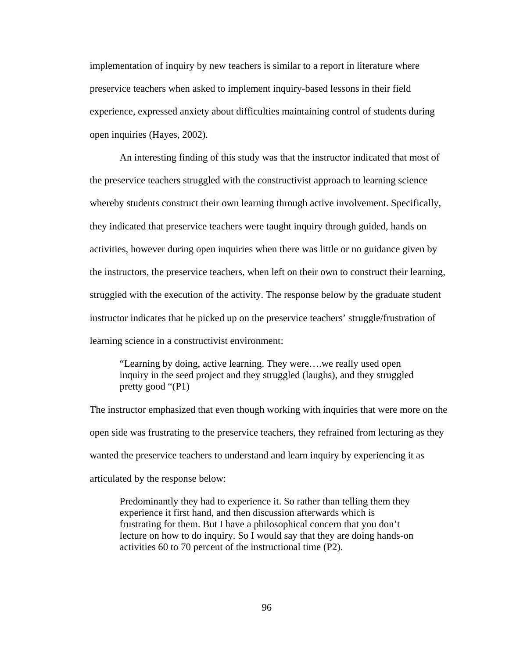implementation of inquiry by new teachers is similar to a report in literature where preservice teachers when asked to implement inquiry-based lessons in their field experience, expressed anxiety about difficulties maintaining control of students during open inquiries (Hayes, 2002).

 An interesting finding of this study was that the instructor indicated that most of the preservice teachers struggled with the constructivist approach to learning science whereby students construct their own learning through active involvement. Specifically, they indicated that preservice teachers were taught inquiry through guided, hands on activities, however during open inquiries when there was little or no guidance given by the instructors, the preservice teachers, when left on their own to construct their learning, struggled with the execution of the activity. The response below by the graduate student instructor indicates that he picked up on the preservice teachers' struggle/frustration of learning science in a constructivist environment:

"Learning by doing, active learning. They were….we really used open inquiry in the seed project and they struggled (laughs), and they struggled pretty good "(P1)

The instructor emphasized that even though working with inquiries that were more on the open side was frustrating to the preservice teachers, they refrained from lecturing as they wanted the preservice teachers to understand and learn inquiry by experiencing it as articulated by the response below:

Predominantly they had to experience it. So rather than telling them they experience it first hand, and then discussion afterwards which is frustrating for them. But I have a philosophical concern that you don't lecture on how to do inquiry. So I would say that they are doing hands-on activities 60 to 70 percent of the instructional time (P2).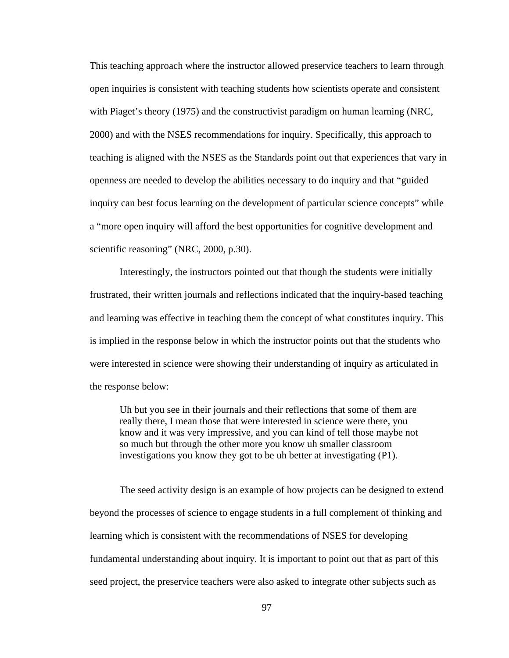This teaching approach where the instructor allowed preservice teachers to learn through open inquiries is consistent with teaching students how scientists operate and consistent with Piaget's theory (1975) and the constructivist paradigm on human learning (NRC, 2000) and with the NSES recommendations for inquiry. Specifically, this approach to teaching is aligned with the NSES as the Standards point out that experiences that vary in openness are needed to develop the abilities necessary to do inquiry and that "guided inquiry can best focus learning on the development of particular science concepts" while a "more open inquiry will afford the best opportunities for cognitive development and scientific reasoning" (NRC, 2000, p.30).

 Interestingly, the instructors pointed out that though the students were initially frustrated, their written journals and reflections indicated that the inquiry-based teaching and learning was effective in teaching them the concept of what constitutes inquiry. This is implied in the response below in which the instructor points out that the students who were interested in science were showing their understanding of inquiry as articulated in the response below:

Uh but you see in their journals and their reflections that some of them are really there, I mean those that were interested in science were there, you know and it was very impressive, and you can kind of tell those maybe not so much but through the other more you know uh smaller classroom investigations you know they got to be uh better at investigating (P1).

 The seed activity design is an example of how projects can be designed to extend beyond the processes of science to engage students in a full complement of thinking and learning which is consistent with the recommendations of NSES for developing fundamental understanding about inquiry. It is important to point out that as part of this seed project, the preservice teachers were also asked to integrate other subjects such as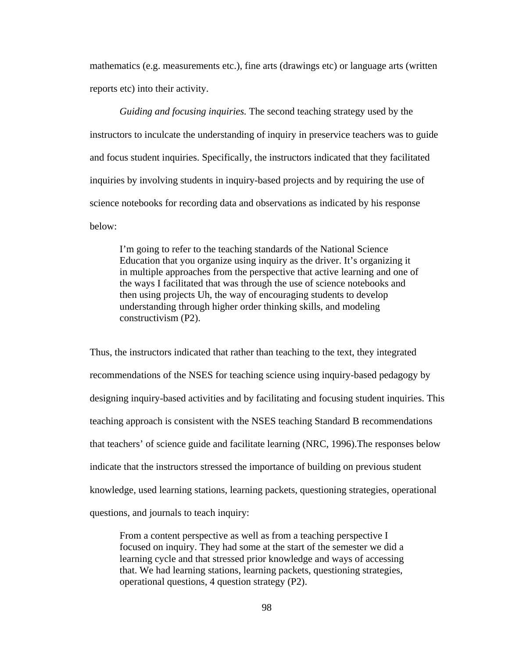mathematics (e.g. measurements etc.), fine arts (drawings etc) or language arts (written reports etc) into their activity.

 *Guiding and focusing inquiries.* The second teaching strategy used by the instructors to inculcate the understanding of inquiry in preservice teachers was to guide and focus student inquiries. Specifically, the instructors indicated that they facilitated inquiries by involving students in inquiry-based projects and by requiring the use of science notebooks for recording data and observations as indicated by his response below:

I'm going to refer to the teaching standards of the National Science Education that you organize using inquiry as the driver. It's organizing it in multiple approaches from the perspective that active learning and one of the ways I facilitated that was through the use of science notebooks and then using projects Uh, the way of encouraging students to develop understanding through higher order thinking skills, and modeling constructivism (P2).

Thus, the instructors indicated that rather than teaching to the text, they integrated recommendations of the NSES for teaching science using inquiry-based pedagogy by designing inquiry-based activities and by facilitating and focusing student inquiries. This teaching approach is consistent with the NSES teaching Standard B recommendations that teachers' of science guide and facilitate learning (NRC, 1996).The responses below indicate that the instructors stressed the importance of building on previous student knowledge, used learning stations, learning packets, questioning strategies, operational questions, and journals to teach inquiry:

From a content perspective as well as from a teaching perspective I focused on inquiry. They had some at the start of the semester we did a learning cycle and that stressed prior knowledge and ways of accessing that. We had learning stations, learning packets, questioning strategies, operational questions, 4 question strategy (P2).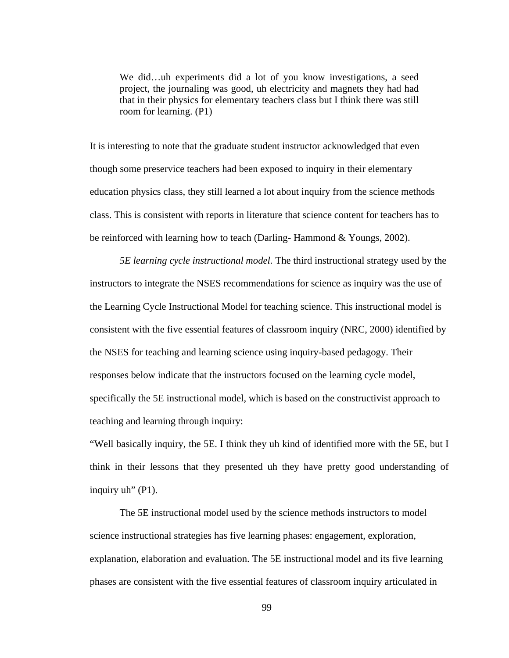We did…uh experiments did a lot of you know investigations, a seed project, the journaling was good, uh electricity and magnets they had had that in their physics for elementary teachers class but I think there was still room for learning. (P1)

It is interesting to note that the graduate student instructor acknowledged that even though some preservice teachers had been exposed to inquiry in their elementary education physics class, they still learned a lot about inquiry from the science methods class. This is consistent with reports in literature that science content for teachers has to be reinforced with learning how to teach (Darling- Hammond & Youngs, 2002).

 *5E learning cycle instructional model.* The third instructional strategy used by the instructors to integrate the NSES recommendations for science as inquiry was the use of the Learning Cycle Instructional Model for teaching science. This instructional model is consistent with the five essential features of classroom inquiry (NRC, 2000) identified by the NSES for teaching and learning science using inquiry-based pedagogy. Their responses below indicate that the instructors focused on the learning cycle model, specifically the 5E instructional model, which is based on the constructivist approach to teaching and learning through inquiry:

"Well basically inquiry, the 5E. I think they uh kind of identified more with the 5E, but I think in their lessons that they presented uh they have pretty good understanding of inquiry uh" (P1).

 The 5E instructional model used by the science methods instructors to model science instructional strategies has five learning phases: engagement, exploration, explanation, elaboration and evaluation. The 5E instructional model and its five learning phases are consistent with the five essential features of classroom inquiry articulated in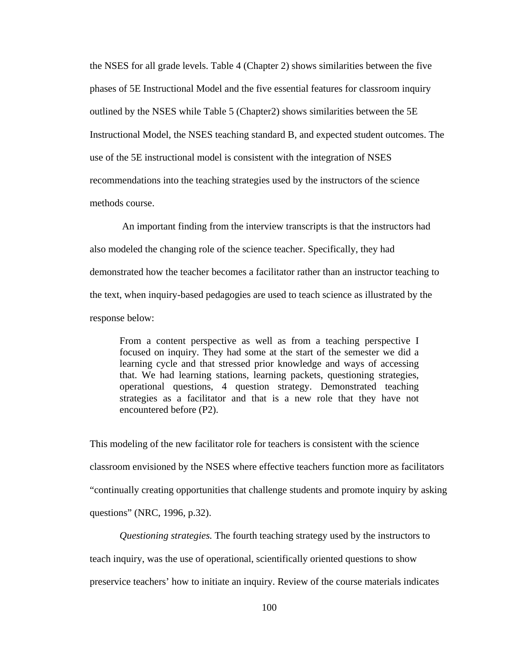the NSES for all grade levels. Table 4 (Chapter 2) shows similarities between the five phases of 5E Instructional Model and the five essential features for classroom inquiry outlined by the NSES while Table 5 (Chapter2) shows similarities between the 5E Instructional Model, the NSES teaching standard B, and expected student outcomes. The use of the 5E instructional model is consistent with the integration of NSES recommendations into the teaching strategies used by the instructors of the science methods course.

 An important finding from the interview transcripts is that the instructors had also modeled the changing role of the science teacher. Specifically, they had demonstrated how the teacher becomes a facilitator rather than an instructor teaching to the text, when inquiry-based pedagogies are used to teach science as illustrated by the response below:

From a content perspective as well as from a teaching perspective I focused on inquiry. They had some at the start of the semester we did a learning cycle and that stressed prior knowledge and ways of accessing that. We had learning stations, learning packets, questioning strategies, operational questions, 4 question strategy. Demonstrated teaching strategies as a facilitator and that is a new role that they have not encountered before (P2).

This modeling of the new facilitator role for teachers is consistent with the science classroom envisioned by the NSES where effective teachers function more as facilitators "continually creating opportunities that challenge students and promote inquiry by asking questions" (NRC, 1996, p.32).

 *Questioning strategies.* The fourth teaching strategy used by the instructors to teach inquiry, was the use of operational, scientifically oriented questions to show preservice teachers' how to initiate an inquiry. Review of the course materials indicates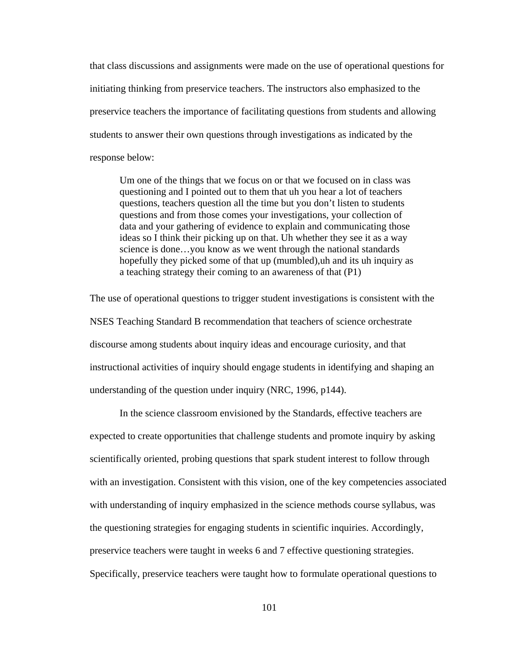that class discussions and assignments were made on the use of operational questions for initiating thinking from preservice teachers. The instructors also emphasized to the preservice teachers the importance of facilitating questions from students and allowing students to answer their own questions through investigations as indicated by the response below:

Um one of the things that we focus on or that we focused on in class was questioning and I pointed out to them that uh you hear a lot of teachers questions, teachers question all the time but you don't listen to students questions and from those comes your investigations, your collection of data and your gathering of evidence to explain and communicating those ideas so I think their picking up on that. Uh whether they see it as a way science is done…you know as we went through the national standards hopefully they picked some of that up (mumbled),uh and its uh inquiry as a teaching strategy their coming to an awareness of that (P1)

The use of operational questions to trigger student investigations is consistent with the NSES Teaching Standard B recommendation that teachers of science orchestrate discourse among students about inquiry ideas and encourage curiosity, and that instructional activities of inquiry should engage students in identifying and shaping an understanding of the question under inquiry (NRC, 1996, p144).

 In the science classroom envisioned by the Standards, effective teachers are expected to create opportunities that challenge students and promote inquiry by asking scientifically oriented, probing questions that spark student interest to follow through with an investigation. Consistent with this vision, one of the key competencies associated with understanding of inquiry emphasized in the science methods course syllabus, was the questioning strategies for engaging students in scientific inquiries. Accordingly, preservice teachers were taught in weeks 6 and 7 effective questioning strategies. Specifically, preservice teachers were taught how to formulate operational questions to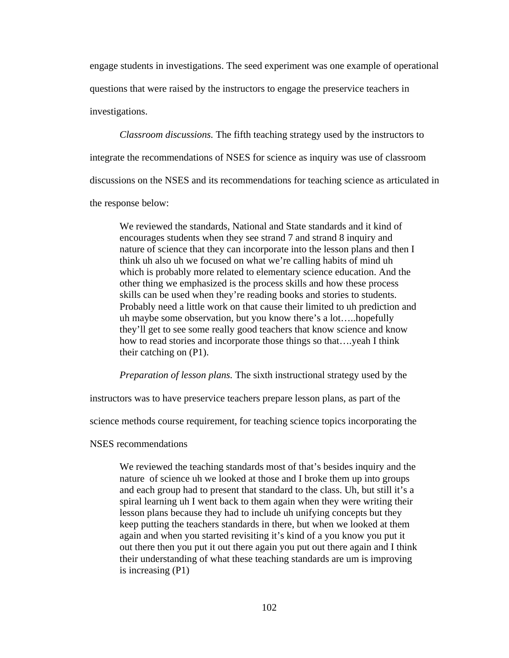engage students in investigations. The seed experiment was one example of operational questions that were raised by the instructors to engage the preservice teachers in investigations.

 *Classroom discussions.* The fifth teaching strategy used by the instructors to integrate the recommendations of NSES for science as inquiry was use of classroom discussions on the NSES and its recommendations for teaching science as articulated in the response below:

We reviewed the standards, National and State standards and it kind of encourages students when they see strand 7 and strand 8 inquiry and nature of science that they can incorporate into the lesson plans and then I think uh also uh we focused on what we're calling habits of mind uh which is probably more related to elementary science education. And the other thing we emphasized is the process skills and how these process skills can be used when they're reading books and stories to students. Probably need a little work on that cause their limited to uh prediction and uh maybe some observation, but you know there's a lot…..hopefully they'll get to see some really good teachers that know science and know how to read stories and incorporate those things so that….yeah I think their catching on (P1).

 *Preparation of lesson plans.* The sixth instructional strategy used by the

instructors was to have preservice teachers prepare lesson plans, as part of the

science methods course requirement, for teaching science topics incorporating the

NSES recommendations

We reviewed the teaching standards most of that's besides inquiry and the nature of science uh we looked at those and I broke them up into groups and each group had to present that standard to the class. Uh, but still it's a spiral learning uh I went back to them again when they were writing their lesson plans because they had to include uh unifying concepts but they keep putting the teachers standards in there, but when we looked at them again and when you started revisiting it's kind of a you know you put it out there then you put it out there again you put out there again and I think their understanding of what these teaching standards are um is improving is increasing (P1)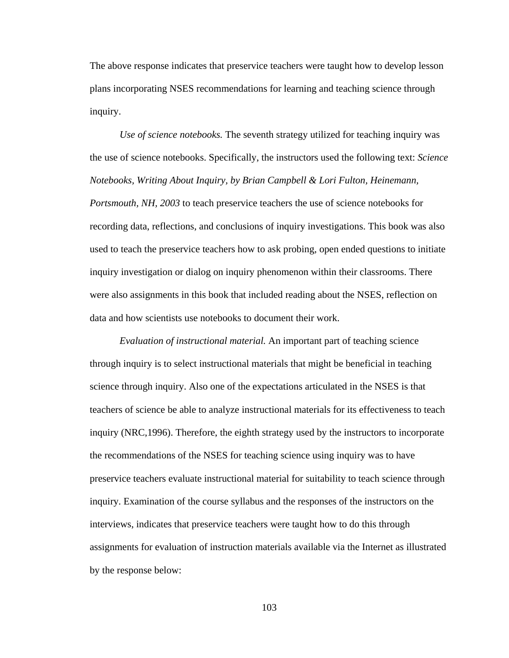The above response indicates that preservice teachers were taught how to develop lesson plans incorporating NSES recommendations for learning and teaching science through inquiry.

*Use of science notebooks.* The seventh strategy utilized for teaching inquiry was the use of science notebooks. Specifically, the instructors used the following text: *Science Notebooks, Writing About Inquiry, by Brian Campbell & Lori Fulton, Heinemann, Portsmouth, NH, 2003* to teach preservice teachers the use of science notebooks for recording data, reflections, and conclusions of inquiry investigations. This book was also used to teach the preservice teachers how to ask probing, open ended questions to initiate inquiry investigation or dialog on inquiry phenomenon within their classrooms. There were also assignments in this book that included reading about the NSES, reflection on data and how scientists use notebooks to document their work.

 *Evaluation of instructional material.* An important part of teaching science through inquiry is to select instructional materials that might be beneficial in teaching science through inquiry. Also one of the expectations articulated in the NSES is that teachers of science be able to analyze instructional materials for its effectiveness to teach inquiry (NRC,1996). Therefore, the eighth strategy used by the instructors to incorporate the recommendations of the NSES for teaching science using inquiry was to have preservice teachers evaluate instructional material for suitability to teach science through inquiry. Examination of the course syllabus and the responses of the instructors on the interviews, indicates that preservice teachers were taught how to do this through assignments for evaluation of instruction materials available via the Internet as illustrated by the response below: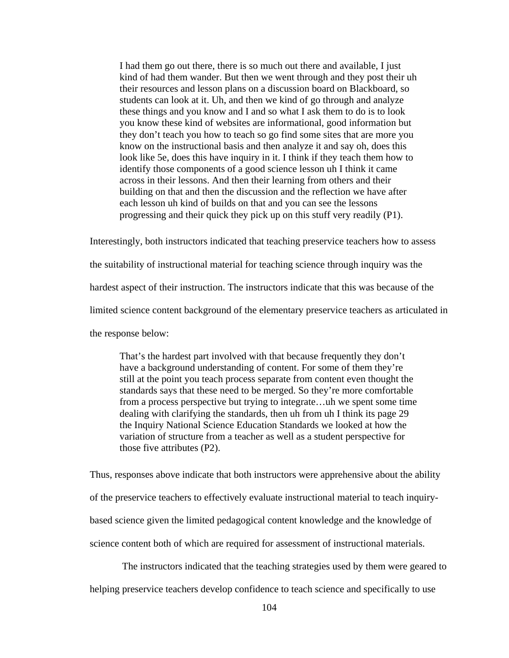I had them go out there, there is so much out there and available, I just kind of had them wander. But then we went through and they post their uh their resources and lesson plans on a discussion board on Blackboard, so students can look at it. Uh, and then we kind of go through and analyze these things and you know and I and so what I ask them to do is to look you know these kind of websites are informational, good information but they don't teach you how to teach so go find some sites that are more you know on the instructional basis and then analyze it and say oh, does this look like 5e, does this have inquiry in it. I think if they teach them how to identify those components of a good science lesson uh I think it came across in their lessons. And then their learning from others and their building on that and then the discussion and the reflection we have after each lesson uh kind of builds on that and you can see the lessons progressing and their quick they pick up on this stuff very readily (P1).

Interestingly, both instructors indicated that teaching preservice teachers how to assess the suitability of instructional material for teaching science through inquiry was the hardest aspect of their instruction. The instructors indicate that this was because of the limited science content background of the elementary preservice teachers as articulated in the response below:

That's the hardest part involved with that because frequently they don't have a background understanding of content. For some of them they're still at the point you teach process separate from content even thought the standards says that these need to be merged. So they're more comfortable from a process perspective but trying to integrate…uh we spent some time dealing with clarifying the standards, then uh from uh I think its page 29 the Inquiry National Science Education Standards we looked at how the variation of structure from a teacher as well as a student perspective for those five attributes (P2).

Thus, responses above indicate that both instructors were apprehensive about the ability of the preservice teachers to effectively evaluate instructional material to teach inquirybased science given the limited pedagogical content knowledge and the knowledge of science content both of which are required for assessment of instructional materials.

The instructors indicated that the teaching strategies used by them were geared to

helping preservice teachers develop confidence to teach science and specifically to use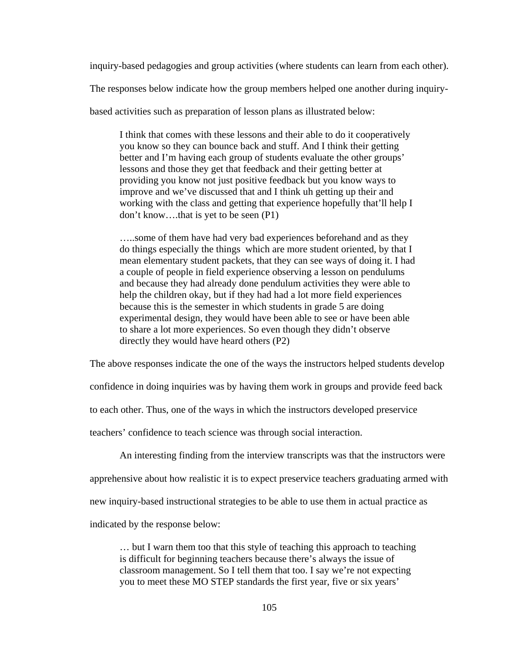inquiry-based pedagogies and group activities (where students can learn from each other).

The responses below indicate how the group members helped one another during inquiry-

based activities such as preparation of lesson plans as illustrated below:

I think that comes with these lessons and their able to do it cooperatively you know so they can bounce back and stuff. And I think their getting better and I'm having each group of students evaluate the other groups' lessons and those they get that feedback and their getting better at providing you know not just positive feedback but you know ways to improve and we've discussed that and I think uh getting up their and working with the class and getting that experience hopefully that'll help I don't know….that is yet to be seen (P1)

…..some of them have had very bad experiences beforehand and as they do things especially the things which are more student oriented, by that I mean elementary student packets, that they can see ways of doing it. I had a couple of people in field experience observing a lesson on pendulums and because they had already done pendulum activities they were able to help the children okay, but if they had had a lot more field experiences because this is the semester in which students in grade 5 are doing experimental design, they would have been able to see or have been able to share a lot more experiences. So even though they didn't observe directly they would have heard others (P2)

The above responses indicate the one of the ways the instructors helped students develop

confidence in doing inquiries was by having them work in groups and provide feed back

to each other. Thus, one of the ways in which the instructors developed preservice

teachers' confidence to teach science was through social interaction.

An interesting finding from the interview transcripts was that the instructors were

apprehensive about how realistic it is to expect preservice teachers graduating armed with

new inquiry-based instructional strategies to be able to use them in actual practice as

indicated by the response below:

… but I warn them too that this style of teaching this approach to teaching is difficult for beginning teachers because there's always the issue of classroom management. So I tell them that too. I say we're not expecting you to meet these MO STEP standards the first year, five or six years'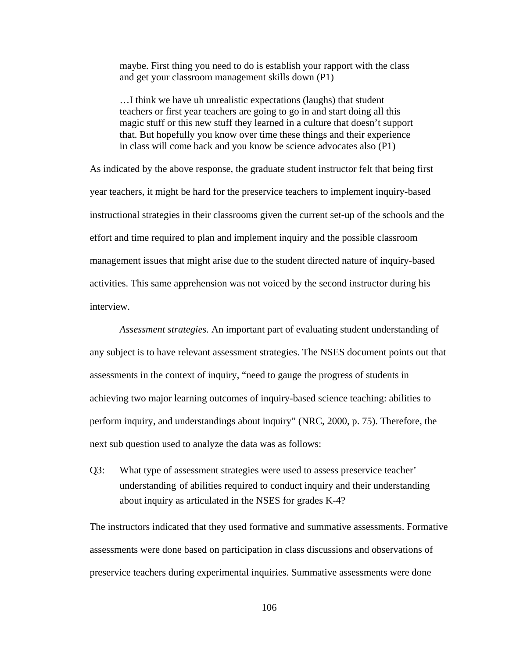maybe. First thing you need to do is establish your rapport with the class and get your classroom management skills down (P1)

…I think we have uh unrealistic expectations (laughs) that student teachers or first year teachers are going to go in and start doing all this magic stuff or this new stuff they learned in a culture that doesn't support that. But hopefully you know over time these things and their experience in class will come back and you know be science advocates also (P1)

As indicated by the above response, the graduate student instructor felt that being first year teachers, it might be hard for the preservice teachers to implement inquiry-based instructional strategies in their classrooms given the current set-up of the schools and the effort and time required to plan and implement inquiry and the possible classroom management issues that might arise due to the student directed nature of inquiry-based activities. This same apprehension was not voiced by the second instructor during his interview.

 *Assessment strategies.* An important part of evaluating student understanding of any subject is to have relevant assessment strategies. The NSES document points out that assessments in the context of inquiry, "need to gauge the progress of students in achieving two major learning outcomes of inquiry-based science teaching: abilities to perform inquiry, and understandings about inquiry" (NRC, 2000, p. 75). Therefore, the next sub question used to analyze the data was as follows:

Q3: What type of assessment strategies were used to assess preservice teacher' understanding of abilities required to conduct inquiry and their understanding about inquiry as articulated in the NSES for grades K-4?

The instructors indicated that they used formative and summative assessments. Formative assessments were done based on participation in class discussions and observations of preservice teachers during experimental inquiries. Summative assessments were done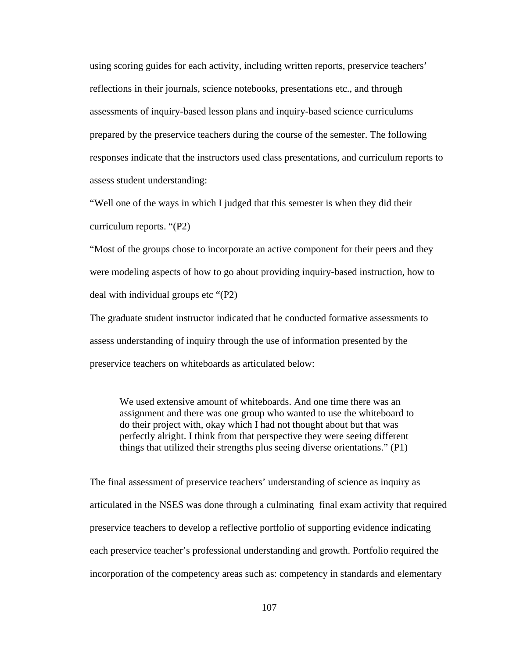using scoring guides for each activity, including written reports, preservice teachers' reflections in their journals, science notebooks, presentations etc., and through assessments of inquiry-based lesson plans and inquiry-based science curriculums prepared by the preservice teachers during the course of the semester. The following responses indicate that the instructors used class presentations, and curriculum reports to assess student understanding:

"Well one of the ways in which I judged that this semester is when they did their curriculum reports. "(P2)

"Most of the groups chose to incorporate an active component for their peers and they were modeling aspects of how to go about providing inquiry-based instruction, how to deal with individual groups etc "(P2)

The graduate student instructor indicated that he conducted formative assessments to assess understanding of inquiry through the use of information presented by the preservice teachers on whiteboards as articulated below:

We used extensive amount of whiteboards. And one time there was an assignment and there was one group who wanted to use the whiteboard to do their project with, okay which I had not thought about but that was perfectly alright. I think from that perspective they were seeing different things that utilized their strengths plus seeing diverse orientations." (P1)

The final assessment of preservice teachers' understanding of science as inquiry as articulated in the NSES was done through a culminating final exam activity that required preservice teachers to develop a reflective portfolio of supporting evidence indicating each preservice teacher's professional understanding and growth. Portfolio required the incorporation of the competency areas such as: competency in standards and elementary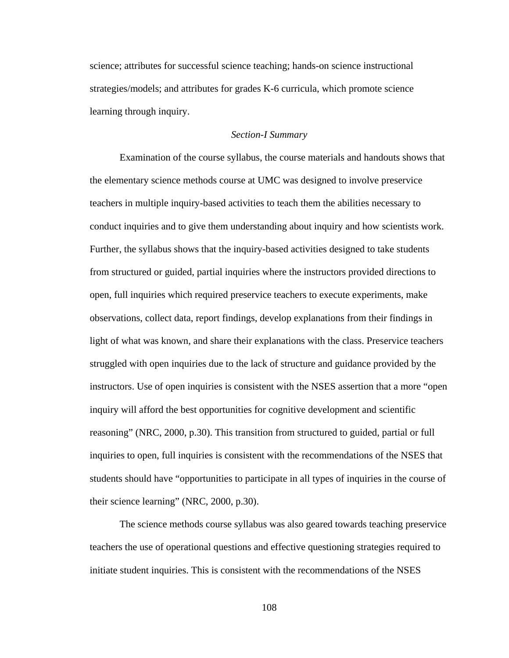science; attributes for successful science teaching; hands-on science instructional strategies/models; and attributes for grades K-6 curricula, which promote science learning through inquiry.

### *Section-I Summary*

 Examination of the course syllabus, the course materials and handouts shows that the elementary science methods course at UMC was designed to involve preservice teachers in multiple inquiry-based activities to teach them the abilities necessary to conduct inquiries and to give them understanding about inquiry and how scientists work. Further, the syllabus shows that the inquiry-based activities designed to take students from structured or guided, partial inquiries where the instructors provided directions to open, full inquiries which required preservice teachers to execute experiments, make observations, collect data, report findings, develop explanations from their findings in light of what was known, and share their explanations with the class. Preservice teachers struggled with open inquiries due to the lack of structure and guidance provided by the instructors. Use of open inquiries is consistent with the NSES assertion that a more "open inquiry will afford the best opportunities for cognitive development and scientific reasoning" (NRC, 2000, p.30). This transition from structured to guided, partial or full inquiries to open, full inquiries is consistent with the recommendations of the NSES that students should have "opportunities to participate in all types of inquiries in the course of their science learning" (NRC, 2000, p.30).

 The science methods course syllabus was also geared towards teaching preservice teachers the use of operational questions and effective questioning strategies required to initiate student inquiries. This is consistent with the recommendations of the NSES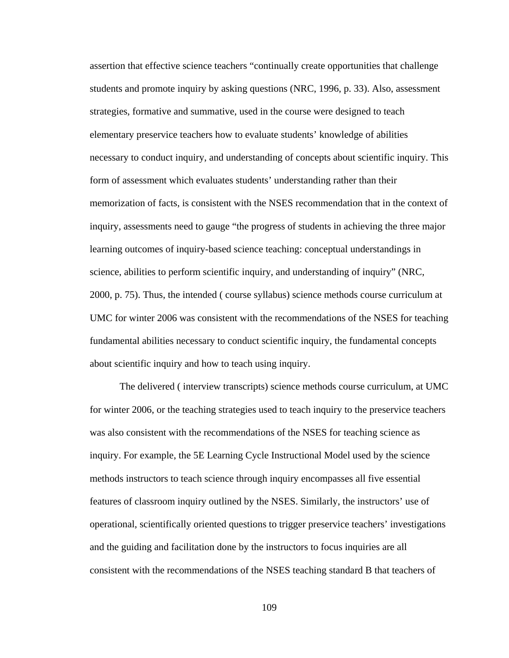assertion that effective science teachers "continually create opportunities that challenge students and promote inquiry by asking questions (NRC, 1996, p. 33). Also, assessment strategies, formative and summative, used in the course were designed to teach elementary preservice teachers how to evaluate students' knowledge of abilities necessary to conduct inquiry, and understanding of concepts about scientific inquiry. This form of assessment which evaluates students' understanding rather than their memorization of facts, is consistent with the NSES recommendation that in the context of inquiry, assessments need to gauge "the progress of students in achieving the three major learning outcomes of inquiry-based science teaching: conceptual understandings in science, abilities to perform scientific inquiry, and understanding of inquiry" (NRC, 2000, p. 75). Thus, the intended ( course syllabus) science methods course curriculum at UMC for winter 2006 was consistent with the recommendations of the NSES for teaching fundamental abilities necessary to conduct scientific inquiry, the fundamental concepts about scientific inquiry and how to teach using inquiry.

 The delivered ( interview transcripts) science methods course curriculum, at UMC for winter 2006, or the teaching strategies used to teach inquiry to the preservice teachers was also consistent with the recommendations of the NSES for teaching science as inquiry. For example, the 5E Learning Cycle Instructional Model used by the science methods instructors to teach science through inquiry encompasses all five essential features of classroom inquiry outlined by the NSES. Similarly, the instructors' use of operational, scientifically oriented questions to trigger preservice teachers' investigations and the guiding and facilitation done by the instructors to focus inquiries are all consistent with the recommendations of the NSES teaching standard B that teachers of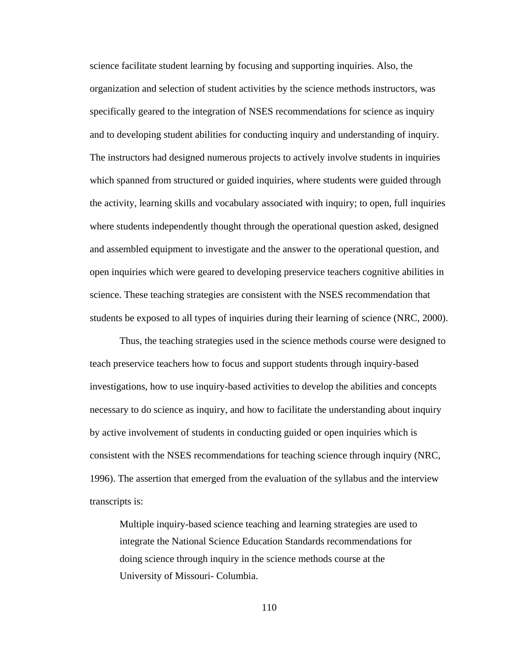science facilitate student learning by focusing and supporting inquiries. Also, the organization and selection of student activities by the science methods instructors, was specifically geared to the integration of NSES recommendations for science as inquiry and to developing student abilities for conducting inquiry and understanding of inquiry. The instructors had designed numerous projects to actively involve students in inquiries which spanned from structured or guided inquiries, where students were guided through the activity, learning skills and vocabulary associated with inquiry; to open, full inquiries where students independently thought through the operational question asked, designed and assembled equipment to investigate and the answer to the operational question, and open inquiries which were geared to developing preservice teachers cognitive abilities in science. These teaching strategies are consistent with the NSES recommendation that students be exposed to all types of inquiries during their learning of science (NRC, 2000).

 Thus, the teaching strategies used in the science methods course were designed to teach preservice teachers how to focus and support students through inquiry-based investigations, how to use inquiry-based activities to develop the abilities and concepts necessary to do science as inquiry, and how to facilitate the understanding about inquiry by active involvement of students in conducting guided or open inquiries which is consistent with the NSES recommendations for teaching science through inquiry (NRC, 1996). The assertion that emerged from the evaluation of the syllabus and the interview transcripts is:

Multiple inquiry-based science teaching and learning strategies are used to integrate the National Science Education Standards recommendations for doing science through inquiry in the science methods course at the University of Missouri- Columbia.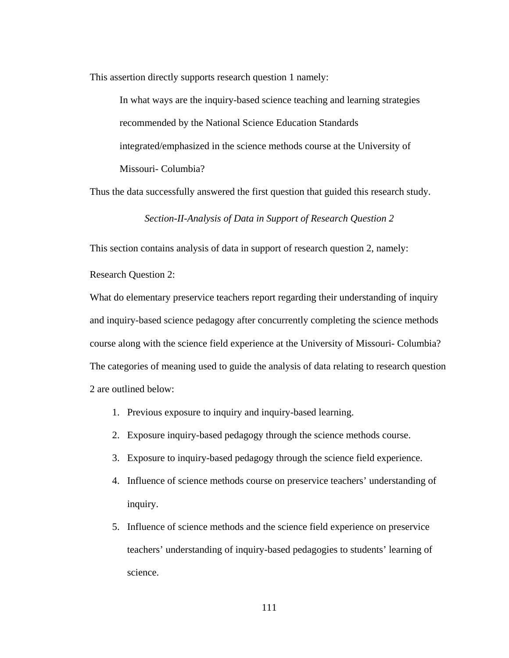This assertion directly supports research question 1 namely:

In what ways are the inquiry-based science teaching and learning strategies recommended by the National Science Education Standards integrated/emphasized in the science methods course at the University of Missouri- Columbia?

Thus the data successfully answered the first question that guided this research study.

*Section-II-Analysis of Data in Support of Research Question 2* 

This section contains analysis of data in support of research question 2, namely:

Research Question 2:

What do elementary preservice teachers report regarding their understanding of inquiry and inquiry-based science pedagogy after concurrently completing the science methods course along with the science field experience at the University of Missouri- Columbia? The categories of meaning used to guide the analysis of data relating to research question 2 are outlined below:

- 1. Previous exposure to inquiry and inquiry-based learning.
- 2. Exposure inquiry-based pedagogy through the science methods course.
- 3. Exposure to inquiry-based pedagogy through the science field experience.
- 4. Influence of science methods course on preservice teachers' understanding of inquiry.
- 5. Influence of science methods and the science field experience on preservice teachers' understanding of inquiry-based pedagogies to students' learning of science.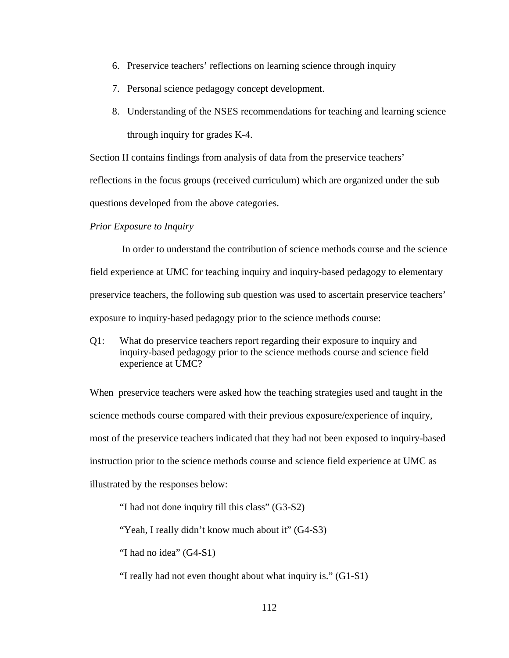- 6. Preservice teachers' reflections on learning science through inquiry
- 7. Personal science pedagogy concept development.
- 8. Understanding of the NSES recommendations for teaching and learning science through inquiry for grades K-4.

Section II contains findings from analysis of data from the preservice teachers'

reflections in the focus groups (received curriculum) which are organized under the sub

questions developed from the above categories.

#### *Prior Exposure to Inquiry*

In order to understand the contribution of science methods course and the science field experience at UMC for teaching inquiry and inquiry-based pedagogy to elementary preservice teachers, the following sub question was used to ascertain preservice teachers' exposure to inquiry-based pedagogy prior to the science methods course:

Q1: What do preservice teachers report regarding their exposure to inquiry and inquiry-based pedagogy prior to the science methods course and science field experience at UMC?

When preservice teachers were asked how the teaching strategies used and taught in the science methods course compared with their previous exposure/experience of inquiry, most of the preservice teachers indicated that they had not been exposed to inquiry-based instruction prior to the science methods course and science field experience at UMC as illustrated by the responses below:

"I had not done inquiry till this class" (G3-S2)

"Yeah, I really didn't know much about it" (G4-S3)

"I had no idea" (G4-S1)

"I really had not even thought about what inquiry is." (G1-S1)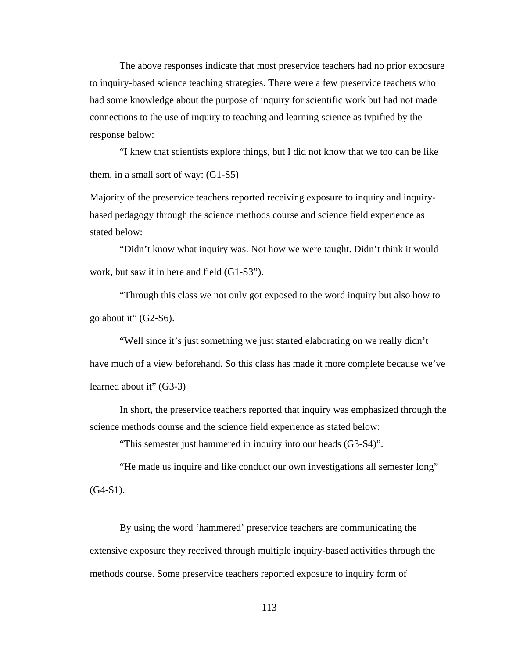The above responses indicate that most preservice teachers had no prior exposure to inquiry-based science teaching strategies. There were a few preservice teachers who had some knowledge about the purpose of inquiry for scientific work but had not made connections to the use of inquiry to teaching and learning science as typified by the response below:

 "I knew that scientists explore things, but I did not know that we too can be like them, in a small sort of way: (G1-S5)

Majority of the preservice teachers reported receiving exposure to inquiry and inquirybased pedagogy through the science methods course and science field experience as stated below:

 "Didn't know what inquiry was. Not how we were taught. Didn't think it would work, but saw it in here and field (G1-S3").

 "Through this class we not only got exposed to the word inquiry but also how to go about it"  $(G2-S6)$ .

 "Well since it's just something we just started elaborating on we really didn't have much of a view beforehand. So this class has made it more complete because we've learned about it" (G3-3)

 In short, the preservice teachers reported that inquiry was emphasized through the science methods course and the science field experience as stated below:

"This semester just hammered in inquiry into our heads (G3-S4)".

 "He made us inquire and like conduct our own investigations all semester long"  $(G4-S1)$ .

 By using the word 'hammered' preservice teachers are communicating the extensive exposure they received through multiple inquiry-based activities through the methods course. Some preservice teachers reported exposure to inquiry form of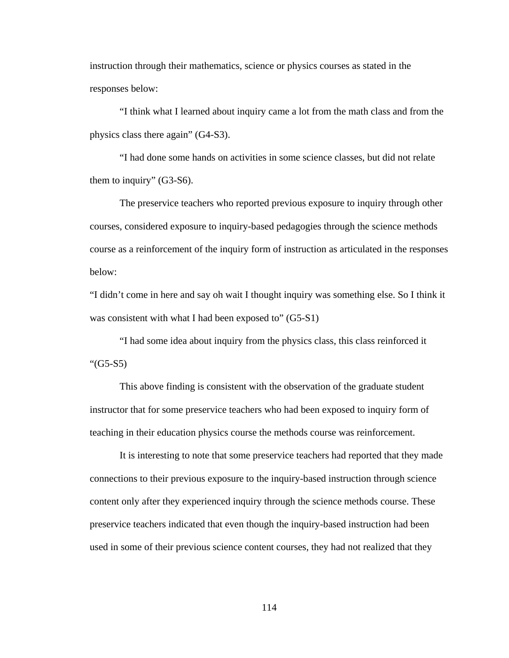instruction through their mathematics, science or physics courses as stated in the responses below:

 "I think what I learned about inquiry came a lot from the math class and from the physics class there again" (G4-S3).

 "I had done some hands on activities in some science classes, but did not relate them to inquiry" (G3-S6).

 The preservice teachers who reported previous exposure to inquiry through other courses, considered exposure to inquiry-based pedagogies through the science methods course as a reinforcement of the inquiry form of instruction as articulated in the responses below:

"I didn't come in here and say oh wait I thought inquiry was something else. So I think it was consistent with what I had been exposed to" (G5-S1)

 "I had some idea about inquiry from the physics class, this class reinforced it "(G5-S5)

 This above finding is consistent with the observation of the graduate student instructor that for some preservice teachers who had been exposed to inquiry form of teaching in their education physics course the methods course was reinforcement.

 It is interesting to note that some preservice teachers had reported that they made connections to their previous exposure to the inquiry-based instruction through science content only after they experienced inquiry through the science methods course. These preservice teachers indicated that even though the inquiry-based instruction had been used in some of their previous science content courses, they had not realized that they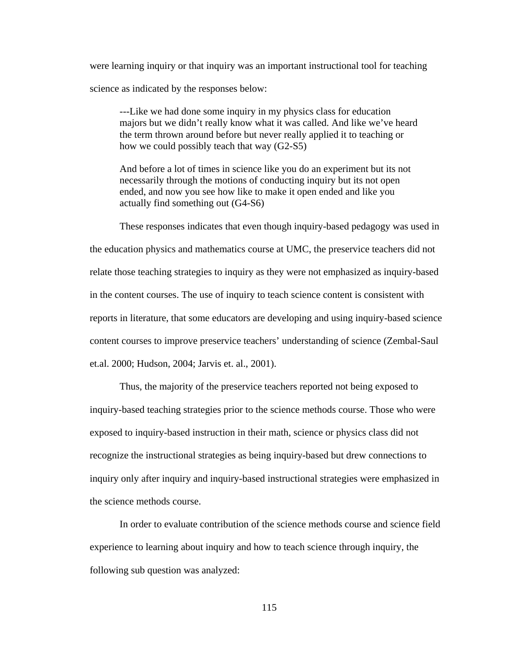were learning inquiry or that inquiry was an important instructional tool for teaching science as indicated by the responses below:

---Like we had done some inquiry in my physics class for education majors but we didn't really know what it was called. And like we've heard the term thrown around before but never really applied it to teaching or how we could possibly teach that way (G2-S5)

And before a lot of times in science like you do an experiment but its not necessarily through the motions of conducting inquiry but its not open ended, and now you see how like to make it open ended and like you actually find something out (G4-S6)

 These responses indicates that even though inquiry-based pedagogy was used in the education physics and mathematics course at UMC, the preservice teachers did not relate those teaching strategies to inquiry as they were not emphasized as inquiry-based in the content courses. The use of inquiry to teach science content is consistent with reports in literature, that some educators are developing and using inquiry-based science content courses to improve preservice teachers' understanding of science (Zembal-Saul et.al. 2000; Hudson, 2004; Jarvis et. al., 2001).

 Thus, the majority of the preservice teachers reported not being exposed to inquiry-based teaching strategies prior to the science methods course. Those who were exposed to inquiry-based instruction in their math, science or physics class did not recognize the instructional strategies as being inquiry-based but drew connections to inquiry only after inquiry and inquiry-based instructional strategies were emphasized in the science methods course.

 In order to evaluate contribution of the science methods course and science field experience to learning about inquiry and how to teach science through inquiry, the following sub question was analyzed: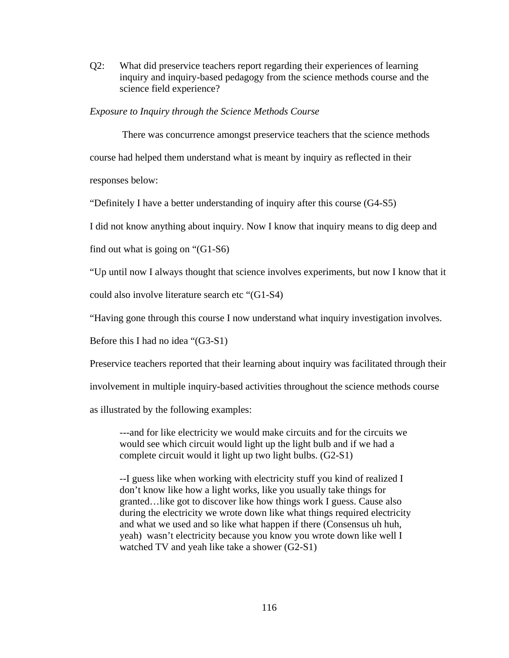Q2:What did preservice teachers report regarding their experiences of learning inquiry and inquiry-based pedagogy from the science methods course and the science field experience?

# *Exposure to Inquiry through the Science Methods Course*

There was concurrence amongst preservice teachers that the science methods course had helped them understand what is meant by inquiry as reflected in their responses below:

"Definitely I have a better understanding of inquiry after this course (G4-S5)

I did not know anything about inquiry. Now I know that inquiry means to dig deep and

find out what is going on "(G1-S6)

"Up until now I always thought that science involves experiments, but now I know that it

could also involve literature search etc "(G1-S4)

"Having gone through this course I now understand what inquiry investigation involves.

Before this I had no idea "(G3-S1)

Preservice teachers reported that their learning about inquiry was facilitated through their

involvement in multiple inquiry-based activities throughout the science methods course

as illustrated by the following examples:

---and for like electricity we would make circuits and for the circuits we would see which circuit would light up the light bulb and if we had a complete circuit would it light up two light bulbs. (G2-S1)

--I guess like when working with electricity stuff you kind of realized I don't know like how a light works, like you usually take things for granted…like got to discover like how things work I guess. Cause also during the electricity we wrote down like what things required electricity and what we used and so like what happen if there (Consensus uh huh, yeah) wasn't electricity because you know you wrote down like well I watched TV and yeah like take a shower (G2-S1)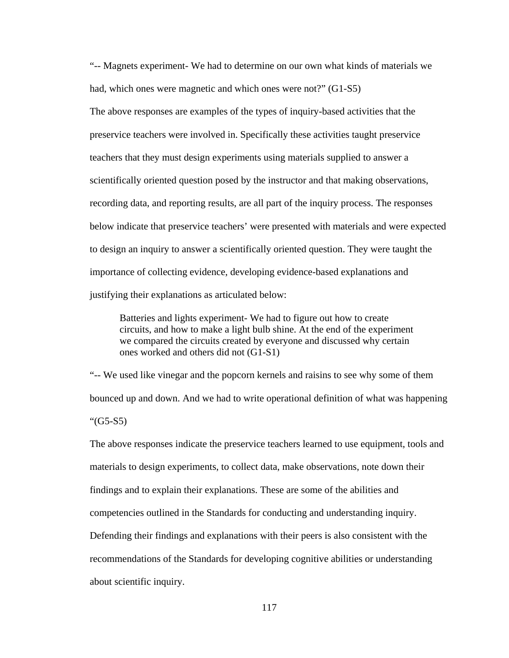"-- Magnets experiment- We had to determine on our own what kinds of materials we had, which ones were magnetic and which ones were not?" (G1-S5)

The above responses are examples of the types of inquiry-based activities that the preservice teachers were involved in. Specifically these activities taught preservice teachers that they must design experiments using materials supplied to answer a scientifically oriented question posed by the instructor and that making observations, recording data, and reporting results, are all part of the inquiry process. The responses below indicate that preservice teachers' were presented with materials and were expected to design an inquiry to answer a scientifically oriented question. They were taught the importance of collecting evidence, developing evidence-based explanations and justifying their explanations as articulated below:

Batteries and lights experiment- We had to figure out how to create circuits, and how to make a light bulb shine. At the end of the experiment we compared the circuits created by everyone and discussed why certain ones worked and others did not (G1-S1)

"-- We used like vinegar and the popcorn kernels and raisins to see why some of them bounced up and down. And we had to write operational definition of what was happening "(G5-S5)

The above responses indicate the preservice teachers learned to use equipment, tools and materials to design experiments, to collect data, make observations, note down their findings and to explain their explanations. These are some of the abilities and competencies outlined in the Standards for conducting and understanding inquiry. Defending their findings and explanations with their peers is also consistent with the recommendations of the Standards for developing cognitive abilities or understanding about scientific inquiry.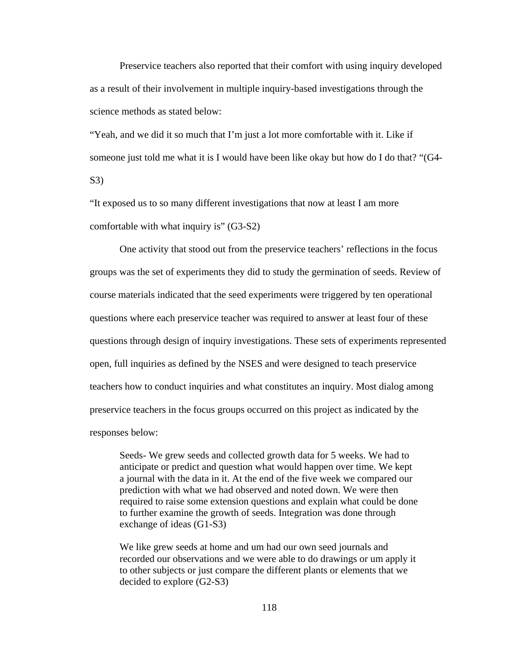Preservice teachers also reported that their comfort with using inquiry developed as a result of their involvement in multiple inquiry-based investigations through the science methods as stated below:

"Yeah, and we did it so much that I'm just a lot more comfortable with it. Like if someone just told me what it is I would have been like okay but how do I do that? "(G4- S3)

"It exposed us to so many different investigations that now at least I am more comfortable with what inquiry is" (G3-S2)

 One activity that stood out from the preservice teachers' reflections in the focus groups was the set of experiments they did to study the germination of seeds. Review of course materials indicated that the seed experiments were triggered by ten operational questions where each preservice teacher was required to answer at least four of these questions through design of inquiry investigations. These sets of experiments represented open, full inquiries as defined by the NSES and were designed to teach preservice teachers how to conduct inquiries and what constitutes an inquiry. Most dialog among preservice teachers in the focus groups occurred on this project as indicated by the responses below:

Seeds- We grew seeds and collected growth data for 5 weeks. We had to anticipate or predict and question what would happen over time. We kept a journal with the data in it. At the end of the five week we compared our prediction with what we had observed and noted down. We were then required to raise some extension questions and explain what could be done to further examine the growth of seeds. Integration was done through exchange of ideas (G1-S3)

We like grew seeds at home and um had our own seed journals and recorded our observations and we were able to do drawings or um apply it to other subjects or just compare the different plants or elements that we decided to explore (G2-S3)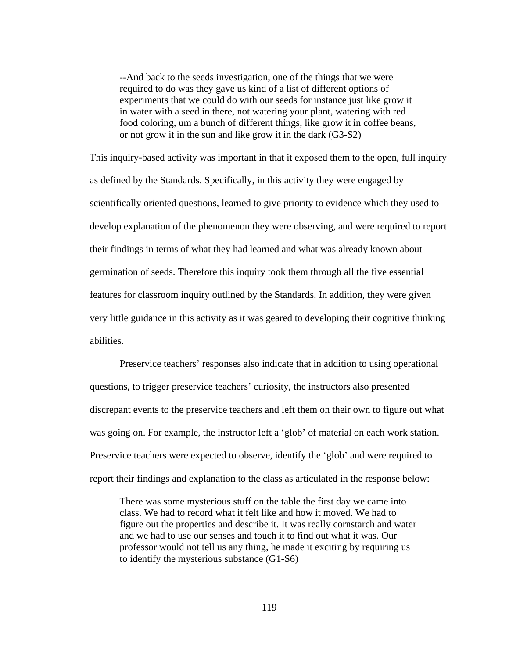--And back to the seeds investigation, one of the things that we were required to do was they gave us kind of a list of different options of experiments that we could do with our seeds for instance just like grow it in water with a seed in there, not watering your plant, watering with red food coloring, um a bunch of different things, like grow it in coffee beans, or not grow it in the sun and like grow it in the dark (G3-S2)

This inquiry-based activity was important in that it exposed them to the open, full inquiry as defined by the Standards. Specifically, in this activity they were engaged by scientifically oriented questions, learned to give priority to evidence which they used to develop explanation of the phenomenon they were observing, and were required to report their findings in terms of what they had learned and what was already known about germination of seeds. Therefore this inquiry took them through all the five essential features for classroom inquiry outlined by the Standards. In addition, they were given very little guidance in this activity as it was geared to developing their cognitive thinking abilities.

 Preservice teachers' responses also indicate that in addition to using operational questions, to trigger preservice teachers' curiosity, the instructors also presented discrepant events to the preservice teachers and left them on their own to figure out what was going on. For example, the instructor left a 'glob' of material on each work station. Preservice teachers were expected to observe, identify the 'glob' and were required to report their findings and explanation to the class as articulated in the response below:

There was some mysterious stuff on the table the first day we came into class. We had to record what it felt like and how it moved. We had to figure out the properties and describe it. It was really cornstarch and water and we had to use our senses and touch it to find out what it was. Our professor would not tell us any thing, he made it exciting by requiring us to identify the mysterious substance (G1-S6)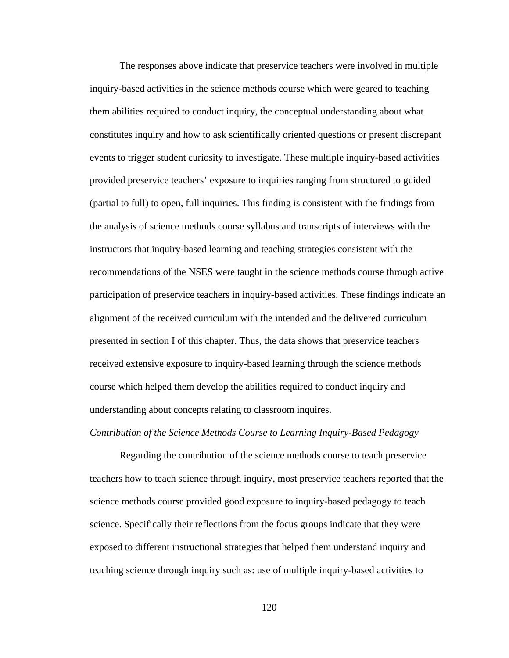The responses above indicate that preservice teachers were involved in multiple inquiry-based activities in the science methods course which were geared to teaching them abilities required to conduct inquiry, the conceptual understanding about what constitutes inquiry and how to ask scientifically oriented questions or present discrepant events to trigger student curiosity to investigate. These multiple inquiry-based activities provided preservice teachers' exposure to inquiries ranging from structured to guided (partial to full) to open, full inquiries. This finding is consistent with the findings from the analysis of science methods course syllabus and transcripts of interviews with the instructors that inquiry-based learning and teaching strategies consistent with the recommendations of the NSES were taught in the science methods course through active participation of preservice teachers in inquiry-based activities. These findings indicate an alignment of the received curriculum with the intended and the delivered curriculum presented in section I of this chapter. Thus, the data shows that preservice teachers received extensive exposure to inquiry-based learning through the science methods course which helped them develop the abilities required to conduct inquiry and understanding about concepts relating to classroom inquires.

#### *Contribution of the Science Methods Course to Learning Inquiry-Based Pedagogy*

 Regarding the contribution of the science methods course to teach preservice teachers how to teach science through inquiry, most preservice teachers reported that the science methods course provided good exposure to inquiry-based pedagogy to teach science. Specifically their reflections from the focus groups indicate that they were exposed to different instructional strategies that helped them understand inquiry and teaching science through inquiry such as: use of multiple inquiry-based activities to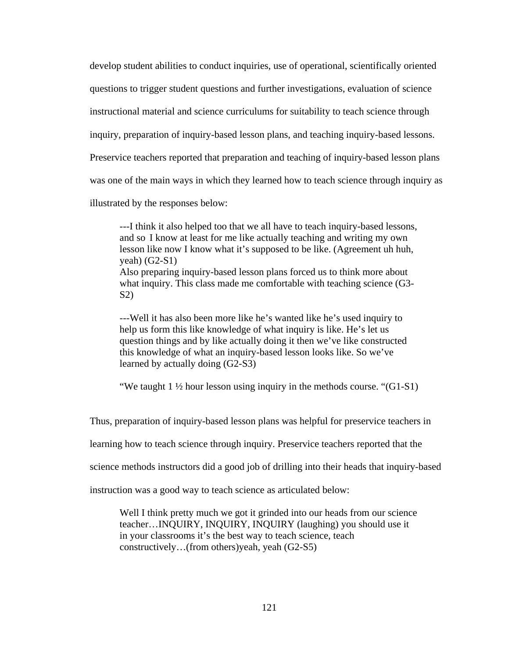develop student abilities to conduct inquiries, use of operational, scientifically oriented questions to trigger student questions and further investigations, evaluation of science instructional material and science curriculums for suitability to teach science through inquiry, preparation of inquiry-based lesson plans, and teaching inquiry-based lessons. Preservice teachers reported that preparation and teaching of inquiry-based lesson plans was one of the main ways in which they learned how to teach science through inquiry as illustrated by the responses below:

---I think it also helped too that we all have to teach inquiry-based lessons, and so I know at least for me like actually teaching and writing my own lesson like now I know what it's supposed to be like. (Agreement uh huh, yeah) (G2-S1) Also preparing inquiry-based lesson plans forced us to think more about what inquiry. This class made me comfortable with teaching science (G3- S2)

---Well it has also been more like he's wanted like he's used inquiry to help us form this like knowledge of what inquiry is like. He's let us question things and by like actually doing it then we've like constructed this knowledge of what an inquiry-based lesson looks like. So we've learned by actually doing (G2-S3)

"We taught 1 ½ hour lesson using inquiry in the methods course. "(G1-S1)

Thus, preparation of inquiry-based lesson plans was helpful for preservice teachers in

learning how to teach science through inquiry. Preservice teachers reported that the

science methods instructors did a good job of drilling into their heads that inquiry-based

instruction was a good way to teach science as articulated below:

Well I think pretty much we got it grinded into our heads from our science teacher…INQUIRY, INQUIRY, INQUIRY (laughing) you should use it in your classrooms it's the best way to teach science, teach constructively…(from others)yeah, yeah (G2-S5)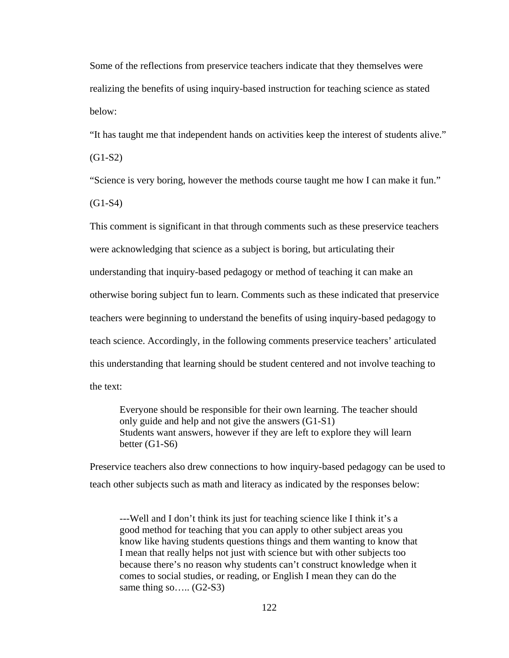Some of the reflections from preservice teachers indicate that they themselves were realizing the benefits of using inquiry-based instruction for teaching science as stated below:

"It has taught me that independent hands on activities keep the interest of students alive."

(G1-S2)

"Science is very boring, however the methods course taught me how I can make it fun."

(G1-S4)

This comment is significant in that through comments such as these preservice teachers were acknowledging that science as a subject is boring, but articulating their understanding that inquiry-based pedagogy or method of teaching it can make an otherwise boring subject fun to learn. Comments such as these indicated that preservice teachers were beginning to understand the benefits of using inquiry-based pedagogy to teach science. Accordingly, in the following comments preservice teachers' articulated this understanding that learning should be student centered and not involve teaching to the text:

Everyone should be responsible for their own learning. The teacher should only guide and help and not give the answers (G1-S1) Students want answers, however if they are left to explore they will learn better (G1-S6)

Preservice teachers also drew connections to how inquiry-based pedagogy can be used to teach other subjects such as math and literacy as indicated by the responses below:

---Well and I don't think its just for teaching science like I think it's a good method for teaching that you can apply to other subject areas you know like having students questions things and them wanting to know that I mean that really helps not just with science but with other subjects too because there's no reason why students can't construct knowledge when it comes to social studies, or reading, or English I mean they can do the same thing so.....  $(G2-S3)$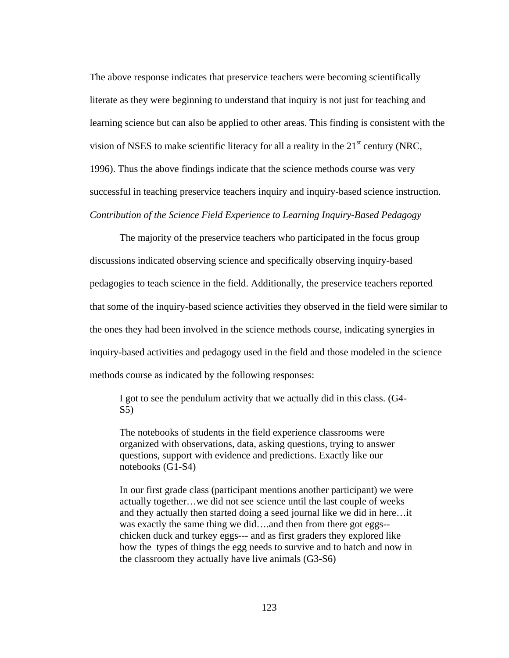The above response indicates that preservice teachers were becoming scientifically literate as they were beginning to understand that inquiry is not just for teaching and learning science but can also be applied to other areas. This finding is consistent with the vision of NSES to make scientific literacy for all a reality in the  $21<sup>st</sup>$  century (NRC, 1996). Thus the above findings indicate that the science methods course was very successful in teaching preservice teachers inquiry and inquiry-based science instruction. *Contribution of the Science Field Experience to Learning Inquiry-Based Pedagogy*

 The majority of the preservice teachers who participated in the focus group discussions indicated observing science and specifically observing inquiry-based pedagogies to teach science in the field. Additionally, the preservice teachers reported that some of the inquiry-based science activities they observed in the field were similar to the ones they had been involved in the science methods course, indicating synergies in inquiry-based activities and pedagogy used in the field and those modeled in the science methods course as indicated by the following responses:

I got to see the pendulum activity that we actually did in this class. (G4- S5)

The notebooks of students in the field experience classrooms were organized with observations, data, asking questions, trying to answer questions, support with evidence and predictions. Exactly like our notebooks (G1-S4)

In our first grade class (participant mentions another participant) we were actually together…we did not see science until the last couple of weeks and they actually then started doing a seed journal like we did in here…it was exactly the same thing we did....and then from there got eggs-chicken duck and turkey eggs--- and as first graders they explored like how the types of things the egg needs to survive and to hatch and now in the classroom they actually have live animals (G3-S6)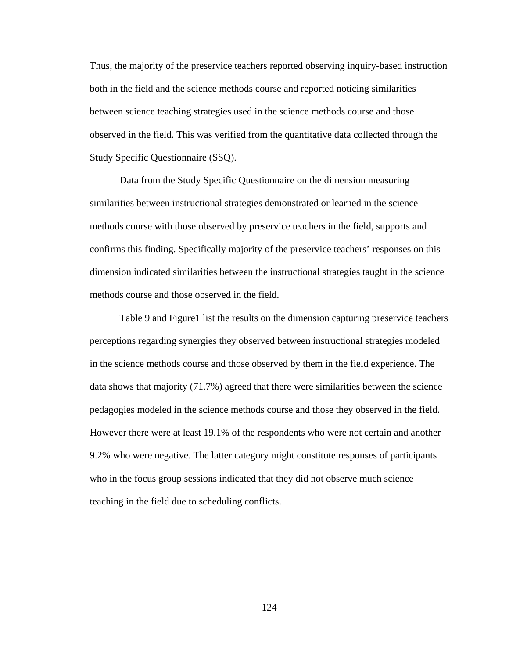Thus, the majority of the preservice teachers reported observing inquiry-based instruction both in the field and the science methods course and reported noticing similarities between science teaching strategies used in the science methods course and those observed in the field. This was verified from the quantitative data collected through the Study Specific Questionnaire (SSQ).

 Data from the Study Specific Questionnaire on the dimension measuring similarities between instructional strategies demonstrated or learned in the science methods course with those observed by preservice teachers in the field, supports and confirms this finding. Specifically majority of the preservice teachers' responses on this dimension indicated similarities between the instructional strategies taught in the science methods course and those observed in the field.

Table 9 and Figure1 list the results on the dimension capturing preservice teachers perceptions regarding synergies they observed between instructional strategies modeled in the science methods course and those observed by them in the field experience. The data shows that majority (71.7%) agreed that there were similarities between the science pedagogies modeled in the science methods course and those they observed in the field. However there were at least 19.1% of the respondents who were not certain and another 9.2% who were negative. The latter category might constitute responses of participants who in the focus group sessions indicated that they did not observe much science teaching in the field due to scheduling conflicts.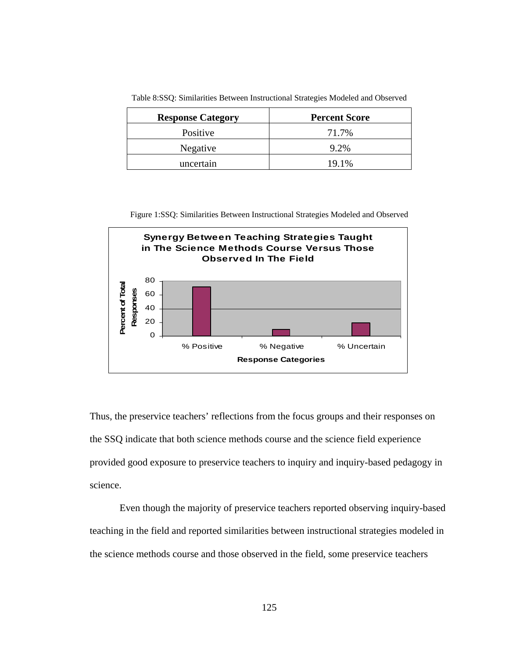| <b>Response Category</b> | <b>Percent Score</b> |
|--------------------------|----------------------|
| Positive                 | 71.7%                |
| Negative                 | $9.2\%$              |
| uncertain                | 19.1%                |

Table 8:SSQ: Similarities Between Instructional Strategies Modeled and Observed

Figure 1:SSQ: Similarities Between Instructional Strategies Modeled and Observed



Thus, the preservice teachers' reflections from the focus groups and their responses on the SSQ indicate that both science methods course and the science field experience provided good exposure to preservice teachers to inquiry and inquiry-based pedagogy in science.

 Even though the majority of preservice teachers reported observing inquiry-based teaching in the field and reported similarities between instructional strategies modeled in the science methods course and those observed in the field, some preservice teachers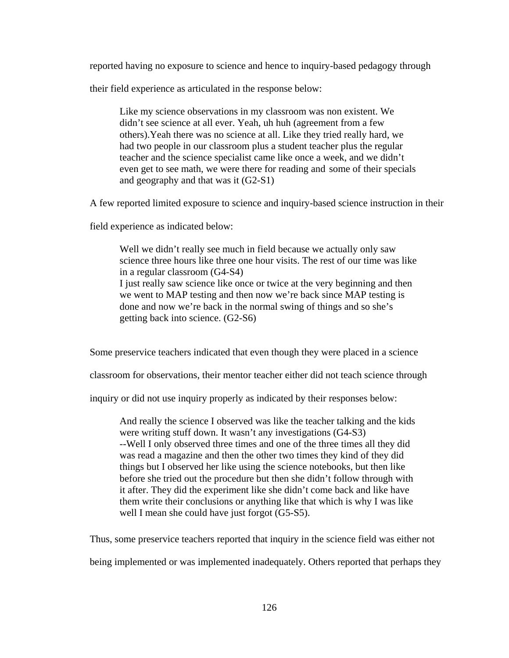reported having no exposure to science and hence to inquiry-based pedagogy through

their field experience as articulated in the response below:

Like my science observations in my classroom was non existent. We didn't see science at all ever. Yeah, uh huh (agreement from a few others).Yeah there was no science at all. Like they tried really hard, we had two people in our classroom plus a student teacher plus the regular teacher and the science specialist came like once a week, and we didn't even get to see math, we were there for reading and some of their specials and geography and that was it (G2-S1)

A few reported limited exposure to science and inquiry-based science instruction in their

field experience as indicated below:

Well we didn't really see much in field because we actually only saw science three hours like three one hour visits. The rest of our time was like in a regular classroom (G4-S4) I just really saw science like once or twice at the very beginning and then we went to MAP testing and then now we're back since MAP testing is done and now we're back in the normal swing of things and so she's getting back into science. (G2-S6)

Some preservice teachers indicated that even though they were placed in a science

classroom for observations, their mentor teacher either did not teach science through

inquiry or did not use inquiry properly as indicated by their responses below:

And really the science I observed was like the teacher talking and the kids were writing stuff down. It wasn't any investigations (G4-S3) --Well I only observed three times and one of the three times all they did was read a magazine and then the other two times they kind of they did things but I observed her like using the science notebooks, but then like before she tried out the procedure but then she didn't follow through with it after. They did the experiment like she didn't come back and like have them write their conclusions or anything like that which is why I was like well I mean she could have just forgot (G5-S5).

Thus, some preservice teachers reported that inquiry in the science field was either not

being implemented or was implemented inadequately. Others reported that perhaps they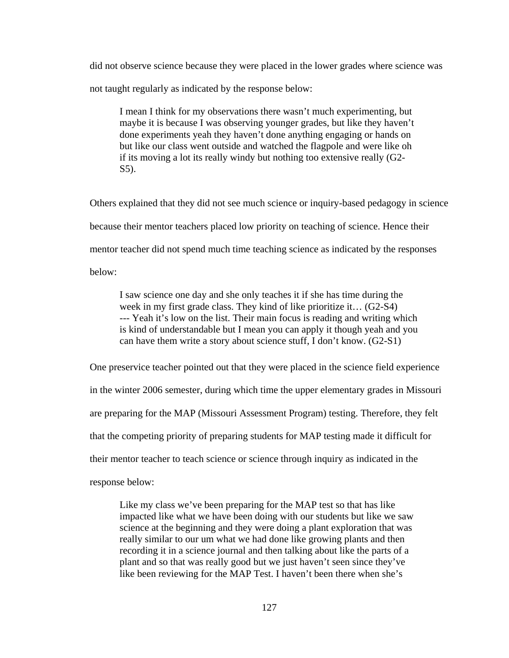did not observe science because they were placed in the lower grades where science was not taught regularly as indicated by the response below:

I mean I think for my observations there wasn't much experimenting, but maybe it is because I was observing younger grades, but like they haven't done experiments yeah they haven't done anything engaging or hands on but like our class went outside and watched the flagpole and were like oh if its moving a lot its really windy but nothing too extensive really (G2- S5).

Others explained that they did not see much science or inquiry-based pedagogy in science because their mentor teachers placed low priority on teaching of science. Hence their mentor teacher did not spend much time teaching science as indicated by the responses

below:

I saw science one day and she only teaches it if she has time during the week in my first grade class. They kind of like prioritize it... (G2-S4) --- Yeah it's low on the list. Their main focus is reading and writing which is kind of understandable but I mean you can apply it though yeah and you can have them write a story about science stuff, I don't know. (G2-S1)

One preservice teacher pointed out that they were placed in the science field experience in the winter 2006 semester, during which time the upper elementary grades in Missouri are preparing for the MAP (Missouri Assessment Program) testing. Therefore, they felt that the competing priority of preparing students for MAP testing made it difficult for their mentor teacher to teach science or science through inquiry as indicated in the response below:

Like my class we've been preparing for the MAP test so that has like impacted like what we have been doing with our students but like we saw science at the beginning and they were doing a plant exploration that was really similar to our um what we had done like growing plants and then recording it in a science journal and then talking about like the parts of a plant and so that was really good but we just haven't seen since they've like been reviewing for the MAP Test. I haven't been there when she's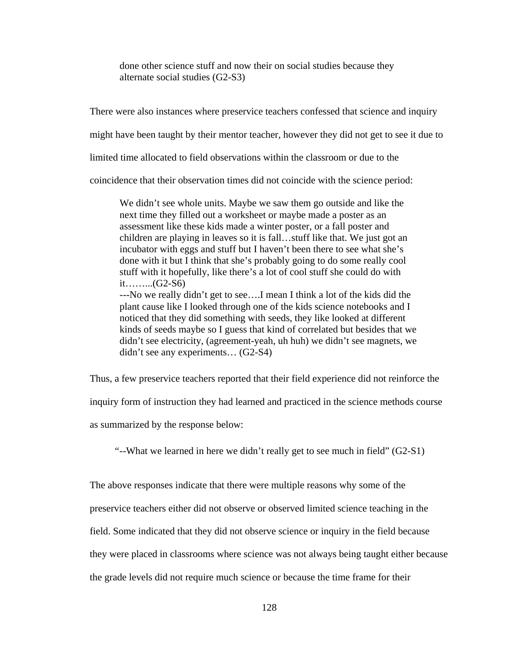done other science stuff and now their on social studies because they alternate social studies (G2-S3)

There were also instances where preservice teachers confessed that science and inquiry

might have been taught by their mentor teacher, however they did not get to see it due to

limited time allocated to field observations within the classroom or due to the

coincidence that their observation times did not coincide with the science period:

We didn't see whole units. Maybe we saw them go outside and like the next time they filled out a worksheet or maybe made a poster as an assessment like these kids made a winter poster, or a fall poster and children are playing in leaves so it is fall…stuff like that. We just got an incubator with eggs and stuff but I haven't been there to see what she's done with it but I think that she's probably going to do some really cool stuff with it hopefully, like there's a lot of cool stuff she could do with it……...(G2-S6)

---No we really didn't get to see….I mean I think a lot of the kids did the plant cause like I looked through one of the kids science notebooks and I noticed that they did something with seeds, they like looked at different kinds of seeds maybe so I guess that kind of correlated but besides that we didn't see electricity, (agreement-yeah, uh huh) we didn't see magnets, we didn't see any experiments… (G2-S4)

Thus, a few preservice teachers reported that their field experience did not reinforce the

inquiry form of instruction they had learned and practiced in the science methods course

as summarized by the response below:

*"--*What we learned in here we didn't really get to see much in field" (G2-S1)

The above responses indicate that there were multiple reasons why some of the

preservice teachers either did not observe or observed limited science teaching in the

field. Some indicated that they did not observe science or inquiry in the field because

they were placed in classrooms where science was not always being taught either because

the grade levels did not require much science or because the time frame for their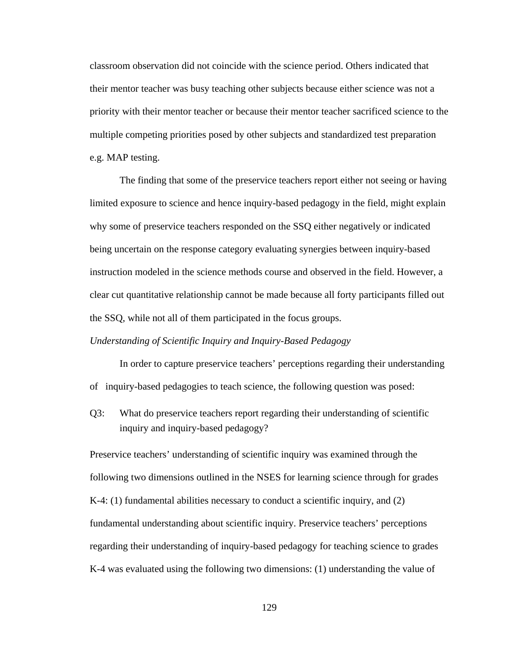classroom observation did not coincide with the science period. Others indicated that their mentor teacher was busy teaching other subjects because either science was not a priority with their mentor teacher or because their mentor teacher sacrificed science to the multiple competing priorities posed by other subjects and standardized test preparation e.g. MAP testing.

 The finding that some of the preservice teachers report either not seeing or having limited exposure to science and hence inquiry-based pedagogy in the field, might explain why some of preservice teachers responded on the SSQ either negatively or indicated being uncertain on the response category evaluating synergies between inquiry-based instruction modeled in the science methods course and observed in the field. However, a clear cut quantitative relationship cannot be made because all forty participants filled out the SSQ, while not all of them participated in the focus groups.

# *Understanding of Scientific Inquiry and Inquiry-Based Pedagogy*

 In order to capture preservice teachers' perceptions regarding their understanding of inquiry-based pedagogies to teach science, the following question was posed:

Q3: What do preservice teachers report regarding their understanding of scientific inquiry and inquiry-based pedagogy?

Preservice teachers' understanding of scientific inquiry was examined through the following two dimensions outlined in the NSES for learning science through for grades K-4: (1) fundamental abilities necessary to conduct a scientific inquiry, and (2) fundamental understanding about scientific inquiry. Preservice teachers' perceptions regarding their understanding of inquiry-based pedagogy for teaching science to grades K-4 was evaluated using the following two dimensions: (1) understanding the value of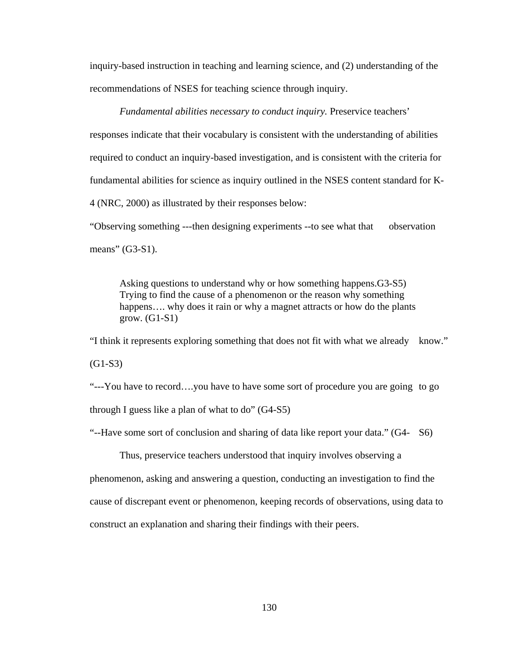inquiry-based instruction in teaching and learning science, and (2) understanding of the recommendations of NSES for teaching science through inquiry.

 *Fundamental abilities necessary to conduct inquiry.* Preservice teachers' responses indicate that their vocabulary is consistent with the understanding of abilities required to conduct an inquiry-based investigation, and is consistent with the criteria for fundamental abilities for science as inquiry outlined in the NSES content standard for K-4 (NRC, 2000) as illustrated by their responses below:

"Observing something ---then designing experiments --to see what that observation means" (G3-S1).

Asking questions to understand why or how something happens.G3-S5) Trying to find the cause of a phenomenon or the reason why something happens.... why does it rain or why a magnet attracts or how do the plants grow.  $(G1-S1)$ 

"I think it represents exploring something that does not fit with what we already know."

 $(G1-S3)$ 

"---You have to record….you have to have some sort of procedure you are going to go through I guess like a plan of what to do" (G4-S5)

"--Have some sort of conclusion and sharing of data like report your data." (G4- S6)

 Thus, preservice teachers understood that inquiry involves observing a phenomenon, asking and answering a question, conducting an investigation to find the cause of discrepant event or phenomenon, keeping records of observations, using data to construct an explanation and sharing their findings with their peers.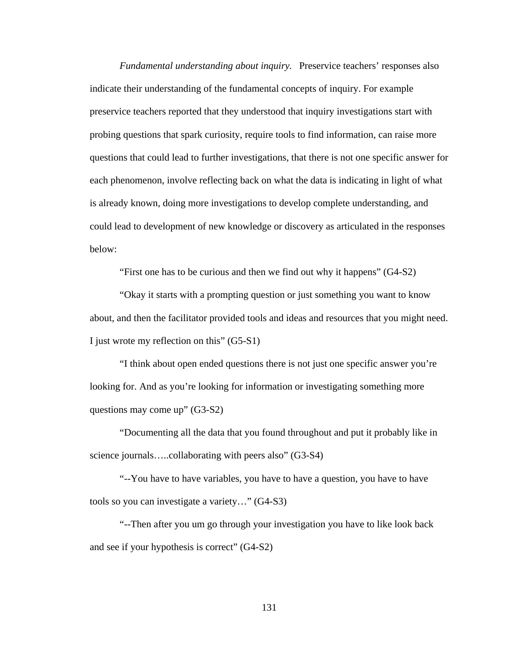*Fundamental understanding about inquiry.* Preservice teachers' responses also indicate their understanding of the fundamental concepts of inquiry. For example preservice teachers reported that they understood that inquiry investigations start with probing questions that spark curiosity, require tools to find information, can raise more questions that could lead to further investigations, that there is not one specific answer for each phenomenon, involve reflecting back on what the data is indicating in light of what is already known, doing more investigations to develop complete understanding, and could lead to development of new knowledge or discovery as articulated in the responses below:

"First one has to be curious and then we find out why it happens" (G4-S2)

 "Okay it starts with a prompting question or just something you want to know about, and then the facilitator provided tools and ideas and resources that you might need. I just wrote my reflection on this" (G5-S1)

 "I think about open ended questions there is not just one specific answer you're looking for. And as you're looking for information or investigating something more questions may come up" (G3-S2)

 "Documenting all the data that you found throughout and put it probably like in science journals.....collaborating with peers also" (G3-S4)

 "--You have to have variables, you have to have a question, you have to have tools so you can investigate a variety…" (G4-S3)

 "--Then after you um go through your investigation you have to like look back and see if your hypothesis is correct" (G4-S2)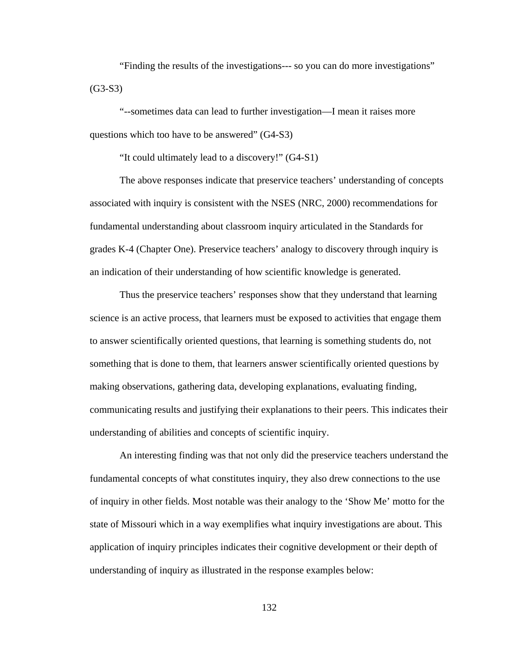"Finding the results of the investigations--- so you can do more investigations" (G3-S3)

 "--sometimes data can lead to further investigation—I mean it raises more questions which too have to be answered" (G4-S3)

"It could ultimately lead to a discovery!" (G4-S1)

 The above responses indicate that preservice teachers' understanding of concepts associated with inquiry is consistent with the NSES (NRC, 2000) recommendations for fundamental understanding about classroom inquiry articulated in the Standards for grades K-4 (Chapter One). Preservice teachers' analogy to discovery through inquiry is an indication of their understanding of how scientific knowledge is generated.

 Thus the preservice teachers' responses show that they understand that learning science is an active process, that learners must be exposed to activities that engage them to answer scientifically oriented questions, that learning is something students do, not something that is done to them, that learners answer scientifically oriented questions by making observations, gathering data, developing explanations, evaluating finding, communicating results and justifying their explanations to their peers. This indicates their understanding of abilities and concepts of scientific inquiry.

 An interesting finding was that not only did the preservice teachers understand the fundamental concepts of what constitutes inquiry, they also drew connections to the use of inquiry in other fields. Most notable was their analogy to the 'Show Me' motto for the state of Missouri which in a way exemplifies what inquiry investigations are about. This application of inquiry principles indicates their cognitive development or their depth of understanding of inquiry as illustrated in the response examples below:

132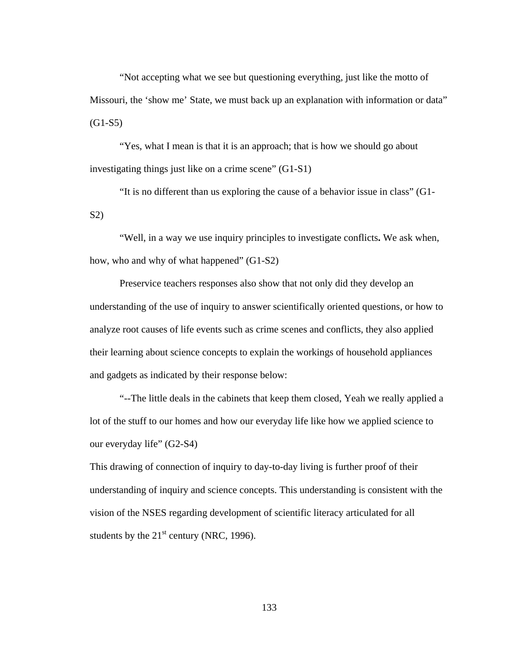"Not accepting what we see but questioning everything, just like the motto of Missouri, the 'show me' State, we must back up an explanation with information or data"  $(G1-S5)$ 

"Yes, what I mean is that it is an approach; that is how we should go about investigating things just like on a crime scene" (G1-S1)

 "It is no different than us exploring the cause of a behavior issue in class" (G1- S2)

 "Well, in a way we use inquiry principles to investigate conflicts**.** We ask when, how, who and why of what happened" (G1-S2)

 Preservice teachers responses also show that not only did they develop an understanding of the use of inquiry to answer scientifically oriented questions, or how to analyze root causes of life events such as crime scenes and conflicts, they also applied their learning about science concepts to explain the workings of household appliances and gadgets as indicated by their response below:

 "--The little deals in the cabinets that keep them closed, Yeah we really applied a lot of the stuff to our homes and how our everyday life like how we applied science to our everyday life" (G2-S4)

This drawing of connection of inquiry to day-to-day living is further proof of their understanding of inquiry and science concepts. This understanding is consistent with the vision of the NSES regarding development of scientific literacy articulated for all students by the  $21<sup>st</sup>$  century (NRC, 1996).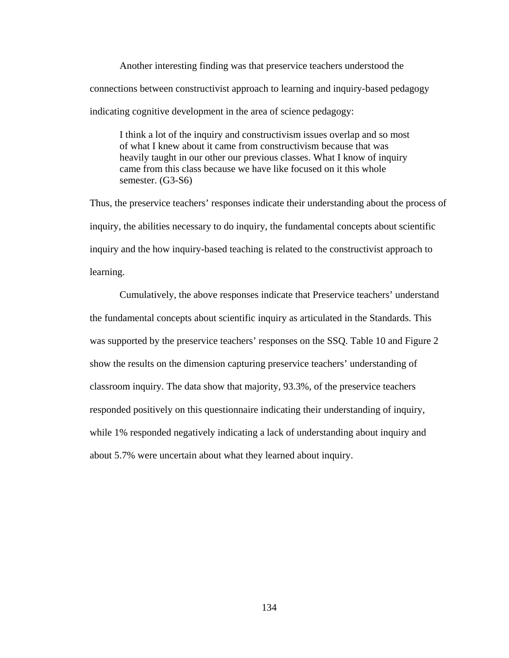Another interesting finding was that preservice teachers understood the connections between constructivist approach to learning and inquiry-based pedagogy indicating cognitive development in the area of science pedagogy:

I think a lot of the inquiry and constructivism issues overlap and so most of what I knew about it came from constructivism because that was heavily taught in our other our previous classes. What I know of inquiry came from this class because we have like focused on it this whole semester. (G3-S6)

Thus, the preservice teachers' responses indicate their understanding about the process of inquiry, the abilities necessary to do inquiry, the fundamental concepts about scientific inquiry and the how inquiry-based teaching is related to the constructivist approach to learning.

 Cumulatively, the above responses indicate that Preservice teachers' understand the fundamental concepts about scientific inquiry as articulated in the Standards. This was supported by the preservice teachers' responses on the SSQ. Table 10 and Figure 2 show the results on the dimension capturing preservice teachers' understanding of classroom inquiry. The data show that majority, 93.3%, of the preservice teachers responded positively on this questionnaire indicating their understanding of inquiry, while 1% responded negatively indicating a lack of understanding about inquiry and about 5.7% were uncertain about what they learned about inquiry.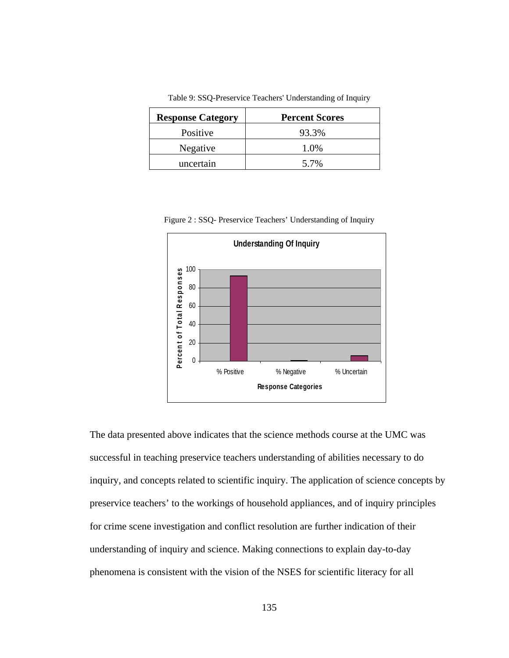| <b>Response Category</b> | <b>Percent Scores</b> |
|--------------------------|-----------------------|
| Positive                 | 93.3%                 |
| Negative                 | 1.0%                  |
| uncertain                | 5.7%                  |

Table 9: SSQ-Preservice Teachers' Understanding of Inquiry

Figure 2 : SSQ- Preservice Teachers' Understanding of Inquiry



The data presented above indicates that the science methods course at the UMC was successful in teaching preservice teachers understanding of abilities necessary to do inquiry, and concepts related to scientific inquiry. The application of science concepts by preservice teachers' to the workings of household appliances, and of inquiry principles for crime scene investigation and conflict resolution are further indication of their understanding of inquiry and science. Making connections to explain day-to-day phenomena is consistent with the vision of the NSES for scientific literacy for all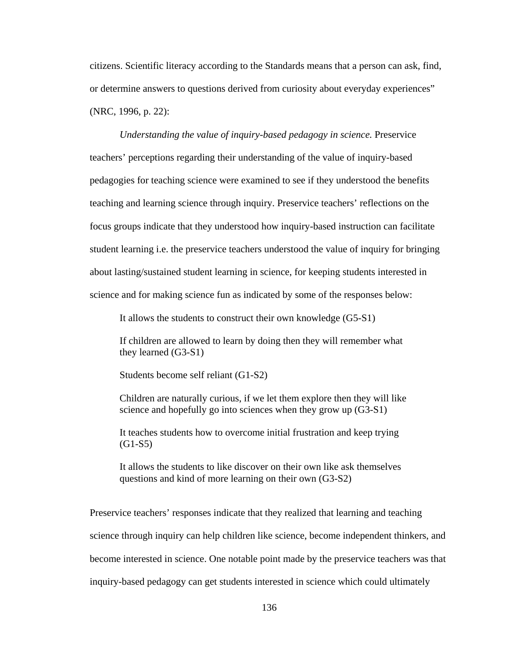citizens. Scientific literacy according to the Standards means that a person can ask, find, or determine answers to questions derived from curiosity about everyday experiences" (NRC, 1996, p. 22):

*Understanding the value of inquiry-based pedagogy in science. Preservice* teachers' perceptions regarding their understanding of the value of inquiry-based pedagogies for teaching science were examined to see if they understood the benefits teaching and learning science through inquiry. Preservice teachers' reflections on the focus groups indicate that they understood how inquiry-based instruction can facilitate student learning i.e. the preservice teachers understood the value of inquiry for bringing about lasting/sustained student learning in science, for keeping students interested in science and for making science fun as indicated by some of the responses below:

It allows the students to construct their own knowledge (G5-S1)

If children are allowed to learn by doing then they will remember what they learned (G3-S1)

Students become self reliant (G1-S2)

Children are naturally curious, if we let them explore then they will like science and hopefully go into sciences when they grow up (G3-S1)

It teaches students how to overcome initial frustration and keep trying  $(G1-S5)$ 

It allows the students to like discover on their own like ask themselves questions and kind of more learning on their own (G3-S2)

Preservice teachers' responses indicate that they realized that learning and teaching science through inquiry can help children like science, become independent thinkers, and become interested in science. One notable point made by the preservice teachers was that inquiry-based pedagogy can get students interested in science which could ultimately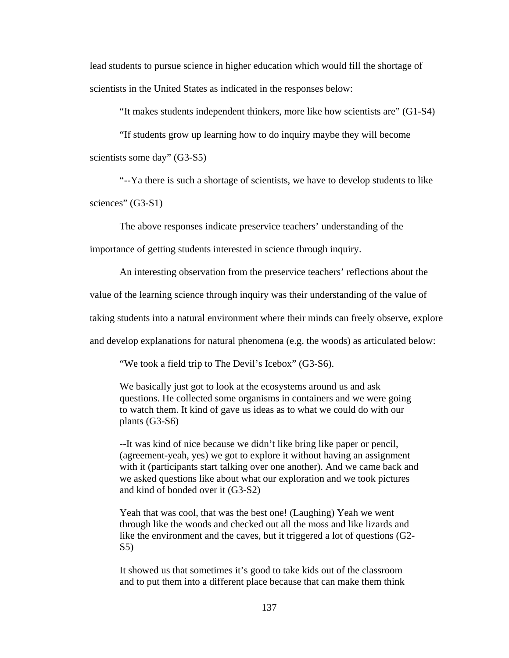lead students to pursue science in higher education which would fill the shortage of scientists in the United States as indicated in the responses below:

"It makes students independent thinkers, more like how scientists are" (G1-S4)

 "If students grow up learning how to do inquiry maybe they will become scientists some day" (G3-S5)

 "--Ya there is such a shortage of scientists, we have to develop students to like sciences" (G3-S1)

 The above responses indicate preservice teachers' understanding of the importance of getting students interested in science through inquiry.

An interesting observation from the preservice teachers' reflections about the

value of the learning science through inquiry was their understanding of the value of

taking students into a natural environment where their minds can freely observe, explore

and develop explanations for natural phenomena (e.g. the woods) as articulated below:

"We took a field trip to The Devil's Icebox" (G3-S6).

We basically just got to look at the ecosystems around us and ask questions. He collected some organisms in containers and we were going to watch them. It kind of gave us ideas as to what we could do with our plants (G3-S6)

--It was kind of nice because we didn't like bring like paper or pencil, (agreement-yeah, yes) we got to explore it without having an assignment with it (participants start talking over one another). And we came back and we asked questions like about what our exploration and we took pictures and kind of bonded over it (G3-S2)

Yeah that was cool, that was the best one! (Laughing) Yeah we went through like the woods and checked out all the moss and like lizards and like the environment and the caves, but it triggered a lot of questions (G2- S5)

It showed us that sometimes it's good to take kids out of the classroom and to put them into a different place because that can make them think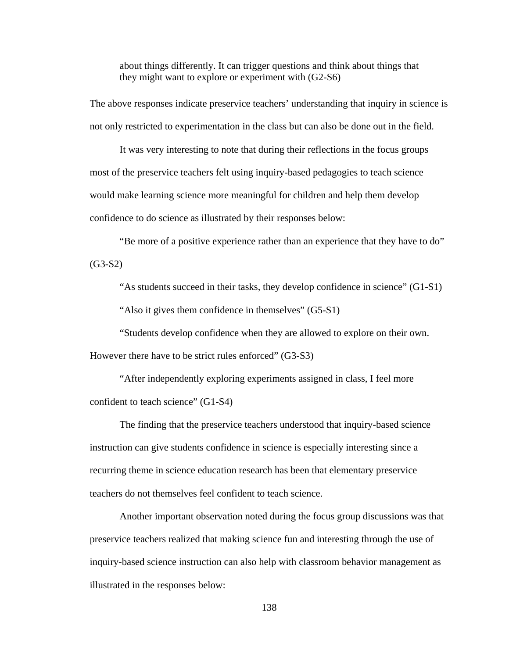about things differently. It can trigger questions and think about things that they might want to explore or experiment with (G2-S6)

The above responses indicate preservice teachers' understanding that inquiry in science is not only restricted to experimentation in the class but can also be done out in the field.

 It was very interesting to note that during their reflections in the focus groups most of the preservice teachers felt using inquiry-based pedagogies to teach science would make learning science more meaningful for children and help them develop confidence to do science as illustrated by their responses below:

 "Be more of a positive experience rather than an experience that they have to do"  $(G3-S2)$ 

"As students succeed in their tasks, they develop confidence in science" (G1-S1)

"Also it gives them confidence in themselves" (G5-S1)

"Students develop confidence when they are allowed to explore on their own.

However there have to be strict rules enforced" (G3-S3)

 "After independently exploring experiments assigned in class, I feel more confident to teach science" (G1-S4)

 The finding that the preservice teachers understood that inquiry-based science instruction can give students confidence in science is especially interesting since a recurring theme in science education research has been that elementary preservice teachers do not themselves feel confident to teach science.

 Another important observation noted during the focus group discussions was that preservice teachers realized that making science fun and interesting through the use of inquiry-based science instruction can also help with classroom behavior management as illustrated in the responses below: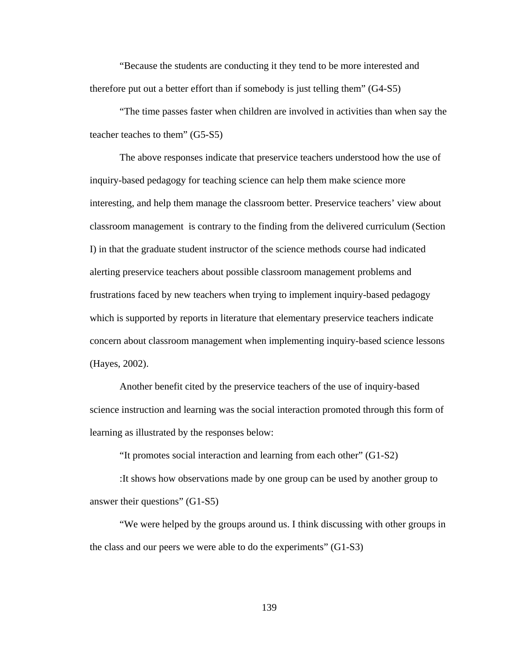"Because the students are conducting it they tend to be more interested and therefore put out a better effort than if somebody is just telling them" (G4-S5)

 "The time passes faster when children are involved in activities than when say the teacher teaches to them" (G5-S5)

 The above responses indicate that preservice teachers understood how the use of inquiry-based pedagogy for teaching science can help them make science more interesting, and help them manage the classroom better. Preservice teachers' view about classroom management is contrary to the finding from the delivered curriculum (Section I) in that the graduate student instructor of the science methods course had indicated alerting preservice teachers about possible classroom management problems and frustrations faced by new teachers when trying to implement inquiry-based pedagogy which is supported by reports in literature that elementary preservice teachers indicate concern about classroom management when implementing inquiry-based science lessons (Hayes, 2002).

 Another benefit cited by the preservice teachers of the use of inquiry-based science instruction and learning was the social interaction promoted through this form of learning as illustrated by the responses below:

"It promotes social interaction and learning from each other" (G1-S2)

 :It shows how observations made by one group can be used by another group to answer their questions" (G1-S5)

 "We were helped by the groups around us. I think discussing with other groups in the class and our peers we were able to do the experiments" (G1-S3)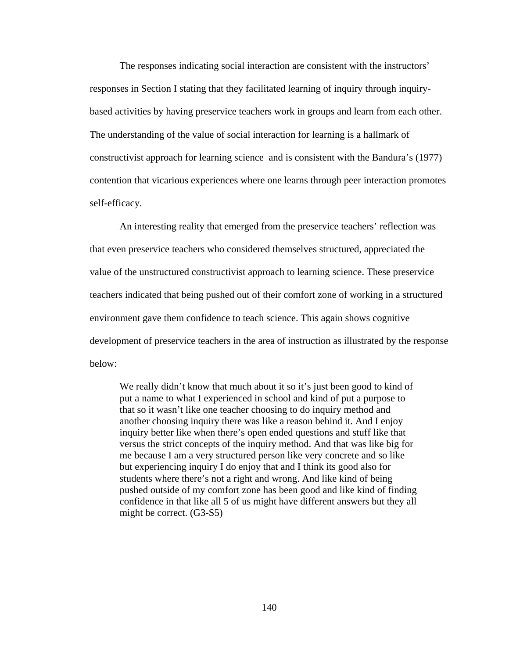The responses indicating social interaction are consistent with the instructors' responses in Section I stating that they facilitated learning of inquiry through inquirybased activities by having preservice teachers work in groups and learn from each other. The understanding of the value of social interaction for learning is a hallmark of constructivist approach for learning science and is consistent with the Bandura's (1977) contention that vicarious experiences where one learns through peer interaction promotes self-efficacy.

 An interesting reality that emerged from the preservice teachers' reflection was that even preservice teachers who considered themselves structured, appreciated the value of the unstructured constructivist approach to learning science. These preservice teachers indicated that being pushed out of their comfort zone of working in a structured environment gave them confidence to teach science. This again shows cognitive development of preservice teachers in the area of instruction as illustrated by the response below:

We really didn't know that much about it so it's just been good to kind of put a name to what I experienced in school and kind of put a purpose to that so it wasn't like one teacher choosing to do inquiry method and another choosing inquiry there was like a reason behind it. And I enjoy inquiry better like when there's open ended questions and stuff like that versus the strict concepts of the inquiry method. And that was like big for me because I am a very structured person like very concrete and so like but experiencing inquiry I do enjoy that and I think its good also for students where there's not a right and wrong. And like kind of being pushed outside of my comfort zone has been good and like kind of finding confidence in that like all 5 of us might have different answers but they all might be correct. (G3-S5)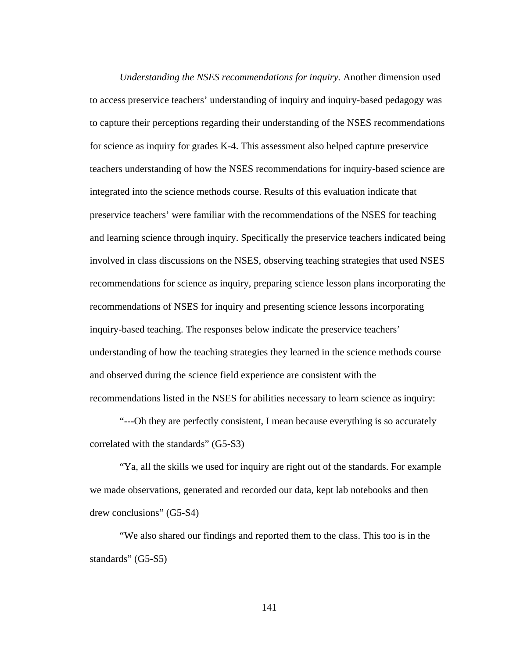*Understanding the NSES recommendations for inquiry.* Another dimension used to access preservice teachers' understanding of inquiry and inquiry-based pedagogy was to capture their perceptions regarding their understanding of the NSES recommendations for science as inquiry for grades K-4. This assessment also helped capture preservice teachers understanding of how the NSES recommendations for inquiry-based science are integrated into the science methods course. Results of this evaluation indicate that preservice teachers' were familiar with the recommendations of the NSES for teaching and learning science through inquiry. Specifically the preservice teachers indicated being involved in class discussions on the NSES, observing teaching strategies that used NSES recommendations for science as inquiry, preparing science lesson plans incorporating the recommendations of NSES for inquiry and presenting science lessons incorporating inquiry-based teaching. The responses below indicate the preservice teachers' understanding of how the teaching strategies they learned in the science methods course and observed during the science field experience are consistent with the recommendations listed in the NSES for abilities necessary to learn science as inquiry:

 "---Oh they are perfectly consistent, I mean because everything is so accurately correlated with the standards" (G5-S3)

 "Ya, all the skills we used for inquiry are right out of the standards. For example we made observations, generated and recorded our data, kept lab notebooks and then drew conclusions" (G5-S4)

 "We also shared our findings and reported them to the class. This too is in the standards" (G5-S5)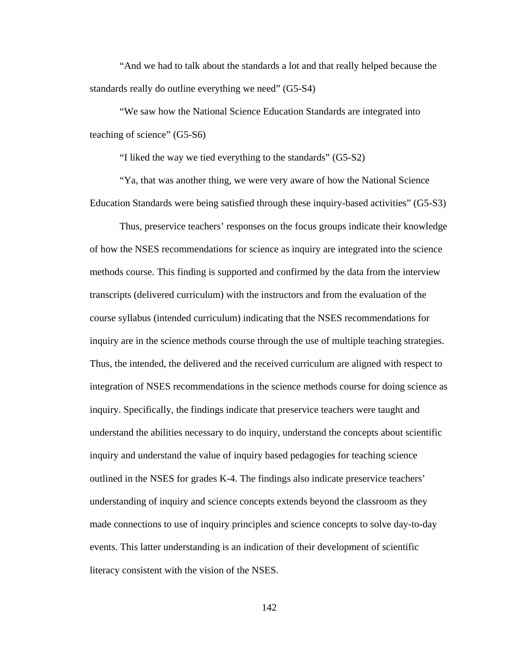"And we had to talk about the standards a lot and that really helped because the standards really do outline everything we need" (G5-S4)

 "We saw how the National Science Education Standards are integrated into teaching of science" (G5-S6)

"I liked the way we tied everything to the standards" (G5-S2)

 "Ya, that was another thing, we were very aware of how the National Science Education Standards were being satisfied through these inquiry-based activities" (G5-S3)

 Thus, preservice teachers' responses on the focus groups indicate their knowledge of how the NSES recommendations for science as inquiry are integrated into the science methods course. This finding is supported and confirmed by the data from the interview transcripts (delivered curriculum) with the instructors and from the evaluation of the course syllabus (intended curriculum) indicating that the NSES recommendations for inquiry are in the science methods course through the use of multiple teaching strategies. Thus, the intended, the delivered and the received curriculum are aligned with respect to integration of NSES recommendations in the science methods course for doing science as inquiry. Specifically, the findings indicate that preservice teachers were taught and understand the abilities necessary to do inquiry, understand the concepts about scientific inquiry and understand the value of inquiry based pedagogies for teaching science outlined in the NSES for grades K-4. The findings also indicate preservice teachers' understanding of inquiry and science concepts extends beyond the classroom as they made connections to use of inquiry principles and science concepts to solve day-to-day events. This latter understanding is an indication of their development of scientific literacy consistent with the vision of the NSES.

142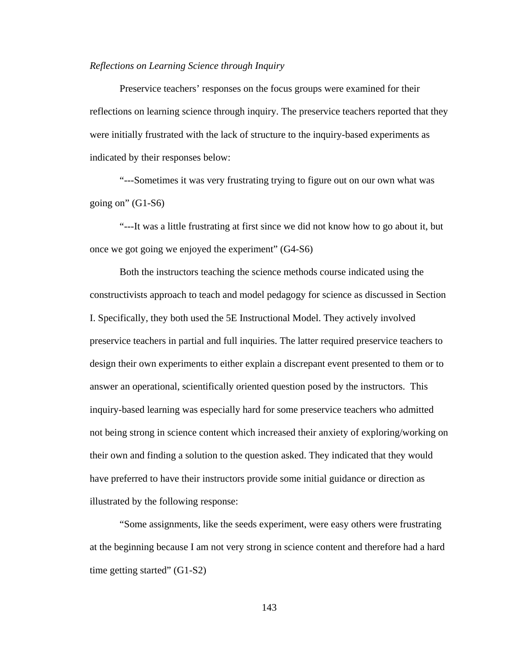# *Reflections on Learning Science through Inquiry*

Preservice teachers' responses on the focus groups were examined for their reflections on learning science through inquiry. The preservice teachers reported that they were initially frustrated with the lack of structure to the inquiry-based experiments as indicated by their responses below:

 "---Sometimes it was very frustrating trying to figure out on our own what was going on"  $(G1-S6)$ 

 "---It was a little frustrating at first since we did not know how to go about it, but once we got going we enjoyed the experiment" (G4-S6)

 Both the instructors teaching the science methods course indicated using the constructivists approach to teach and model pedagogy for science as discussed in Section I. Specifically, they both used the 5E Instructional Model. They actively involved preservice teachers in partial and full inquiries. The latter required preservice teachers to design their own experiments to either explain a discrepant event presented to them or to answer an operational, scientifically oriented question posed by the instructors. This inquiry-based learning was especially hard for some preservice teachers who admitted not being strong in science content which increased their anxiety of exploring/working on their own and finding a solution to the question asked. They indicated that they would have preferred to have their instructors provide some initial guidance or direction as illustrated by the following response:

 "Some assignments, like the seeds experiment, were easy others were frustrating at the beginning because I am not very strong in science content and therefore had a hard time getting started"  $(G1-S2)$ 

143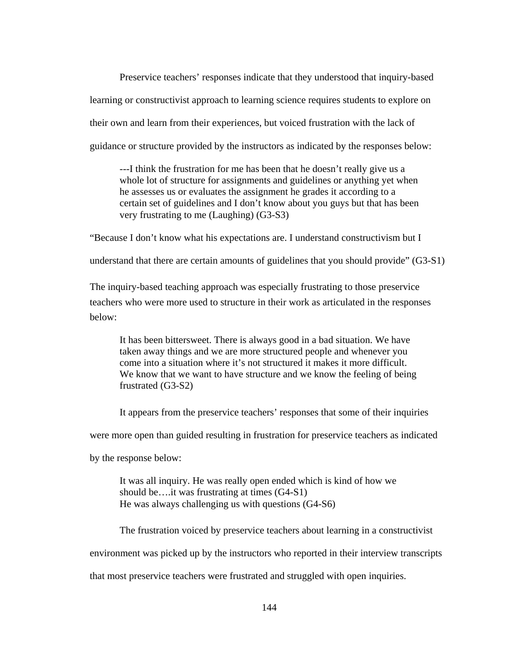Preservice teachers' responses indicate that they understood that inquiry-based learning or constructivist approach to learning science requires students to explore on their own and learn from their experiences, but voiced frustration with the lack of guidance or structure provided by the instructors as indicated by the responses below:

---I think the frustration for me has been that he doesn't really give us a whole lot of structure for assignments and guidelines or anything yet when he assesses us or evaluates the assignment he grades it according to a certain set of guidelines and I don't know about you guys but that has been very frustrating to me (Laughing) (G3-S3)

"Because I don't know what his expectations are. I understand constructivism but I

understand that there are certain amounts of guidelines that you should provide" (G3-S1)

The inquiry-based teaching approach was especially frustrating to those preservice teachers who were more used to structure in their work as articulated in the responses below:

It has been bittersweet. There is always good in a bad situation. We have taken away things and we are more structured people and whenever you come into a situation where it's not structured it makes it more difficult. We know that we want to have structure and we know the feeling of being frustrated (G3-S2)

It appears from the preservice teachers' responses that some of their inquiries

were more open than guided resulting in frustration for preservice teachers as indicated

by the response below:

It was all inquiry. He was really open ended which is kind of how we should be….it was frustrating at times (G4-S1) He was always challenging us with questions (G4-S6)

 The frustration voiced by preservice teachers about learning in a constructivist environment was picked up by the instructors who reported in their interview transcripts

that most preservice teachers were frustrated and struggled with open inquiries.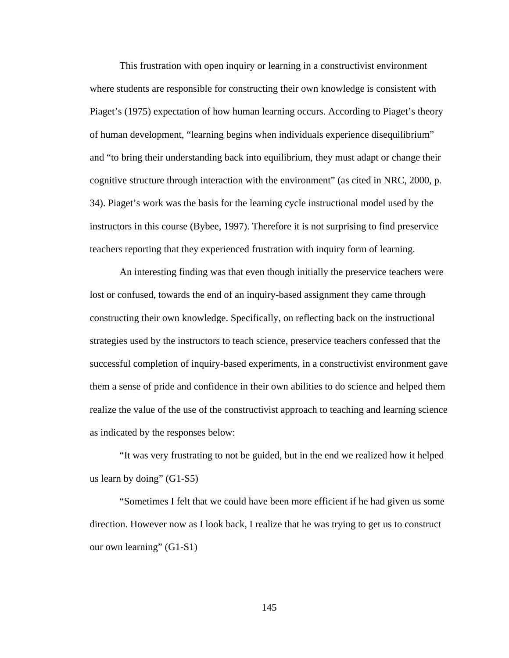This frustration with open inquiry or learning in a constructivist environment where students are responsible for constructing their own knowledge is consistent with Piaget's (1975) expectation of how human learning occurs. According to Piaget's theory of human development, "learning begins when individuals experience disequilibrium" and "to bring their understanding back into equilibrium, they must adapt or change their cognitive structure through interaction with the environment" (as cited in NRC, 2000, p. 34). Piaget's work was the basis for the learning cycle instructional model used by the instructors in this course (Bybee, 1997). Therefore it is not surprising to find preservice teachers reporting that they experienced frustration with inquiry form of learning.

 An interesting finding was that even though initially the preservice teachers were lost or confused, towards the end of an inquiry-based assignment they came through constructing their own knowledge. Specifically, on reflecting back on the instructional strategies used by the instructors to teach science, preservice teachers confessed that the successful completion of inquiry-based experiments, in a constructivist environment gave them a sense of pride and confidence in their own abilities to do science and helped them realize the value of the use of the constructivist approach to teaching and learning science as indicated by the responses below:

 "It was very frustrating to not be guided, but in the end we realized how it helped us learn by doing" (G1-S5)

 "Sometimes I felt that we could have been more efficient if he had given us some direction. However now as I look back, I realize that he was trying to get us to construct our own learning" (G1-S1)

145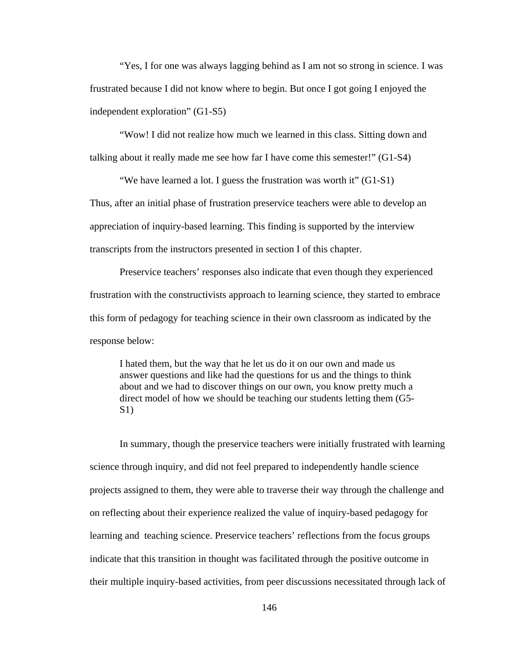"Yes, I for one was always lagging behind as I am not so strong in science. I was frustrated because I did not know where to begin. But once I got going I enjoyed the independent exploration" (G1-S5)

 "Wow! I did not realize how much we learned in this class. Sitting down and talking about it really made me see how far I have come this semester!" (G1-S4)

 "We have learned a lot. I guess the frustration was worth it" (G1-S1) Thus, after an initial phase of frustration preservice teachers were able to develop an appreciation of inquiry-based learning. This finding is supported by the interview transcripts from the instructors presented in section I of this chapter.

 Preservice teachers' responses also indicate that even though they experienced frustration with the constructivists approach to learning science, they started to embrace this form of pedagogy for teaching science in their own classroom as indicated by the response below:

I hated them, but the way that he let us do it on our own and made us answer questions and like had the questions for us and the things to think about and we had to discover things on our own, you know pretty much a direct model of how we should be teaching our students letting them (G5- S1)

 In summary, though the preservice teachers were initially frustrated with learning science through inquiry, and did not feel prepared to independently handle science projects assigned to them, they were able to traverse their way through the challenge and on reflecting about their experience realized the value of inquiry-based pedagogy for learning and teaching science. Preservice teachers' reflections from the focus groups indicate that this transition in thought was facilitated through the positive outcome in their multiple inquiry-based activities, from peer discussions necessitated through lack of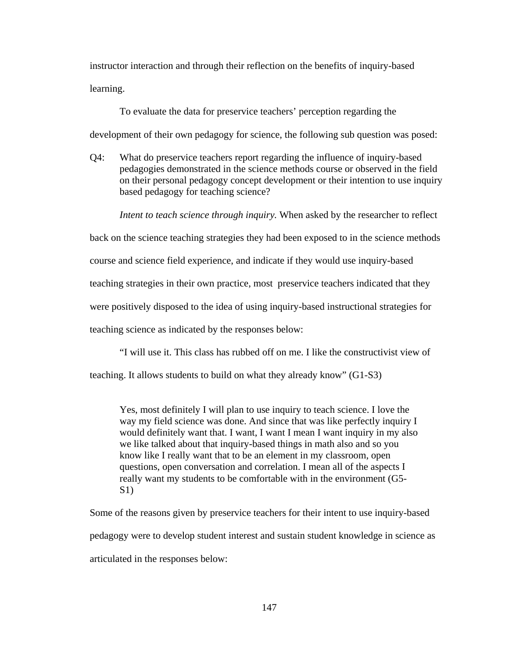instructor interaction and through their reflection on the benefits of inquiry-based learning.

To evaluate the data for preservice teachers' perception regarding the

development of their own pedagogy for science, the following sub question was posed:

Q4: What do preservice teachers report regarding the influence of inquiry-based pedagogies demonstrated in the science methods course or observed in the field on their personal pedagogy concept development or their intention to use inquiry based pedagogy for teaching science?

 *Intent to teach science through inquiry.* When asked by the researcher to reflect

back on the science teaching strategies they had been exposed to in the science methods course and science field experience, and indicate if they would use inquiry-based

teaching strategies in their own practice, most preservice teachers indicated that they

were positively disposed to the idea of using inquiry-based instructional strategies for

teaching science as indicated by the responses below:

"I will use it. This class has rubbed off on me. I like the constructivist view of

teaching. It allows students to build on what they already know" (G1-S3)

Yes, most definitely I will plan to use inquiry to teach science. I love the way my field science was done. And since that was like perfectly inquiry I would definitely want that. I want, I want I mean I want inquiry in my also we like talked about that inquiry-based things in math also and so you know like I really want that to be an element in my classroom, open questions, open conversation and correlation. I mean all of the aspects I really want my students to be comfortable with in the environment (G5-  $S<sub>1</sub>$ )

Some of the reasons given by preservice teachers for their intent to use inquiry-based pedagogy were to develop student interest and sustain student knowledge in science as articulated in the responses below: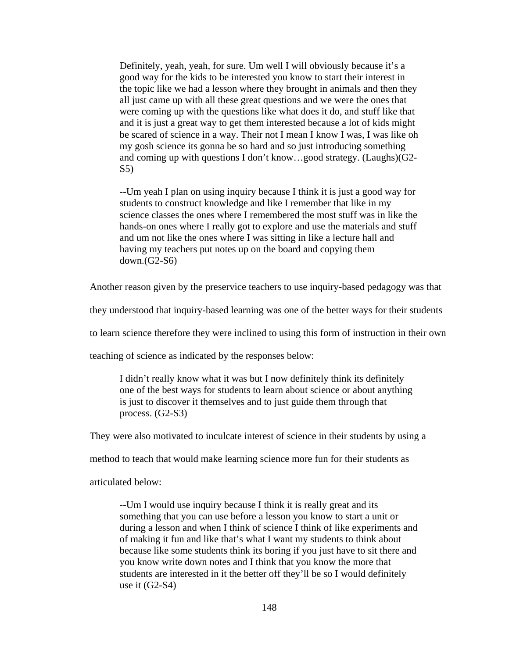Definitely, yeah, yeah, for sure. Um well I will obviously because it's a good way for the kids to be interested you know to start their interest in the topic like we had a lesson where they brought in animals and then they all just came up with all these great questions and we were the ones that were coming up with the questions like what does it do, and stuff like that and it is just a great way to get them interested because a lot of kids might be scared of science in a way. Their not I mean I know I was, I was like oh my gosh science its gonna be so hard and so just introducing something and coming up with questions I don't know…good strategy. (Laughs)(G2- S5)

--Um yeah I plan on using inquiry because I think it is just a good way for students to construct knowledge and like I remember that like in my science classes the ones where I remembered the most stuff was in like the hands-on ones where I really got to explore and use the materials and stuff and um not like the ones where I was sitting in like a lecture hall and having my teachers put notes up on the board and copying them down.(G2-S6)

Another reason given by the preservice teachers to use inquiry-based pedagogy was that

they understood that inquiry-based learning was one of the better ways for their students

to learn science therefore they were inclined to using this form of instruction in their own

teaching of science as indicated by the responses below:

I didn't really know what it was but I now definitely think its definitely one of the best ways for students to learn about science or about anything is just to discover it themselves and to just guide them through that process. (G2-S3)

They were also motivated to inculcate interest of science in their students by using a

method to teach that would make learning science more fun for their students as

articulated below:

--Um I would use inquiry because I think it is really great and its something that you can use before a lesson you know to start a unit or during a lesson and when I think of science I think of like experiments and of making it fun and like that's what I want my students to think about because like some students think its boring if you just have to sit there and you know write down notes and I think that you know the more that students are interested in it the better off they'll be so I would definitely use it (G2-S4)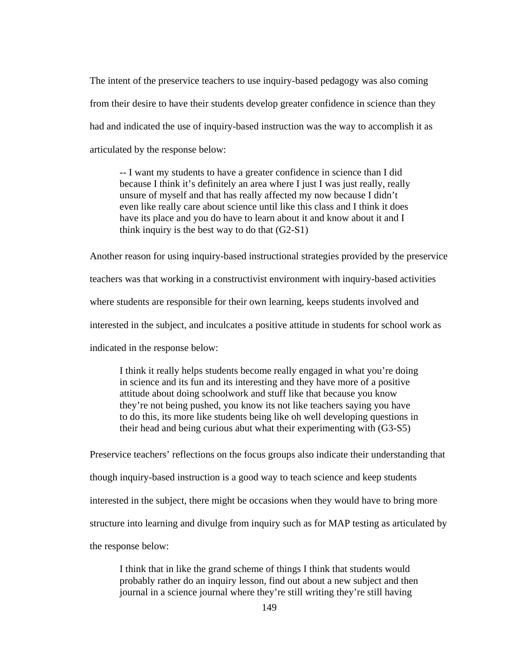The intent of the preservice teachers to use inquiry-based pedagogy was also coming from their desire to have their students develop greater confidence in science than they had and indicated the use of inquiry-based instruction was the way to accomplish it as articulated by the response below:

*--* I want my students to have a greater confidence in science than I did because I think it's definitely an area where I just I was just really, really unsure of myself and that has really affected my now because I didn't even like really care about science until like this class and I think it does have its place and you do have to learn about it and know about it and I think inquiry is the best way to do that (G2-S1)

Another reason for using inquiry-based instructional strategies provided by the preservice teachers was that working in a constructivist environment with inquiry-based activities where students are responsible for their own learning, keeps students involved and interested in the subject, and inculcates a positive attitude in students for school work as indicated in the response below:

I think it really helps students become really engaged in what you're doing in science and its fun and its interesting and they have more of a positive attitude about doing schoolwork and stuff like that because you know they're not being pushed, you know its not like teachers saying you have to do this, its more like students being like oh well developing questions in their head and being curious abut what their experimenting with (G3-S5)

Preservice teachers' reflections on the focus groups also indicate their understanding that though inquiry-based instruction is a good way to teach science and keep students interested in the subject, there might be occasions when they would have to bring more structure into learning and divulge from inquiry such as for MAP testing as articulated by the response below:

I think that in like the grand scheme of things I think that students would probably rather do an inquiry lesson, find out about a new subject and then journal in a science journal where they're still writing they're still having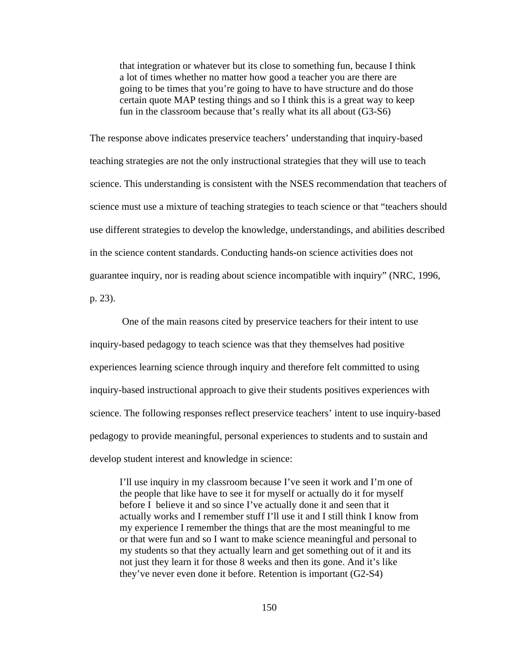that integration or whatever but its close to something fun, because I think a lot of times whether no matter how good a teacher you are there are going to be times that you're going to have to have structure and do those certain quote MAP testing things and so I think this is a great way to keep fun in the classroom because that's really what its all about (G3-S6)

The response above indicates preservice teachers' understanding that inquiry-based teaching strategies are not the only instructional strategies that they will use to teach science. This understanding is consistent with the NSES recommendation that teachers of science must use a mixture of teaching strategies to teach science or that "teachers should use different strategies to develop the knowledge, understandings, and abilities described in the science content standards. Conducting hands-on science activities does not guarantee inquiry, nor is reading about science incompatible with inquiry" (NRC, 1996, p. 23).

 One of the main reasons cited by preservice teachers for their intent to use inquiry-based pedagogy to teach science was that they themselves had positive experiences learning science through inquiry and therefore felt committed to using inquiry-based instructional approach to give their students positives experiences with science. The following responses reflect preservice teachers' intent to use inquiry-based pedagogy to provide meaningful, personal experiences to students and to sustain and develop student interest and knowledge in science:

I'll use inquiry in my classroom because I've seen it work and I'm one of the people that like have to see it for myself or actually do it for myself before I believe it and so since I've actually done it and seen that it actually works and I remember stuff I'll use it and I still think I know from my experience I remember the things that are the most meaningful to me or that were fun and so I want to make science meaningful and personal to my students so that they actually learn and get something out of it and its not just they learn it for those 8 weeks and then its gone. And it's like they've never even done it before. Retention is important (G2-S4)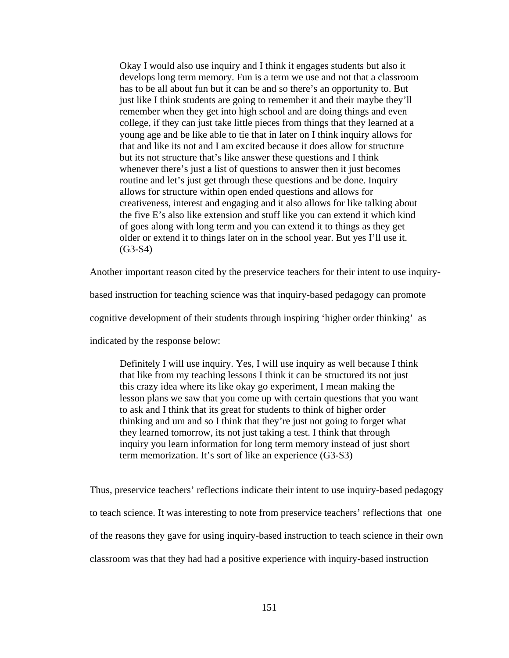Okay I would also use inquiry and I think it engages students but also it develops long term memory. Fun is a term we use and not that a classroom has to be all about fun but it can be and so there's an opportunity to. But just like I think students are going to remember it and their maybe they'll remember when they get into high school and are doing things and even college, if they can just take little pieces from things that they learned at a young age and be like able to tie that in later on I think inquiry allows for that and like its not and I am excited because it does allow for structure but its not structure that's like answer these questions and I think whenever there's just a list of questions to answer then it just becomes routine and let's just get through these questions and be done. Inquiry allows for structure within open ended questions and allows for creativeness, interest and engaging and it also allows for like talking about the five E's also like extension and stuff like you can extend it which kind of goes along with long term and you can extend it to things as they get older or extend it to things later on in the school year. But yes I'll use it. (G3-S4)

Another important reason cited by the preservice teachers for their intent to use inquiry-

based instruction for teaching science was that inquiry-based pedagogy can promote

cognitive development of their students through inspiring 'higher order thinking' as

indicated by the response below:

Definitely I will use inquiry. Yes, I will use inquiry as well because I think that like from my teaching lessons I think it can be structured its not just this crazy idea where its like okay go experiment, I mean making the lesson plans we saw that you come up with certain questions that you want to ask and I think that its great for students to think of higher order thinking and um and so I think that they're just not going to forget what they learned tomorrow, its not just taking a test. I think that through inquiry you learn information for long term memory instead of just short term memorization. It's sort of like an experience (G3-S3)

Thus, preservice teachers' reflections indicate their intent to use inquiry-based pedagogy to teach science. It was interesting to note from preservice teachers' reflections that one of the reasons they gave for using inquiry-based instruction to teach science in their own classroom was that they had had a positive experience with inquiry-based instruction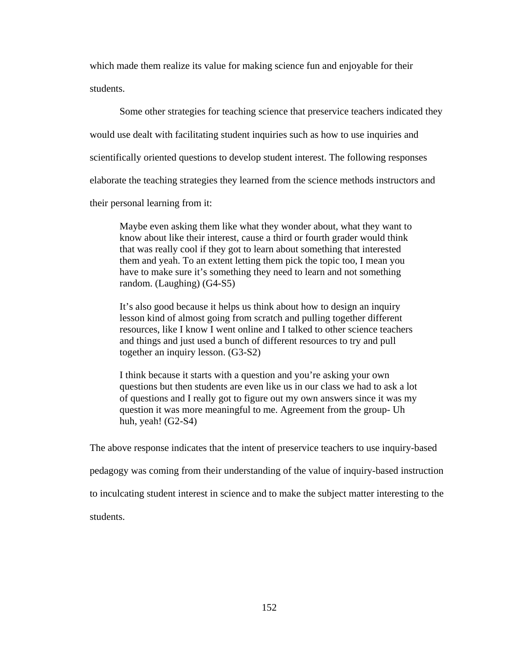which made them realize its value for making science fun and enjoyable for their students.

 Some other strategies for teaching science that preservice teachers indicated they would use dealt with facilitating student inquiries such as how to use inquiries and scientifically oriented questions to develop student interest. The following responses elaborate the teaching strategies they learned from the science methods instructors and their personal learning from it:

Maybe even asking them like what they wonder about, what they want to know about like their interest, cause a third or fourth grader would think that was really cool if they got to learn about something that interested them and yeah. To an extent letting them pick the topic too, I mean you have to make sure it's something they need to learn and not something random. (Laughing) (G4-S5)

It's also good because it helps us think about how to design an inquiry lesson kind of almost going from scratch and pulling together different resources, like I know I went online and I talked to other science teachers and things and just used a bunch of different resources to try and pull together an inquiry lesson. (G3-S2)

I think because it starts with a question and you're asking your own questions but then students are even like us in our class we had to ask a lot of questions and I really got to figure out my own answers since it was my question it was more meaningful to me. Agreement from the group- Uh huh, yeah!  $(G2-S4)$ 

The above response indicates that the intent of preservice teachers to use inquiry-based pedagogy was coming from their understanding of the value of inquiry-based instruction to inculcating student interest in science and to make the subject matter interesting to the students.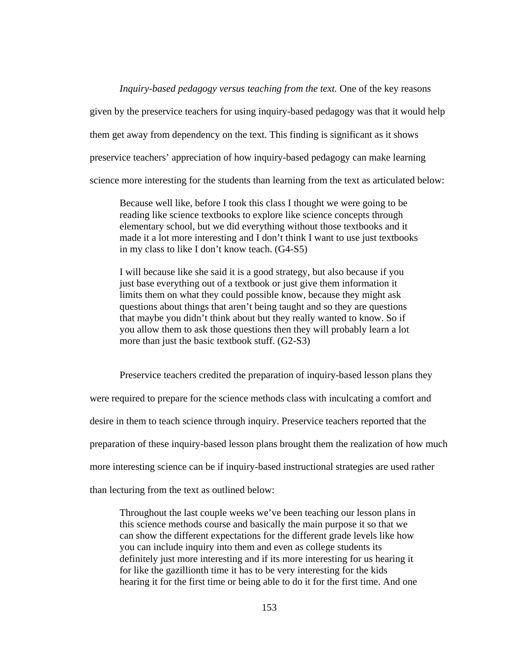*Inquiry-based pedagogy versus teaching from the text.* One of the key reasons

given by the preservice teachers for using inquiry-based pedagogy was that it would help

them get away from dependency on the text. This finding is significant as it shows

preservice teachers' appreciation of how inquiry-based pedagogy can make learning

science more interesting for the students than learning from the text as articulated below:

Because well like, before I took this class I thought we were going to be reading like science textbooks to explore like science concepts through elementary school, but we did everything without those textbooks and it made it a lot more interesting and I don't think I want to use just textbooks in my class to like I don't know teach. (G4-S5)

I will because like she said it is a good strategy, but also because if you just base everything out of a textbook or just give them information it limits them on what they could possible know, because they might ask questions about things that aren't being taught and so they are questions that maybe you didn't think about but they really wanted to know. So if you allow them to ask those questions then they will probably learn a lot more than just the basic textbook stuff. (G2-S3)

Preservice teachers credited the preparation of inquiry-based lesson plans they

were required to prepare for the science methods class with inculcating a comfort and

desire in them to teach science through inquiry. Preservice teachers reported that the

preparation of these inquiry-based lesson plans brought them the realization of how much

more interesting science can be if inquiry-based instructional strategies are used rather

than lecturing from the text as outlined below:

Throughout the last couple weeks we've been teaching our lesson plans in this science methods course and basically the main purpose it so that we can show the different expectations for the different grade levels like how you can include inquiry into them and even as college students its definitely just more interesting and if its more interesting for us hearing it for like the gazillionth time it has to be very interesting for the kids hearing it for the first time or being able to do it for the first time. And one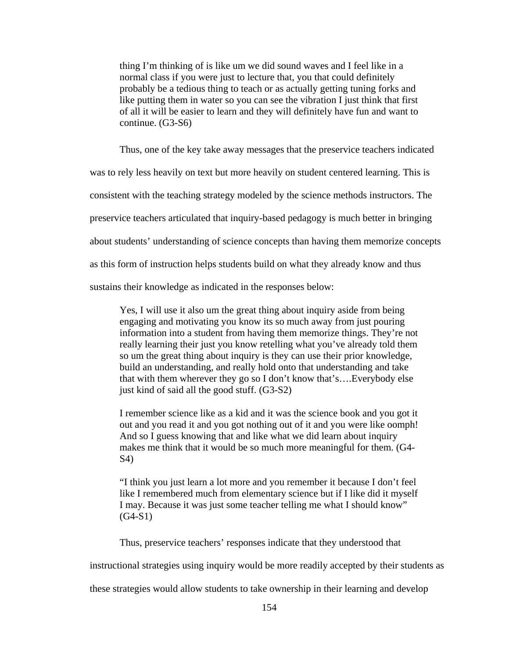thing I'm thinking of is like um we did sound waves and I feel like in a normal class if you were just to lecture that, you that could definitely probably be a tedious thing to teach or as actually getting tuning forks and like putting them in water so you can see the vibration I just think that first of all it will be easier to learn and they will definitely have fun and want to continue. (G3-S6)

Thus, one of the key take away messages that the preservice teachers indicated

was to rely less heavily on text but more heavily on student centered learning. This is

consistent with the teaching strategy modeled by the science methods instructors. The

preservice teachers articulated that inquiry-based pedagogy is much better in bringing

about students' understanding of science concepts than having them memorize concepts

as this form of instruction helps students build on what they already know and thus

sustains their knowledge as indicated in the responses below:

Yes, I will use it also um the great thing about inquiry aside from being engaging and motivating you know its so much away from just pouring information into a student from having them memorize things. They're not really learning their just you know retelling what you've already told them so um the great thing about inquiry is they can use their prior knowledge, build an understanding, and really hold onto that understanding and take that with them wherever they go so I don't know that's….Everybody else just kind of said all the good stuff. (G3-S2)

I remember science like as a kid and it was the science book and you got it out and you read it and you got nothing out of it and you were like oomph! And so I guess knowing that and like what we did learn about inquiry makes me think that it would be so much more meaningful for them. (G4- S4)

"I think you just learn a lot more and you remember it because I don't feel like I remembered much from elementary science but if I like did it myself I may. Because it was just some teacher telling me what I should know"  $(G4-S1)$ 

Thus, preservice teachers' responses indicate that they understood that

instructional strategies using inquiry would be more readily accepted by their students as

these strategies would allow students to take ownership in their learning and develop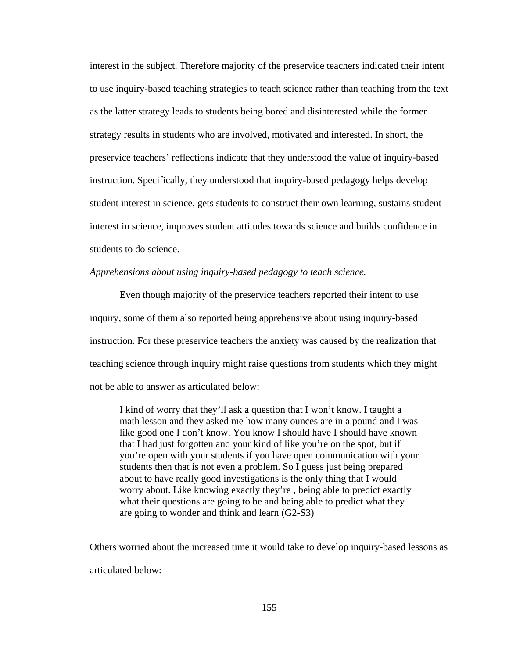interest in the subject. Therefore majority of the preservice teachers indicated their intent to use inquiry-based teaching strategies to teach science rather than teaching from the text as the latter strategy leads to students being bored and disinterested while the former strategy results in students who are involved, motivated and interested. In short, the preservice teachers' reflections indicate that they understood the value of inquiry-based instruction. Specifically, they understood that inquiry-based pedagogy helps develop student interest in science, gets students to construct their own learning, sustains student interest in science, improves student attitudes towards science and builds confidence in students to do science.

# *Apprehensions about using inquiry-based pedagogy to teach science.*

 Even though majority of the preservice teachers reported their intent to use inquiry, some of them also reported being apprehensive about using inquiry-based instruction. For these preservice teachers the anxiety was caused by the realization that teaching science through inquiry might raise questions from students which they might not be able to answer as articulated below:

I kind of worry that they'll ask a question that I won't know. I taught a math lesson and they asked me how many ounces are in a pound and I was like good one I don't know. You know I should have I should have known that I had just forgotten and your kind of like you're on the spot, but if you're open with your students if you have open communication with your students then that is not even a problem. So I guess just being prepared about to have really good investigations is the only thing that I would worry about. Like knowing exactly they're , being able to predict exactly what their questions are going to be and being able to predict what they are going to wonder and think and learn (G2-S3)

Others worried about the increased time it would take to develop inquiry-based lessons as articulated below: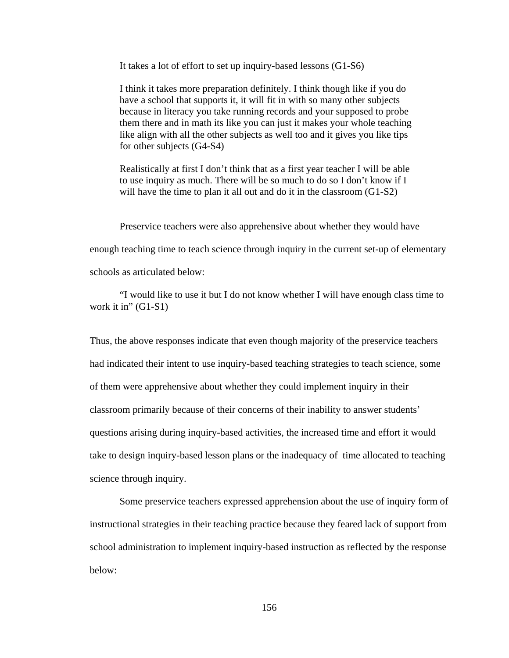It takes a lot of effort to set up inquiry-based lessons (G1-S6)

I think it takes more preparation definitely. I think though like if you do have a school that supports it, it will fit in with so many other subjects because in literacy you take running records and your supposed to probe them there and in math its like you can just it makes your whole teaching like align with all the other subjects as well too and it gives you like tips for other subjects (G4-S4)

Realistically at first I don't think that as a first year teacher I will be able to use inquiry as much. There will be so much to do so I don't know if I will have the time to plan it all out and do it in the classroom (G1-S2)

 Preservice teachers were also apprehensive about whether they would have enough teaching time to teach science through inquiry in the current set-up of elementary schools as articulated below:

 "I would like to use it but I do not know whether I will have enough class time to work it in"  $(G1-S1)$ 

Thus, the above responses indicate that even though majority of the preservice teachers had indicated their intent to use inquiry-based teaching strategies to teach science, some of them were apprehensive about whether they could implement inquiry in their classroom primarily because of their concerns of their inability to answer students' questions arising during inquiry-based activities, the increased time and effort it would take to design inquiry-based lesson plans or the inadequacy of time allocated to teaching science through inquiry.

 Some preservice teachers expressed apprehension about the use of inquiry form of instructional strategies in their teaching practice because they feared lack of support from school administration to implement inquiry-based instruction as reflected by the response below: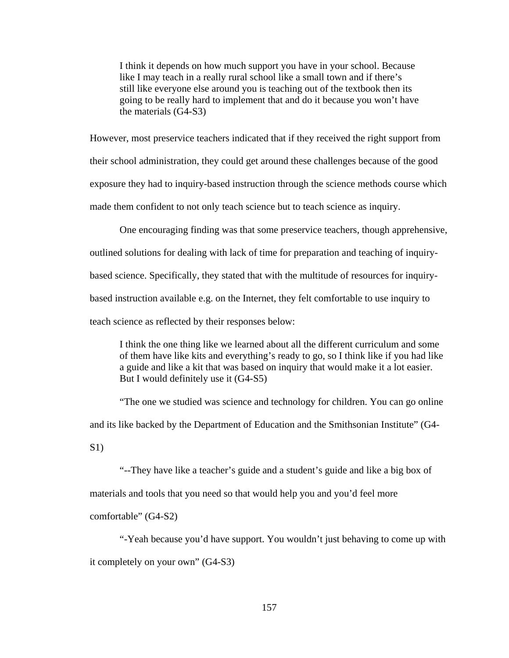I think it depends on how much support you have in your school. Because like I may teach in a really rural school like a small town and if there's still like everyone else around you is teaching out of the textbook then its going to be really hard to implement that and do it because you won't have the materials (G4-S3)

However, most preservice teachers indicated that if they received the right support from their school administration, they could get around these challenges because of the good exposure they had to inquiry-based instruction through the science methods course which made them confident to not only teach science but to teach science as inquiry.

 One encouraging finding was that some preservice teachers, though apprehensive, outlined solutions for dealing with lack of time for preparation and teaching of inquirybased science. Specifically, they stated that with the multitude of resources for inquirybased instruction available e.g. on the Internet, they felt comfortable to use inquiry to teach science as reflected by their responses below:

I think the one thing like we learned about all the different curriculum and some of them have like kits and everything's ready to go, so I think like if you had like a guide and like a kit that was based on inquiry that would make it a lot easier. But I would definitely use it (G4-S5)

 "The one we studied was science and technology for children. You can go online and its like backed by the Department of Education and the Smithsonian Institute" (G4- S1)

 "--They have like a teacher's guide and a student's guide and like a big box of materials and tools that you need so that would help you and you'd feel more

comfortable" (G4-S2)

 "-Yeah because you'd have support. You wouldn't just behaving to come up with it completely on your own" (G4-S3)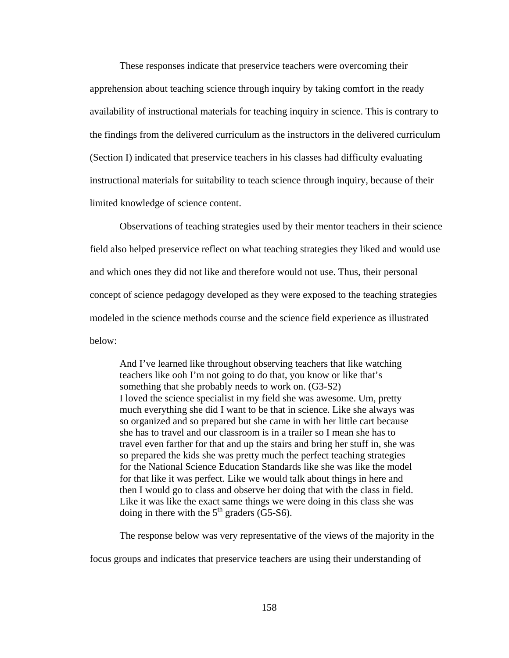These responses indicate that preservice teachers were overcoming their apprehension about teaching science through inquiry by taking comfort in the ready availability of instructional materials for teaching inquiry in science. This is contrary to the findings from the delivered curriculum as the instructors in the delivered curriculum (Section I) indicated that preservice teachers in his classes had difficulty evaluating instructional materials for suitability to teach science through inquiry, because of their limited knowledge of science content.

 Observations of teaching strategies used by their mentor teachers in their science field also helped preservice reflect on what teaching strategies they liked and would use and which ones they did not like and therefore would not use. Thus, their personal concept of science pedagogy developed as they were exposed to the teaching strategies modeled in the science methods course and the science field experience as illustrated below:

And I've learned like throughout observing teachers that like watching teachers like ooh I'm not going to do that, you know or like that's something that she probably needs to work on. (G3-S2) I loved the science specialist in my field she was awesome. Um, pretty much everything she did I want to be that in science. Like she always was so organized and so prepared but she came in with her little cart because she has to travel and our classroom is in a trailer so I mean she has to travel even farther for that and up the stairs and bring her stuff in, she was so prepared the kids she was pretty much the perfect teaching strategies for the National Science Education Standards like she was like the model for that like it was perfect. Like we would talk about things in here and then I would go to class and observe her doing that with the class in field. Like it was like the exact same things we were doing in this class she was doing in there with the  $5<sup>th</sup>$  graders (G5-S6).

The response below was very representative of the views of the majority in the

focus groups and indicates that preservice teachers are using their understanding of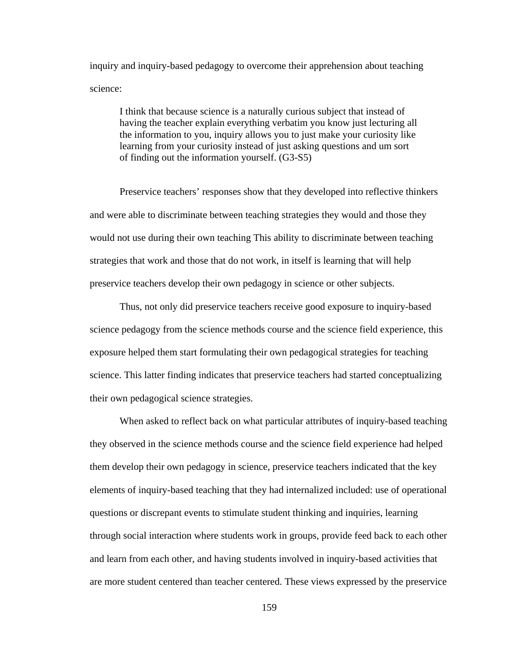inquiry and inquiry-based pedagogy to overcome their apprehension about teaching science:

I think that because science is a naturally curious subject that instead of having the teacher explain everything verbatim you know just lecturing all the information to you, inquiry allows you to just make your curiosity like learning from your curiosity instead of just asking questions and um sort of finding out the information yourself. (G3-S5)

 Preservice teachers' responses show that they developed into reflective thinkers and were able to discriminate between teaching strategies they would and those they would not use during their own teaching This ability to discriminate between teaching strategies that work and those that do not work, in itself is learning that will help preservice teachers develop their own pedagogy in science or other subjects.

 Thus, not only did preservice teachers receive good exposure to inquiry-based science pedagogy from the science methods course and the science field experience, this exposure helped them start formulating their own pedagogical strategies for teaching science. This latter finding indicates that preservice teachers had started conceptualizing their own pedagogical science strategies.

 When asked to reflect back on what particular attributes of inquiry-based teaching they observed in the science methods course and the science field experience had helped them develop their own pedagogy in science, preservice teachers indicated that the key elements of inquiry-based teaching that they had internalized included: use of operational questions or discrepant events to stimulate student thinking and inquiries, learning through social interaction where students work in groups, provide feed back to each other and learn from each other, and having students involved in inquiry-based activities that are more student centered than teacher centered. These views expressed by the preservice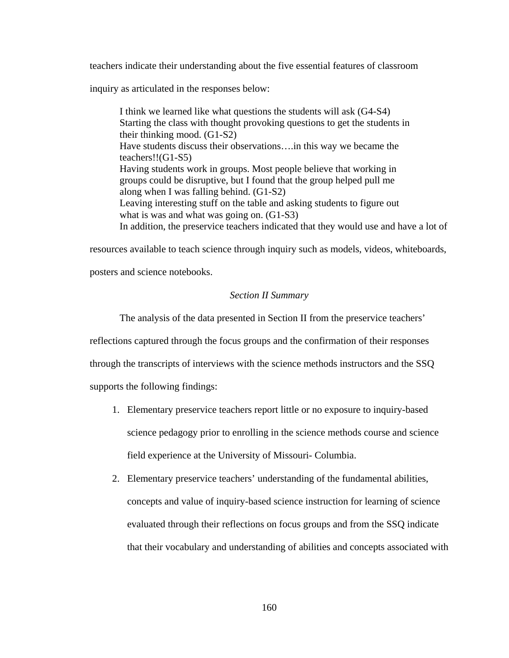teachers indicate their understanding about the five essential features of classroom

inquiry as articulated in the responses below:

I think we learned like what questions the students will ask (G4-S4) Starting the class with thought provoking questions to get the students in their thinking mood. (G1-S2) Have students discuss their observations….in this way we became the teachers!!(G1-S5) Having students work in groups. Most people believe that working in groups could be disruptive, but I found that the group helped pull me along when I was falling behind. (G1-S2) Leaving interesting stuff on the table and asking students to figure out what is was and what was going on.  $(G1-S3)$ In addition, the preservice teachers indicated that they would use and have a lot of

resources available to teach science through inquiry such as models, videos, whiteboards,

posters and science notebooks.

# *Section II Summary*

The analysis of the data presented in Section II from the preservice teachers'

reflections captured through the focus groups and the confirmation of their responses

through the transcripts of interviews with the science methods instructors and the SSQ

supports the following findings:

- 1. Elementary preservice teachers report little or no exposure to inquiry-based science pedagogy prior to enrolling in the science methods course and science field experience at the University of Missouri- Columbia.
- 2. Elementary preservice teachers' understanding of the fundamental abilities, concepts and value of inquiry-based science instruction for learning of science evaluated through their reflections on focus groups and from the SSQ indicate that their vocabulary and understanding of abilities and concepts associated with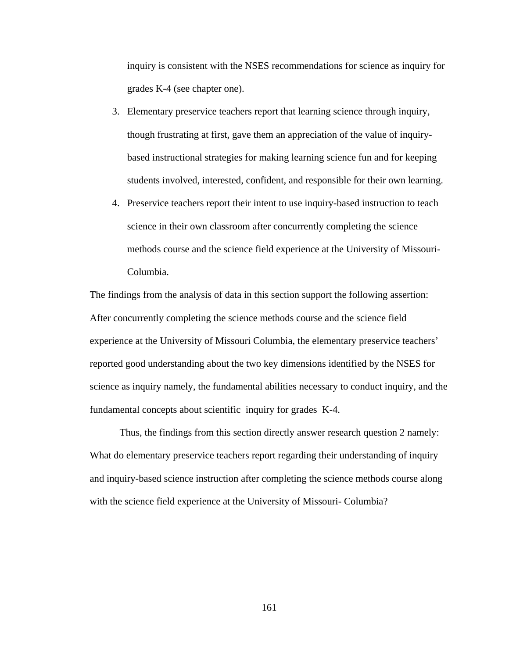inquiry is consistent with the NSES recommendations for science as inquiry for grades K-4 (see chapter one).

- 3. Elementary preservice teachers report that learning science through inquiry, though frustrating at first, gave them an appreciation of the value of inquirybased instructional strategies for making learning science fun and for keeping students involved, interested, confident, and responsible for their own learning.
- 4. Preservice teachers report their intent to use inquiry-based instruction to teach science in their own classroom after concurrently completing the science methods course and the science field experience at the University of Missouri-Columbia.

The findings from the analysis of data in this section support the following assertion: After concurrently completing the science methods course and the science field experience at the University of Missouri Columbia, the elementary preservice teachers' reported good understanding about the two key dimensions identified by the NSES for science as inquiry namely, the fundamental abilities necessary to conduct inquiry, and the fundamental concepts about scientific inquiry for grades K-4.

 Thus, the findings from this section directly answer research question 2 namely: What do elementary preservice teachers report regarding their understanding of inquiry and inquiry-based science instruction after completing the science methods course along with the science field experience at the University of Missouri- Columbia?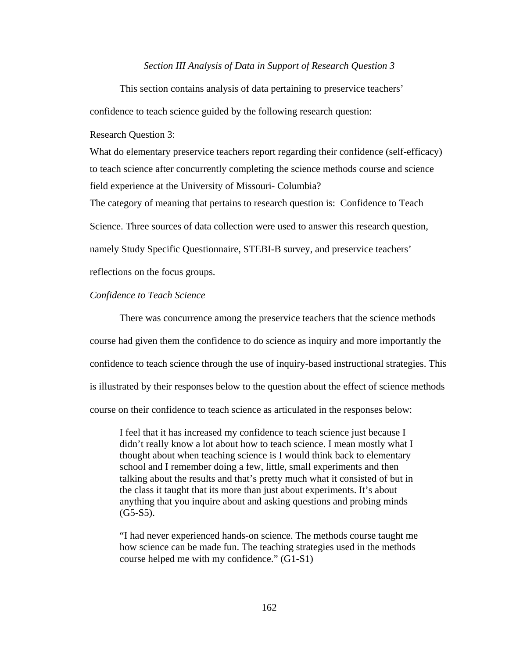#### *Section III Analysis of Data in Support of Research Question 3*

 This section contains analysis of data pertaining to preservice teachers' confidence to teach science guided by the following research question:

Research Question 3:

What do elementary preservice teachers report regarding their confidence (self-efficacy) to teach science after concurrently completing the science methods course and science field experience at the University of Missouri- Columbia?

The category of meaning that pertains to research question is: Confidence to Teach

Science. Three sources of data collection were used to answer this research question,

namely Study Specific Questionnaire, STEBI-B survey, and preservice teachers'

reflections on the focus groups.

# *Confidence to Teach Science*

 There was concurrence among the preservice teachers that the science methods course had given them the confidence to do science as inquiry and more importantly the confidence to teach science through the use of inquiry-based instructional strategies. This is illustrated by their responses below to the question about the effect of science methods course on their confidence to teach science as articulated in the responses below:

I feel that it has increased my confidence to teach science just because I didn't really know a lot about how to teach science. I mean mostly what I thought about when teaching science is I would think back to elementary school and I remember doing a few, little, small experiments and then talking about the results and that's pretty much what it consisted of but in the class it taught that its more than just about experiments. It's about anything that you inquire about and asking questions and probing minds  $(G5-S5)$ .

 "I had never experienced hands-on science. The methods course taught me how science can be made fun. The teaching strategies used in the methods course helped me with my confidence." (G1-S1)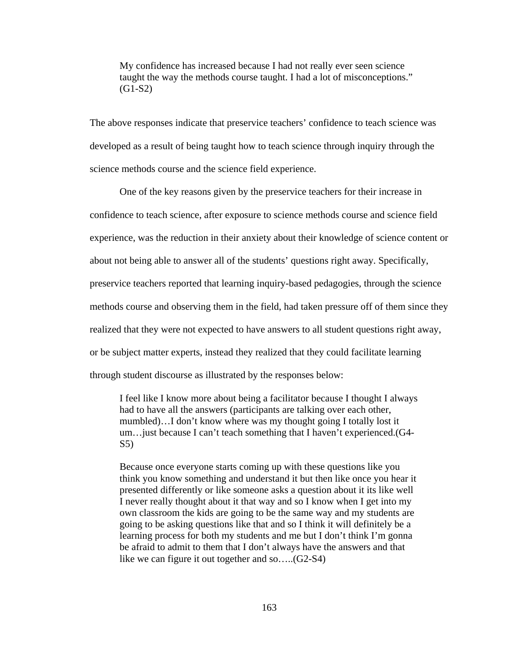My confidence has increased because I had not really ever seen science taught the way the methods course taught. I had a lot of misconceptions."  $(G1-S2)$ 

The above responses indicate that preservice teachers' confidence to teach science was developed as a result of being taught how to teach science through inquiry through the science methods course and the science field experience.

 One of the key reasons given by the preservice teachers for their increase in confidence to teach science, after exposure to science methods course and science field experience, was the reduction in their anxiety about their knowledge of science content or about not being able to answer all of the students' questions right away. Specifically, preservice teachers reported that learning inquiry-based pedagogies, through the science methods course and observing them in the field, had taken pressure off of them since they realized that they were not expected to have answers to all student questions right away, or be subject matter experts, instead they realized that they could facilitate learning through student discourse as illustrated by the responses below:

I feel like I know more about being a facilitator because I thought I always had to have all the answers (participants are talking over each other, mumbled)…I don't know where was my thought going I totally lost it um…just because I can't teach something that I haven't experienced.(G4- S5)

Because once everyone starts coming up with these questions like you think you know something and understand it but then like once you hear it presented differently or like someone asks a question about it its like well I never really thought about it that way and so I know when I get into my own classroom the kids are going to be the same way and my students are going to be asking questions like that and so I think it will definitely be a learning process for both my students and me but I don't think I'm gonna be afraid to admit to them that I don't always have the answers and that like we can figure it out together and so…..(G2-S4)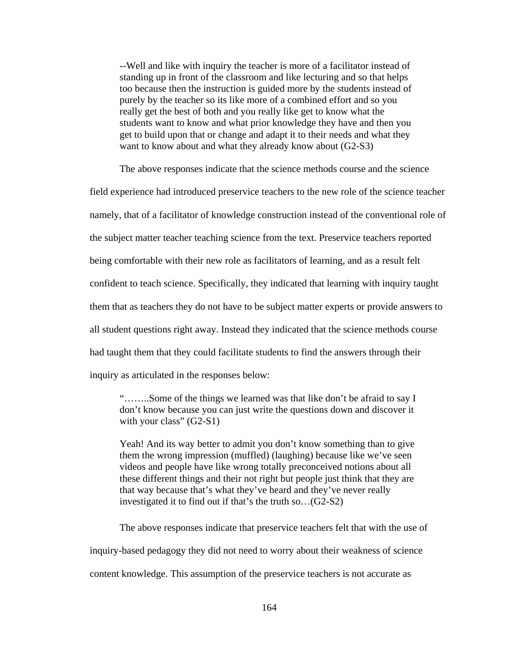--Well and like with inquiry the teacher is more of a facilitator instead of standing up in front of the classroom and like lecturing and so that helps too because then the instruction is guided more by the students instead of purely by the teacher so its like more of a combined effort and so you really get the best of both and you really like get to know what the students want to know and what prior knowledge they have and then you get to build upon that or change and adapt it to their needs and what they want to know about and what they already know about (G2-S3)

The above responses indicate that the science methods course and the science

field experience had introduced preservice teachers to the new role of the science teacher namely, that of a facilitator of knowledge construction instead of the conventional role of the subject matter teacher teaching science from the text. Preservice teachers reported being comfortable with their new role as facilitators of learning, and as a result felt confident to teach science. Specifically, they indicated that learning with inquiry taught them that as teachers they do not have to be subject matter experts or provide answers to all student questions right away. Instead they indicated that the science methods course had taught them that they could facilitate students to find the answers through their inquiry as articulated in the responses below:

"……..Some of the things we learned was that like don't be afraid to say I don't know because you can just write the questions down and discover it with your class" (G2-S1)

Yeah! And its way better to admit you don't know something than to give them the wrong impression (muffled) (laughing) because like we've seen videos and people have like wrong totally preconceived notions about all these different things and their not right but people just think that they are that way because that's what they've heard and they've never really investigated it to find out if that's the truth so…(G2-S2)

 The above responses indicate that preservice teachers felt that with the use of inquiry-based pedagogy they did not need to worry about their weakness of science content knowledge. This assumption of the preservice teachers is not accurate as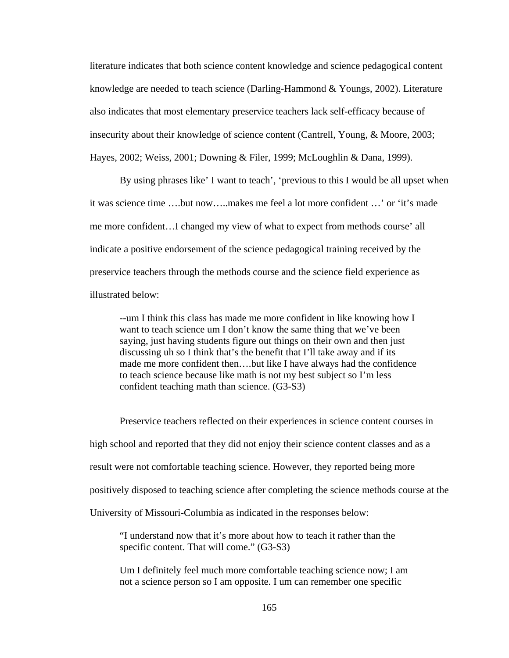literature indicates that both science content knowledge and science pedagogical content knowledge are needed to teach science (Darling-Hammond & Youngs, 2002). Literature also indicates that most elementary preservice teachers lack self-efficacy because of insecurity about their knowledge of science content (Cantrell, Young, & Moore, 2003; Hayes, 2002; Weiss, 2001; Downing & Filer, 1999; McLoughlin & Dana, 1999).

 By using phrases like' I want to teach', 'previous to this I would be all upset when it was science time ….but now…..makes me feel a lot more confident …' or 'it's made me more confident…I changed my view of what to expect from methods course' all indicate a positive endorsement of the science pedagogical training received by the preservice teachers through the methods course and the science field experience as illustrated below:

--um I think this class has made me more confident in like knowing how I want to teach science um I don't know the same thing that we've been saying, just having students figure out things on their own and then just discussing uh so I think that's the benefit that I'll take away and if its made me more confident then….but like I have always had the confidence to teach science because like math is not my best subject so I'm less confident teaching math than science. (G3-S3)

 Preservice teachers reflected on their experiences in science content courses in high school and reported that they did not enjoy their science content classes and as a result were not comfortable teaching science. However, they reported being more positively disposed to teaching science after completing the science methods course at the University of Missouri-Columbia as indicated in the responses below:

"I understand now that it's more about how to teach it rather than the specific content. That will come." (G3-S3)

Um I definitely feel much more comfortable teaching science now; I am not a science person so I am opposite. I um can remember one specific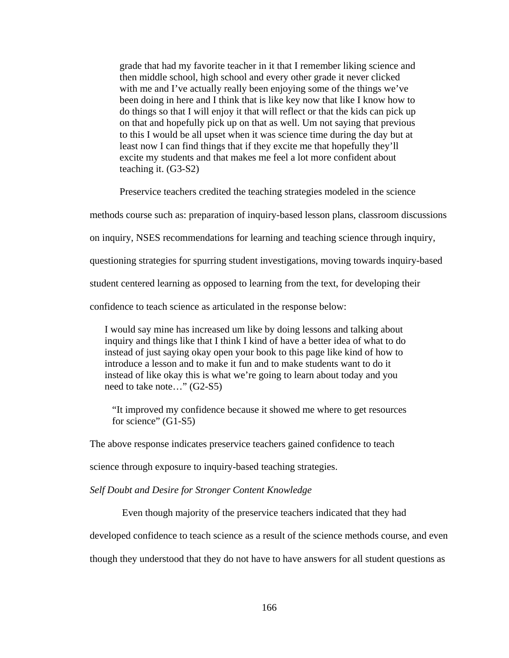grade that had my favorite teacher in it that I remember liking science and then middle school, high school and every other grade it never clicked with me and I've actually really been enjoying some of the things we've been doing in here and I think that is like key now that like I know how to do things so that I will enjoy it that will reflect or that the kids can pick up on that and hopefully pick up on that as well. Um not saying that previous to this I would be all upset when it was science time during the day but at least now I can find things that if they excite me that hopefully they'll excite my students and that makes me feel a lot more confident about teaching it. (G3-S2)

Preservice teachers credited the teaching strategies modeled in the science

methods course such as: preparation of inquiry-based lesson plans, classroom discussions

on inquiry, NSES recommendations for learning and teaching science through inquiry,

questioning strategies for spurring student investigations, moving towards inquiry-based

student centered learning as opposed to learning from the text, for developing their

confidence to teach science as articulated in the response below:

I would say mine has increased um like by doing lessons and talking about inquiry and things like that I think I kind of have a better idea of what to do instead of just saying okay open your book to this page like kind of how to introduce a lesson and to make it fun and to make students want to do it instead of like okay this is what we're going to learn about today and you need to take note…" (G2-S5)

"It improved my confidence because it showed me where to get resources for science" (G1-S5)

The above response indicates preservice teachers gained confidence to teach

science through exposure to inquiry-based teaching strategies.

*Self Doubt and Desire for Stronger Content Knowledge* 

Even though majority of the preservice teachers indicated that they had

developed confidence to teach science as a result of the science methods course, and even

though they understood that they do not have to have answers for all student questions as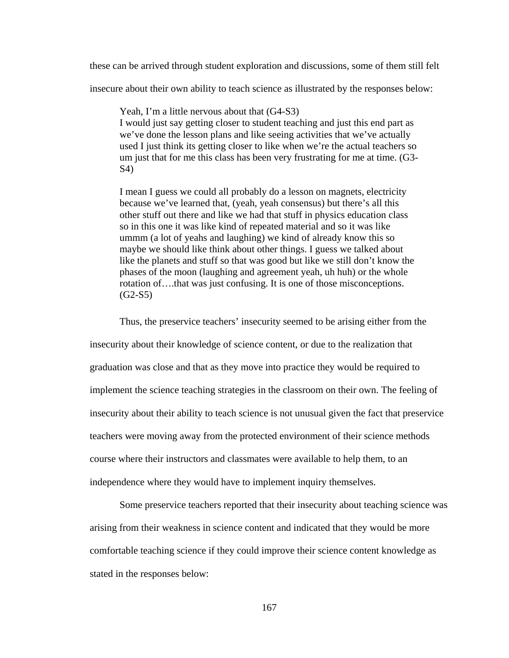these can be arrived through student exploration and discussions, some of them still felt

insecure about their own ability to teach science as illustrated by the responses below:

Yeah, I'm a little nervous about that (G4-S3) I would just say getting closer to student teaching and just this end part as we've done the lesson plans and like seeing activities that we've actually used I just think its getting closer to like when we're the actual teachers so um just that for me this class has been very frustrating for me at time. (G3- S4)

I mean I guess we could all probably do a lesson on magnets, electricity because we've learned that, (yeah, yeah consensus) but there's all this other stuff out there and like we had that stuff in physics education class so in this one it was like kind of repeated material and so it was like ummm (a lot of yeahs and laughing) we kind of already know this so maybe we should like think about other things. I guess we talked about like the planets and stuff so that was good but like we still don't know the phases of the moon (laughing and agreement yeah, uh huh) or the whole rotation of….that was just confusing. It is one of those misconceptions.  $(G2-S5)$ 

Thus, the preservice teachers' insecurity seemed to be arising either from the

insecurity about their knowledge of science content, or due to the realization that graduation was close and that as they move into practice they would be required to implement the science teaching strategies in the classroom on their own. The feeling of insecurity about their ability to teach science is not unusual given the fact that preservice teachers were moving away from the protected environment of their science methods course where their instructors and classmates were available to help them, to an independence where they would have to implement inquiry themselves.

 Some preservice teachers reported that their insecurity about teaching science was arising from their weakness in science content and indicated that they would be more comfortable teaching science if they could improve their science content knowledge as stated in the responses below: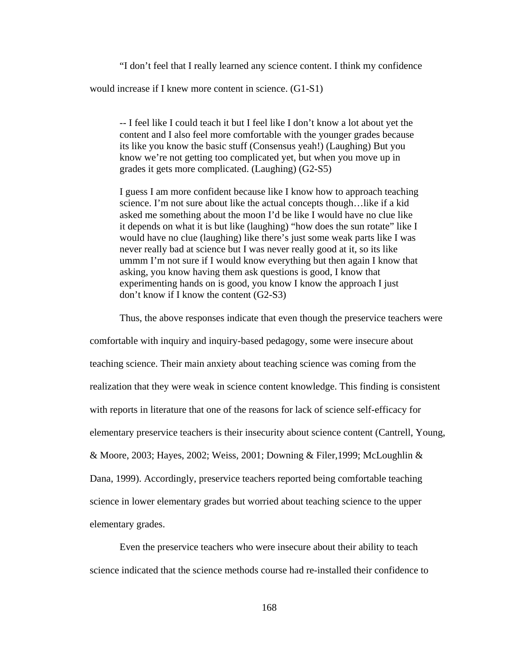"I don't feel that I really learned any science content. I think my confidence would increase if I knew more content in science. (G1-S1)

-- I feel like I could teach it but I feel like I don't know a lot about yet the content and I also feel more comfortable with the younger grades because its like you know the basic stuff (Consensus yeah!) (Laughing) But you know we're not getting too complicated yet, but when you move up in grades it gets more complicated. (Laughing) (G2-S5)

I guess I am more confident because like I know how to approach teaching science. I'm not sure about like the actual concepts though…like if a kid asked me something about the moon I'd be like I would have no clue like it depends on what it is but like (laughing) "how does the sun rotate" like I would have no clue (laughing) like there's just some weak parts like I was never really bad at science but I was never really good at it, so its like ummm I'm not sure if I would know everything but then again I know that asking, you know having them ask questions is good, I know that experimenting hands on is good, you know I know the approach I just don't know if I know the content (G2-S3)

Thus, the above responses indicate that even though the preservice teachers were

comfortable with inquiry and inquiry-based pedagogy, some were insecure about teaching science. Their main anxiety about teaching science was coming from the realization that they were weak in science content knowledge. This finding is consistent with reports in literature that one of the reasons for lack of science self-efficacy for elementary preservice teachers is their insecurity about science content (Cantrell, Young, & Moore, 2003; Hayes, 2002; Weiss, 2001; Downing & Filer,1999; McLoughlin & Dana, 1999). Accordingly, preservice teachers reported being comfortable teaching science in lower elementary grades but worried about teaching science to the upper elementary grades.

 Even the preservice teachers who were insecure about their ability to teach science indicated that the science methods course had re-installed their confidence to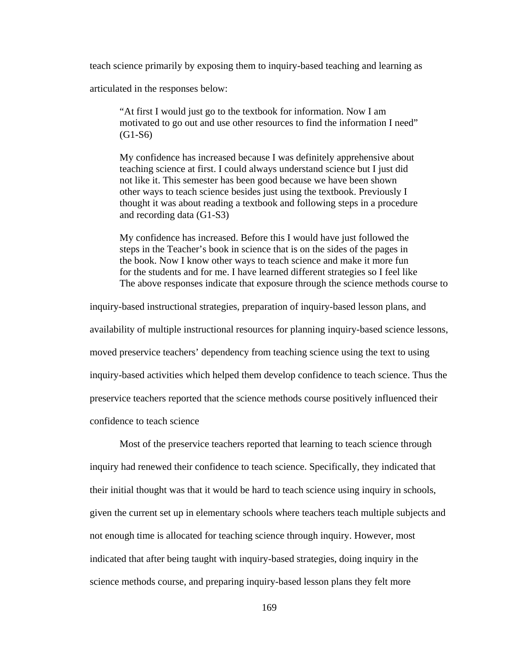teach science primarily by exposing them to inquiry-based teaching and learning as

articulated in the responses below:

"At first I would just go to the textbook for information. Now I am motivated to go out and use other resources to find the information I need" (G1-S6)

My confidence has increased because I was definitely apprehensive about teaching science at first. I could always understand science but I just did not like it. This semester has been good because we have been shown other ways to teach science besides just using the textbook. Previously I thought it was about reading a textbook and following steps in a procedure and recording data (G1-S3)

My confidence has increased. Before this I would have just followed the steps in the Teacher's book in science that is on the sides of the pages in the book. Now I know other ways to teach science and make it more fun for the students and for me. I have learned different strategies so I feel like The above responses indicate that exposure through the science methods course to

inquiry-based instructional strategies, preparation of inquiry-based lesson plans, and availability of multiple instructional resources for planning inquiry-based science lessons, moved preservice teachers' dependency from teaching science using the text to using inquiry-based activities which helped them develop confidence to teach science. Thus the preservice teachers reported that the science methods course positively influenced their confidence to teach science

 Most of the preservice teachers reported that learning to teach science through inquiry had renewed their confidence to teach science. Specifically, they indicated that their initial thought was that it would be hard to teach science using inquiry in schools, given the current set up in elementary schools where teachers teach multiple subjects and not enough time is allocated for teaching science through inquiry. However, most indicated that after being taught with inquiry-based strategies, doing inquiry in the science methods course, and preparing inquiry-based lesson plans they felt more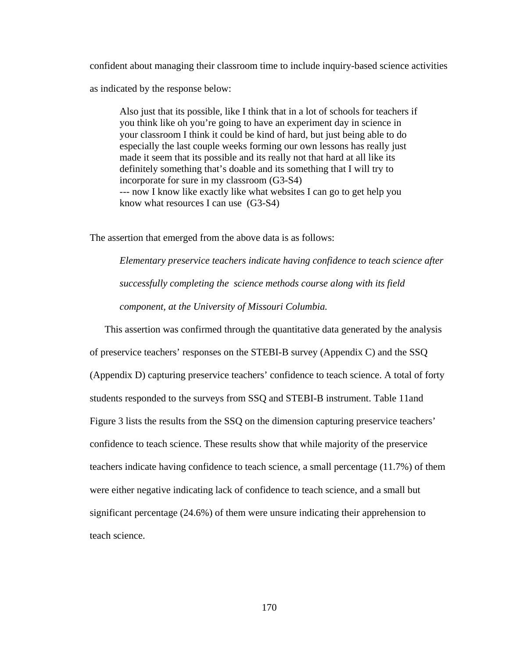confident about managing their classroom time to include inquiry-based science activities as indicated by the response below:

Also just that its possible, like I think that in a lot of schools for teachers if you think like oh you're going to have an experiment day in science in your classroom I think it could be kind of hard, but just being able to do especially the last couple weeks forming our own lessons has really just made it seem that its possible and its really not that hard at all like its definitely something that's doable and its something that I will try to incorporate for sure in my classroom (G3-S4) --- now I know like exactly like what websites I can go to get help you know what resources I can use (G3-S4)

The assertion that emerged from the above data is as follows:

*Elementary preservice teachers indicate having confidence to teach science after successfully completing the science methods course along with its field component, at the University of Missouri Columbia.* 

This assertion was confirmed through the quantitative data generated by the analysis of preservice teachers' responses on the STEBI-B survey (Appendix C) and the SSQ (Appendix D) capturing preservice teachers' confidence to teach science. A total of forty students responded to the surveys from SSQ and STEBI-B instrument. Table 11and Figure 3 lists the results from the SSQ on the dimension capturing preservice teachers' confidence to teach science. These results show that while majority of the preservice teachers indicate having confidence to teach science, a small percentage (11.7%) of them were either negative indicating lack of confidence to teach science, and a small but significant percentage (24.6%) of them were unsure indicating their apprehension to teach science.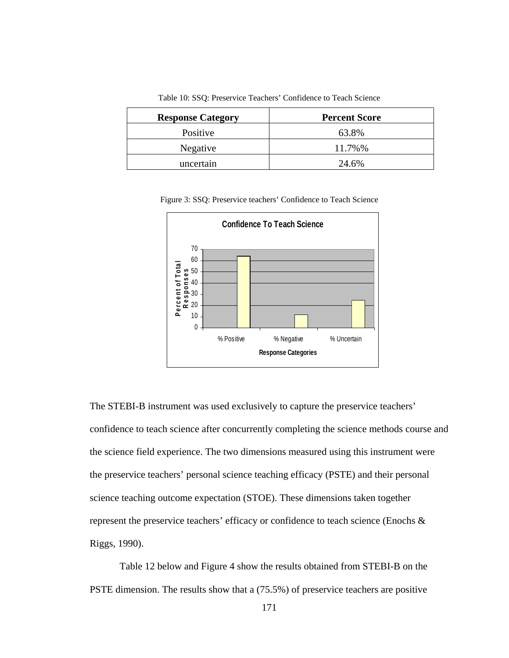| <b>Response Category</b> | <b>Percent Score</b> |  |
|--------------------------|----------------------|--|
| Positive                 | 63.8%                |  |
| Negative                 | 11.7%%               |  |
| uncertain                | 24.6%                |  |

Table 10: SSQ: Preservice Teachers' Confidence to Teach Science

Figure 3: SSQ: Preservice teachers' Confidence to Teach Science



The STEBI-B instrument was used exclusively to capture the preservice teachers' confidence to teach science after concurrently completing the science methods course and the science field experience. The two dimensions measured using this instrument were the preservice teachers' personal science teaching efficacy (PSTE) and their personal science teaching outcome expectation (STOE). These dimensions taken together represent the preservice teachers' efficacy or confidence to teach science (Enochs & Riggs, 1990).

 Table 12 below and Figure 4 show the results obtained from STEBI-B on the PSTE dimension. The results show that a (75.5%) of preservice teachers are positive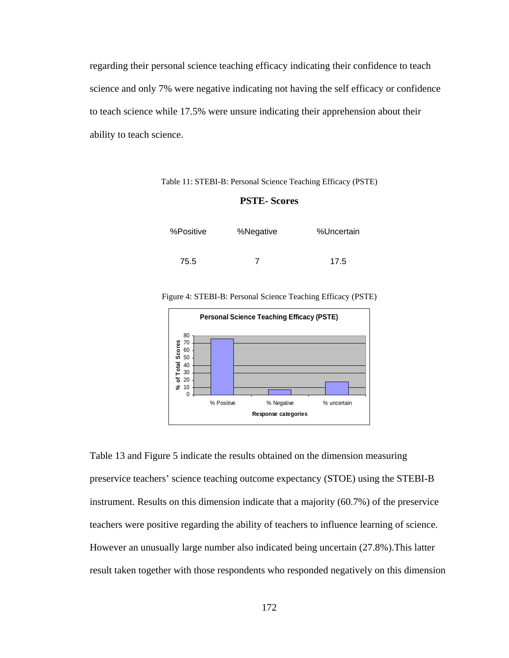regarding their personal science teaching efficacy indicating their confidence to teach science and only 7% were negative indicating not having the self efficacy or confidence to teach science while 17.5% were unsure indicating their apprehension about their ability to teach science.

Table 11: STEBI-B: Personal Science Teaching Efficacy (PSTE)

### **PSTE- Scores**

| %Positive | %Negative | %Uncertain |  |
|-----------|-----------|------------|--|
| 75.5      |           | 17.5       |  |

Figure 4: STEBI-B: Personal Science Teaching Efficacy (PSTE)



Table 13 and Figure 5 indicate the results obtained on the dimension measuring preservice teachers' science teaching outcome expectancy (STOE) using the STEBI-B instrument. Results on this dimension indicate that a majority (60.7%) of the preservice teachers were positive regarding the ability of teachers to influence learning of science. However an unusually large number also indicated being uncertain (27.8%).This latter result taken together with those respondents who responded negatively on this dimension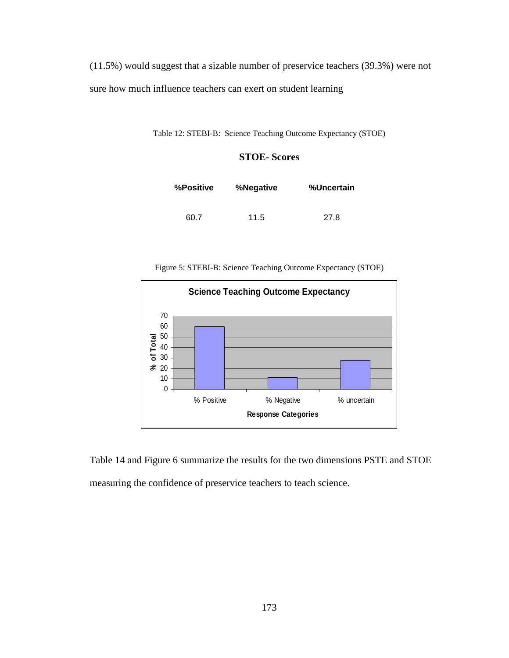(11.5%) would suggest that a sizable number of preservice teachers (39.3%) were not sure how much influence teachers can exert on student learning

Table 12: STEBI-B: Science Teaching Outcome Expectancy (STOE)

## **STOE- Scores**

| %Positive | %Negative | %Uncertain |
|-----------|-----------|------------|
| 60.7      | 11.5      | 27.8       |





Table 14 and Figure 6 summarize the results for the two dimensions PSTE and STOE measuring the confidence of preservice teachers to teach science.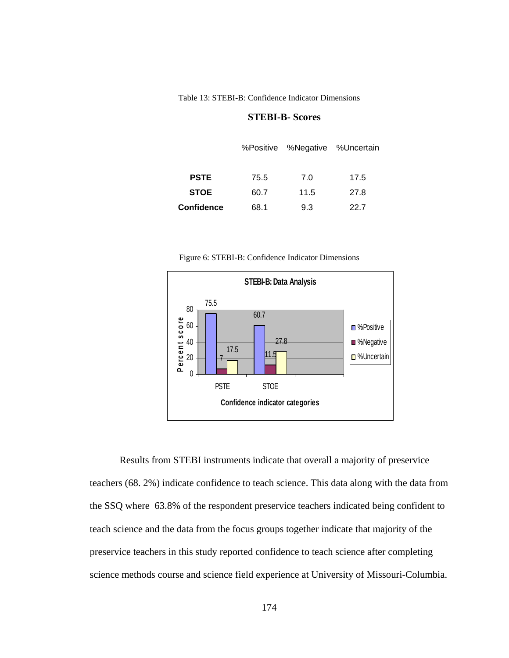Table 13: STEBI-B: Confidence Indicator Dimensions

### **STEBI-B- Scores**

|             |      | %Positive %Negative %Uncertain |      |
|-------------|------|--------------------------------|------|
|             |      |                                |      |
| <b>PSTE</b> | 75.5 | 7.0                            | 17.5 |
| <b>STOE</b> | 60.7 | 11.5                           | 27.8 |
| Confidence  | 68.1 | 9.3                            | 22.7 |

Figure 6: STEBI-B: Confidence Indicator Dimensions



 Results from STEBI instruments indicate that overall a majority of preservice teachers (68. 2%) indicate confidence to teach science. This data along with the data from the SSQ where 63.8% of the respondent preservice teachers indicated being confident to teach science and the data from the focus groups together indicate that majority of the preservice teachers in this study reported confidence to teach science after completing science methods course and science field experience at University of Missouri-Columbia.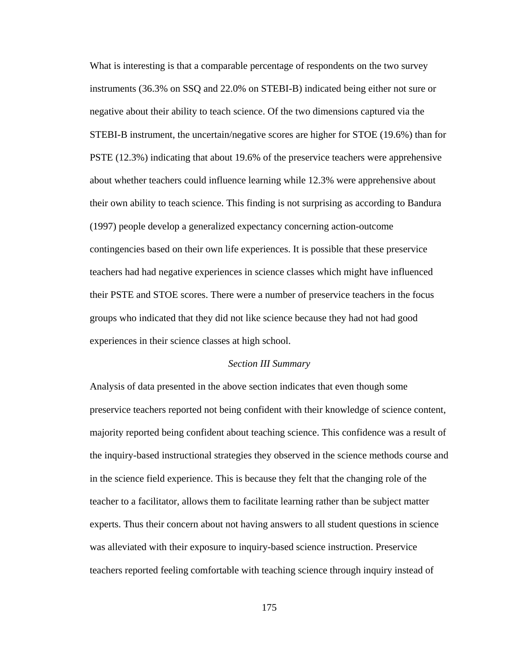What is interesting is that a comparable percentage of respondents on the two survey instruments (36.3% on SSQ and 22.0% on STEBI-B) indicated being either not sure or negative about their ability to teach science. Of the two dimensions captured via the STEBI-B instrument, the uncertain/negative scores are higher for STOE (19.6%) than for PSTE (12.3%) indicating that about 19.6% of the preservice teachers were apprehensive about whether teachers could influence learning while 12.3% were apprehensive about their own ability to teach science. This finding is not surprising as according to Bandura (1997) people develop a generalized expectancy concerning action-outcome contingencies based on their own life experiences. It is possible that these preservice teachers had had negative experiences in science classes which might have influenced their PSTE and STOE scores. There were a number of preservice teachers in the focus groups who indicated that they did not like science because they had not had good experiences in their science classes at high school.

### *Section III Summary*

Analysis of data presented in the above section indicates that even though some preservice teachers reported not being confident with their knowledge of science content, majority reported being confident about teaching science. This confidence was a result of the inquiry-based instructional strategies they observed in the science methods course and in the science field experience. This is because they felt that the changing role of the teacher to a facilitator, allows them to facilitate learning rather than be subject matter experts. Thus their concern about not having answers to all student questions in science was alleviated with their exposure to inquiry-based science instruction. Preservice teachers reported feeling comfortable with teaching science through inquiry instead of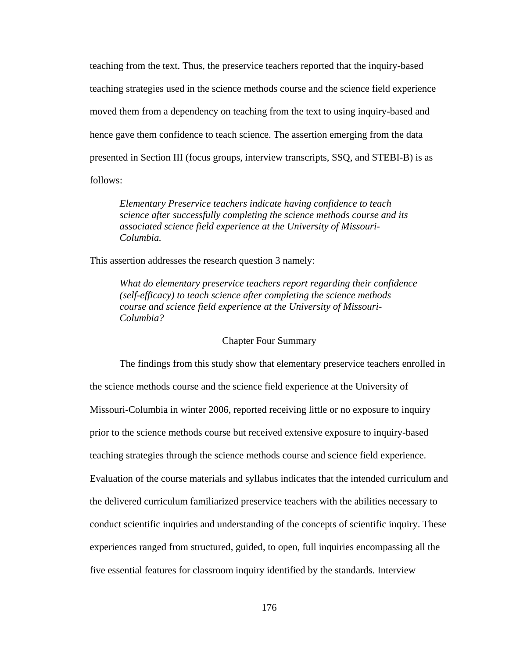teaching from the text. Thus, the preservice teachers reported that the inquiry-based teaching strategies used in the science methods course and the science field experience moved them from a dependency on teaching from the text to using inquiry-based and hence gave them confidence to teach science. The assertion emerging from the data presented in Section III (focus groups, interview transcripts, SSQ, and STEBI-B) is as follows:

*Elementary Preservice teachers indicate having confidence to teach science after successfully completing the science methods course and its associated science field experience at the University of Missouri-Columbia.*

This assertion addresses the research question 3 namely:

*What do elementary preservice teachers report regarding their confidence (self-efficacy) to teach science after completing the science methods course and science field experience at the University of Missouri-Columbia?* 

### Chapter Four Summary

 The findings from this study show that elementary preservice teachers enrolled in the science methods course and the science field experience at the University of Missouri-Columbia in winter 2006, reported receiving little or no exposure to inquiry prior to the science methods course but received extensive exposure to inquiry-based teaching strategies through the science methods course and science field experience. Evaluation of the course materials and syllabus indicates that the intended curriculum and the delivered curriculum familiarized preservice teachers with the abilities necessary to conduct scientific inquiries and understanding of the concepts of scientific inquiry. These experiences ranged from structured, guided, to open, full inquiries encompassing all the five essential features for classroom inquiry identified by the standards. Interview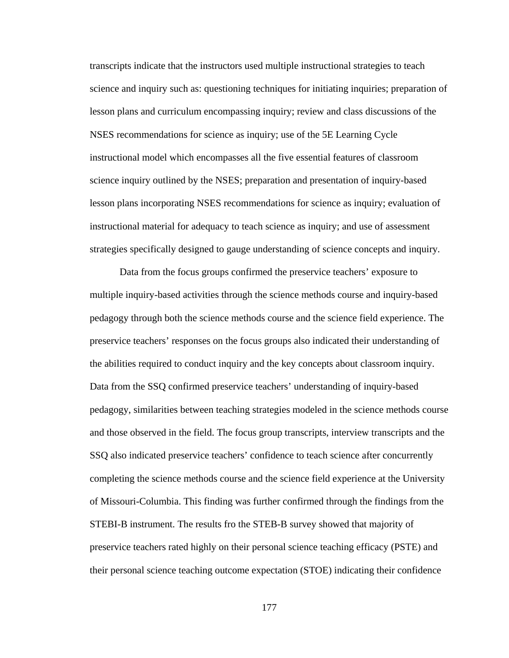transcripts indicate that the instructors used multiple instructional strategies to teach science and inquiry such as: questioning techniques for initiating inquiries; preparation of lesson plans and curriculum encompassing inquiry; review and class discussions of the NSES recommendations for science as inquiry; use of the 5E Learning Cycle instructional model which encompasses all the five essential features of classroom science inquiry outlined by the NSES; preparation and presentation of inquiry-based lesson plans incorporating NSES recommendations for science as inquiry; evaluation of instructional material for adequacy to teach science as inquiry; and use of assessment strategies specifically designed to gauge understanding of science concepts and inquiry.

 Data from the focus groups confirmed the preservice teachers' exposure to multiple inquiry-based activities through the science methods course and inquiry-based pedagogy through both the science methods course and the science field experience. The preservice teachers' responses on the focus groups also indicated their understanding of the abilities required to conduct inquiry and the key concepts about classroom inquiry. Data from the SSQ confirmed preservice teachers' understanding of inquiry-based pedagogy, similarities between teaching strategies modeled in the science methods course and those observed in the field. The focus group transcripts, interview transcripts and the SSQ also indicated preservice teachers' confidence to teach science after concurrently completing the science methods course and the science field experience at the University of Missouri-Columbia. This finding was further confirmed through the findings from the STEBI-B instrument. The results fro the STEB-B survey showed that majority of preservice teachers rated highly on their personal science teaching efficacy (PSTE) and their personal science teaching outcome expectation (STOE) indicating their confidence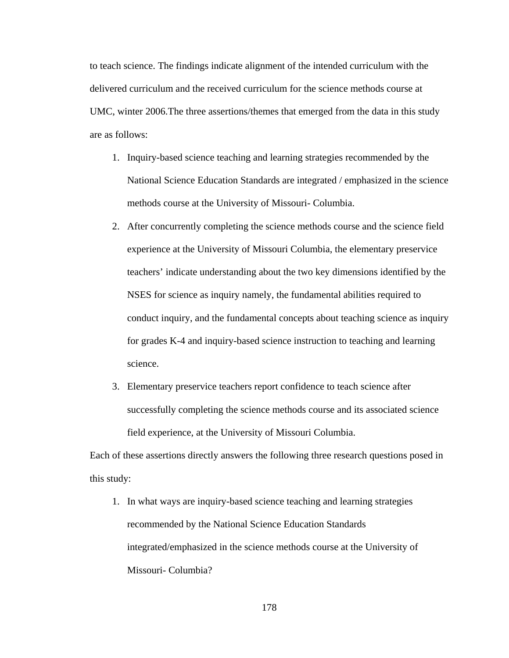to teach science. The findings indicate alignment of the intended curriculum with the delivered curriculum and the received curriculum for the science methods course at UMC, winter 2006.The three assertions/themes that emerged from the data in this study are as follows:

- 1. Inquiry-based science teaching and learning strategies recommended by the National Science Education Standards are integrated / emphasized in the science methods course at the University of Missouri- Columbia.
- 2. After concurrently completing the science methods course and the science field experience at the University of Missouri Columbia, the elementary preservice teachers' indicate understanding about the two key dimensions identified by the NSES for science as inquiry namely, the fundamental abilities required to conduct inquiry, and the fundamental concepts about teaching science as inquiry for grades K-4 and inquiry-based science instruction to teaching and learning science.
- 3. Elementary preservice teachers report confidence to teach science after successfully completing the science methods course and its associated science field experience, at the University of Missouri Columbia.

Each of these assertions directly answers the following three research questions posed in this study:

1. In what ways are inquiry-based science teaching and learning strategies recommended by the National Science Education Standards integrated/emphasized in the science methods course at the University of Missouri- Columbia?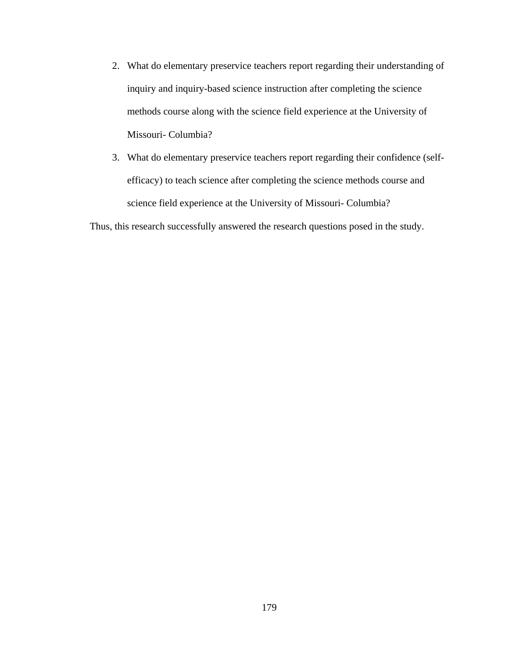- 2. What do elementary preservice teachers report regarding their understanding of inquiry and inquiry-based science instruction after completing the science methods course along with the science field experience at the University of Missouri- Columbia?
- 3. What do elementary preservice teachers report regarding their confidence (selfefficacy) to teach science after completing the science methods course and science field experience at the University of Missouri- Columbia?

Thus, this research successfully answered the research questions posed in the study.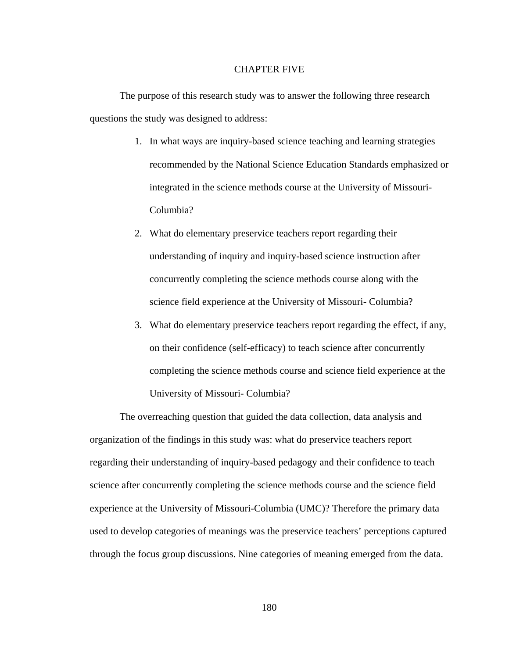### CHAPTER FIVE

 The purpose of this research study was to answer the following three research questions the study was designed to address:

- 1. In what ways are inquiry-based science teaching and learning strategies recommended by the National Science Education Standards emphasized or integrated in the science methods course at the University of Missouri-Columbia?
- 2. What do elementary preservice teachers report regarding their understanding of inquiry and inquiry-based science instruction after concurrently completing the science methods course along with the science field experience at the University of Missouri- Columbia?
- 3. What do elementary preservice teachers report regarding the effect, if any, on their confidence (self-efficacy) to teach science after concurrently completing the science methods course and science field experience at the University of Missouri- Columbia?

 The overreaching question that guided the data collection, data analysis and organization of the findings in this study was: what do preservice teachers report regarding their understanding of inquiry-based pedagogy and their confidence to teach science after concurrently completing the science methods course and the science field experience at the University of Missouri-Columbia (UMC)? Therefore the primary data used to develop categories of meanings was the preservice teachers' perceptions captured through the focus group discussions. Nine categories of meaning emerged from the data.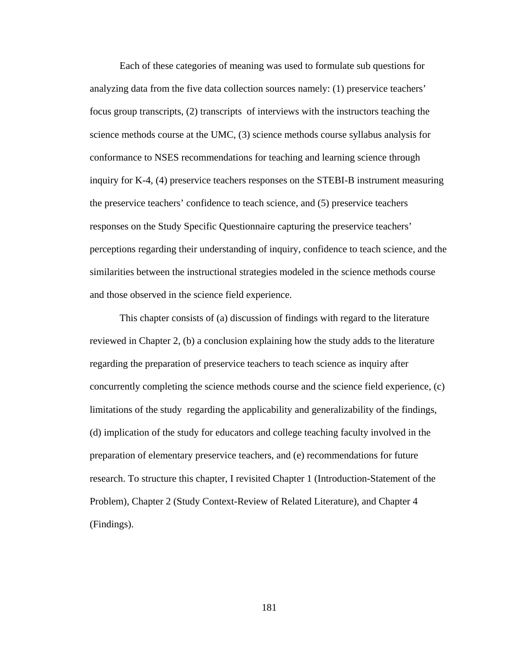Each of these categories of meaning was used to formulate sub questions for analyzing data from the five data collection sources namely: (1) preservice teachers' focus group transcripts, (2) transcripts of interviews with the instructors teaching the science methods course at the UMC, (3) science methods course syllabus analysis for conformance to NSES recommendations for teaching and learning science through inquiry for K-4, (4) preservice teachers responses on the STEBI-B instrument measuring the preservice teachers' confidence to teach science, and (5) preservice teachers responses on the Study Specific Questionnaire capturing the preservice teachers' perceptions regarding their understanding of inquiry, confidence to teach science, and the similarities between the instructional strategies modeled in the science methods course and those observed in the science field experience.

 This chapter consists of (a) discussion of findings with regard to the literature reviewed in Chapter 2, (b) a conclusion explaining how the study adds to the literature regarding the preparation of preservice teachers to teach science as inquiry after concurrently completing the science methods course and the science field experience, (c) limitations of the study regarding the applicability and generalizability of the findings, (d) implication of the study for educators and college teaching faculty involved in the preparation of elementary preservice teachers, and (e) recommendations for future research. To structure this chapter, I revisited Chapter 1 (Introduction-Statement of the Problem), Chapter 2 (Study Context-Review of Related Literature), and Chapter 4 (Findings).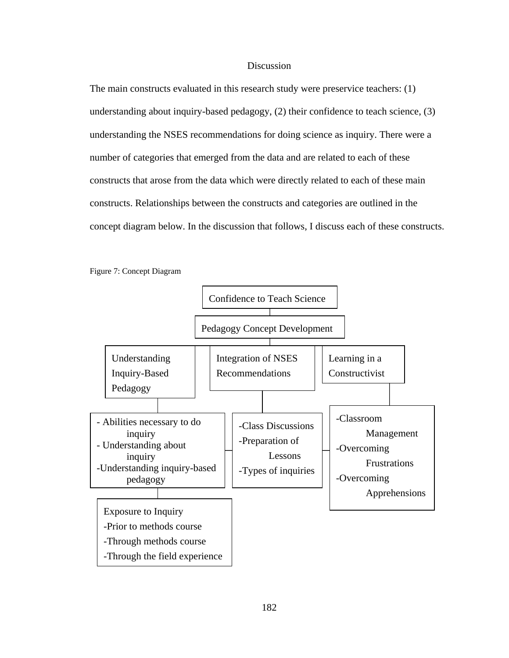## **Discussion**

The main constructs evaluated in this research study were preservice teachers: (1) understanding about inquiry-based pedagogy, (2) their confidence to teach science, (3) understanding the NSES recommendations for doing science as inquiry. There were a number of categories that emerged from the data and are related to each of these constructs that arose from the data which were directly related to each of these main constructs. Relationships between the constructs and categories are outlined in the concept diagram below. In the discussion that follows, I discuss each of these constructs.



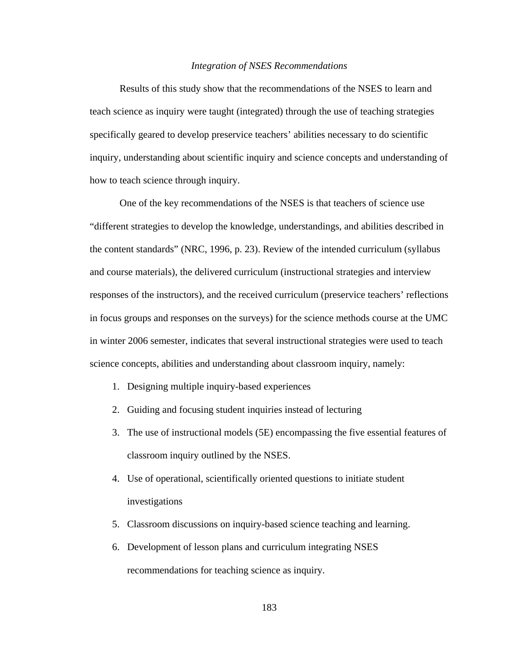### *Integration of NSES Recommendations*

Results of this study show that the recommendations of the NSES to learn and teach science as inquiry were taught (integrated) through the use of teaching strategies specifically geared to develop preservice teachers' abilities necessary to do scientific inquiry, understanding about scientific inquiry and science concepts and understanding of how to teach science through inquiry.

 One of the key recommendations of the NSES is that teachers of science use "different strategies to develop the knowledge, understandings, and abilities described in the content standards" (NRC, 1996, p. 23). Review of the intended curriculum (syllabus and course materials), the delivered curriculum (instructional strategies and interview responses of the instructors), and the received curriculum (preservice teachers' reflections in focus groups and responses on the surveys) for the science methods course at the UMC in winter 2006 semester, indicates that several instructional strategies were used to teach science concepts, abilities and understanding about classroom inquiry, namely:

- 1. Designing multiple inquiry-based experiences
- 2. Guiding and focusing student inquiries instead of lecturing
- 3. The use of instructional models (5E) encompassing the five essential features of classroom inquiry outlined by the NSES.
- 4. Use of operational, scientifically oriented questions to initiate student investigations
- 5. Classroom discussions on inquiry-based science teaching and learning.
- 6. Development of lesson plans and curriculum integrating NSES recommendations for teaching science as inquiry.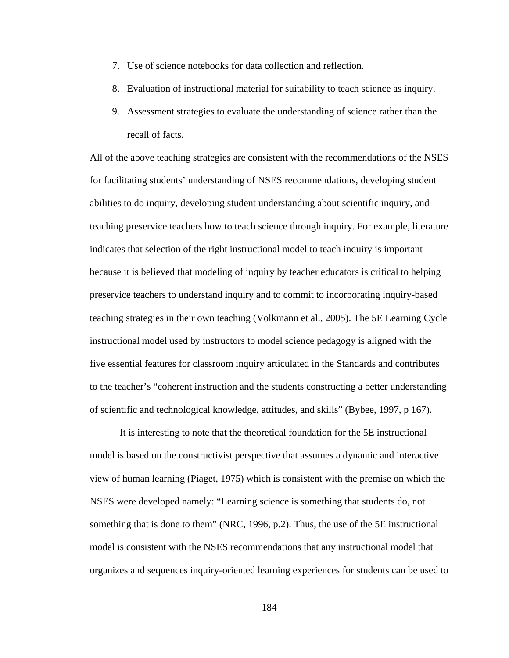- 7. Use of science notebooks for data collection and reflection.
- 8. Evaluation of instructional material for suitability to teach science as inquiry.
- 9. Assessment strategies to evaluate the understanding of science rather than the recall of facts.

All of the above teaching strategies are consistent with the recommendations of the NSES for facilitating students' understanding of NSES recommendations, developing student abilities to do inquiry, developing student understanding about scientific inquiry, and teaching preservice teachers how to teach science through inquiry. For example, literature indicates that selection of the right instructional model to teach inquiry is important because it is believed that modeling of inquiry by teacher educators is critical to helping preservice teachers to understand inquiry and to commit to incorporating inquiry-based teaching strategies in their own teaching (Volkmann et al., 2005). The 5E Learning Cycle instructional model used by instructors to model science pedagogy is aligned with the five essential features for classroom inquiry articulated in the Standards and contributes to the teacher's "coherent instruction and the students constructing a better understanding of scientific and technological knowledge, attitudes, and skills" (Bybee, 1997, p 167).

 It is interesting to note that the theoretical foundation for the 5E instructional model is based on the constructivist perspective that assumes a dynamic and interactive view of human learning (Piaget, 1975) which is consistent with the premise on which the NSES were developed namely: "Learning science is something that students do, not something that is done to them" (NRC, 1996, p.2). Thus, the use of the 5E instructional model is consistent with the NSES recommendations that any instructional model that organizes and sequences inquiry-oriented learning experiences for students can be used to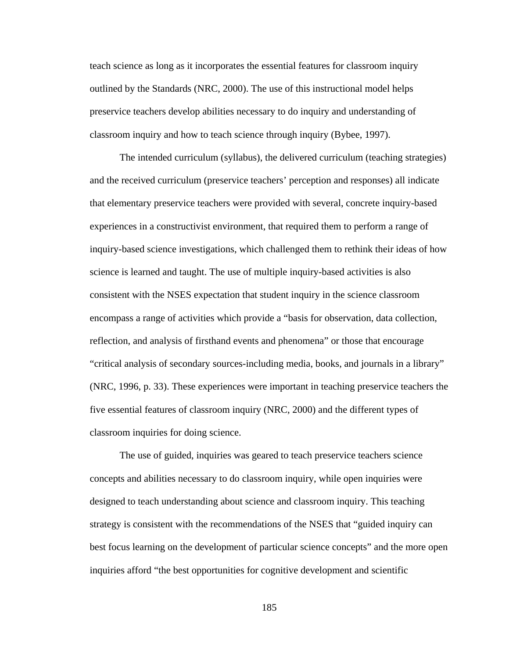teach science as long as it incorporates the essential features for classroom inquiry outlined by the Standards (NRC, 2000). The use of this instructional model helps preservice teachers develop abilities necessary to do inquiry and understanding of classroom inquiry and how to teach science through inquiry (Bybee, 1997).

 The intended curriculum (syllabus), the delivered curriculum (teaching strategies) and the received curriculum (preservice teachers' perception and responses) all indicate that elementary preservice teachers were provided with several, concrete inquiry-based experiences in a constructivist environment, that required them to perform a range of inquiry-based science investigations, which challenged them to rethink their ideas of how science is learned and taught. The use of multiple inquiry-based activities is also consistent with the NSES expectation that student inquiry in the science classroom encompass a range of activities which provide a "basis for observation, data collection, reflection, and analysis of firsthand events and phenomena" or those that encourage "critical analysis of secondary sources-including media, books, and journals in a library" (NRC, 1996, p. 33). These experiences were important in teaching preservice teachers the five essential features of classroom inquiry (NRC, 2000) and the different types of classroom inquiries for doing science.

 The use of guided, inquiries was geared to teach preservice teachers science concepts and abilities necessary to do classroom inquiry, while open inquiries were designed to teach understanding about science and classroom inquiry. This teaching strategy is consistent with the recommendations of the NSES that "guided inquiry can best focus learning on the development of particular science concepts" and the more open inquiries afford "the best opportunities for cognitive development and scientific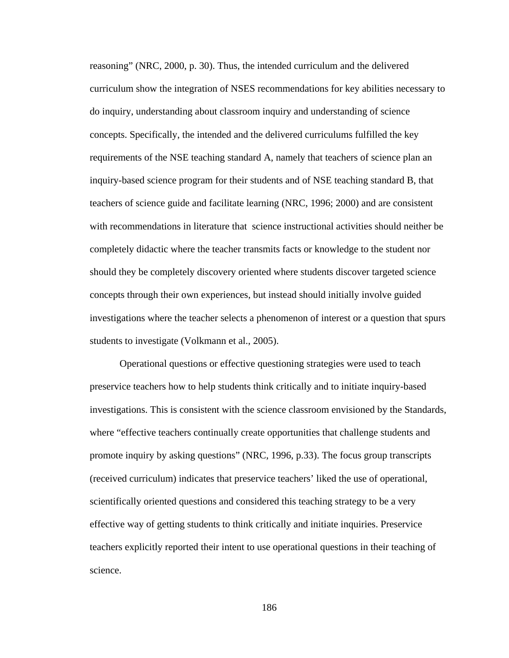reasoning" (NRC, 2000, p. 30). Thus, the intended curriculum and the delivered curriculum show the integration of NSES recommendations for key abilities necessary to do inquiry, understanding about classroom inquiry and understanding of science concepts. Specifically, the intended and the delivered curriculums fulfilled the key requirements of the NSE teaching standard A, namely that teachers of science plan an inquiry-based science program for their students and of NSE teaching standard B, that teachers of science guide and facilitate learning (NRC, 1996; 2000) and are consistent with recommendations in literature that science instructional activities should neither be completely didactic where the teacher transmits facts or knowledge to the student nor should they be completely discovery oriented where students discover targeted science concepts through their own experiences, but instead should initially involve guided investigations where the teacher selects a phenomenon of interest or a question that spurs students to investigate (Volkmann et al., 2005).

 Operational questions or effective questioning strategies were used to teach preservice teachers how to help students think critically and to initiate inquiry-based investigations. This is consistent with the science classroom envisioned by the Standards, where "effective teachers continually create opportunities that challenge students and promote inquiry by asking questions" (NRC, 1996, p.33). The focus group transcripts (received curriculum) indicates that preservice teachers' liked the use of operational, scientifically oriented questions and considered this teaching strategy to be a very effective way of getting students to think critically and initiate inquiries. Preservice teachers explicitly reported their intent to use operational questions in their teaching of science.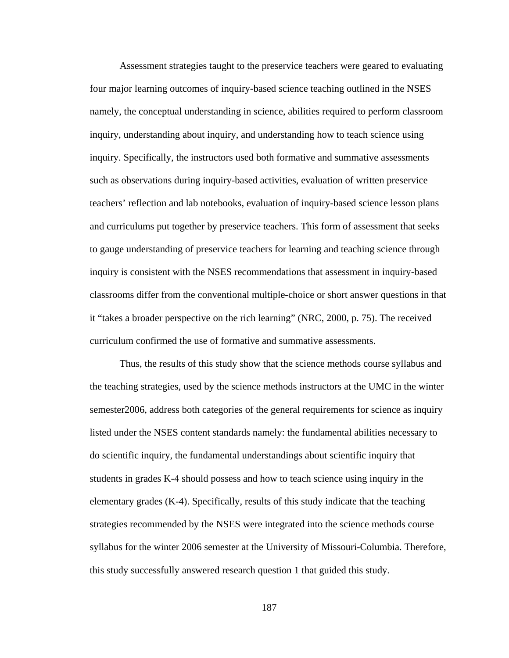Assessment strategies taught to the preservice teachers were geared to evaluating four major learning outcomes of inquiry-based science teaching outlined in the NSES namely, the conceptual understanding in science, abilities required to perform classroom inquiry, understanding about inquiry, and understanding how to teach science using inquiry. Specifically, the instructors used both formative and summative assessments such as observations during inquiry-based activities, evaluation of written preservice teachers' reflection and lab notebooks, evaluation of inquiry-based science lesson plans and curriculums put together by preservice teachers. This form of assessment that seeks to gauge understanding of preservice teachers for learning and teaching science through inquiry is consistent with the NSES recommendations that assessment in inquiry-based classrooms differ from the conventional multiple-choice or short answer questions in that it "takes a broader perspective on the rich learning" (NRC, 2000, p. 75). The received curriculum confirmed the use of formative and summative assessments.

 Thus, the results of this study show that the science methods course syllabus and the teaching strategies, used by the science methods instructors at the UMC in the winter semester2006, address both categories of the general requirements for science as inquiry listed under the NSES content standards namely: the fundamental abilities necessary to do scientific inquiry, the fundamental understandings about scientific inquiry that students in grades K-4 should possess and how to teach science using inquiry in the elementary grades (K-4). Specifically, results of this study indicate that the teaching strategies recommended by the NSES were integrated into the science methods course syllabus for the winter 2006 semester at the University of Missouri-Columbia. Therefore, this study successfully answered research question 1 that guided this study.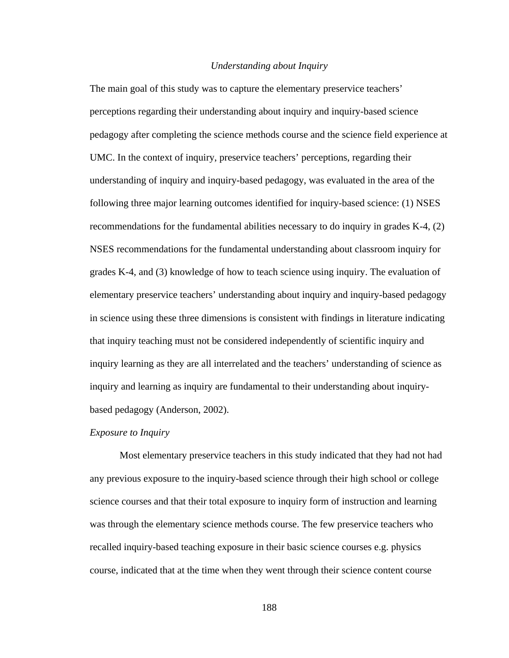### *Understanding about Inquiry*

The main goal of this study was to capture the elementary preservice teachers' perceptions regarding their understanding about inquiry and inquiry-based science pedagogy after completing the science methods course and the science field experience at UMC. In the context of inquiry, preservice teachers' perceptions, regarding their understanding of inquiry and inquiry-based pedagogy, was evaluated in the area of the following three major learning outcomes identified for inquiry-based science: (1) NSES recommendations for the fundamental abilities necessary to do inquiry in grades K-4, (2) NSES recommendations for the fundamental understanding about classroom inquiry for grades K-4, and (3) knowledge of how to teach science using inquiry. The evaluation of elementary preservice teachers' understanding about inquiry and inquiry-based pedagogy in science using these three dimensions is consistent with findings in literature indicating that inquiry teaching must not be considered independently of scientific inquiry and inquiry learning as they are all interrelated and the teachers' understanding of science as inquiry and learning as inquiry are fundamental to their understanding about inquirybased pedagogy (Anderson, 2002).

### *Exposure to Inquiry*

 Most elementary preservice teachers in this study indicated that they had not had any previous exposure to the inquiry-based science through their high school or college science courses and that their total exposure to inquiry form of instruction and learning was through the elementary science methods course. The few preservice teachers who recalled inquiry-based teaching exposure in their basic science courses e.g. physics course, indicated that at the time when they went through their science content course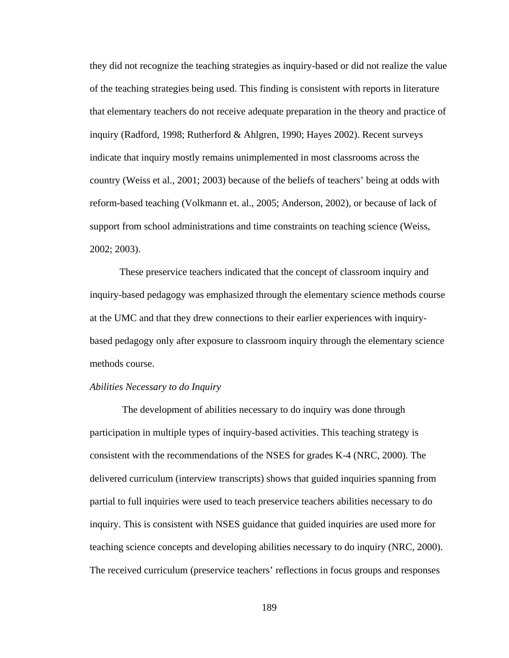they did not recognize the teaching strategies as inquiry-based or did not realize the value of the teaching strategies being used. This finding is consistent with reports in literature that elementary teachers do not receive adequate preparation in the theory and practice of inquiry (Radford, 1998; Rutherford & Ahlgren, 1990; Hayes 2002). Recent surveys indicate that inquiry mostly remains unimplemented in most classrooms across the country (Weiss et al., 2001; 2003) because of the beliefs of teachers' being at odds with reform-based teaching (Volkmann et. al., 2005; Anderson, 2002), or because of lack of support from school administrations and time constraints on teaching science (Weiss, 2002; 2003).

 These preservice teachers indicated that the concept of classroom inquiry and inquiry-based pedagogy was emphasized through the elementary science methods course at the UMC and that they drew connections to their earlier experiences with inquirybased pedagogy only after exposure to classroom inquiry through the elementary science methods course.

### *Abilities Necessary to do Inquiry*

 The development of abilities necessary to do inquiry was done through participation in multiple types of inquiry-based activities. This teaching strategy is consistent with the recommendations of the NSES for grades K-4 (NRC, 2000). The delivered curriculum (interview transcripts) shows that guided inquiries spanning from partial to full inquiries were used to teach preservice teachers abilities necessary to do inquiry. This is consistent with NSES guidance that guided inquiries are used more for teaching science concepts and developing abilities necessary to do inquiry (NRC, 2000). The received curriculum (preservice teachers' reflections in focus groups and responses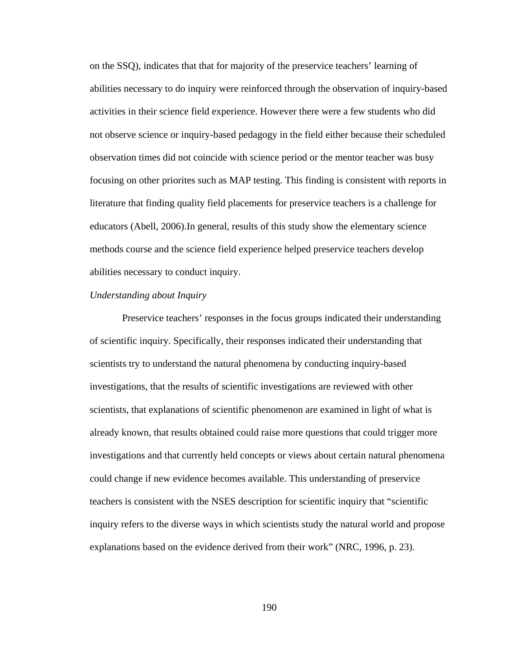on the SSQ), indicates that that for majority of the preservice teachers' learning of abilities necessary to do inquiry were reinforced through the observation of inquiry-based activities in their science field experience. However there were a few students who did not observe science or inquiry-based pedagogy in the field either because their scheduled observation times did not coincide with science period or the mentor teacher was busy focusing on other priorites such as MAP testing. This finding is consistent with reports in literature that finding quality field placements for preservice teachers is a challenge for educators (Abell, 2006).In general, results of this study show the elementary science methods course and the science field experience helped preservice teachers develop abilities necessary to conduct inquiry.

### *Understanding about Inquiry*

 Preservice teachers' responses in the focus groups indicated their understanding of scientific inquiry. Specifically, their responses indicated their understanding that scientists try to understand the natural phenomena by conducting inquiry-based investigations, that the results of scientific investigations are reviewed with other scientists, that explanations of scientific phenomenon are examined in light of what is already known, that results obtained could raise more questions that could trigger more investigations and that currently held concepts or views about certain natural phenomena could change if new evidence becomes available. This understanding of preservice teachers is consistent with the NSES description for scientific inquiry that "scientific inquiry refers to the diverse ways in which scientists study the natural world and propose explanations based on the evidence derived from their work" (NRC, 1996, p. 23).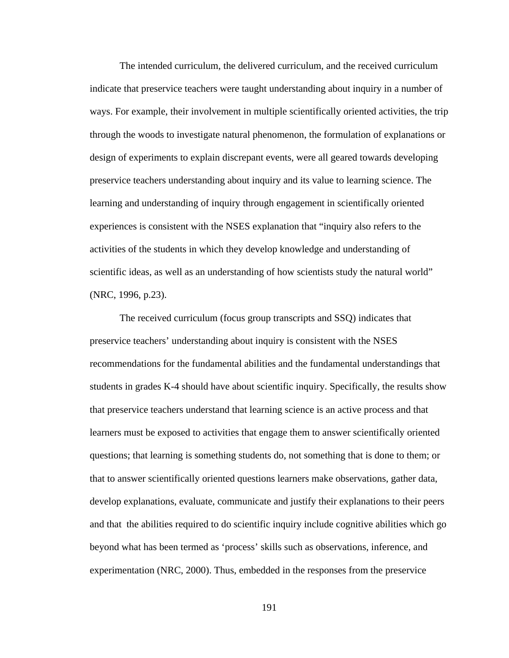The intended curriculum, the delivered curriculum, and the received curriculum indicate that preservice teachers were taught understanding about inquiry in a number of ways. For example, their involvement in multiple scientifically oriented activities, the trip through the woods to investigate natural phenomenon, the formulation of explanations or design of experiments to explain discrepant events, were all geared towards developing preservice teachers understanding about inquiry and its value to learning science. The learning and understanding of inquiry through engagement in scientifically oriented experiences is consistent with the NSES explanation that "inquiry also refers to the activities of the students in which they develop knowledge and understanding of scientific ideas, as well as an understanding of how scientists study the natural world" (NRC, 1996, p.23).

 The received curriculum (focus group transcripts and SSQ) indicates that preservice teachers' understanding about inquiry is consistent with the NSES recommendations for the fundamental abilities and the fundamental understandings that students in grades K-4 should have about scientific inquiry. Specifically, the results show that preservice teachers understand that learning science is an active process and that learners must be exposed to activities that engage them to answer scientifically oriented questions; that learning is something students do, not something that is done to them; or that to answer scientifically oriented questions learners make observations, gather data, develop explanations, evaluate, communicate and justify their explanations to their peers and that the abilities required to do scientific inquiry include cognitive abilities which go beyond what has been termed as 'process' skills such as observations, inference, and experimentation (NRC, 2000). Thus, embedded in the responses from the preservice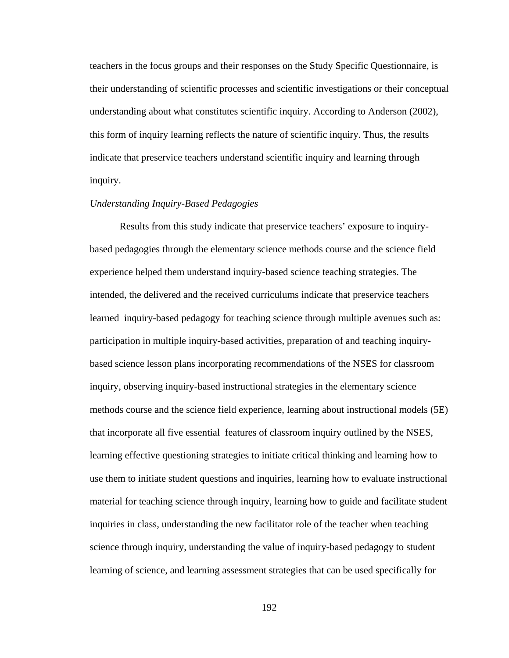teachers in the focus groups and their responses on the Study Specific Questionnaire, is their understanding of scientific processes and scientific investigations or their conceptual understanding about what constitutes scientific inquiry. According to Anderson (2002), this form of inquiry learning reflects the nature of scientific inquiry. Thus, the results indicate that preservice teachers understand scientific inquiry and learning through inquiry.

# *Understanding Inquiry-Based Pedagogies*

 Results from this study indicate that preservice teachers' exposure to inquirybased pedagogies through the elementary science methods course and the science field experience helped them understand inquiry-based science teaching strategies. The intended, the delivered and the received curriculums indicate that preservice teachers learned inquiry-based pedagogy for teaching science through multiple avenues such as: participation in multiple inquiry-based activities, preparation of and teaching inquirybased science lesson plans incorporating recommendations of the NSES for classroom inquiry, observing inquiry-based instructional strategies in the elementary science methods course and the science field experience, learning about instructional models (5E) that incorporate all five essential features of classroom inquiry outlined by the NSES, learning effective questioning strategies to initiate critical thinking and learning how to use them to initiate student questions and inquiries, learning how to evaluate instructional material for teaching science through inquiry, learning how to guide and facilitate student inquiries in class, understanding the new facilitator role of the teacher when teaching science through inquiry, understanding the value of inquiry-based pedagogy to student learning of science, and learning assessment strategies that can be used specifically for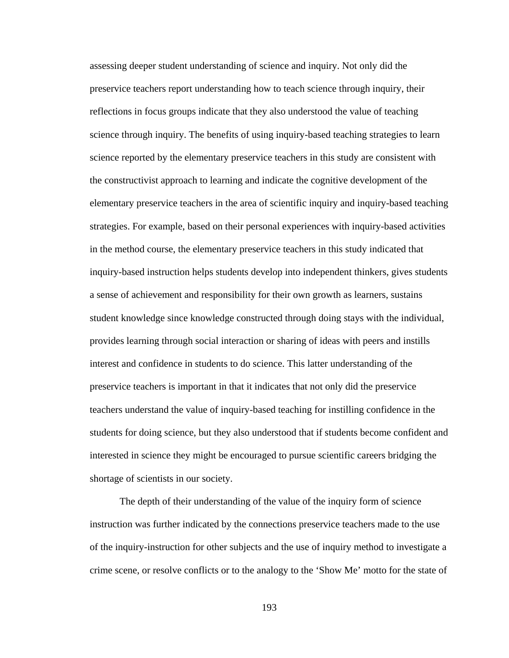assessing deeper student understanding of science and inquiry. Not only did the preservice teachers report understanding how to teach science through inquiry, their reflections in focus groups indicate that they also understood the value of teaching science through inquiry. The benefits of using inquiry-based teaching strategies to learn science reported by the elementary preservice teachers in this study are consistent with the constructivist approach to learning and indicate the cognitive development of the elementary preservice teachers in the area of scientific inquiry and inquiry-based teaching strategies. For example, based on their personal experiences with inquiry-based activities in the method course, the elementary preservice teachers in this study indicated that inquiry-based instruction helps students develop into independent thinkers, gives students a sense of achievement and responsibility for their own growth as learners, sustains student knowledge since knowledge constructed through doing stays with the individual, provides learning through social interaction or sharing of ideas with peers and instills interest and confidence in students to do science. This latter understanding of the preservice teachers is important in that it indicates that not only did the preservice teachers understand the value of inquiry-based teaching for instilling confidence in the students for doing science, but they also understood that if students become confident and interested in science they might be encouraged to pursue scientific careers bridging the shortage of scientists in our society.

 The depth of their understanding of the value of the inquiry form of science instruction was further indicated by the connections preservice teachers made to the use of the inquiry-instruction for other subjects and the use of inquiry method to investigate a crime scene, or resolve conflicts or to the analogy to the 'Show Me' motto for the state of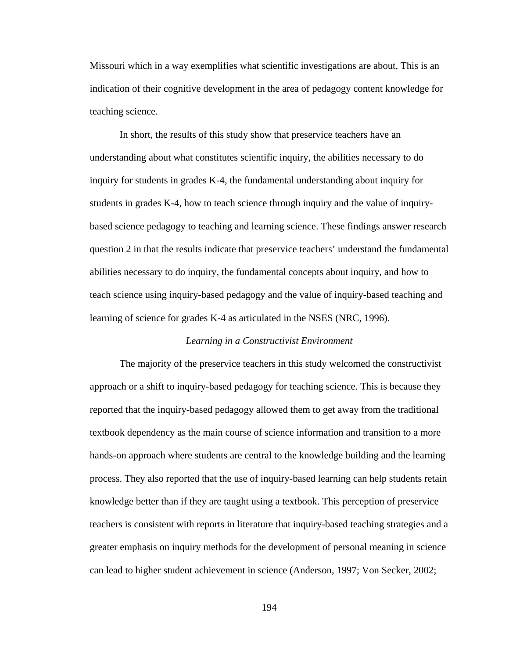Missouri which in a way exemplifies what scientific investigations are about. This is an indication of their cognitive development in the area of pedagogy content knowledge for teaching science.

 In short, the results of this study show that preservice teachers have an understanding about what constitutes scientific inquiry, the abilities necessary to do inquiry for students in grades K-4, the fundamental understanding about inquiry for students in grades K-4, how to teach science through inquiry and the value of inquirybased science pedagogy to teaching and learning science. These findings answer research question 2 in that the results indicate that preservice teachers' understand the fundamental abilities necessary to do inquiry, the fundamental concepts about inquiry, and how to teach science using inquiry-based pedagogy and the value of inquiry-based teaching and learning of science for grades K-4 as articulated in the NSES (NRC, 1996).

### *Learning in a Constructivist Environment*

 The majority of the preservice teachers in this study welcomed the constructivist approach or a shift to inquiry-based pedagogy for teaching science. This is because they reported that the inquiry-based pedagogy allowed them to get away from the traditional textbook dependency as the main course of science information and transition to a more hands-on approach where students are central to the knowledge building and the learning process. They also reported that the use of inquiry-based learning can help students retain knowledge better than if they are taught using a textbook. This perception of preservice teachers is consistent with reports in literature that inquiry-based teaching strategies and a greater emphasis on inquiry methods for the development of personal meaning in science can lead to higher student achievement in science (Anderson, 1997; Von Secker, 2002;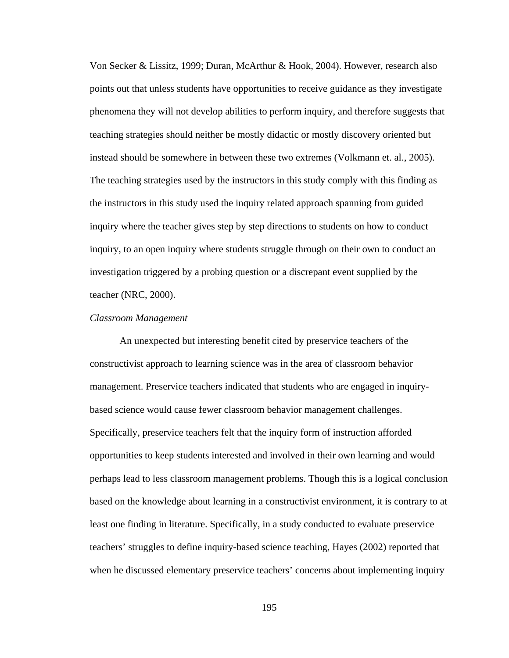Von Secker & Lissitz, 1999; Duran, McArthur & Hook, 2004). However, research also points out that unless students have opportunities to receive guidance as they investigate phenomena they will not develop abilities to perform inquiry, and therefore suggests that teaching strategies should neither be mostly didactic or mostly discovery oriented but instead should be somewhere in between these two extremes (Volkmann et. al., 2005). The teaching strategies used by the instructors in this study comply with this finding as the instructors in this study used the inquiry related approach spanning from guided inquiry where the teacher gives step by step directions to students on how to conduct inquiry, to an open inquiry where students struggle through on their own to conduct an investigation triggered by a probing question or a discrepant event supplied by the teacher (NRC, 2000).

### *Classroom Management*

 An unexpected but interesting benefit cited by preservice teachers of the constructivist approach to learning science was in the area of classroom behavior management. Preservice teachers indicated that students who are engaged in inquirybased science would cause fewer classroom behavior management challenges. Specifically, preservice teachers felt that the inquiry form of instruction afforded opportunities to keep students interested and involved in their own learning and would perhaps lead to less classroom management problems. Though this is a logical conclusion based on the knowledge about learning in a constructivist environment, it is contrary to at least one finding in literature. Specifically, in a study conducted to evaluate preservice teachers' struggles to define inquiry-based science teaching, Hayes (2002) reported that when he discussed elementary preservice teachers' concerns about implementing inquiry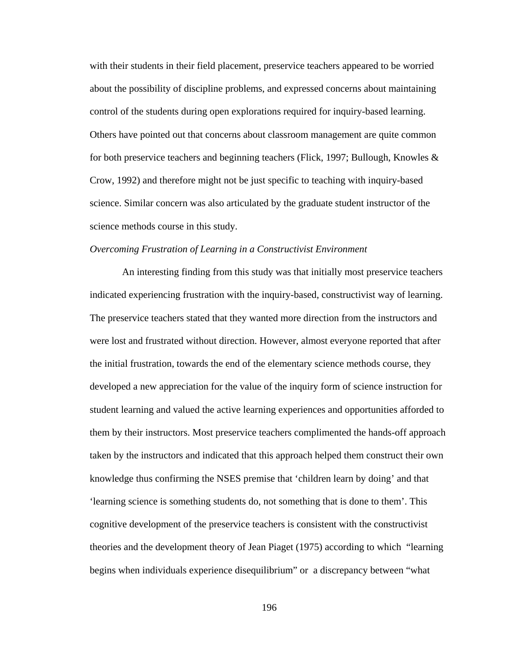with their students in their field placement, preservice teachers appeared to be worried about the possibility of discipline problems, and expressed concerns about maintaining control of the students during open explorations required for inquiry-based learning. Others have pointed out that concerns about classroom management are quite common for both preservice teachers and beginning teachers (Flick, 1997; Bullough, Knowles & Crow, 1992) and therefore might not be just specific to teaching with inquiry-based science. Similar concern was also articulated by the graduate student instructor of the science methods course in this study.

#### *Overcoming Frustration of Learning in a Constructivist Environment*

 An interesting finding from this study was that initially most preservice teachers indicated experiencing frustration with the inquiry-based, constructivist way of learning. The preservice teachers stated that they wanted more direction from the instructors and were lost and frustrated without direction. However, almost everyone reported that after the initial frustration, towards the end of the elementary science methods course, they developed a new appreciation for the value of the inquiry form of science instruction for student learning and valued the active learning experiences and opportunities afforded to them by their instructors. Most preservice teachers complimented the hands-off approach taken by the instructors and indicated that this approach helped them construct their own knowledge thus confirming the NSES premise that 'children learn by doing' and that 'learning science is something students do, not something that is done to them'. This cognitive development of the preservice teachers is consistent with the constructivist theories and the development theory of Jean Piaget (1975) according to which "learning begins when individuals experience disequilibrium" or a discrepancy between "what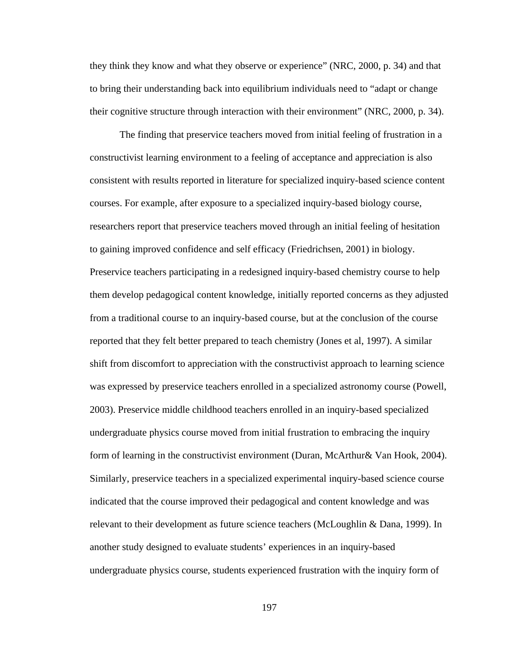they think they know and what they observe or experience" (NRC, 2000, p. 34) and that to bring their understanding back into equilibrium individuals need to "adapt or change their cognitive structure through interaction with their environment" (NRC, 2000, p. 34).

 The finding that preservice teachers moved from initial feeling of frustration in a constructivist learning environment to a feeling of acceptance and appreciation is also consistent with results reported in literature for specialized inquiry-based science content courses. For example, after exposure to a specialized inquiry-based biology course, researchers report that preservice teachers moved through an initial feeling of hesitation to gaining improved confidence and self efficacy (Friedrichsen, 2001) in biology. Preservice teachers participating in a redesigned inquiry-based chemistry course to help them develop pedagogical content knowledge, initially reported concerns as they adjusted from a traditional course to an inquiry-based course, but at the conclusion of the course reported that they felt better prepared to teach chemistry (Jones et al, 1997). A similar shift from discomfort to appreciation with the constructivist approach to learning science was expressed by preservice teachers enrolled in a specialized astronomy course (Powell, 2003). Preservice middle childhood teachers enrolled in an inquiry-based specialized undergraduate physics course moved from initial frustration to embracing the inquiry form of learning in the constructivist environment (Duran, McArthur& Van Hook, 2004). Similarly, preservice teachers in a specialized experimental inquiry-based science course indicated that the course improved their pedagogical and content knowledge and was relevant to their development as future science teachers (McLoughlin & Dana, 1999). In another study designed to evaluate students' experiences in an inquiry-based undergraduate physics course, students experienced frustration with the inquiry form of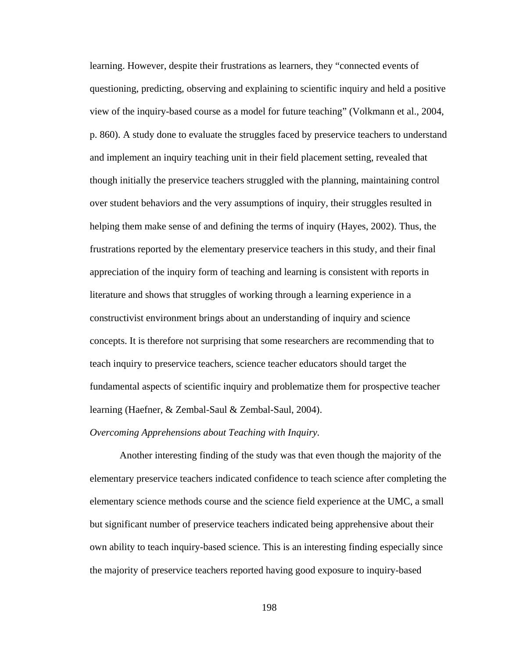learning. However, despite their frustrations as learners, they "connected events of questioning, predicting, observing and explaining to scientific inquiry and held a positive view of the inquiry-based course as a model for future teaching" (Volkmann et al., 2004, p. 860). A study done to evaluate the struggles faced by preservice teachers to understand and implement an inquiry teaching unit in their field placement setting, revealed that though initially the preservice teachers struggled with the planning, maintaining control over student behaviors and the very assumptions of inquiry, their struggles resulted in helping them make sense of and defining the terms of inquiry (Hayes, 2002). Thus, the frustrations reported by the elementary preservice teachers in this study, and their final appreciation of the inquiry form of teaching and learning is consistent with reports in literature and shows that struggles of working through a learning experience in a constructivist environment brings about an understanding of inquiry and science concepts. It is therefore not surprising that some researchers are recommending that to teach inquiry to preservice teachers, science teacher educators should target the fundamental aspects of scientific inquiry and problematize them for prospective teacher learning (Haefner, & Zembal-Saul & Zembal-Saul, 2004).

## *Overcoming Apprehensions about Teaching with Inquiry.*

 Another interesting finding of the study was that even though the majority of the elementary preservice teachers indicated confidence to teach science after completing the elementary science methods course and the science field experience at the UMC, a small but significant number of preservice teachers indicated being apprehensive about their own ability to teach inquiry-based science. This is an interesting finding especially since the majority of preservice teachers reported having good exposure to inquiry-based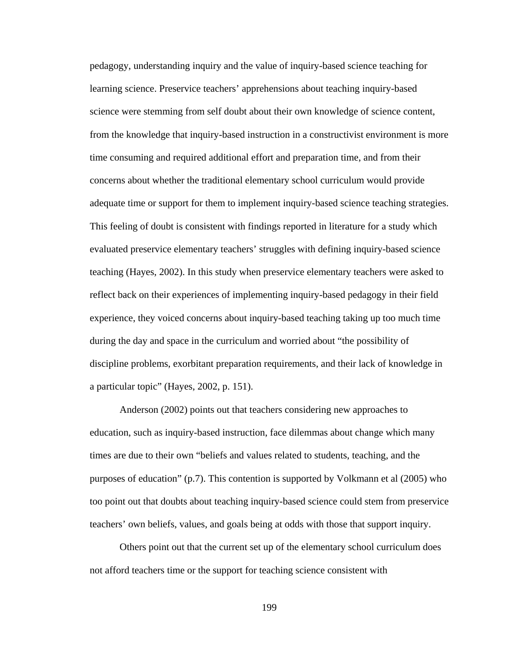pedagogy, understanding inquiry and the value of inquiry-based science teaching for learning science. Preservice teachers' apprehensions about teaching inquiry-based science were stemming from self doubt about their own knowledge of science content, from the knowledge that inquiry-based instruction in a constructivist environment is more time consuming and required additional effort and preparation time, and from their concerns about whether the traditional elementary school curriculum would provide adequate time or support for them to implement inquiry-based science teaching strategies. This feeling of doubt is consistent with findings reported in literature for a study which evaluated preservice elementary teachers' struggles with defining inquiry-based science teaching (Hayes, 2002). In this study when preservice elementary teachers were asked to reflect back on their experiences of implementing inquiry-based pedagogy in their field experience, they voiced concerns about inquiry-based teaching taking up too much time during the day and space in the curriculum and worried about "the possibility of discipline problems, exorbitant preparation requirements, and their lack of knowledge in a particular topic" (Hayes, 2002, p. 151).

 Anderson (2002) points out that teachers considering new approaches to education, such as inquiry-based instruction, face dilemmas about change which many times are due to their own "beliefs and values related to students, teaching, and the purposes of education" (p.7). This contention is supported by Volkmann et al (2005) who too point out that doubts about teaching inquiry-based science could stem from preservice teachers' own beliefs, values, and goals being at odds with those that support inquiry.

 Others point out that the current set up of the elementary school curriculum does not afford teachers time or the support for teaching science consistent with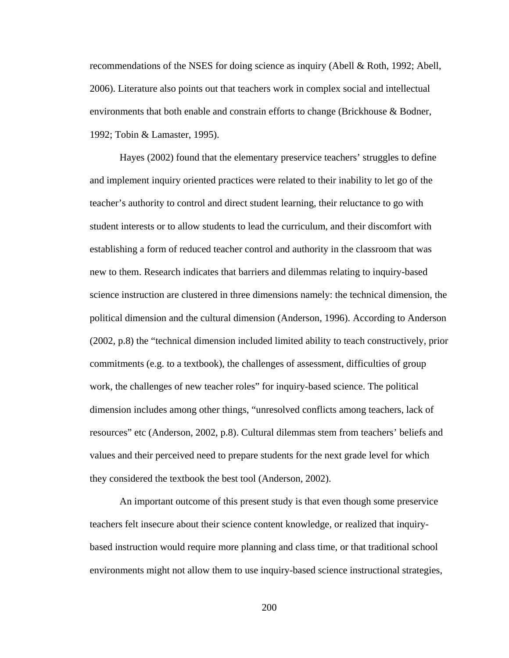recommendations of the NSES for doing science as inquiry (Abell & Roth, 1992; Abell, 2006). Literature also points out that teachers work in complex social and intellectual environments that both enable and constrain efforts to change (Brickhouse & Bodner, 1992; Tobin & Lamaster, 1995).

 Hayes (2002) found that the elementary preservice teachers' struggles to define and implement inquiry oriented practices were related to their inability to let go of the teacher's authority to control and direct student learning, their reluctance to go with student interests or to allow students to lead the curriculum, and their discomfort with establishing a form of reduced teacher control and authority in the classroom that was new to them. Research indicates that barriers and dilemmas relating to inquiry-based science instruction are clustered in three dimensions namely: the technical dimension, the political dimension and the cultural dimension (Anderson, 1996). According to Anderson (2002, p.8) the "technical dimension included limited ability to teach constructively, prior commitments (e.g. to a textbook), the challenges of assessment, difficulties of group work, the challenges of new teacher roles" for inquiry-based science. The political dimension includes among other things, "unresolved conflicts among teachers, lack of resources" etc (Anderson, 2002, p.8). Cultural dilemmas stem from teachers' beliefs and values and their perceived need to prepare students for the next grade level for which they considered the textbook the best tool (Anderson, 2002).

 An important outcome of this present study is that even though some preservice teachers felt insecure about their science content knowledge, or realized that inquirybased instruction would require more planning and class time, or that traditional school environments might not allow them to use inquiry-based science instructional strategies,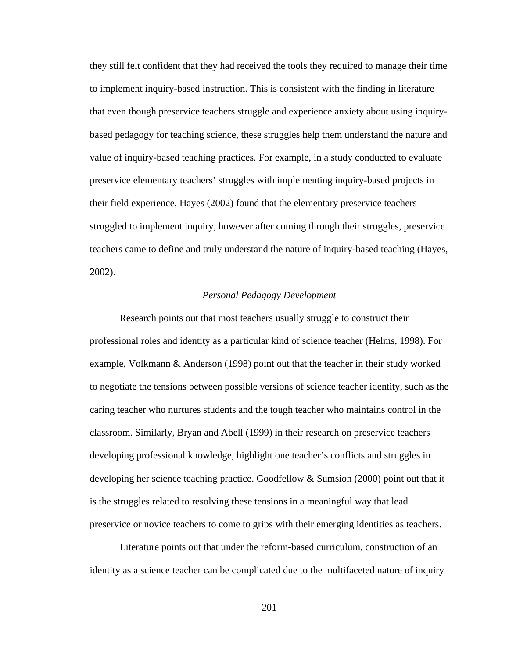they still felt confident that they had received the tools they required to manage their time to implement inquiry-based instruction. This is consistent with the finding in literature that even though preservice teachers struggle and experience anxiety about using inquirybased pedagogy for teaching science, these struggles help them understand the nature and value of inquiry-based teaching practices. For example, in a study conducted to evaluate preservice elementary teachers' struggles with implementing inquiry-based projects in their field experience, Hayes (2002) found that the elementary preservice teachers struggled to implement inquiry, however after coming through their struggles, preservice teachers came to define and truly understand the nature of inquiry-based teaching (Hayes, 2002).

## *Personal Pedagogy Development*

 Research points out that most teachers usually struggle to construct their professional roles and identity as a particular kind of science teacher (Helms, 1998). For example, Volkmann & Anderson (1998) point out that the teacher in their study worked to negotiate the tensions between possible versions of science teacher identity, such as the caring teacher who nurtures students and the tough teacher who maintains control in the classroom. Similarly, Bryan and Abell (1999) in their research on preservice teachers developing professional knowledge, highlight one teacher's conflicts and struggles in developing her science teaching practice. Goodfellow & Sumsion (2000) point out that it is the struggles related to resolving these tensions in a meaningful way that lead preservice or novice teachers to come to grips with their emerging identities as teachers.

 Literature points out that under the reform-based curriculum, construction of an identity as a science teacher can be complicated due to the multifaceted nature of inquiry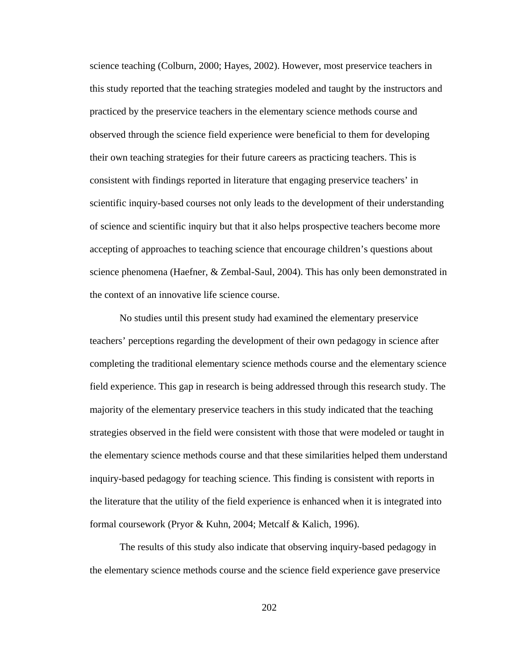science teaching (Colburn, 2000; Hayes, 2002). However, most preservice teachers in this study reported that the teaching strategies modeled and taught by the instructors and practiced by the preservice teachers in the elementary science methods course and observed through the science field experience were beneficial to them for developing their own teaching strategies for their future careers as practicing teachers. This is consistent with findings reported in literature that engaging preservice teachers' in scientific inquiry-based courses not only leads to the development of their understanding of science and scientific inquiry but that it also helps prospective teachers become more accepting of approaches to teaching science that encourage children's questions about science phenomena (Haefner, & Zembal-Saul, 2004). This has only been demonstrated in the context of an innovative life science course.

 No studies until this present study had examined the elementary preservice teachers' perceptions regarding the development of their own pedagogy in science after completing the traditional elementary science methods course and the elementary science field experience. This gap in research is being addressed through this research study. The majority of the elementary preservice teachers in this study indicated that the teaching strategies observed in the field were consistent with those that were modeled or taught in the elementary science methods course and that these similarities helped them understand inquiry-based pedagogy for teaching science. This finding is consistent with reports in the literature that the utility of the field experience is enhanced when it is integrated into formal coursework (Pryor & Kuhn, 2004; Metcalf & Kalich, 1996).

 The results of this study also indicate that observing inquiry-based pedagogy in the elementary science methods course and the science field experience gave preservice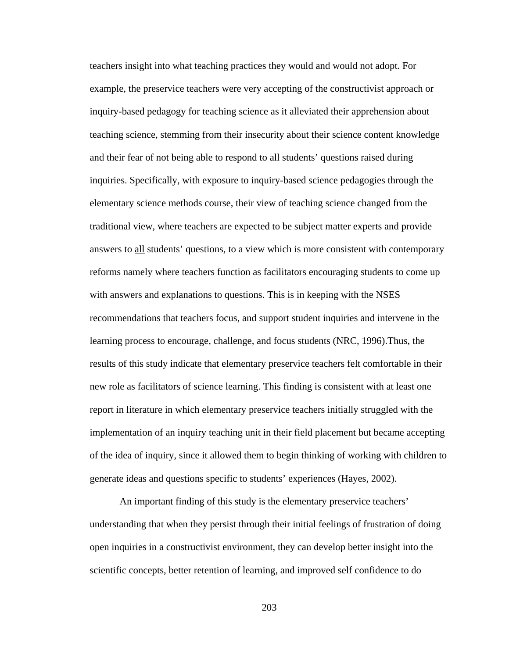teachers insight into what teaching practices they would and would not adopt. For example, the preservice teachers were very accepting of the constructivist approach or inquiry-based pedagogy for teaching science as it alleviated their apprehension about teaching science, stemming from their insecurity about their science content knowledge and their fear of not being able to respond to all students' questions raised during inquiries. Specifically, with exposure to inquiry-based science pedagogies through the elementary science methods course, their view of teaching science changed from the traditional view, where teachers are expected to be subject matter experts and provide answers to all students' questions, to a view which is more consistent with contemporary reforms namely where teachers function as facilitators encouraging students to come up with answers and explanations to questions. This is in keeping with the NSES recommendations that teachers focus, and support student inquiries and intervene in the learning process to encourage, challenge, and focus students (NRC, 1996).Thus, the results of this study indicate that elementary preservice teachers felt comfortable in their new role as facilitators of science learning. This finding is consistent with at least one report in literature in which elementary preservice teachers initially struggled with the implementation of an inquiry teaching unit in their field placement but became accepting of the idea of inquiry, since it allowed them to begin thinking of working with children to generate ideas and questions specific to students' experiences (Hayes, 2002).

 An important finding of this study is the elementary preservice teachers' understanding that when they persist through their initial feelings of frustration of doing open inquiries in a constructivist environment, they can develop better insight into the scientific concepts, better retention of learning, and improved self confidence to do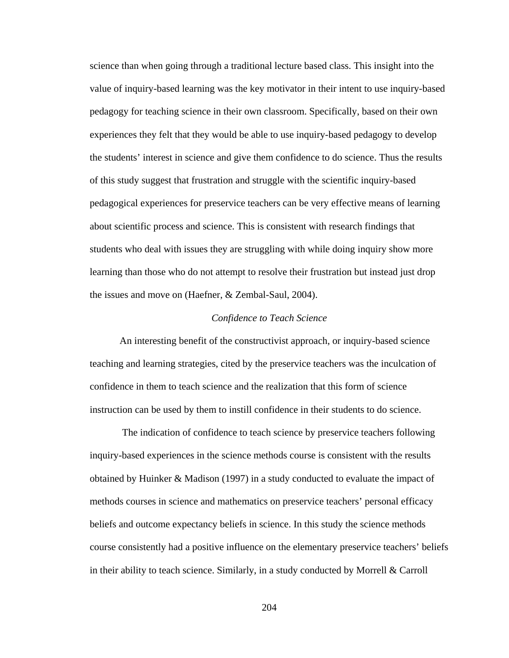science than when going through a traditional lecture based class. This insight into the value of inquiry-based learning was the key motivator in their intent to use inquiry-based pedagogy for teaching science in their own classroom. Specifically, based on their own experiences they felt that they would be able to use inquiry-based pedagogy to develop the students' interest in science and give them confidence to do science. Thus the results of this study suggest that frustration and struggle with the scientific inquiry-based pedagogical experiences for preservice teachers can be very effective means of learning about scientific process and science. This is consistent with research findings that students who deal with issues they are struggling with while doing inquiry show more learning than those who do not attempt to resolve their frustration but instead just drop the issues and move on (Haefner, & Zembal-Saul, 2004).

#### *Confidence to Teach Science*

 An interesting benefit of the constructivist approach, or inquiry-based science teaching and learning strategies, cited by the preservice teachers was the inculcation of confidence in them to teach science and the realization that this form of science instruction can be used by them to instill confidence in their students to do science.

 The indication of confidence to teach science by preservice teachers following inquiry-based experiences in the science methods course is consistent with the results obtained by Huinker & Madison (1997) in a study conducted to evaluate the impact of methods courses in science and mathematics on preservice teachers' personal efficacy beliefs and outcome expectancy beliefs in science. In this study the science methods course consistently had a positive influence on the elementary preservice teachers' beliefs in their ability to teach science. Similarly, in a study conducted by Morrell & Carroll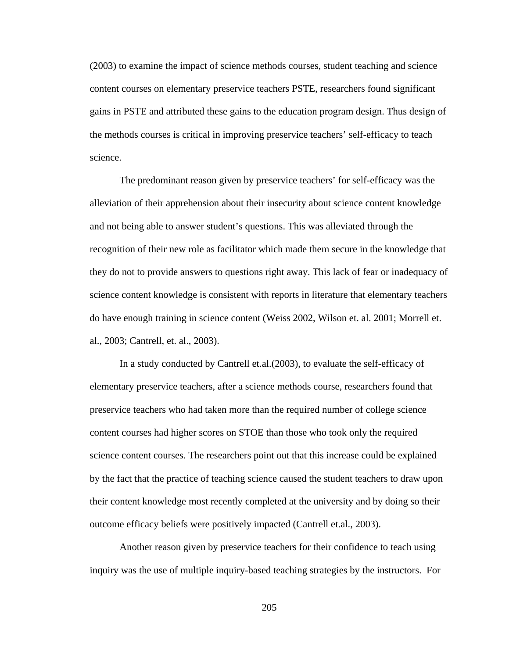(2003) to examine the impact of science methods courses, student teaching and science content courses on elementary preservice teachers PSTE, researchers found significant gains in PSTE and attributed these gains to the education program design. Thus design of the methods courses is critical in improving preservice teachers' self-efficacy to teach science.

 The predominant reason given by preservice teachers' for self-efficacy was the alleviation of their apprehension about their insecurity about science content knowledge and not being able to answer student's questions. This was alleviated through the recognition of their new role as facilitator which made them secure in the knowledge that they do not to provide answers to questions right away. This lack of fear or inadequacy of science content knowledge is consistent with reports in literature that elementary teachers do have enough training in science content (Weiss 2002, Wilson et. al. 2001; Morrell et. al., 2003; Cantrell, et. al., 2003).

 In a study conducted by Cantrell et.al.(2003), to evaluate the self-efficacy of elementary preservice teachers, after a science methods course, researchers found that preservice teachers who had taken more than the required number of college science content courses had higher scores on STOE than those who took only the required science content courses. The researchers point out that this increase could be explained by the fact that the practice of teaching science caused the student teachers to draw upon their content knowledge most recently completed at the university and by doing so their outcome efficacy beliefs were positively impacted (Cantrell et.al., 2003).

 Another reason given by preservice teachers for their confidence to teach using inquiry was the use of multiple inquiry-based teaching strategies by the instructors. For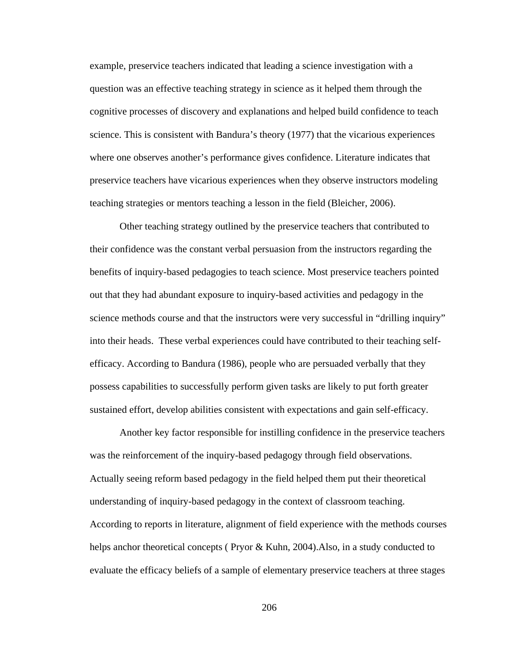example, preservice teachers indicated that leading a science investigation with a question was an effective teaching strategy in science as it helped them through the cognitive processes of discovery and explanations and helped build confidence to teach science. This is consistent with Bandura's theory (1977) that the vicarious experiences where one observes another's performance gives confidence. Literature indicates that preservice teachers have vicarious experiences when they observe instructors modeling teaching strategies or mentors teaching a lesson in the field (Bleicher, 2006).

 Other teaching strategy outlined by the preservice teachers that contributed to their confidence was the constant verbal persuasion from the instructors regarding the benefits of inquiry-based pedagogies to teach science. Most preservice teachers pointed out that they had abundant exposure to inquiry-based activities and pedagogy in the science methods course and that the instructors were very successful in "drilling inquiry" into their heads. These verbal experiences could have contributed to their teaching selfefficacy. According to Bandura (1986), people who are persuaded verbally that they possess capabilities to successfully perform given tasks are likely to put forth greater sustained effort, develop abilities consistent with expectations and gain self-efficacy.

 Another key factor responsible for instilling confidence in the preservice teachers was the reinforcement of the inquiry-based pedagogy through field observations. Actually seeing reform based pedagogy in the field helped them put their theoretical understanding of inquiry-based pedagogy in the context of classroom teaching. According to reports in literature, alignment of field experience with the methods courses helps anchor theoretical concepts ( Pryor & Kuhn, 2004).Also, in a study conducted to evaluate the efficacy beliefs of a sample of elementary preservice teachers at three stages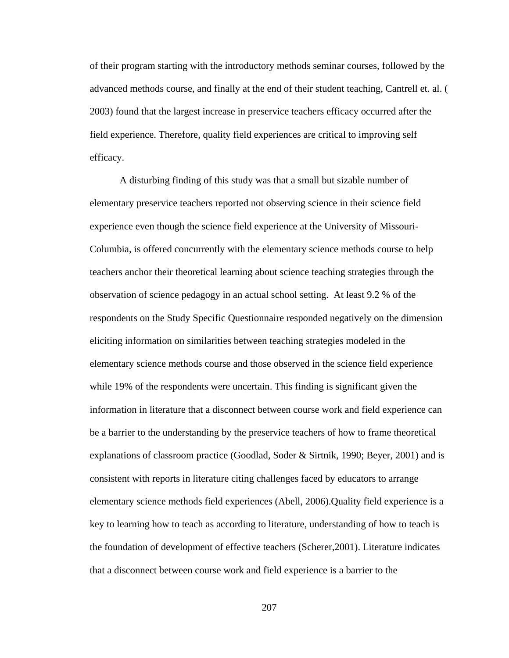of their program starting with the introductory methods seminar courses, followed by the advanced methods course, and finally at the end of their student teaching, Cantrell et. al. ( 2003) found that the largest increase in preservice teachers efficacy occurred after the field experience. Therefore, quality field experiences are critical to improving self efficacy.

 A disturbing finding of this study was that a small but sizable number of elementary preservice teachers reported not observing science in their science field experience even though the science field experience at the University of Missouri-Columbia, is offered concurrently with the elementary science methods course to help teachers anchor their theoretical learning about science teaching strategies through the observation of science pedagogy in an actual school setting. At least 9.2 % of the respondents on the Study Specific Questionnaire responded negatively on the dimension eliciting information on similarities between teaching strategies modeled in the elementary science methods course and those observed in the science field experience while 19% of the respondents were uncertain. This finding is significant given the information in literature that a disconnect between course work and field experience can be a barrier to the understanding by the preservice teachers of how to frame theoretical explanations of classroom practice (Goodlad, Soder & Sirtnik, 1990; Beyer, 2001) and is consistent with reports in literature citing challenges faced by educators to arrange elementary science methods field experiences (Abell, 2006).Quality field experience is a key to learning how to teach as according to literature, understanding of how to teach is the foundation of development of effective teachers (Scherer,2001). Literature indicates that a disconnect between course work and field experience is a barrier to the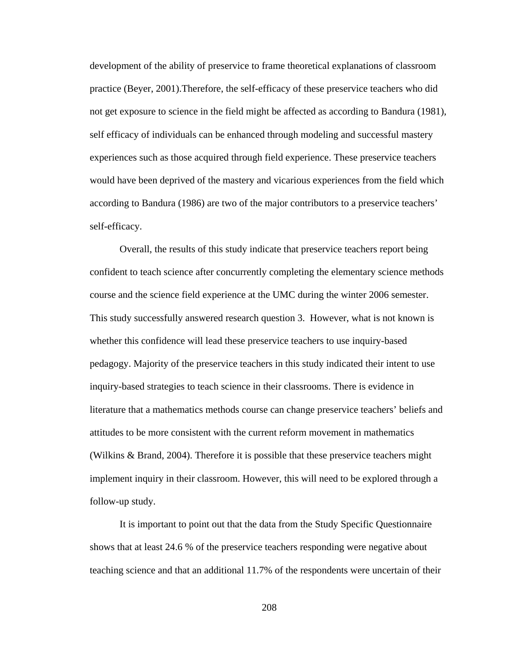development of the ability of preservice to frame theoretical explanations of classroom practice (Beyer, 2001).Therefore, the self-efficacy of these preservice teachers who did not get exposure to science in the field might be affected as according to Bandura (1981), self efficacy of individuals can be enhanced through modeling and successful mastery experiences such as those acquired through field experience. These preservice teachers would have been deprived of the mastery and vicarious experiences from the field which according to Bandura (1986) are two of the major contributors to a preservice teachers' self-efficacy.

 Overall, the results of this study indicate that preservice teachers report being confident to teach science after concurrently completing the elementary science methods course and the science field experience at the UMC during the winter 2006 semester. This study successfully answered research question 3. However, what is not known is whether this confidence will lead these preservice teachers to use inquiry-based pedagogy. Majority of the preservice teachers in this study indicated their intent to use inquiry-based strategies to teach science in their classrooms. There is evidence in literature that a mathematics methods course can change preservice teachers' beliefs and attitudes to be more consistent with the current reform movement in mathematics (Wilkins & Brand, 2004). Therefore it is possible that these preservice teachers might implement inquiry in their classroom. However, this will need to be explored through a follow-up study.

 It is important to point out that the data from the Study Specific Questionnaire shows that at least 24.6 % of the preservice teachers responding were negative about teaching science and that an additional 11.7% of the respondents were uncertain of their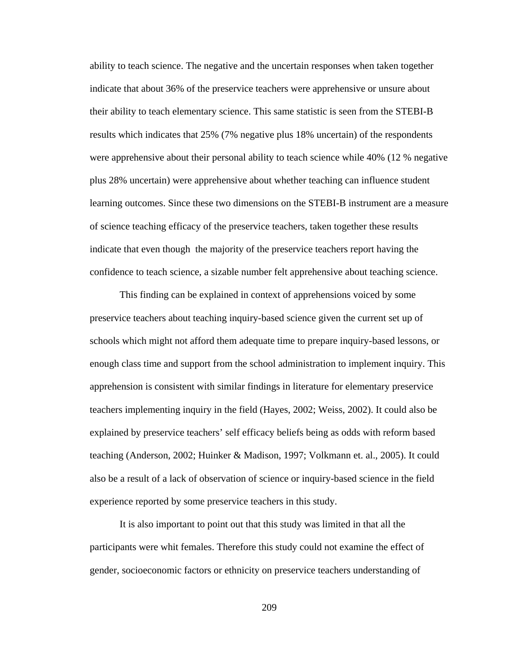ability to teach science. The negative and the uncertain responses when taken together indicate that about 36% of the preservice teachers were apprehensive or unsure about their ability to teach elementary science. This same statistic is seen from the STEBI-B results which indicates that 25% (7% negative plus 18% uncertain) of the respondents were apprehensive about their personal ability to teach science while 40% (12 % negative plus 28% uncertain) were apprehensive about whether teaching can influence student learning outcomes. Since these two dimensions on the STEBI-B instrument are a measure of science teaching efficacy of the preservice teachers, taken together these results indicate that even though the majority of the preservice teachers report having the confidence to teach science, a sizable number felt apprehensive about teaching science.

 This finding can be explained in context of apprehensions voiced by some preservice teachers about teaching inquiry-based science given the current set up of schools which might not afford them adequate time to prepare inquiry-based lessons, or enough class time and support from the school administration to implement inquiry. This apprehension is consistent with similar findings in literature for elementary preservice teachers implementing inquiry in the field (Hayes, 2002; Weiss, 2002). It could also be explained by preservice teachers' self efficacy beliefs being as odds with reform based teaching (Anderson, 2002; Huinker & Madison, 1997; Volkmann et. al., 2005). It could also be a result of a lack of observation of science or inquiry-based science in the field experience reported by some preservice teachers in this study.

 It is also important to point out that this study was limited in that all the participants were whit females. Therefore this study could not examine the effect of gender, socioeconomic factors or ethnicity on preservice teachers understanding of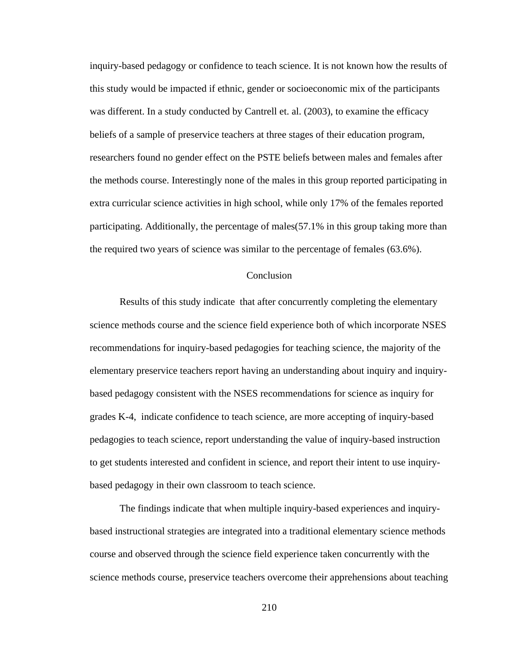inquiry-based pedagogy or confidence to teach science. It is not known how the results of this study would be impacted if ethnic, gender or socioeconomic mix of the participants was different. In a study conducted by Cantrell et. al. (2003), to examine the efficacy beliefs of a sample of preservice teachers at three stages of their education program, researchers found no gender effect on the PSTE beliefs between males and females after the methods course. Interestingly none of the males in this group reported participating in extra curricular science activities in high school, while only 17% of the females reported participating. Additionally, the percentage of males(57.1% in this group taking more than the required two years of science was similar to the percentage of females (63.6%).

#### **Conclusion**

 Results of this study indicate that after concurrently completing the elementary science methods course and the science field experience both of which incorporate NSES recommendations for inquiry-based pedagogies for teaching science, the majority of the elementary preservice teachers report having an understanding about inquiry and inquirybased pedagogy consistent with the NSES recommendations for science as inquiry for grades K-4, indicate confidence to teach science, are more accepting of inquiry-based pedagogies to teach science, report understanding the value of inquiry-based instruction to get students interested and confident in science, and report their intent to use inquirybased pedagogy in their own classroom to teach science.

 The findings indicate that when multiple inquiry-based experiences and inquirybased instructional strategies are integrated into a traditional elementary science methods course and observed through the science field experience taken concurrently with the science methods course, preservice teachers overcome their apprehensions about teaching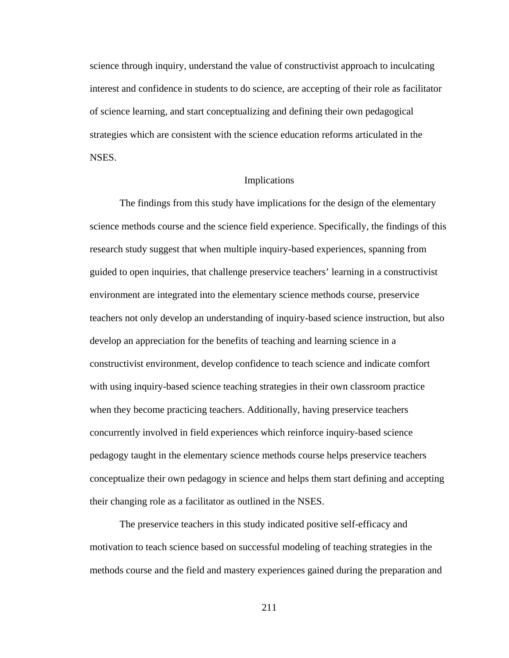science through inquiry, understand the value of constructivist approach to inculcating interest and confidence in students to do science, are accepting of their role as facilitator of science learning, and start conceptualizing and defining their own pedagogical strategies which are consistent with the science education reforms articulated in the NSES.

#### Implications

 The findings from this study have implications for the design of the elementary science methods course and the science field experience. Specifically, the findings of this research study suggest that when multiple inquiry-based experiences, spanning from guided to open inquiries, that challenge preservice teachers' learning in a constructivist environment are integrated into the elementary science methods course, preservice teachers not only develop an understanding of inquiry-based science instruction, but also develop an appreciation for the benefits of teaching and learning science in a constructivist environment, develop confidence to teach science and indicate comfort with using inquiry-based science teaching strategies in their own classroom practice when they become practicing teachers. Additionally, having preservice teachers concurrently involved in field experiences which reinforce inquiry-based science pedagogy taught in the elementary science methods course helps preservice teachers conceptualize their own pedagogy in science and helps them start defining and accepting their changing role as a facilitator as outlined in the NSES.

 The preservice teachers in this study indicated positive self-efficacy and motivation to teach science based on successful modeling of teaching strategies in the methods course and the field and mastery experiences gained during the preparation and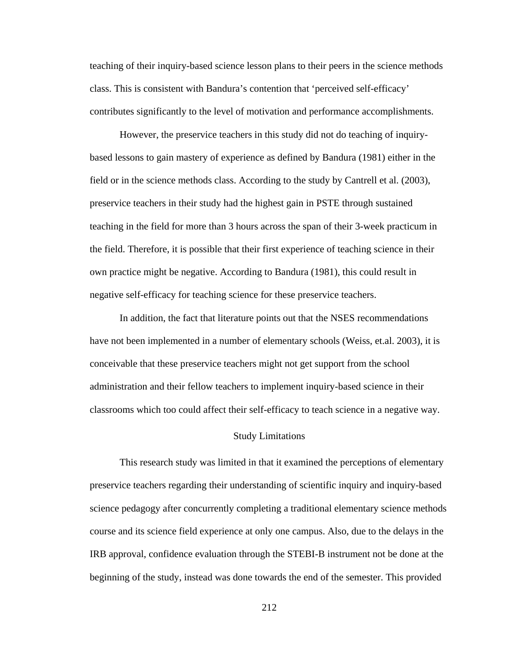teaching of their inquiry-based science lesson plans to their peers in the science methods class. This is consistent with Bandura's contention that 'perceived self-efficacy' contributes significantly to the level of motivation and performance accomplishments.

However, the preservice teachers in this study did not do teaching of inquirybased lessons to gain mastery of experience as defined by Bandura (1981) either in the field or in the science methods class. According to the study by Cantrell et al. (2003), preservice teachers in their study had the highest gain in PSTE through sustained teaching in the field for more than 3 hours across the span of their 3-week practicum in the field. Therefore, it is possible that their first experience of teaching science in their own practice might be negative. According to Bandura (1981), this could result in negative self-efficacy for teaching science for these preservice teachers.

 In addition, the fact that literature points out that the NSES recommendations have not been implemented in a number of elementary schools (Weiss, et.al. 2003), it is conceivable that these preservice teachers might not get support from the school administration and their fellow teachers to implement inquiry-based science in their classrooms which too could affect their self-efficacy to teach science in a negative way.

#### Study Limitations

 This research study was limited in that it examined the perceptions of elementary preservice teachers regarding their understanding of scientific inquiry and inquiry-based science pedagogy after concurrently completing a traditional elementary science methods course and its science field experience at only one campus. Also, due to the delays in the IRB approval, confidence evaluation through the STEBI-B instrument not be done at the beginning of the study, instead was done towards the end of the semester. This provided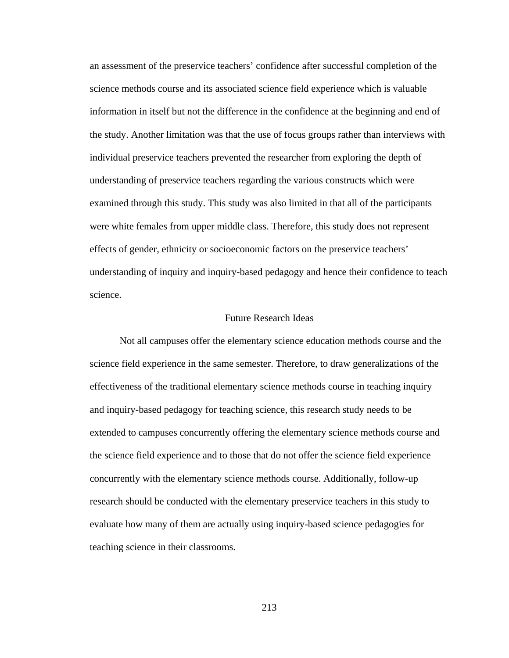an assessment of the preservice teachers' confidence after successful completion of the science methods course and its associated science field experience which is valuable information in itself but not the difference in the confidence at the beginning and end of the study. Another limitation was that the use of focus groups rather than interviews with individual preservice teachers prevented the researcher from exploring the depth of understanding of preservice teachers regarding the various constructs which were examined through this study. This study was also limited in that all of the participants were white females from upper middle class. Therefore, this study does not represent effects of gender, ethnicity or socioeconomic factors on the preservice teachers' understanding of inquiry and inquiry-based pedagogy and hence their confidence to teach science.

#### Future Research Ideas

 Not all campuses offer the elementary science education methods course and the science field experience in the same semester. Therefore, to draw generalizations of the effectiveness of the traditional elementary science methods course in teaching inquiry and inquiry-based pedagogy for teaching science, this research study needs to be extended to campuses concurrently offering the elementary science methods course and the science field experience and to those that do not offer the science field experience concurrently with the elementary science methods course. Additionally, follow-up research should be conducted with the elementary preservice teachers in this study to evaluate how many of them are actually using inquiry-based science pedagogies for teaching science in their classrooms.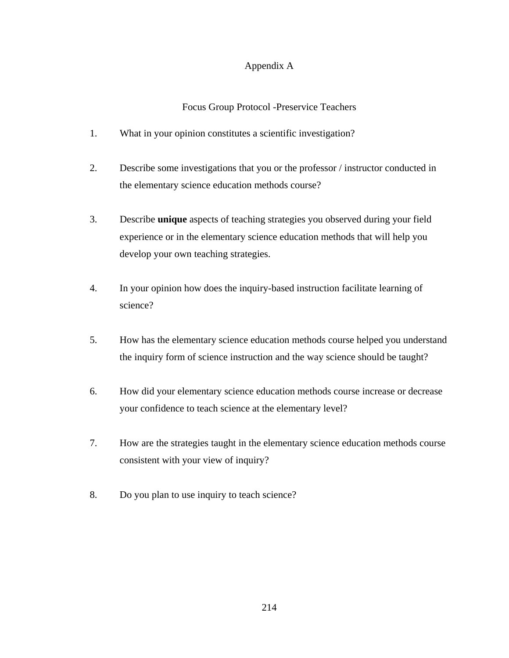## Appendix A

## Focus Group Protocol -Preservice Teachers

- 1. What in your opinion constitutes a scientific investigation?
- 2. Describe some investigations that you or the professor / instructor conducted in the elementary science education methods course?
- 3. Describe **unique** aspects of teaching strategies you observed during your field experience or in the elementary science education methods that will help you develop your own teaching strategies.
- 4. In your opinion how does the inquiry-based instruction facilitate learning of science?
- 5. How has the elementary science education methods course helped you understand the inquiry form of science instruction and the way science should be taught?
- 6. How did your elementary science education methods course increase or decrease your confidence to teach science at the elementary level?
- 7. How are the strategies taught in the elementary science education methods course consistent with your view of inquiry?
- 8. Do you plan to use inquiry to teach science?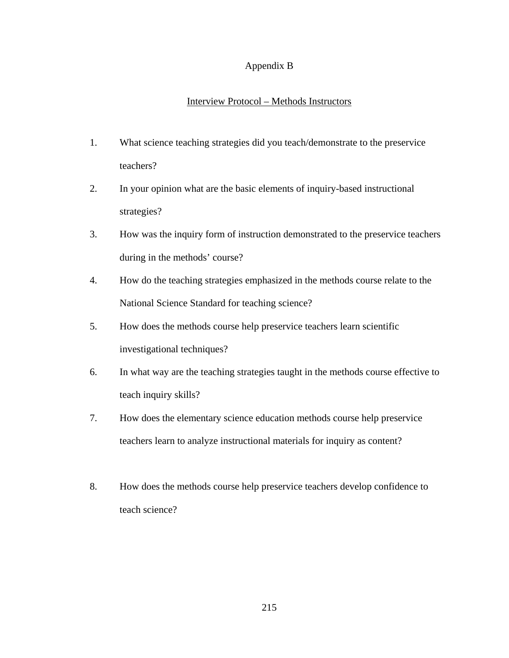## Appendix B

## Interview Protocol – Methods Instructors

- 1. What science teaching strategies did you teach/demonstrate to the preservice teachers?
- 2. In your opinion what are the basic elements of inquiry-based instructional strategies?
- 3. How was the inquiry form of instruction demonstrated to the preservice teachers during in the methods' course?
- 4. How do the teaching strategies emphasized in the methods course relate to the National Science Standard for teaching science?
- 5. How does the methods course help preservice teachers learn scientific investigational techniques?
- 6. In what way are the teaching strategies taught in the methods course effective to teach inquiry skills?
- 7. How does the elementary science education methods course help preservice teachers learn to analyze instructional materials for inquiry as content?
- 8. How does the methods course help preservice teachers develop confidence to teach science?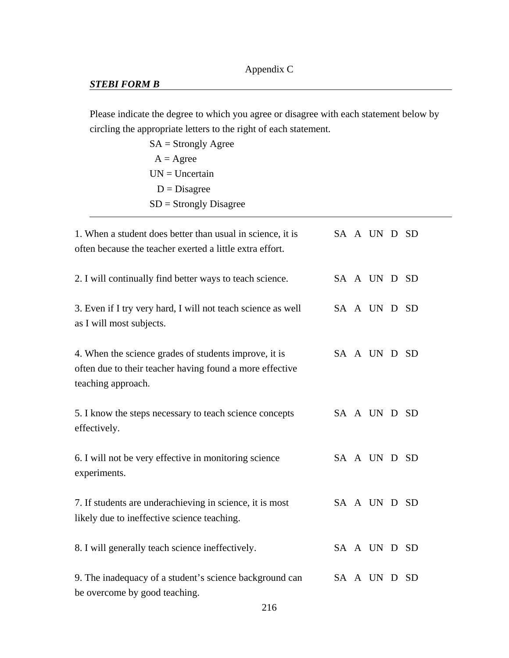## *STEBI FORM B*

Please indicate the degree to which you agree or disagree with each statement below by circling the appropriate letters to the right of each statement.

| 1. When a student does better than usual in science, it is<br>often because the teacher exerted a little extra effort.                  |  | SA A UN D SD |  |
|-----------------------------------------------------------------------------------------------------------------------------------------|--|--------------|--|
| 2. I will continually find better ways to teach science.                                                                                |  | SA A UN D SD |  |
| 3. Even if I try very hard, I will not teach science as well<br>as I will most subjects.                                                |  | SA A UN D SD |  |
| 4. When the science grades of students improve, it is<br>often due to their teacher having found a more effective<br>teaching approach. |  | SA A UN D SD |  |
| 5. I know the steps necessary to teach science concepts<br>effectively.                                                                 |  | SA A UN D SD |  |
| 6. I will not be very effective in monitoring science<br>experiments.                                                                   |  | SA A UN D SD |  |
| 7. If students are underachieving in science, it is most<br>likely due to ineffective science teaching.                                 |  | SA A UN D SD |  |
| 8. I will generally teach science ineffectively.                                                                                        |  | SA A UN D SD |  |
| 9. The inadequacy of a student's science background can<br>be overcome by good teaching.                                                |  | SA A UN D SD |  |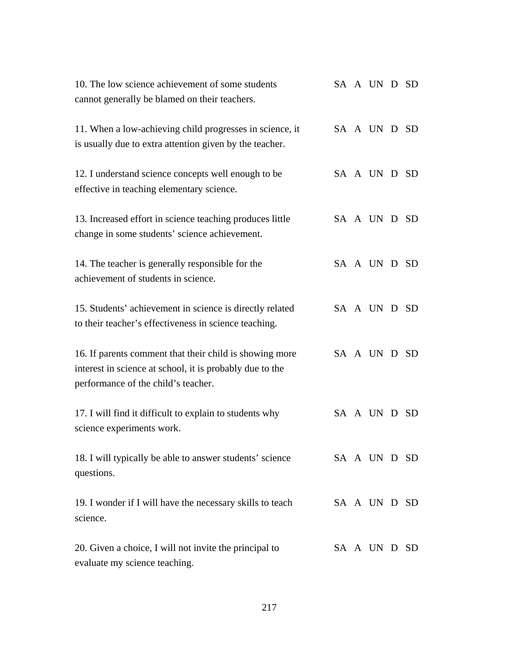| 10. The low science achievement of some students<br>cannot generally be blamed on their teachers.                                                          |  | SA A UN D SD |  |
|------------------------------------------------------------------------------------------------------------------------------------------------------------|--|--------------|--|
| 11. When a low-achieving child progresses in science, it<br>is usually due to extra attention given by the teacher.                                        |  | SA A UN D SD |  |
| 12. I understand science concepts well enough to be<br>effective in teaching elementary science.                                                           |  | SA A UN D SD |  |
| 13. Increased effort in science teaching produces little<br>change in some students' science achievement.                                                  |  | SA A UN D SD |  |
| 14. The teacher is generally responsible for the<br>achievement of students in science.                                                                    |  | SA A UN D SD |  |
| 15. Students' achievement in science is directly related<br>to their teacher's effectiveness in science teaching.                                          |  | SA A UN D SD |  |
| 16. If parents comment that their child is showing more<br>interest in science at school, it is probably due to the<br>performance of the child's teacher. |  | SA A UN D SD |  |
| 17. I will find it difficult to explain to students why<br>science experiments work.                                                                       |  | SA A UN D SD |  |
| 18. I will typically be able to answer students' science<br>questions.                                                                                     |  | SA A UN D SD |  |
| 19. I wonder if I will have the necessary skills to teach<br>science.                                                                                      |  | SA A UN D SD |  |
| 20. Given a choice, I will not invite the principal to<br>evaluate my science teaching.                                                                    |  | SA A UN D SD |  |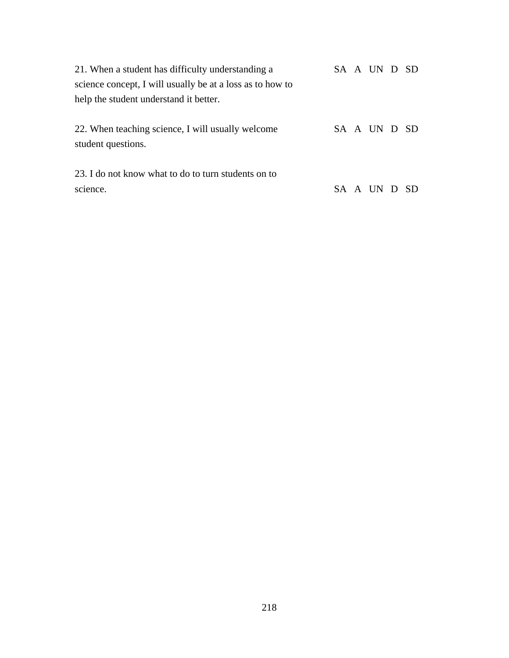| 21. When a student has difficulty understanding a                       |  | SA A UN D SD |  |
|-------------------------------------------------------------------------|--|--------------|--|
| science concept, I will usually be at a loss as to how to               |  |              |  |
| help the student understand it better.                                  |  |              |  |
| 22. When teaching science, I will usually welcome<br>student questions. |  | SA A UN D SD |  |
| 23. I do not know what to do to turn students on to<br>science.         |  | SA A UN D SD |  |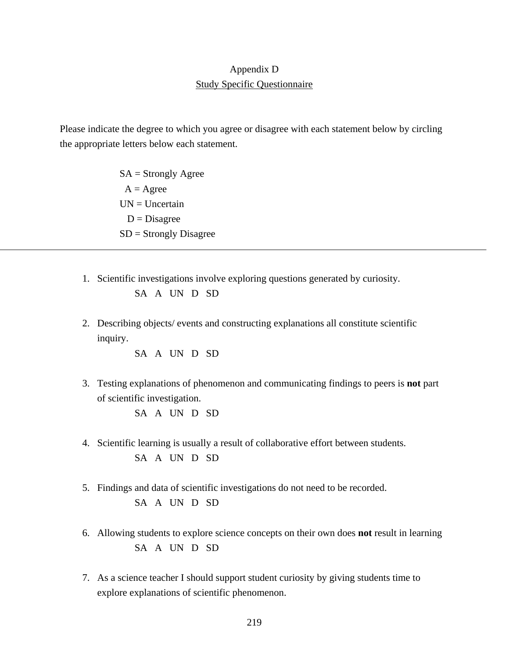## Appendix D Study Specific Questionnaire

Please indicate the degree to which you agree or disagree with each statement below by circling the appropriate letters below each statement.

> $SA =$  Strongly Agree  $A = \text{Agree}$  $UN = Uncertain$  $D = Disagree$ SD = Strongly Disagree

1. Scientific investigations involve exploring questions generated by curiosity.

```
SA A UN D SD
```
2. Describing objects/ events and constructing explanations all constitute scientific inquiry.

SA A UN D SD

3. Testing explanations of phenomenon and communicating findings to peers is **not** part of scientific investigation.

SA A UN D SD

- 4. Scientific learning is usually a result of collaborative effort between students. SA A UN D SD
- 5. Findings and data of scientific investigations do not need to be recorded. SA A UN D SD
- 6. Allowing students to explore science concepts on their own does **not** result in learning SA A UN D SD
- 7. As a science teacher I should support student curiosity by giving students time to explore explanations of scientific phenomenon.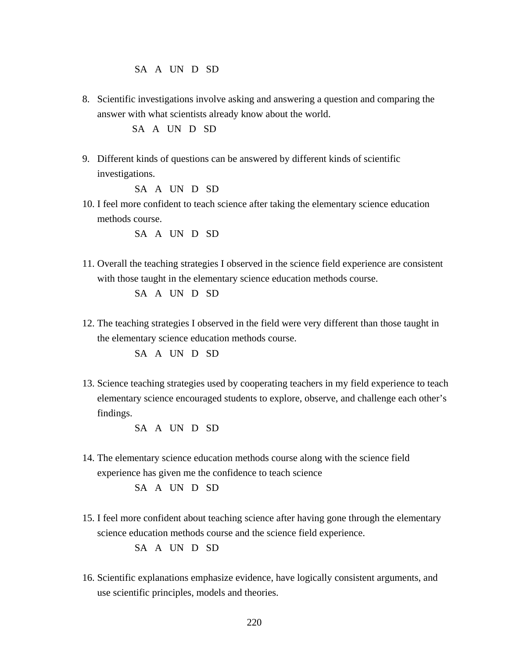SA A UN D SD

8. Scientific investigations involve asking and answering a question and comparing the answer with what scientists already know about the world.

SA A UN D SD

9. Different kinds of questions can be answered by different kinds of scientific investigations.

SA A UN D SD

10. I feel more confident to teach science after taking the elementary science education methods course.

SA A UN D SD

11. Overall the teaching strategies I observed in the science field experience are consistent with those taught in the elementary science education methods course.

SA A UN D SD

12. The teaching strategies I observed in the field were very different than those taught in the elementary science education methods course.

SA A UN D SD

13. Science teaching strategies used by cooperating teachers in my field experience to teach elementary science encouraged students to explore, observe, and challenge each other's findings.

SA A UN D SD

14. The elementary science education methods course along with the science field experience has given me the confidence to teach science

SA A UN D SD

15. I feel more confident about teaching science after having gone through the elementary science education methods course and the science field experience.

SA A UN D SD

16. Scientific explanations emphasize evidence, have logically consistent arguments, and use scientific principles, models and theories.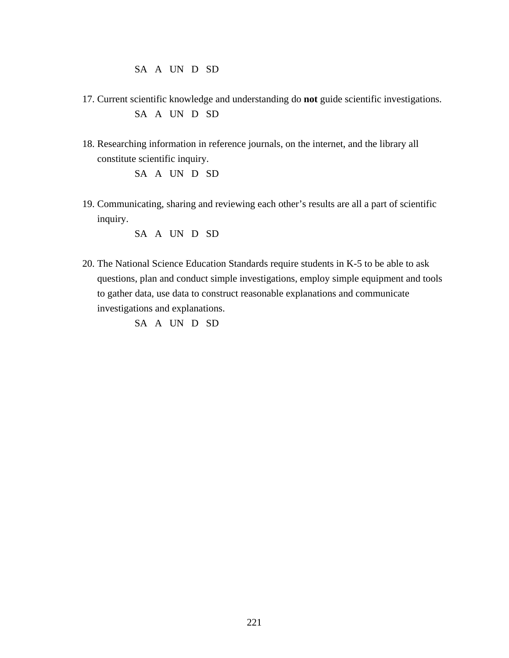SA A UN D SD

- 17. Current scientific knowledge and understanding do **not** guide scientific investigations. SA A UN D SD
- 18. Researching information in reference journals, on the internet, and the library all constitute scientific inquiry.

SA A UN D SD

19. Communicating, sharing and reviewing each other's results are all a part of scientific inquiry.

SA A UN D SD

20. The National Science Education Standards require students in K-5 to be able to ask questions, plan and conduct simple investigations, employ simple equipment and tools to gather data, use data to construct reasonable explanations and communicate investigations and explanations.

SA A UN D SD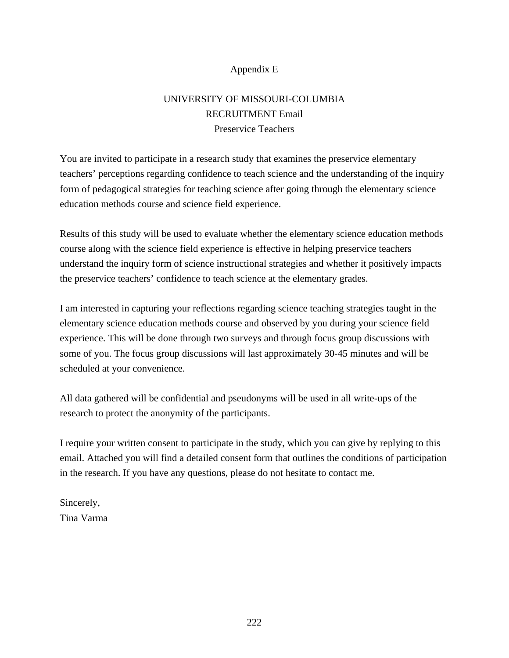## Appendix E

# UNIVERSITY OF MISSOURI-COLUMBIA RECRUITMENT Email Preservice Teachers

You are invited to participate in a research study that examines the preservice elementary teachers' perceptions regarding confidence to teach science and the understanding of the inquiry form of pedagogical strategies for teaching science after going through the elementary science education methods course and science field experience.

Results of this study will be used to evaluate whether the elementary science education methods course along with the science field experience is effective in helping preservice teachers understand the inquiry form of science instructional strategies and whether it positively impacts the preservice teachers' confidence to teach science at the elementary grades.

I am interested in capturing your reflections regarding science teaching strategies taught in the elementary science education methods course and observed by you during your science field experience. This will be done through two surveys and through focus group discussions with some of you. The focus group discussions will last approximately 30-45 minutes and will be scheduled at your convenience.

All data gathered will be confidential and pseudonyms will be used in all write-ups of the research to protect the anonymity of the participants.

I require your written consent to participate in the study, which you can give by replying to this email. Attached you will find a detailed consent form that outlines the conditions of participation in the research. If you have any questions, please do not hesitate to contact me.

Sincerely, Tina Varma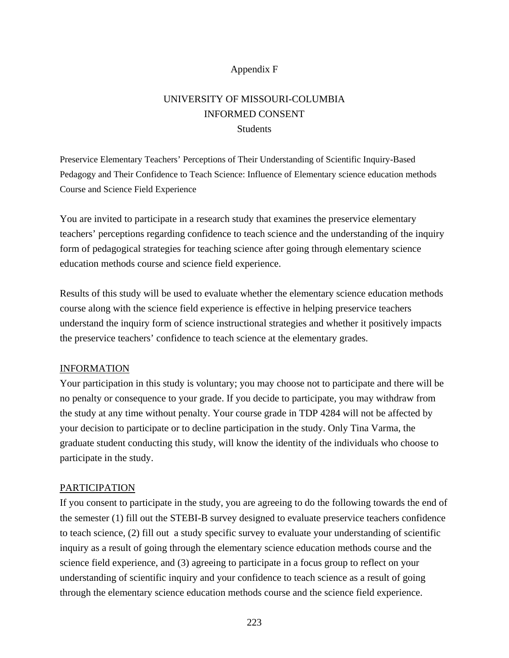## Appendix F

# UNIVERSITY OF MISSOURI-COLUMBIA INFORMED CONSENT **Students**

Preservice Elementary Teachers' Perceptions of Their Understanding of Scientific Inquiry-Based Pedagogy and Their Confidence to Teach Science: Influence of Elementary science education methods Course and Science Field Experience

You are invited to participate in a research study that examines the preservice elementary teachers' perceptions regarding confidence to teach science and the understanding of the inquiry form of pedagogical strategies for teaching science after going through elementary science education methods course and science field experience.

Results of this study will be used to evaluate whether the elementary science education methods course along with the science field experience is effective in helping preservice teachers understand the inquiry form of science instructional strategies and whether it positively impacts the preservice teachers' confidence to teach science at the elementary grades.

## INFORMATION

Your participation in this study is voluntary; you may choose not to participate and there will be no penalty or consequence to your grade. If you decide to participate, you may withdraw from the study at any time without penalty. Your course grade in TDP 4284 will not be affected by your decision to participate or to decline participation in the study. Only Tina Varma, the graduate student conducting this study, will know the identity of the individuals who choose to participate in the study.

## PARTICIPATION

If you consent to participate in the study, you are agreeing to do the following towards the end of the semester (1) fill out the STEBI-B survey designed to evaluate preservice teachers confidence to teach science, (2) fill out a study specific survey to evaluate your understanding of scientific inquiry as a result of going through the elementary science education methods course and the science field experience, and (3) agreeing to participate in a focus group to reflect on your understanding of scientific inquiry and your confidence to teach science as a result of going through the elementary science education methods course and the science field experience.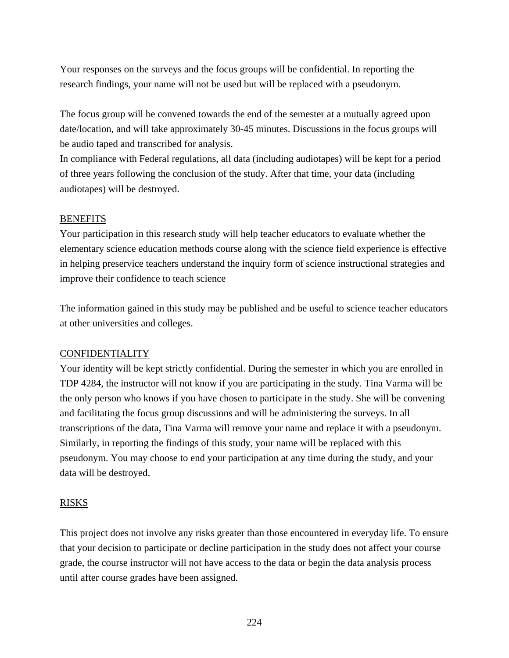Your responses on the surveys and the focus groups will be confidential. In reporting the research findings, your name will not be used but will be replaced with a pseudonym.

The focus group will be convened towards the end of the semester at a mutually agreed upon date/location, and will take approximately 30-45 minutes. Discussions in the focus groups will be audio taped and transcribed for analysis.

In compliance with Federal regulations, all data (including audiotapes) will be kept for a period of three years following the conclusion of the study. After that time, your data (including audiotapes) will be destroyed.

## **BENEFITS**

Your participation in this research study will help teacher educators to evaluate whether the elementary science education methods course along with the science field experience is effective in helping preservice teachers understand the inquiry form of science instructional strategies and improve their confidence to teach science

The information gained in this study may be published and be useful to science teacher educators at other universities and colleges.

## CONFIDENTIALITY

Your identity will be kept strictly confidential. During the semester in which you are enrolled in TDP 4284, the instructor will not know if you are participating in the study. Tina Varma will be the only person who knows if you have chosen to participate in the study. She will be convening and facilitating the focus group discussions and will be administering the surveys. In all transcriptions of the data, Tina Varma will remove your name and replace it with a pseudonym. Similarly, in reporting the findings of this study, your name will be replaced with this pseudonym. You may choose to end your participation at any time during the study, and your data will be destroyed.

## RISKS

This project does not involve any risks greater than those encountered in everyday life. To ensure that your decision to participate or decline participation in the study does not affect your course grade, the course instructor will not have access to the data or begin the data analysis process until after course grades have been assigned.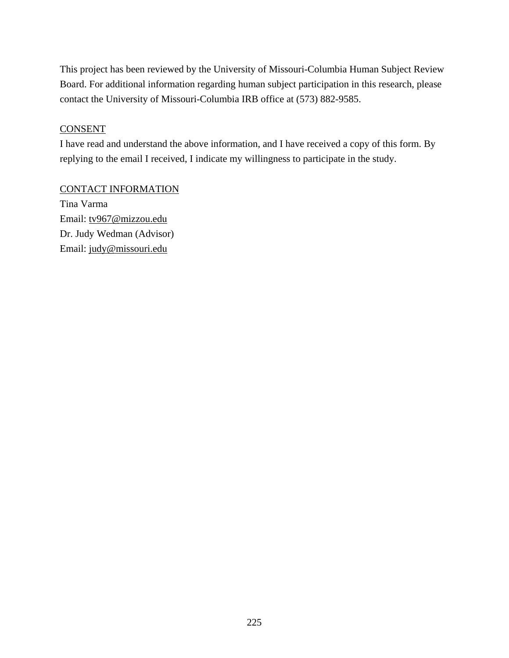This project has been reviewed by the University of Missouri-Columbia Human Subject Review Board. For additional information regarding human subject participation in this research, please contact the University of Missouri-Columbia IRB office at (573) 882-9585.

## **CONSENT**

I have read and understand the above information, and I have received a copy of this form. By replying to the email I received, I indicate my willingness to participate in the study.

## CONTACT INFORMATION

Tina Varma Email: tv967@mizzou.edu Dr. Judy Wedman (Advisor) Email: judy@missouri.edu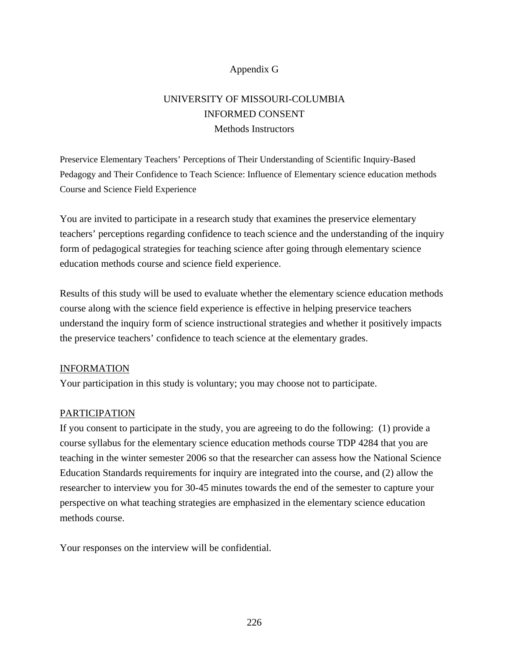## Appendix G

# UNIVERSITY OF MISSOURI-COLUMBIA INFORMED CONSENT Methods Instructors

Preservice Elementary Teachers' Perceptions of Their Understanding of Scientific Inquiry-Based Pedagogy and Their Confidence to Teach Science: Influence of Elementary science education methods Course and Science Field Experience

You are invited to participate in a research study that examines the preservice elementary teachers' perceptions regarding confidence to teach science and the understanding of the inquiry form of pedagogical strategies for teaching science after going through elementary science education methods course and science field experience.

Results of this study will be used to evaluate whether the elementary science education methods course along with the science field experience is effective in helping preservice teachers understand the inquiry form of science instructional strategies and whether it positively impacts the preservice teachers' confidence to teach science at the elementary grades.

## INFORMATION

Your participation in this study is voluntary; you may choose not to participate.

## PARTICIPATION

If you consent to participate in the study, you are agreeing to do the following: (1) provide a course syllabus for the elementary science education methods course TDP 4284 that you are teaching in the winter semester 2006 so that the researcher can assess how the National Science Education Standards requirements for inquiry are integrated into the course, and (2) allow the researcher to interview you for 30-45 minutes towards the end of the semester to capture your perspective on what teaching strategies are emphasized in the elementary science education methods course.

Your responses on the interview will be confidential.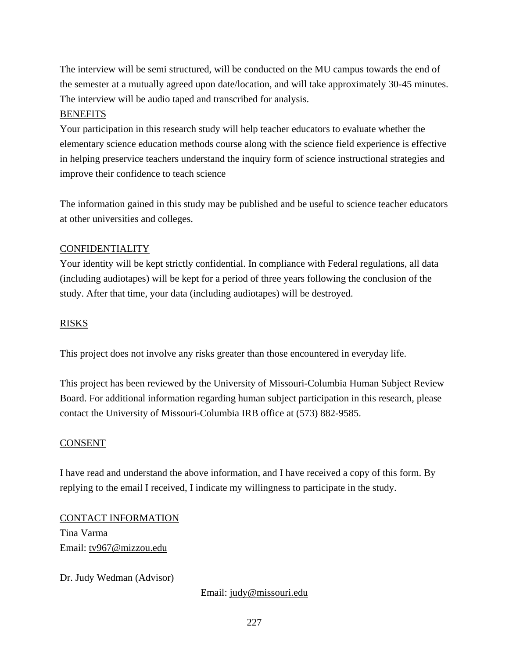The interview will be semi structured, will be conducted on the MU campus towards the end of the semester at a mutually agreed upon date/location, and will take approximately 30-45 minutes. The interview will be audio taped and transcribed for analysis.

## **BENEFITS**

Your participation in this research study will help teacher educators to evaluate whether the elementary science education methods course along with the science field experience is effective in helping preservice teachers understand the inquiry form of science instructional strategies and improve their confidence to teach science

The information gained in this study may be published and be useful to science teacher educators at other universities and colleges.

## CONFIDENTIALITY

Your identity will be kept strictly confidential. In compliance with Federal regulations, all data (including audiotapes) will be kept for a period of three years following the conclusion of the study. After that time, your data (including audiotapes) will be destroyed.

## RISKS

This project does not involve any risks greater than those encountered in everyday life.

This project has been reviewed by the University of Missouri-Columbia Human Subject Review Board. For additional information regarding human subject participation in this research, please contact the University of Missouri-Columbia IRB office at (573) 882-9585.

## CONSENT

I have read and understand the above information, and I have received a copy of this form. By replying to the email I received, I indicate my willingness to participate in the study.

CONTACT INFORMATION Tina Varma Email: tv967@mizzou.edu

Dr. Judy Wedman (Advisor)

Email: judy@missouri.edu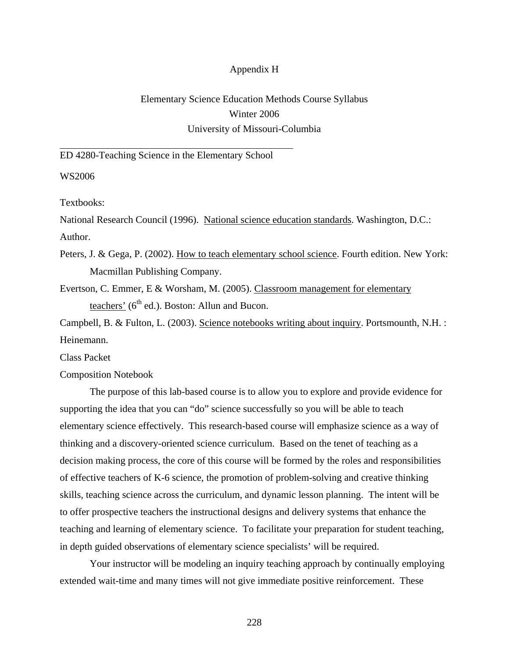#### Appendix H

# Elementary Science Education Methods Course Syllabus Winter 2006 University of Missouri-Columbia

#### ED 4280-Teaching Science in the Elementary School

WS2006

Textbooks:

National Research Council (1996). National science education standards. Washington, D.C.: Author.

Peters, J. & Gega, P. (2002). How to teach elementary school science. Fourth edition. New York: Macmillan Publishing Company.

Evertson, C. Emmer, E & Worsham, M. (2005). Classroom management for elementary teachers' ( $6<sup>th</sup>$  ed.). Boston: Allun and Bucon.

Campbell, B. & Fulton, L. (2003). Science notebooks writing about inquiry. Portsmounth, N.H. : Heinemann.

Class Packet

Composition Notebook

 The purpose of this lab-based course is to allow you to explore and provide evidence for supporting the idea that you can "do" science successfully so you will be able to teach elementary science effectively. This research-based course will emphasize science as a way of thinking and a discovery-oriented science curriculum. Based on the tenet of teaching as a decision making process, the core of this course will be formed by the roles and responsibilities of effective teachers of K-6 science, the promotion of problem-solving and creative thinking skills, teaching science across the curriculum, and dynamic lesson planning. The intent will be to offer prospective teachers the instructional designs and delivery systems that enhance the teaching and learning of elementary science. To facilitate your preparation for student teaching, in depth guided observations of elementary science specialists' will be required.

 Your instructor will be modeling an inquiry teaching approach by continually employing extended wait-time and many times will not give immediate positive reinforcement. These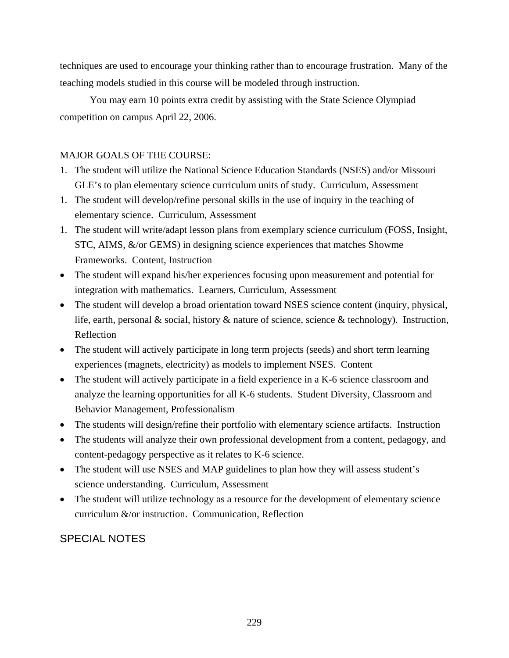techniques are used to encourage your thinking rather than to encourage frustration. Many of the teaching models studied in this course will be modeled through instruction.

 You may earn 10 points extra credit by assisting with the State Science Olympiad competition on campus April 22, 2006.

## MAJOR GOALS OF THE COURSE:

- 1. The student will utilize the National Science Education Standards (NSES) and/or Missouri GLE's to plan elementary science curriculum units of study. Curriculum, Assessment
- 1. The student will develop/refine personal skills in the use of inquiry in the teaching of elementary science. Curriculum, Assessment
- 1. The student will write/adapt lesson plans from exemplary science curriculum (FOSS, Insight, STC, AIMS, &/or GEMS) in designing science experiences that matches Showme Frameworks. Content, Instruction
- The student will expand his/her experiences focusing upon measurement and potential for integration with mathematics. Learners, Curriculum, Assessment
- The student will develop a broad orientation toward NSES science content (inquiry, physical, life, earth, personal & social, history & nature of science, science & technology). Instruction, Reflection
- The student will actively participate in long term projects (seeds) and short term learning experiences (magnets, electricity) as models to implement NSES. Content
- The student will actively participate in a field experience in a K-6 science classroom and analyze the learning opportunities for all K-6 students. Student Diversity, Classroom and Behavior Management, Professionalism
- The students will design/refine their portfolio with elementary science artifacts. Instruction
- The students will analyze their own professional development from a content, pedagogy, and content-pedagogy perspective as it relates to K-6 science.
- The student will use NSES and MAP guidelines to plan how they will assess student's science understanding. Curriculum, Assessment
- The student will utilize technology as a resource for the development of elementary science curriculum &/or instruction. Communication, Reflection

# SPECIAL NOTES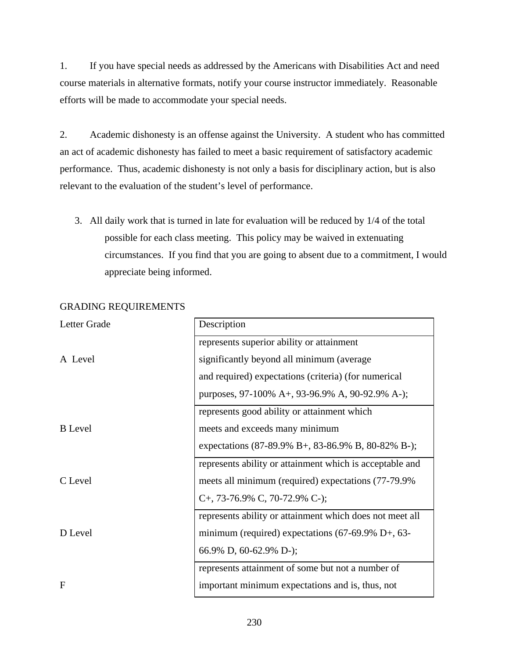1. If you have special needs as addressed by the Americans with Disabilities Act and need course materials in alternative formats, notify your course instructor immediately. Reasonable efforts will be made to accommodate your special needs.

2. Academic dishonesty is an offense against the University. A student who has committed an act of academic dishonesty has failed to meet a basic requirement of satisfactory academic performance. Thus, academic dishonesty is not only a basis for disciplinary action, but is also relevant to the evaluation of the student's level of performance.

3. All daily work that is turned in late for evaluation will be reduced by 1/4 of the total possible for each class meeting. This policy may be waived in extenuating circumstances. If you find that you are going to absent due to a commitment, I would appreciate being informed.

| Letter Grade   | Description                                                  |  |  |
|----------------|--------------------------------------------------------------|--|--|
|                | represents superior ability or attainment                    |  |  |
| A Level        | significantly beyond all minimum (average                    |  |  |
|                | and required) expectations (criteria) (for numerical         |  |  |
|                | purposes, 97-100% A+, 93-96.9% A, 90-92.9% A-);              |  |  |
|                | represents good ability or attainment which                  |  |  |
| <b>B</b> Level | meets and exceeds many minimum                               |  |  |
|                | expectations (87-89.9% B+, 83-86.9% B, 80-82% B-);           |  |  |
|                | represents ability or attainment which is acceptable and     |  |  |
| C Level        | meets all minimum (required) expectations (77-79.9%          |  |  |
|                | C+, 73-76.9% C, 70-72.9% C-);                                |  |  |
|                | represents ability or attainment which does not meet all     |  |  |
| D Level        | minimum (required) expectations $(67-69.9\% \text{ D}+, 63-$ |  |  |
|                | 66.9% D, 60-62.9% D-);                                       |  |  |
|                | represents attainment of some but not a number of            |  |  |
| $\mathbf{F}$   | important minimum expectations and is, thus, not             |  |  |

## GRADING REQUIREMENTS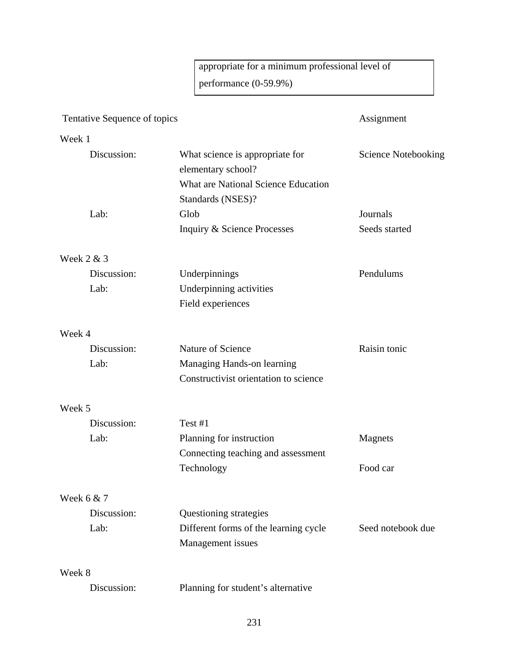appropriate for a minimum professional level of performance (0-59.9%)

# Tentative Sequence of topics Assignment Week 1 Discussion: What science is appropriate for Science Notebooking elementary school? What are National Science Education Standards (NSES)? Lab: Glob Glob Journals Inquiry & Science Processes Seeds started Week 2 & 3 Discussion: Underpinnings Pendulums Lab: Underpinning activities Field experiences Week 4 Discussion: Nature of Science Raisin tonic Lab: Managing Hands-on learning Constructivist orientation to science Week 5 Discussion: Test #1 Lab: Planning for instruction Magnets Connecting teaching and assessment Technology Food car Week 6 & 7 Discussion: Questioning strategies Lab: Different forms of the learning cycle Seed notebook due Management issues Week 8

Discussion: Planning for student's alternative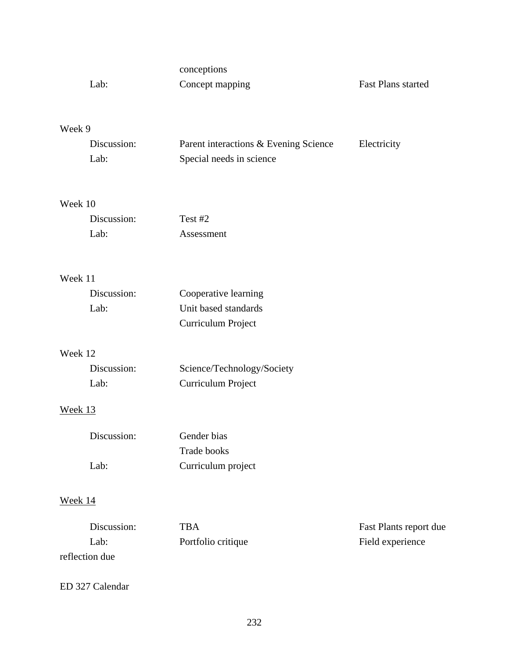|         | Lab:        | conceptions<br>Concept mapping        | <b>Fast Plans started</b> |
|---------|-------------|---------------------------------------|---------------------------|
|         |             |                                       |                           |
| Week 9  |             |                                       |                           |
|         | Discussion: | Parent interactions & Evening Science | Electricity               |
|         | Lab:        | Special needs in science              |                           |
| Week 10 |             |                                       |                           |
|         | Discussion: | Test #2                               |                           |
|         | Lab:        | Assessment                            |                           |
| Week 11 |             |                                       |                           |
|         | Discussion: | Cooperative learning                  |                           |
|         | Lab:        | Unit based standards                  |                           |
|         |             | Curriculum Project                    |                           |
| Week 12 |             |                                       |                           |
|         | Discussion: | Science/Technology/Society            |                           |
|         | Lab:        | Curriculum Project                    |                           |
| Week 13 |             |                                       |                           |
|         | Discussion: | Gender bias                           |                           |
|         |             | Trade books                           |                           |
|         | Lab:        | Curriculum project                    |                           |
| Week 14 |             |                                       |                           |
|         | Discussion: | <b>TBA</b>                            | Fast Plants report due    |
|         | Lab:        | Portfolio critique                    | Field experience          |

reflection due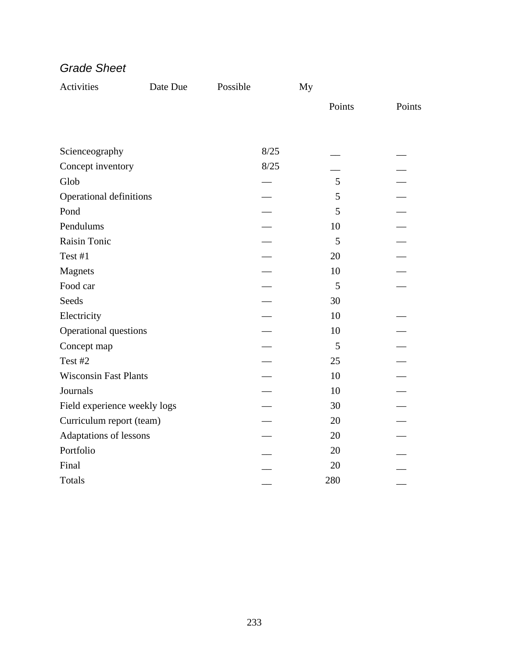| Activities                   | Date Due | Possible | My     |        |
|------------------------------|----------|----------|--------|--------|
|                              |          |          | Points | Points |
|                              |          |          |        |        |
| Scienceography               |          | 8/25     |        |        |
| Concept inventory            |          | 8/25     |        |        |
| Glob                         |          |          | 5      |        |
| Operational definitions      |          |          | 5      |        |
| Pond                         |          |          | 5      |        |
| Pendulums                    |          |          | 10     |        |
| Raisin Tonic                 |          |          | 5      |        |
| Test #1                      |          |          | 20     |        |
| Magnets                      |          |          | 10     |        |
| Food car                     |          |          | 5      |        |
| Seeds                        |          |          | 30     |        |
| Electricity                  |          |          | 10     |        |
| Operational questions        |          |          | 10     |        |
| Concept map                  |          |          | 5      |        |
| Test #2                      |          |          | 25     |        |
| <b>Wisconsin Fast Plants</b> |          |          | 10     |        |
| Journals                     |          |          | 10     |        |
| Field experience weekly logs |          |          | 30     |        |
| Curriculum report (team)     |          |          | 20     |        |
| Adaptations of lessons       |          |          | 20     |        |
| Portfolio                    |          |          | 20     |        |
| Final                        |          |          | 20     |        |
| Totals                       |          |          | 280    |        |

*Grade Sheet*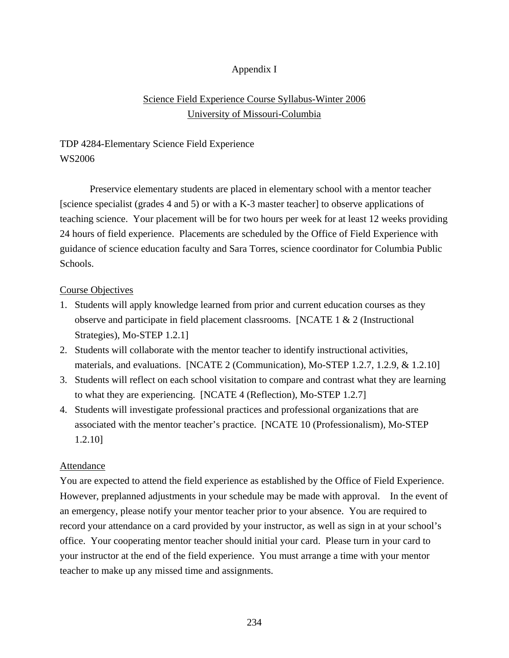## Appendix I

## Science Field Experience Course Syllabus-Winter 2006 University of Missouri-Columbia

# TDP 4284-Elementary Science Field Experience WS2006

 Preservice elementary students are placed in elementary school with a mentor teacher [science specialist (grades 4 and 5) or with a K-3 master teacher] to observe applications of teaching science. Your placement will be for two hours per week for at least 12 weeks providing 24 hours of field experience. Placements are scheduled by the Office of Field Experience with guidance of science education faculty and Sara Torres, science coordinator for Columbia Public Schools.

## Course Objectives

- 1. Students will apply knowledge learned from prior and current education courses as they observe and participate in field placement classrooms. [NCATE  $1 \& 2$  (Instructional Strategies), Mo-STEP 1.2.1]
- 2. Students will collaborate with the mentor teacher to identify instructional activities, materials, and evaluations. [NCATE 2 (Communication), Mo-STEP 1.2.7, 1.2.9, & 1.2.10]
- 3. Students will reflect on each school visitation to compare and contrast what they are learning to what they are experiencing. [NCATE 4 (Reflection), Mo-STEP 1.2.7]
- 4. Students will investigate professional practices and professional organizations that are associated with the mentor teacher's practice. [NCATE 10 (Professionalism), Mo-STEP 1.2.10]

## Attendance

You are expected to attend the field experience as established by the Office of Field Experience. However, preplanned adjustments in your schedule may be made with approval. In the event of an emergency, please notify your mentor teacher prior to your absence. You are required to record your attendance on a card provided by your instructor, as well as sign in at your school's office. Your cooperating mentor teacher should initial your card. Please turn in your card to your instructor at the end of the field experience. You must arrange a time with your mentor teacher to make up any missed time and assignments.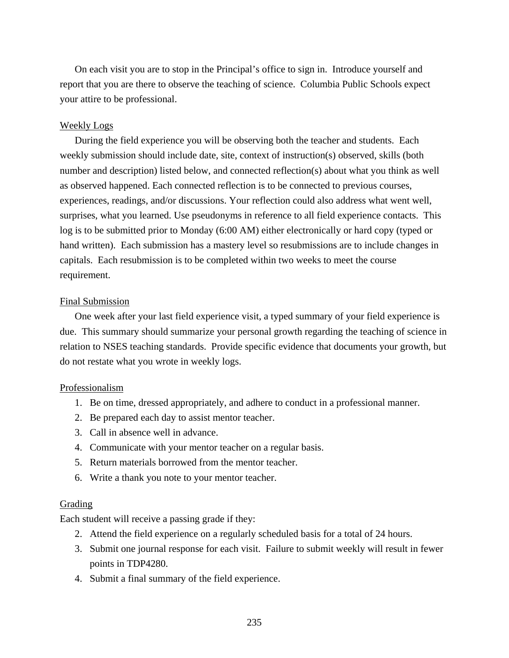On each visit you are to stop in the Principal's office to sign in. Introduce yourself and report that you are there to observe the teaching of science. Columbia Public Schools expect your attire to be professional.

#### Weekly Logs

 During the field experience you will be observing both the teacher and students. Each weekly submission should include date, site, context of instruction(s) observed, skills (both number and description) listed below, and connected reflection(s) about what you think as well as observed happened. Each connected reflection is to be connected to previous courses, experiences, readings, and/or discussions. Your reflection could also address what went well, surprises, what you learned. Use pseudonyms in reference to all field experience contacts. This log is to be submitted prior to Monday (6:00 AM) either electronically or hard copy (typed or hand written). Each submission has a mastery level so resubmissions are to include changes in capitals. Each resubmission is to be completed within two weeks to meet the course requirement.

#### Final Submission

 One week after your last field experience visit, a typed summary of your field experience is due. This summary should summarize your personal growth regarding the teaching of science in relation to NSES teaching standards. Provide specific evidence that documents your growth, but do not restate what you wrote in weekly logs.

#### Professionalism

- 1. Be on time, dressed appropriately, and adhere to conduct in a professional manner.
- 2. Be prepared each day to assist mentor teacher.
- 3. Call in absence well in advance.
- 4. Communicate with your mentor teacher on a regular basis.
- 5. Return materials borrowed from the mentor teacher.
- 6. Write a thank you note to your mentor teacher.

#### Grading

Each student will receive a passing grade if they:

- 2. Attend the field experience on a regularly scheduled basis for a total of 24 hours.
- 3. Submit one journal response for each visit. Failure to submit weekly will result in fewer points in TDP4280.
- 4. Submit a final summary of the field experience.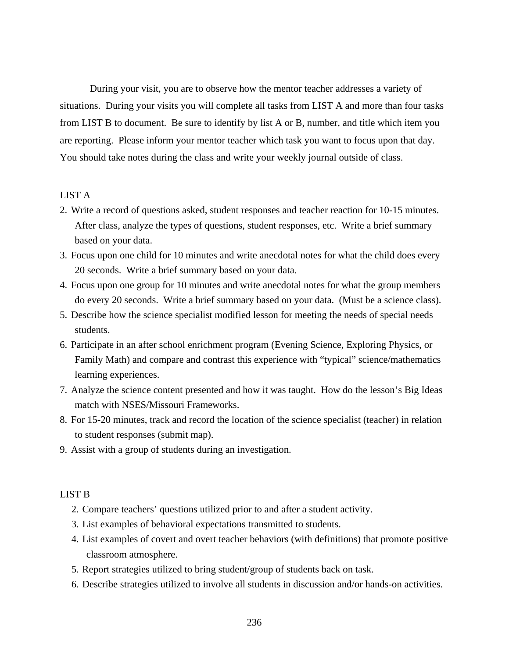During your visit, you are to observe how the mentor teacher addresses a variety of situations. During your visits you will complete all tasks from LIST A and more than four tasks from LIST B to document. Be sure to identify by list A or B, number, and title which item you are reporting. Please inform your mentor teacher which task you want to focus upon that day. You should take notes during the class and write your weekly journal outside of class.

#### LIST A

- 2. Write a record of questions asked, student responses and teacher reaction for 10-15 minutes. After class, analyze the types of questions, student responses, etc. Write a brief summary based on your data.
- 3. Focus upon one child for 10 minutes and write anecdotal notes for what the child does every 20 seconds. Write a brief summary based on your data.
- 4. Focus upon one group for 10 minutes and write anecdotal notes for what the group members do every 20 seconds. Write a brief summary based on your data. (Must be a science class).
- 5. Describe how the science specialist modified lesson for meeting the needs of special needs students.
- 6. Participate in an after school enrichment program (Evening Science, Exploring Physics, or Family Math) and compare and contrast this experience with "typical" science/mathematics learning experiences.
- 7. Analyze the science content presented and how it was taught. How do the lesson's Big Ideas match with NSES/Missouri Frameworks.
- 8. For 15-20 minutes, track and record the location of the science specialist (teacher) in relation to student responses (submit map).
- 9. Assist with a group of students during an investigation.

#### LIST B

- 2. Compare teachers' questions utilized prior to and after a student activity.
- 3. List examples of behavioral expectations transmitted to students.
- 4. List examples of covert and overt teacher behaviors (with definitions) that promote positive classroom atmosphere.
- 5. Report strategies utilized to bring student/group of students back on task.
- 6. Describe strategies utilized to involve all students in discussion and/or hands-on activities.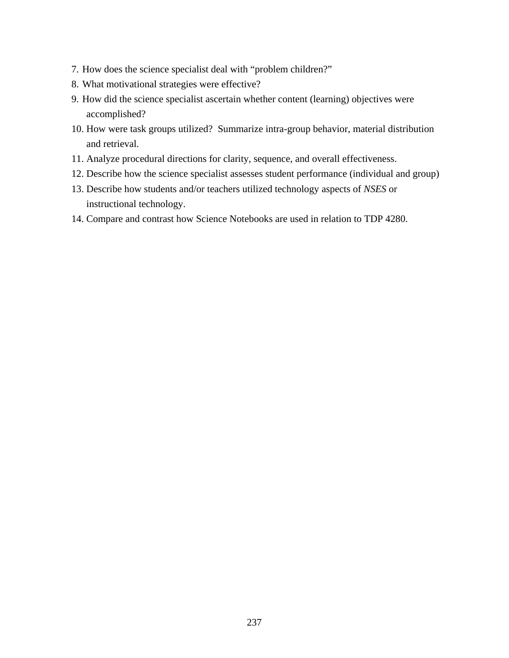- 7. How does the science specialist deal with "problem children?"
- 8. What motivational strategies were effective?
- 9. How did the science specialist ascertain whether content (learning) objectives were accomplished?
- 10. How were task groups utilized? Summarize intra-group behavior, material distribution and retrieval.
- 11. Analyze procedural directions for clarity, sequence, and overall effectiveness.
- 12. Describe how the science specialist assesses student performance (individual and group)
- 13. Describe how students and/or teachers utilized technology aspects of *NSES* or instructional technology.
- 14. Compare and contrast how Science Notebooks are used in relation to TDP 4280.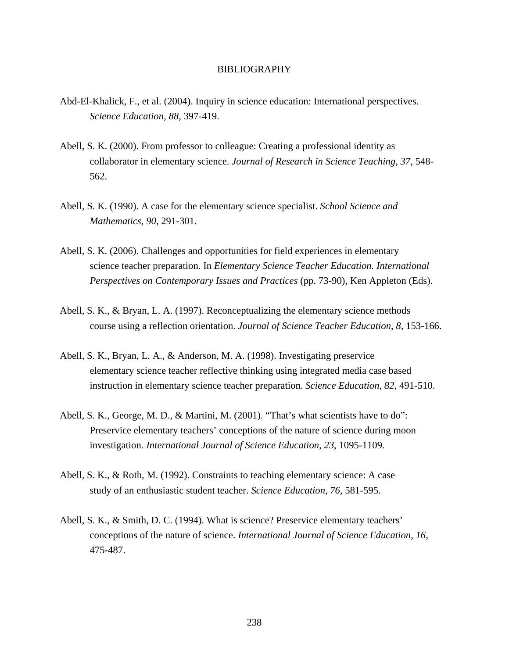#### BIBLIOGRAPHY

- Abd-El-Khalick, F., et al. (2004). Inquiry in science education: International perspectives. *Science Education, 88*, 397-419.
- Abell, S. K. (2000). From professor to colleague: Creating a professional identity as collaborator in elementary science. *Journal of Research in Science Teaching*, *37*, 548- 562.
- Abell, S. K. (1990). A case for the elementary science specialist. *School Science and Mathematics, 90*, 291-301.
- Abell, S. K. (2006). Challenges and opportunities for field experiences in elementary science teacher preparation. In *Elementary Science Teacher Education. International Perspectives on Contemporary Issues and Practices* (pp. 73-90), Ken Appleton (Eds).
- Abell, S. K., & Bryan, L. A. (1997). Reconceptualizing the elementary science methods course using a reflection orientation. *Journal of Science Teacher Education*, *8*, 153-166.
- Abell, S. K., Bryan, L. A., & Anderson, M. A. (1998). Investigating preservice elementary science teacher reflective thinking using integrated media case based instruction in elementary science teacher preparation. *Science Education, 82*, 491-510.
- Abell, S. K., George, M. D., & Martini, M. (2001). "That's what scientists have to do": Preservice elementary teachers' conceptions of the nature of science during moon investigation. *International Journal of Science Education, 23*, 1095-1109.
- Abell, S. K., & Roth, M. (1992). Constraints to teaching elementary science: A case study of an enthusiastic student teacher. *Science Education*, *76*, 581-595.
- Abell, S. K., & Smith, D. C. (1994). What is science? Preservice elementary teachers' conceptions of the nature of science. *International Journal of Science Education, 16*, 475-487.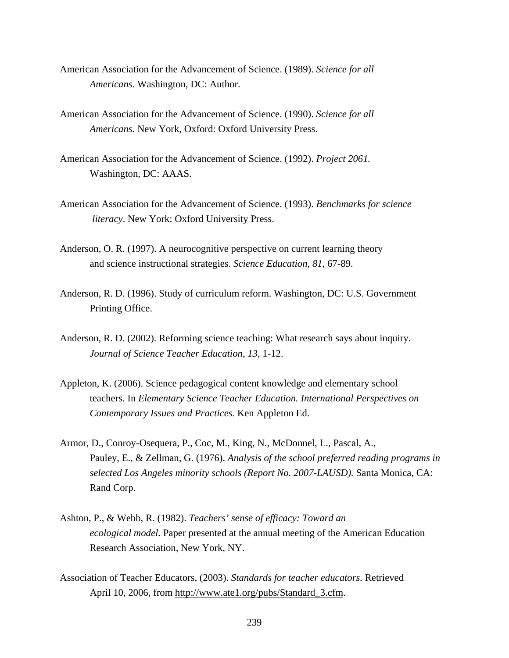- American Association for the Advancement of Science. (1989). *Science for all Americans.* Washington, DC: Author.
- American Association for the Advancement of Science. (1990). *Science for all Americans.* New York, Oxford: Oxford University Press.
- American Association for the Advancement of Science. (1992). *Project 2061.*  Washington, DC: AAAS.
- American Association for the Advancement of Science. (1993). *Benchmarks for science literacy*. New York: Oxford University Press.
- Anderson, O. R. (1997). A neurocognitive perspective on current learning theory and science instructional strategies. *Science Education, 81*, 67-89.
- Anderson, R. D. (1996). Study of curriculum reform. Washington, DC: U.S. Government Printing Office.
- Anderson, R. D. (2002). Reforming science teaching: What research says about inquiry. *Journal of Science Teacher Education, 13*, 1-12.
- Appleton, K. (2006). Science pedagogical content knowledge and elementary school teachers. In *Elementary Science Teacher Education. International Perspectives on Contemporary Issues and Practices.* Ken Appleton Ed.
- Armor, D., Conroy-Osequera, P., Coc, M., King, N., McDonnel, L., Pascal, A., Pauley, E., & Zellman, G. (1976). *Analysis of the school preferred reading programs in selected Los Angeles minority schools (Report No. 2007-LAUSD).* Santa Monica, CA: Rand Corp.
- Ashton, P., & Webb, R. (1982). *Teachers' sense of efficacy: Toward an ecological model.* Paper presented at the annual meeting of the American Education Research Association, New York, NY.
- Association of Teacher Educators, (2003). *Standards for teacher educators.* Retrieved April 10, 2006, from http://www.ate1.org/pubs/Standard\_3.cfm.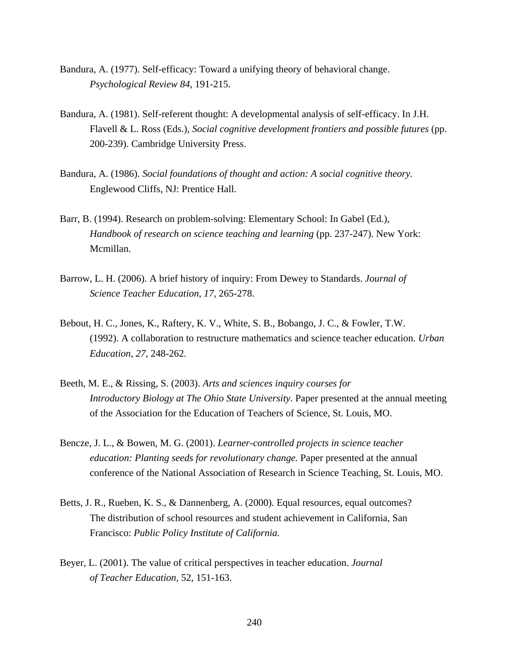- Bandura, A. (1977). Self-efficacy: Toward a unifying theory of behavioral change. *Psychological Review 84*, 191-215.
- Bandura, A. (1981). Self-referent thought: A developmental analysis of self-efficacy. In J.H. Flavell & L. Ross (Eds.), *Social cognitive development frontiers and possible futures* (pp. 200-239). Cambridge University Press.
- Bandura, A. (1986). *Social foundations of thought and action: A social cognitive theory.*  Englewood Cliffs, NJ: Prentice Hall.
- Barr, B. (1994). Research on problem-solving: Elementary School: In Gabel (Ed.), *Handbook of research on science teaching and learning* (pp. 237-247). New York: Mcmillan.
- Barrow, L. H. (2006). A brief history of inquiry: From Dewey to Standards. *Journal of Science Teacher Education*, *17*, 265-278.
- Bebout, H. C., Jones, K., Raftery, K. V., White, S. B., Bobango, J. C., & Fowler, T.W. (1992). A collaboration to restructure mathematics and science teacher education. *Urban Education*, *27,* 248-262.
- Beeth, M. E., & Rissing, S. (2003). *Arts and sciences inquiry courses for Introductory Biology at The Ohio State University*. Paper presented at the annual meeting of the Association for the Education of Teachers of Science, St. Louis, MO.
- Bencze, J. L., & Bowen, M. G. (2001). *Learner-controlled projects in science teacher education: Planting seeds for revolutionary change.* Paper presented at the annual conference of the National Association of Research in Science Teaching, St. Louis, MO.
- Betts, J. R., Rueben, K. S., & Dannenberg, A. (2000)*.* Equal resources, equal outcomes? The distribution of school resources and student achievement in California*,* San Francisco: *Public Policy Institute of California*.
- Beyer, L. (2001). The value of critical perspectives in teacher education. *Journal of Teacher Education,* 52, 151-163.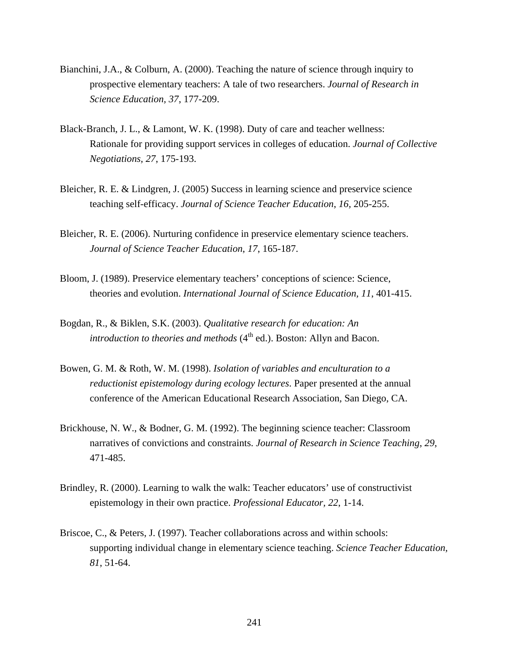- Bianchini, J.A., & Colburn, A. (2000). Teaching the nature of science through inquiry to prospective elementary teachers: A tale of two researchers. *Journal of Research in Science Education, 37*, 177-209.
- Black-Branch, J. L., & Lamont, W. K. (1998). Duty of care and teacher wellness: Rationale for providing support services in colleges of education. *Journal of Collective Negotiations, 27*, 175-193.
- Bleicher, R. E. & Lindgren, J. (2005) Success in learning science and preservice science teaching self-efficacy. *Journal of Science Teacher Education*, *16,* 205-255.
- Bleicher, R. E. (2006). Nurturing confidence in preservice elementary science teachers. *Journal of Science Teacher Education*, *17*, 165-187.
- Bloom, J. (1989). Preservice elementary teachers' conceptions of science: Science, theories and evolution. *International Journal of Science Education, 11*, 401-415.
- Bogdan, R., & Biklen, S.K. (2003). *Qualitative research for education: An introduction to theories and methods*  $(4<sup>th</sup>$  ed.). Boston: Allyn and Bacon.
- Bowen, G. M. & Roth, W. M. (1998). *Isolation of variables and enculturation to a reductionist epistemology during ecology lectures*. Paper presented at the annual conference of the American Educational Research Association*,* San Diego, CA.
- Brickhouse, N. W., & Bodner, G. M. (1992). The beginning science teacher: Classroom narratives of convictions and constraints. *Journal of Research in Science Teaching*, *29*, 471-485.
- Brindley, R. (2000). Learning to walk the walk: Teacher educators' use of constructivist epistemology in their own practice. *Professional Educator, 22*, 1-14.
- Briscoe, C., & Peters, J. (1997). Teacher collaborations across and within schools: supporting individual change in elementary science teaching. *Science Teacher Education, 81*, 51-64.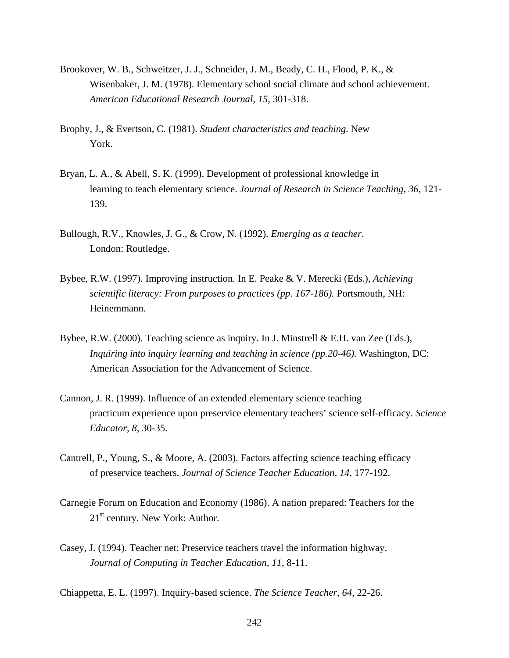- Brookover, W. B., Schweitzer, J. J., Schneider, J. M., Beady, C. H., Flood, P. K., & Wisenbaker, J. M. (1978). Elementary school social climate and school achievement. *American Educational Research Journal, 15*, 301-318.
- Brophy, J., & Evertson, C. (1981). *Student characteristics and teaching.* New York.
- Bryan, L. A., & Abell, S. K. (1999). Development of professional knowledge in learning to teach elementary science. *Journal of Research in Science Teaching, 36*, 121- 139.
- Bullough, R.V., Knowles, J. G., & Crow, N. (1992). *Emerging as a teacher*. London: Routledge.
- Bybee, R.W. (1997). Improving instruction. In E. Peake & V. Merecki (Eds.), *Achieving scientific literacy: From purposes to practices (pp. 167-186).* Portsmouth, NH: Heinemmann.
- Bybee, R.W. (2000). Teaching science as inquiry. In J. Minstrell & E.H. van Zee (Eds.), *Inquiring into inquiry learning and teaching in science (pp.20-46).* Washington, DC: American Association for the Advancement of Science.
- Cannon, J. R. (1999). Influence of an extended elementary science teaching practicum experience upon preservice elementary teachers' science self-efficacy. *Science Educator, 8*, 30-35.
- Cantrell, P., Young, S., & Moore, A. (2003). Factors affecting science teaching efficacy of preservice teachers. *Journal of Science Teacher Education*, *14*, 177-192.
- Carnegie Forum on Education and Economy (1986). A nation prepared: Teachers for the  $21<sup>st</sup>$  century. New York: Author.
- Casey, J. (1994). Teacher net: Preservice teachers travel the information highway. *Journal of Computing in Teacher Education, 11*, 8-11.
- Chiappetta, E. L. (1997). Inquiry-based science. *The Science Teacher*, *64*, 22-26.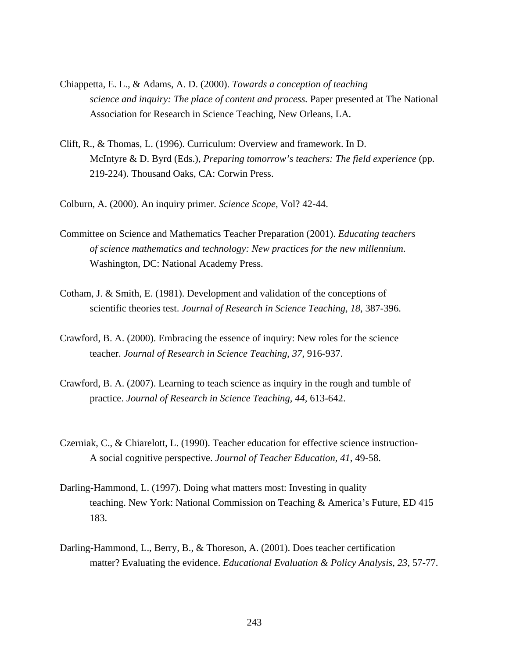- Chiappetta, E. L., & Adams, A. D. (2000). *Towards a conception of teaching science and inquiry: The place of content and process.* Paper presented at The National Association for Research in Science Teaching, New Orleans, LA*.*
- Clift, R., & Thomas, L. (1996). Curriculum: Overview and framework. In D. McIntyre & D. Byrd (Eds.), *Preparing tomorrow's teachers: The field experience* (pp. 219-224). Thousand Oaks, CA: Corwin Press.
- Colburn, A. (2000). An inquiry primer. *Science Scope*, Vol? 42-44.
- Committee on Science and Mathematics Teacher Preparation (2001). *Educating teachers of science mathematics and technology: New practices for the new millennium*. Washington, DC: National Academy Press.
- Cotham, J. & Smith, E. (1981). Development and validation of the conceptions of scientific theories test. *Journal of Research in Science Teaching, 18*, 387-396.
- Crawford, B. A. (2000). Embracing the essence of inquiry: New roles for the science teacher. *Journal of Research in Science Teaching*, *37*, 916-937.
- Crawford, B. A. (2007). Learning to teach science as inquiry in the rough and tumble of practice. *Journal of Research in Science Teaching, 44,* 613-642.
- Czerniak, C., & Chiarelott, L. (1990). Teacher education for effective science instruction-A social cognitive perspective. *Journal of Teacher Education, 41*, 49-58.
- Darling-Hammond, L. (1997). Doing what matters most: Investing in quality teaching. New York: National Commission on Teaching & America's Future, ED 415 183.
- Darling-Hammond, L., Berry, B., & Thoreson, A. (2001). Does teacher certification matter? Evaluating the evidence. *Educational Evaluation & Policy Analysis*, *23*, 57-77.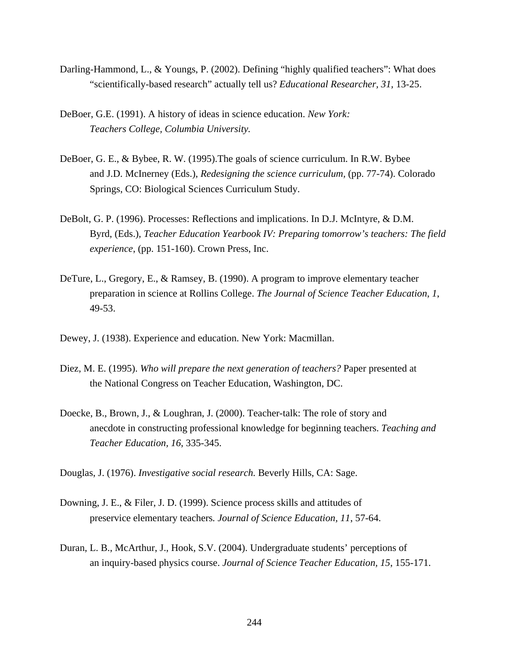- Darling-Hammond, L., & Youngs, P. (2002). Defining "highly qualified teachers": What does "scientifically-based research" actually tell us? *Educational Researcher, 31,* 13-25.
- DeBoer, G.E. (1991). A history of ideas in science education. *New York: Teachers College, Columbia University.*
- DeBoer, G. E., & Bybee, R. W. (1995).The goals of science curriculum. In R.W. Bybee and J.D. McInerney (Eds.), *Redesigning the science curriculum,* (pp. 77-74). Colorado Springs, CO: Biological Sciences Curriculum Study.
- DeBolt, G. P. (1996). Processes: Reflections and implications. In D.J. McIntyre, & D.M. Byrd, (Eds.), *Teacher Education Yearbook IV: Preparing tomorrow's teachers: The field experience*, (pp. 151-160). Crown Press, Inc.
- DeTure, L., Gregory, E., & Ramsey, B. (1990). A program to improve elementary teacher preparation in science at Rollins College. *The Journal of Science Teacher Education*, *1*, 49-53.
- Dewey, J. (1938). Experience and education. New York: Macmillan.
- Diez, M. E. (1995). *Who will prepare the next generation of teachers?* Paper presented at the National Congress on Teacher Education, Washington, DC.
- Doecke, B., Brown, J., & Loughran, J. (2000). Teacher-talk: The role of story and anecdote in constructing professional knowledge for beginning teachers. *Teaching and Teacher Education, 16*, 335-345.

Douglas, J. (1976). *Investigative social research.* Beverly Hills, CA: Sage.

- Downing, J. E., & Filer, J. D. (1999). Science process skills and attitudes of preservice elementary teachers*. Journal of Science Education, 11*, 57-64.
- Duran, L. B., McArthur, J., Hook, S.V. (2004). Undergraduate students' perceptions of an inquiry-based physics course. *Journal of Science Teacher Education, 15*, 155-171.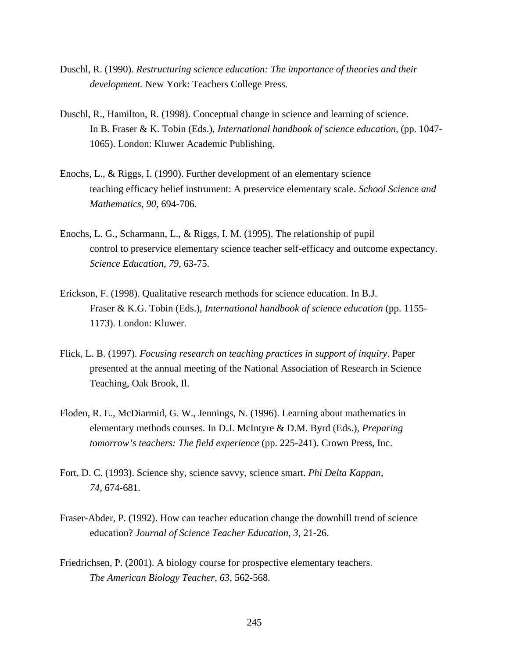- Duschl, R. (1990). *Restructuring science education: The importance of theories and their development.* New York: Teachers College Press.
- Duschl, R., Hamilton, R. (1998). Conceptual change in science and learning of science. In B. Fraser & K. Tobin (Eds.), *International handbook of science education,* (pp. 1047- 1065). London: Kluwer Academic Publishing.
- Enochs, L., & Riggs, I. (1990). Further development of an elementary science teaching efficacy belief instrument: A preservice elementary scale. *School Science and Mathematics*, *90*, 694-706.
- Enochs, L. G., Scharmann, L., & Riggs, I. M. (1995). The relationship of pupil control to preservice elementary science teacher self-efficacy and outcome expectancy. *Science Education, 79*, 63-75.
- Erickson, F. (1998). Qualitative research methods for science education. In B.J. Fraser & K.G. Tobin (Eds.), *International handbook of science education* (pp. 1155- 1173). London: Kluwer.
- Flick, L. B. (1997). *Focusing research on teaching practices in support of inquiry*. Paper presented at the annual meeting of the National Association of Research in Science Teaching, Oak Brook, Il.
- Floden, R. E., McDiarmid, G. W., Jennings, N. (1996). Learning about mathematics in elementary methods courses. In D.J. McIntyre & D.M. Byrd (Eds.), *Preparing tomorrow's teachers: The field experience* (pp. 225-241). Crown Press, Inc.
- Fort, D. C. (1993). Science shy, science savvy, science smart. *Phi Delta Kappan, 74*, 674-681.
- Fraser-Abder, P. (1992). How can teacher education change the downhill trend of science education? *Journal of Science Teacher Education*, *3*, 21-26.
- Friedrichsen, P. (2001). A biology course for prospective elementary teachers. *The American Biology Teacher, 63*, 562-568.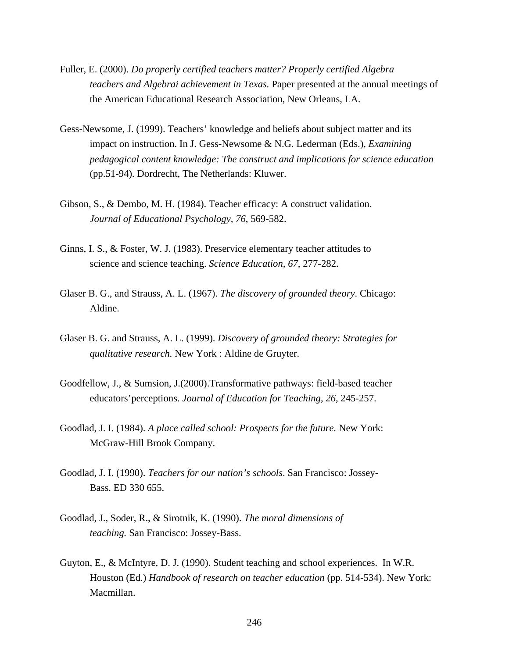- Fuller, E. (2000). *Do properly certified teachers matter? Properly certified Algebra teachers and Algebrai achievement in Texas.* Paper presented at the annual meetings of the American Educational Research Association, New Orleans, LA.
- Gess-Newsome, J. (1999). Teachers' knowledge and beliefs about subject matter and its impact on instruction. In J. Gess-Newsome & N.G. Lederman (Eds.), *Examining pedagogical content knowledge: The construct and implications for science education* (pp.51-94). Dordrecht, The Netherlands: Kluwer.
- Gibson, S., & Dembo, M. H. (1984). Teacher efficacy: A construct validation. *Journal of Educational Psychology, 76*, 569-582.
- Ginns, I. S., & Foster, W. J. (1983). Preservice elementary teacher attitudes to science and science teaching. *Science Education, 67*, 277-282.
- Glaser B. G., and Strauss, A. L. (1967). *The discovery of grounded theory*. Chicago: Aldine.
- Glaser B. G. and Strauss, A. L. (1999). *Discovery of grounded theory: Strategies for qualitative research.* New York : Aldine de Gruyter.
- Goodfellow, J., & Sumsion, J.(2000).Transformative pathways: field-based teacher educators'perceptions. *Journal of Education for Teaching*, *26*, 245-257.
- Goodlad, J. I. (1984). *A place called school: Prospects for the future.* New York: McGraw-Hill Brook Company.
- Goodlad, J. I. (1990). *Teachers for our nation's schools*. San Francisco: Jossey-Bass. ED 330 655.
- Goodlad, J., Soder, R., & Sirotnik, K. (1990). *The moral dimensions of teaching.* San Francisco: Jossey-Bass.
- Guyton, E., & McIntyre, D. J. (1990). Student teaching and school experiences. In W.R. Houston (Ed.) *Handbook of research on teacher education* (pp. 514-534). New York: Macmillan.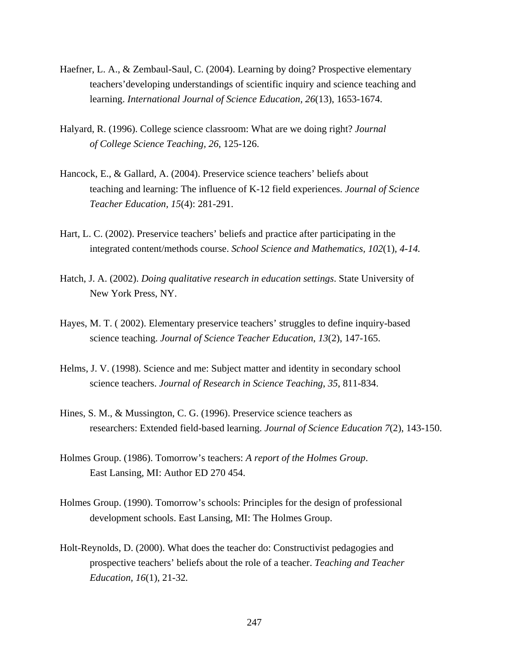- Haefner, L. A., & Zembaul-Saul, C. (2004). Learning by doing? Prospective elementary teachers'developing understandings of scientific inquiry and science teaching and learning. *International Journal of Science Education, 26*(13), 1653-1674.
- Halyard, R. (1996). College science classroom: What are we doing right? *Journal of College Science Teaching, 26*, 125-126.
- Hancock, E., & Gallard, A. (2004). Preservice science teachers' beliefs about teaching and learning: The influence of K-12 field experiences. *Journal of Science Teacher Education, 15*(4): 281-291.
- Hart, L. C. (2002). Preservice teachers' beliefs and practice after participating in the integrated content/methods course. *School Science and Mathematics, 102*(1), *4-14.*
- Hatch, J. A. (2002). *Doing qualitative research in education settings*. State University of New York Press, NY.
- Hayes, M. T. ( 2002). Elementary preservice teachers' struggles to define inquiry-based science teaching. *Journal of Science Teacher Education*, *13*(2), 147-165.
- Helms, J. V. (1998). Science and me: Subject matter and identity in secondary school science teachers. *Journal of Research in Science Teaching*, *35*, 811-834.
- Hines, S. M., & Mussington, C. G. (1996). Preservice science teachers as researchers: Extended field-based learning. *Journal of Science Education 7*(2), 143-150.
- Holmes Group. (1986). Tomorrow's teachers: *A report of the Holmes Group*. East Lansing, MI: Author ED 270 454.
- Holmes Group. (1990). Tomorrow's schools: Principles for the design of professional development schools. East Lansing, MI: The Holmes Group.
- Holt-Reynolds, D. (2000). What does the teacher do: Constructivist pedagogies and prospective teachers' beliefs about the role of a teacher. *Teaching and Teacher Education, 16*(1), 21-32*.*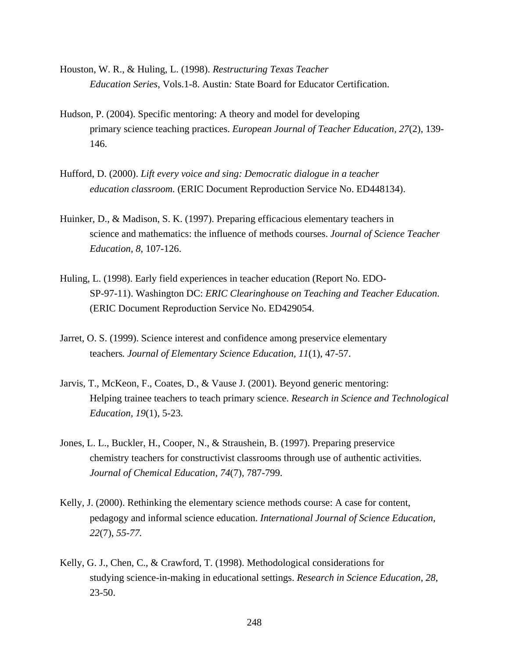- Houston, W. R., & Huling, L. (1998). *Restructuring Texas Teacher Education Series*, Vols.1-8. Austin*:* State Board for Educator Certification.
- Hudson, P. (2004). Specific mentoring: A theory and model for developing primary science teaching practices. *European Journal of Teacher Education, 27*(2), 139- 146.
- Hufford, D. (2000). *Lift every voice and sing: Democratic dialogue in a teacher education classroom.* (ERIC Document Reproduction Service No. ED448134).
- Huinker, D., & Madison, S. K. (1997). Preparing efficacious elementary teachers in science and mathematics: the influence of methods courses. *Journal of Science Teacher Education, 8*, 107-126.
- Huling, L. (1998). Early field experiences in teacher education (Report No. EDO-SP-97-11). Washington DC: *ERIC Clearinghouse on Teaching and Teacher Education*. (ERIC Document Reproduction Service No. ED429054.
- Jarret, O. S. (1999). Science interest and confidence among preservice elementary teachers*. Journal of Elementary Science Education, 11*(1), 47-57.
- Jarvis, T., McKeon, F., Coates, D., & Vause J. (2001). Beyond generic mentoring: Helping trainee teachers to teach primary science. *Research in Science and Technological Education, 19*(1), 5-23.
- Jones, L. L., Buckler, H., Cooper, N., & Straushein, B. (1997). Preparing preservice chemistry teachers for constructivist classrooms through use of authentic activities. *Journal of Chemical Education, 74*(7), 787-799.
- Kelly, J. (2000). Rethinking the elementary science methods course: A case for content, pedagogy and informal science education. *International Journal of Science Education, 22*(7), *55-77.*
- Kelly, G. J., Chen, C., & Crawford, T. (1998). Methodological considerations for studying science-in-making in educational settings. *Research in Science Education*, *28*, 23-50.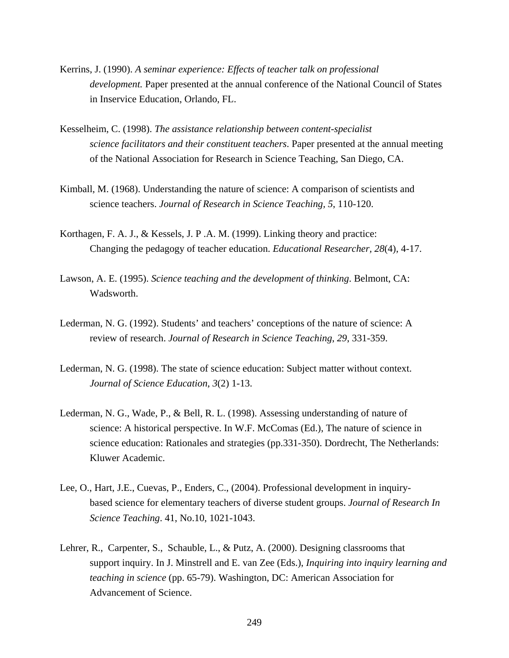- Kerrins, J. (1990). *A seminar experience: Effects of teacher talk on professional development.* Paper presented at the annual conference of the National Council of States in Inservice Education, Orlando, FL.
- Kesselheim, C. (1998). *The assistance relationship between content-specialist science facilitators and their constituent teachers*. Paper presented at the annual meeting of the National Association for Research in Science Teaching, San Diego, CA.
- Kimball, M. (1968). Understanding the nature of science: A comparison of scientists and science teachers. *Journal of Research in Science Teaching, 5*, 110-120.
- Korthagen, F. A. J., & Kessels, J. P .A. M. (1999). Linking theory and practice: Changing the pedagogy of teacher education. *Educational Researcher, 28*(4), 4-17.
- Lawson, A. E. (1995). *Science teaching and the development of thinking*. Belmont, CA: Wadsworth.
- Lederman, N. G. (1992). Students' and teachers' conceptions of the nature of science: A review of research. *Journal of Research in Science Teaching*, *29*, 331-359.
- Lederman, N. G. (1998). The state of science education: Subject matter without context. *Journal of Science Education*, *3*(2) 1-13.
- Lederman, N. G., Wade, P., & Bell, R. L. (1998). Assessing understanding of nature of science: A historical perspective. In W.F. McComas (Ed.), The nature of science in science education: Rationales and strategies (pp.331-350). Dordrecht, The Netherlands: Kluwer Academic.
- Lee, O., Hart, J.E., Cuevas, P., Enders, C., (2004). Professional development in inquirybased science for elementary teachers of diverse student groups. *Journal of Research In Science Teaching*. 41, No.10, 1021-1043.
- Lehrer, R., Carpenter, S., Schauble, L., & Putz, A. (2000). Designing classrooms that support inquiry. In J. Minstrell and E. van Zee (Eds.), *Inquiring into inquiry learning and teaching in science* (pp. 65-79). Washington, DC: American Association for Advancement of Science.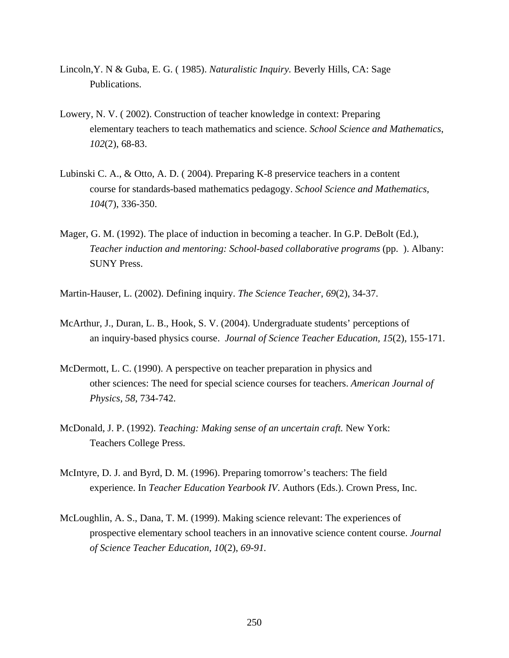- Lincoln,Y. N & Guba, E. G. ( 1985). *Naturalistic Inquiry.* Beverly Hills, CA: Sage Publications.
- Lowery, N. V. ( 2002). Construction of teacher knowledge in context: Preparing elementary teachers to teach mathematics and science. *School Science and Mathematics*, *102*(2), 68-83.
- Lubinski C. A., & Otto, A. D. ( 2004). Preparing K-8 preservice teachers in a content course for standards-based mathematics pedagogy. *School Science and Mathematics, 104*(7), 336-350.
- Mager, G. M. (1992). The place of induction in becoming a teacher. In G.P. DeBolt (Ed.), *Teacher induction and mentoring: School-based collaborative programs* (pp. ). Albany: SUNY Press.

Martin-Hauser, L. (2002). Defining inquiry. *The Science Teacher*, *69*(2), 34-37.

- McArthur, J., Duran, L. B., Hook, S. V. (2004). Undergraduate students' perceptions of an inquiry-based physics course. *Journal of Science Teacher Education, 15*(2), 155-171.
- McDermott, L. C. (1990). A perspective on teacher preparation in physics and other sciences: The need for special science courses for teachers. *American Journal of Physics, 58*, 734-742.
- McDonald, J. P. (1992). *Teaching: Making sense of an uncertain craft.* New York: Teachers College Press.
- McIntyre, D. J. and Byrd, D. M. (1996). Preparing tomorrow's teachers: The field experience. In *Teacher Education Yearbook IV*. Authors (Eds.). Crown Press, Inc.
- McLoughlin, A. S., Dana, T. M. (1999). Making science relevant: The experiences of prospective elementary school teachers in an innovative science content course. *Journal of Science Teacher Education, 10*(2), *69-91.*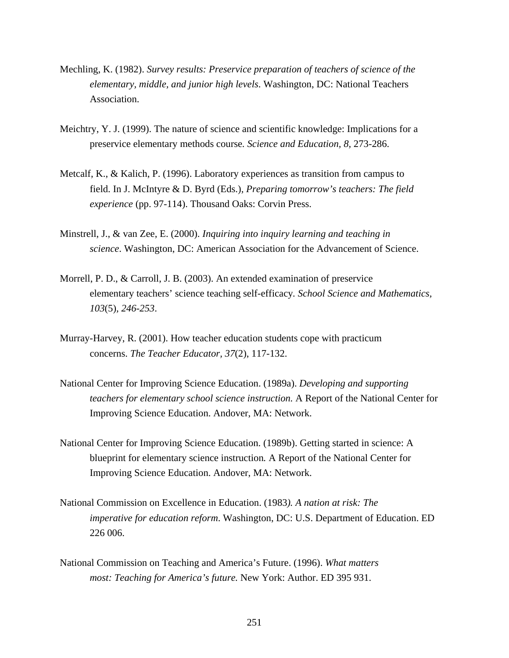- Mechling, K. (1982). *Survey results: Preservice preparation of teachers of science of the elementary, middle, and junior high levels*. Washington, DC: National Teachers Association.
- Meichtry, Y. J. (1999). The nature of science and scientific knowledge: Implications for a preservice elementary methods course*. Science and Education, 8,* 273-286.
- Metcalf, K., & Kalich, P. (1996). Laboratory experiences as transition from campus to field. In J. McIntyre & D. Byrd (Eds.)*, Preparing tomorrow's teachers: The field experience* (pp. 97-114). Thousand Oaks: Corvin Press.
- Minstrell, J., & van Zee, E. (2000). *Inquiring into inquiry learning and teaching in science*. Washington, DC: American Association for the Advancement of Science.
- Morrell, P. D., & Carroll, J. B. (2003). An extended examination of preservice elementary teachers' science teaching self-efficacy*. School Science and Mathematics, 103*(5)*, 246-253*.
- Murray-Harvey, R. (2001). How teacher education students cope with practicum concerns. *The Teacher Educator, 37*(2), 117-132.
- National Center for Improving Science Education. (1989a). *Developing and supporting teachers for elementary school science instruction.* A Report of the National Center for Improving Science Education. Andover, MA: Network.
- National Center for Improving Science Education. (1989b). Getting started in science: A blueprint for elementary science instruction*.* A Report of the National Center for Improving Science Education. Andover, MA: Network.
- National Commission on Excellence in Education. (1983*). A nation at risk: The imperative for education reform*. Washington, DC: U.S. Department of Education. ED 226 006.
- National Commission on Teaching and America's Future. (1996). *What matters most: Teaching for America's future.* New York: Author. ED 395 931.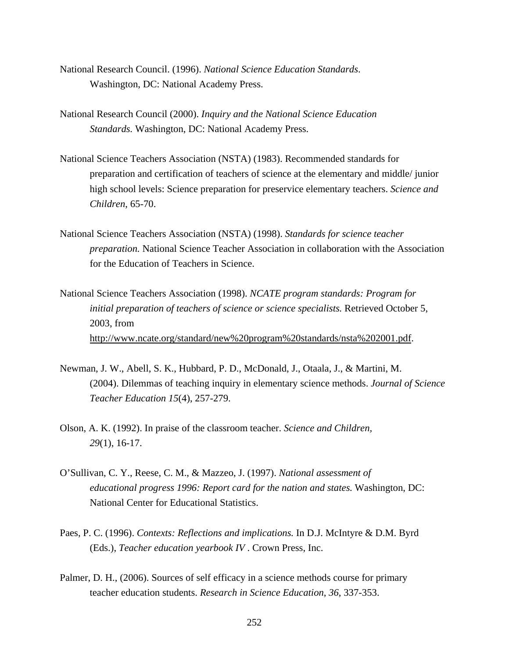- National Research Council. (1996). *National Science Education Standards*. Washington, DC: National Academy Press.
- National Research Council (2000). *Inquiry and the National Science Education Standards.* Washington, DC: National Academy Press.
- National Science Teachers Association (NSTA) (1983). Recommended standards for preparation and certification of teachers of science at the elementary and middle/ junior high school levels: Science preparation for preservice elementary teachers. *Science and Children*, 65-70.
- National Science Teachers Association (NSTA) (1998). *Standards for science teacher preparation.* National Science Teacher Association in collaboration with the Association for the Education of Teachers in Science.
- National Science Teachers Association (1998). *NCATE program standards: Program for initial preparation of teachers of science or science specialists.* Retrieved October 5, 2003, from http://www.ncate.org/standard/new%20program%20standards/nsta%202001.pdf.
- Newman, J. W., Abell, S. K., Hubbard, P. D., McDonald, J., Otaala, J., & Martini, M. (2004). Dilemmas of teaching inquiry in elementary science methods. *Journal of Science Teacher Education 15*(4), 257-279.
- Olson, A. K. (1992). In praise of the classroom teacher. *Science and Children, 29*(1), 16-17.
- O'Sullivan, C. Y., Reese, C. M., & Mazzeo, J. (1997). *National assessment of educational progress 1996: Report card for the nation and states.* Washington, DC: National Center for Educational Statistics.
- Paes, P. C. (1996). *Contexts: Reflections and implications.* In D.J. McIntyre & D.M. Byrd (Eds.), *Teacher education yearbook IV* . Crown Press, Inc.
- Palmer, D. H., (2006). Sources of self efficacy in a science methods course for primary teacher education students. *Research in Science Education*, *36*, 337-353.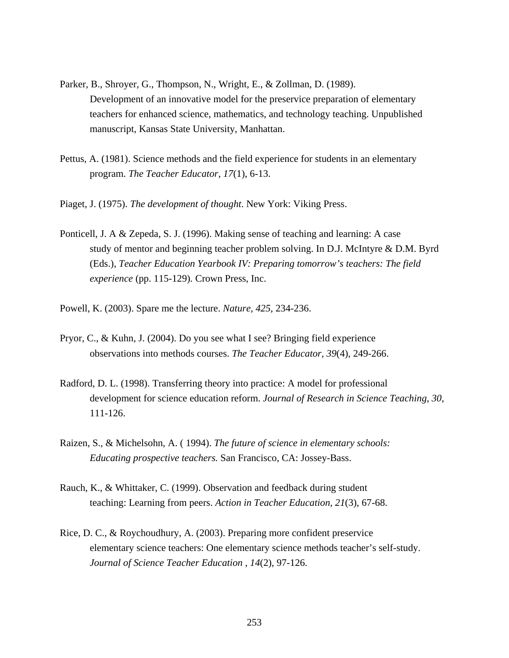- Parker, B., Shroyer, G., Thompson, N., Wright, E., & Zollman, D. (1989). Development of an innovative model for the preservice preparation of elementary teachers for enhanced science, mathematics, and technology teaching. Unpublished manuscript, Kansas State University, Manhattan.
- Pettus, A. (1981). Science methods and the field experience for students in an elementary program. *The Teacher Educator*, *17*(1), 6-13.
- Piaget, J. (1975). *The development of thought*. New York: Viking Press.
- Ponticell, J. A & Zepeda, S. J. (1996). Making sense of teaching and learning: A case study of mentor and beginning teacher problem solving. In D.J. McIntyre & D.M. Byrd (Eds.), *Teacher Education Yearbook IV: Preparing tomorrow's teachers: The field experience* (pp. 115-129)*.* Crown Press, Inc.
- Powell, K. (2003). Spare me the lecture. *Nature, 425,* 234-236.
- Pryor, C., & Kuhn, J. (2004). Do you see what I see? Bringing field experience observations into methods courses. *The Teacher Educator, 39*(4), 249-266.
- Radford, D. L. (1998). Transferring theory into practice: A model for professional development for science education reform. *Journal of Research in Science Teaching*, *30*, 111-126.
- Raizen, S., & Michelsohn, A. ( 1994). *The future of science in elementary schools: Educating prospective teachers.* San Francisco, CA: Jossey-Bass.
- Rauch, K., & Whittaker, C. (1999). Observation and feedback during student teaching: Learning from peers. *Action in Teacher Education, 21*(3), 67-68.
- Rice, D. C., & Roychoudhury, A. (2003). Preparing more confident preservice elementary science teachers: One elementary science methods teacher's self-study. *Journal of Science Teacher Education* , *14*(2), 97-126.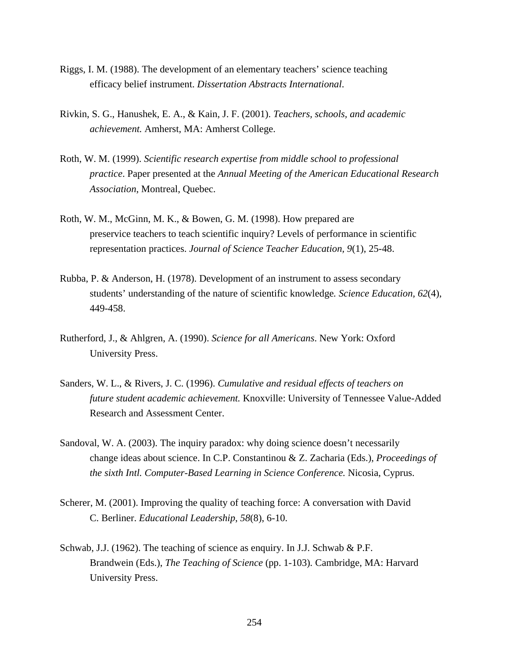- Riggs, I. M. (1988). The development of an elementary teachers' science teaching efficacy belief instrument. *Dissertation Abstracts International*.
- Rivkin, S. G., Hanushek, E. A., & Kain, J. F. (2001). *Teachers, schools, and academic achievement.* Amherst, MA: Amherst College.
- Roth, W. M. (1999). *Scientific research expertise from middle school to professional practice*. Paper presented at the *Annual Meeting of the American Educational Research Association*, Montreal, Quebec.
- Roth, W. M., McGinn, M. K., & Bowen, G. M. (1998). How prepared are preservice teachers to teach scientific inquiry? Levels of performance in scientific representation practices. *Journal of Science Teacher Education, 9*(1), 25-48.
- Rubba, P. & Anderson, H. (1978). Development of an instrument to assess secondary students' understanding of the nature of scientific knowledge*. Science Education, 62*(4), 449-458.
- Rutherford, J., & Ahlgren, A. (1990). *Science for all Americans*. New York: Oxford University Press.
- Sanders, W. L., & Rivers, J. C. (1996). *Cumulative and residual effects of teachers on future student academic achievement.* Knoxville: University of Tennessee Value-Added Research and Assessment Center.
- Sandoval, W. A. (2003). The inquiry paradox: why doing science doesn't necessarily change ideas about science. In C.P. Constantinou & Z. Zacharia (Eds.), *Proceedings of the sixth Intl. Computer-Based Learning in Science Conference.* Nicosia, Cyprus.
- Scherer, M. (2001). Improving the quality of teaching force: A conversation with David C. Berliner. *Educational Leadership*, *58*(8), 6-10.
- Schwab, J.J. (1962). The teaching of science as enquiry. In J.J. Schwab & P.F. Brandwein (Eds.), *The Teaching of Science* (pp. 1-103)*.* Cambridge, MA: Harvard University Press.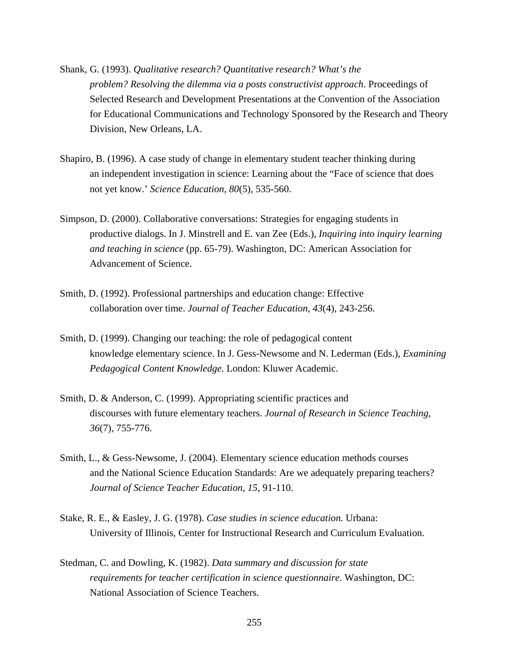- Shank, G. (1993). *Qualitative research? Quantitative research? What's the problem? Resolving the dilemma via a posts constructivist approach*. Proceedings of Selected Research and Development Presentations at the Convention of the Association for Educational Communications and Technology Sponsored by the Research and Theory Division, New Orleans, LA.
- Shapiro, B. (1996). A case study of change in elementary student teacher thinking during an independent investigation in science: Learning about the "Face of science that does not yet know.' *Science Education*, *80*(5), 535-560.
- Simpson, D. (2000). Collaborative conversations: Strategies for engaging students in productive dialogs. In J. Minstrell and E. van Zee (Eds.), *Inquiring into inquiry learning and teaching in science* (pp. 65-79). Washington, DC: American Association for Advancement of Science.
- Smith, D. (1992). Professional partnerships and education change: Effective collaboration over time. *Journal of Teacher Education*, *43*(4), 243-256.
- Smith, D. (1999). Changing our teaching: the role of pedagogical content knowledge elementary science. In J. Gess-Newsome and N. Lederman (Eds.), *Examining Pedagogical Content Knowledge.* London: Kluwer Academic.
- Smith, D. & Anderson, C. (1999). Appropriating scientific practices and discourses with future elementary teachers. *Journal of Research in Science Teaching, 36*(7), 755-776.
- Smith, L., & Gess-Newsome, J. (2004). Elementary science education methods courses and the National Science Education Standards: Are we adequately preparing teachers? *Journal of Science Teacher Education, 15*, 91-110.
- Stake, R. E., & Easley, J. G. (1978). *Case studies in science education.* Urbana: University of Illinois, Center for Instructional Research and Curriculum Evaluation.
- Stedman, C. and Dowling, K. (1982). *Data summary and discussion for state requirements for teacher certification in science questionnaire*. Washington, DC: National Association of Science Teachers.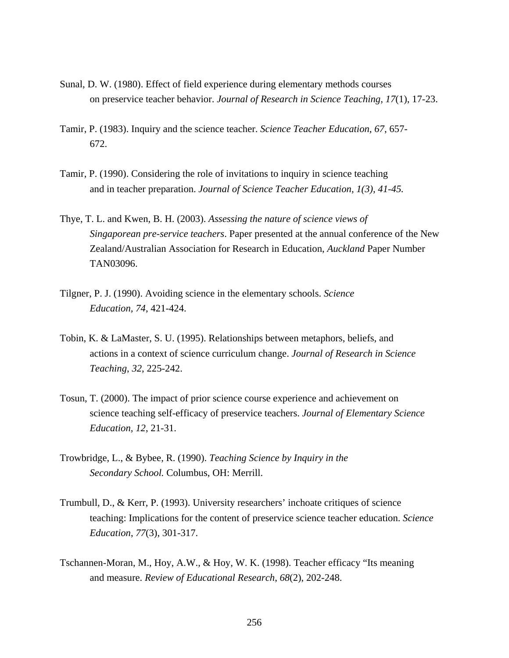- Sunal, D. W. (1980). Effect of field experience during elementary methods courses on preservice teacher behavior. *Journal of Research in Science Teaching, 17*(1), 17-23.
- Tamir, P. (1983). Inquiry and the science teacher. *Science Teacher Education*, *67*, 657- 672.
- Tamir, P. (1990). Considering the role of invitations to inquiry in science teaching and in teacher preparation. *Journal of Science Teacher Education, 1(3), 41-45.*
- Thye, T. L. and Kwen, B. H. (2003). *Assessing the nature of science views of Singaporean pre-service teachers*. Paper presented at the annual conference of the New Zealand/Australian Association for Research in Education, *Auckland* Paper Number TAN03096.
- Tilgner, P. J. (1990). Avoiding science in the elementary schools. *Science Education, 74*, 421-424.
- Tobin, K. & LaMaster, S. U. (1995). Relationships between metaphors, beliefs, and actions in a context of science curriculum change. *Journal of Research in Science Teaching*, *32*, 225-242.
- Tosun, T. (2000). The impact of prior science course experience and achievement on science teaching self-efficacy of preservice teachers. *Journal of Elementary Science Education, 12*, 21-31.
- Trowbridge, L., & Bybee, R. (1990). *Teaching Science by Inquiry in the Secondary School.* Columbus, OH: Merrill.
- Trumbull, D., & Kerr, P. (1993). University researchers' inchoate critiques of science teaching: Implications for the content of preservice science teacher education. *Science Education*, *77*(3), 301-317.
- Tschannen-Moran, M., Hoy, A.W., & Hoy, W. K. (1998). Teacher efficacy "Its meaning and measure. *Review of Educational Research*, *68*(2), 202-248.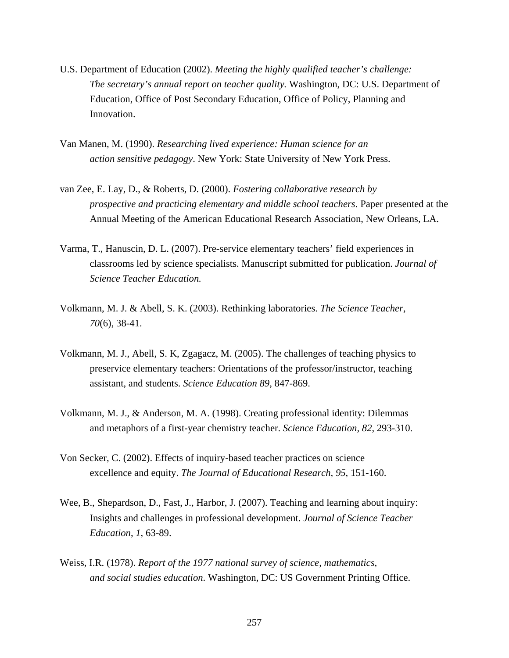- U.S. Department of Education (2002). *Meeting the highly qualified teacher's challenge: The secretary's annual report on teacher quality.* Washington, DC: U.S. Department of Education, Office of Post Secondary Education, Office of Policy, Planning and Innovation.
- Van Manen, M. (1990). *Researching lived experience: Human science for an action sensitive pedagogy*. New York: State University of New York Press.
- van Zee, E. Lay, D., & Roberts, D. (2000). *Fostering collaborative research by prospective and practicing elementary and middle school teachers*. Paper presented at the Annual Meeting of the American Educational Research Association, New Orleans, LA.
- Varma, T., Hanuscin, D. L. (2007). Pre-service elementary teachers' field experiences in classrooms led by science specialists. Manuscript submitted for publication. *Journal of Science Teacher Education.*
- Volkmann, M. J. & Abell, S. K. (2003). Rethinking laboratories. *The Science Teacher, 70*(6), 38-41.
- Volkmann, M. J., Abell, S. K, Zgagacz, M. (2005). The challenges of teaching physics to preservice elementary teachers: Orientations of the professor/instructor, teaching assistant, and students. *Science Education 89*, 847-869.
- Volkmann, M. J., & Anderson, M. A. (1998). Creating professional identity: Dilemmas and metaphors of a first-year chemistry teacher. *Science Education, 82*, 293-310.
- Von Secker, C. (2002). Effects of inquiry-based teacher practices on science excellence and equity. *The Journal of Educational Research, 95*, 151-160.
- Wee, B., Shepardson, D., Fast, J., Harbor, J. (2007). Teaching and learning about inquiry: Insights and challenges in professional development. *Journal of Science Teacher Education*, *1*, 63-89.
- Weiss, I.R. (1978). *Report of the 1977 national survey of science, mathematics, and social studies education*. Washington, DC: US Government Printing Office.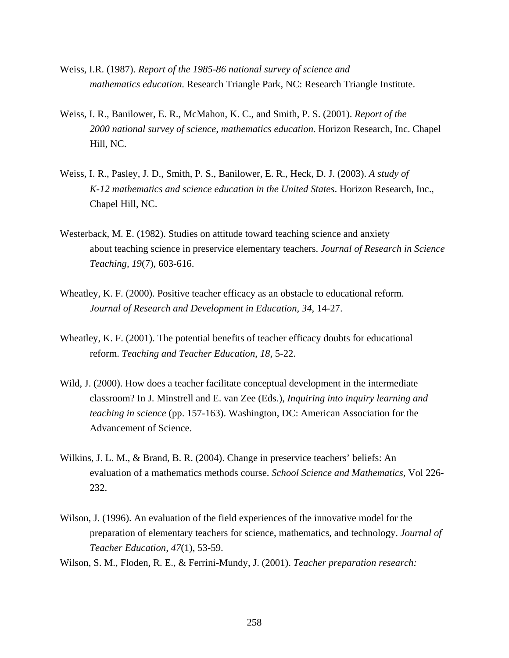- Weiss, I.R. (1987). *Report of the 1985-86 national survey of science and mathematics education.* Research Triangle Park, NC: Research Triangle Institute.
- Weiss, I. R., Banilower, E. R., McMahon, K. C., and Smith, P. S. (2001). *Report of the 2000 national survey of science, mathematics education*. Horizon Research, Inc. Chapel Hill, NC.
- Weiss, I. R., Pasley, J. D., Smith, P. S., Banilower, E. R., Heck, D. J. (2003). *A study of K-12 mathematics and science education in the United States*. Horizon Research, Inc., Chapel Hill, NC.
- Westerback, M. E. (1982). Studies on attitude toward teaching science and anxiety about teaching science in preservice elementary teachers. *Journal of Research in Science Teaching, 19*(7), 603-616.
- Wheatley, K. F. (2000). Positive teacher efficacy as an obstacle to educational reform. *Journal of Research and Development in Education, 34*, 14-27.
- Wheatley, K. F. (2001). The potential benefits of teacher efficacy doubts for educational reform. *Teaching and Teacher Education*, *18*, 5-22.
- Wild, J. (2000). How does a teacher facilitate conceptual development in the intermediate classroom? In J. Minstrell and E. van Zee (Eds.), *Inquiring into inquiry learning and teaching in science* (pp. 157-163). Washington, DC: American Association for the Advancement of Science.
- Wilkins, J. L. M., & Brand, B. R. (2004). Change in preservice teachers' beliefs: An evaluation of a mathematics methods course. *School Science and Mathematics*, Vol 226- 232.
- Wilson, J. (1996). An evaluation of the field experiences of the innovative model for the preparation of elementary teachers for science, mathematics, and technology. *Journal of Teacher Education, 47*(1), 53-59.

Wilson, S. M., Floden, R. E., & Ferrini-Mundy, J. (2001). *Teacher preparation research:*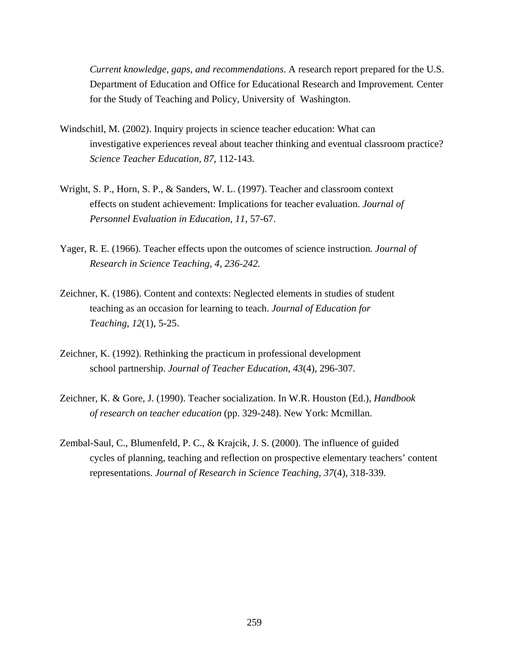*Current knowledge, gaps, and recommendations*. A research report prepared for the U.S. Department of Education and Office for Educational Research and Improvement*.* Center for the Study of Teaching and Policy, University of Washington.

- Windschitl, M. (2002). Inquiry projects in science teacher education: What can investigative experiences reveal about teacher thinking and eventual classroom practice? *Science Teacher Education, 87*, 112-143.
- Wright, S. P., Horn, S. P., & Sanders, W. L. (1997). Teacher and classroom context effects on student achievement: Implications for teacher evaluation. *Journal of Personnel Evaluation in Education, 11*, 57-67.
- Yager, R. E. (1966). Teacher effects upon the outcomes of science instruction*. Journal of Research in Science Teaching, 4, 236-242.*
- Zeichner, K. (1986). Content and contexts: Neglected elements in studies of student teaching as an occasion for learning to teach. *Journal of Education for Teaching*, *12*(1), 5-25.
- Zeichner, K. (1992). Rethinking the practicum in professional development school partnership. *Journal of Teacher Education*, *43*(4), 296-307.
- Zeichner, K. & Gore, J. (1990). Teacher socialization. In W.R. Houston (Ed.), *Handbook of research on teacher education* (pp. 329-248). New York: Mcmillan.
- Zembal-Saul, C., Blumenfeld, P. C., & Krajcik, J. S. (2000). The influence of guided cycles of planning, teaching and reflection on prospective elementary teachers' content representations. *Journal of Research in Science Teaching, 37*(4), 318-339.